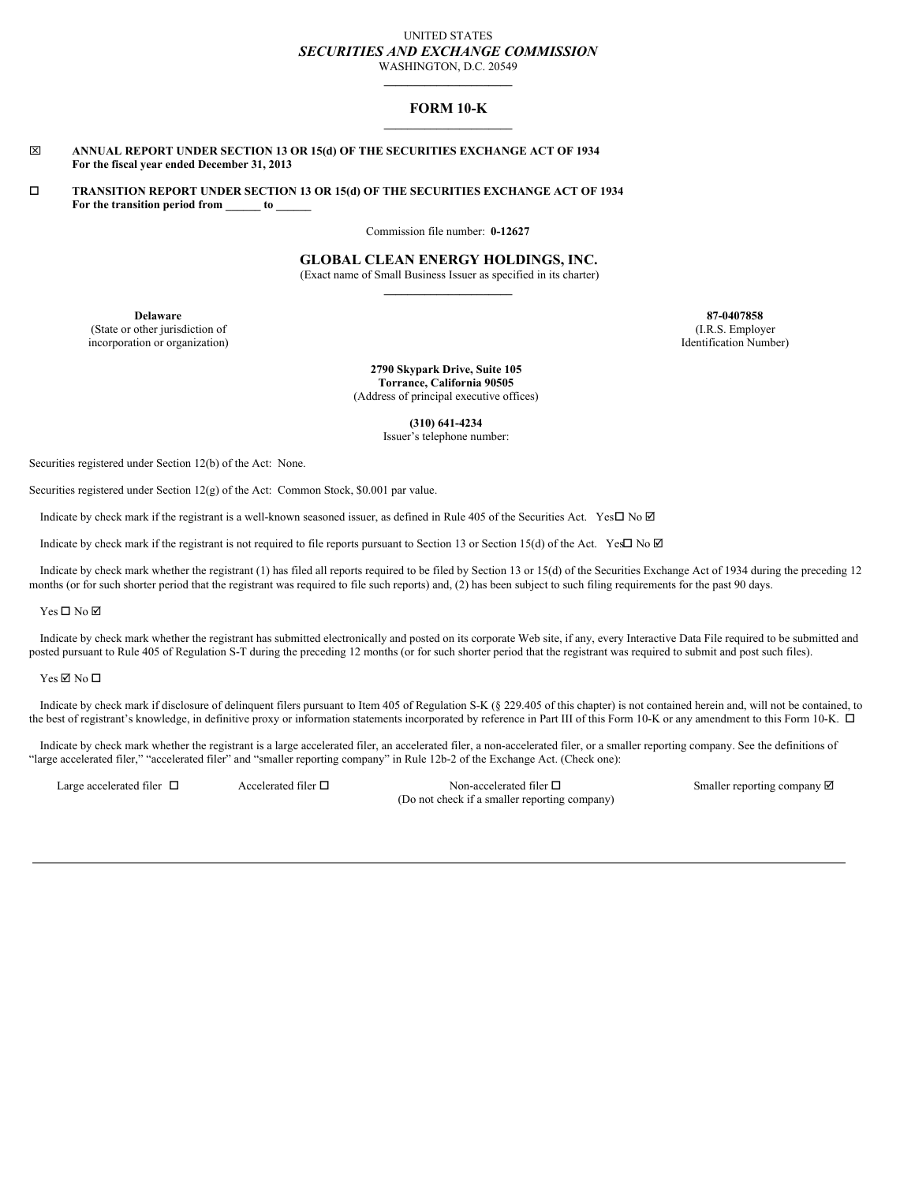## UNITED STATES *SECURITIES AND EXCHANGE COMMISSION* WASHINGTON, D.C. 20549

**\_\_\_\_\_\_\_\_\_\_\_\_\_\_\_\_\_\_\_\_\_\_**

## **FORM 10-K \_\_\_\_\_\_\_\_\_\_\_\_\_\_\_\_\_\_\_\_\_\_**

#### x **ANNUAL REPORT UNDER SECTION 13 OR 15(d) OF THE SECURITIES EXCHANGE ACT OF 1934 For the fiscal year ended December 31, 2013**

o **TRANSITION REPORT UNDER SECTION 13 OR 15(d) OF THE SECURITIES EXCHANGE ACT OF 1934 For the transition period from \_\_\_\_\_\_ to \_\_\_\_\_\_**

Commission file number: **0-12627**

## **GLOBAL CLEAN ENERGY HOLDINGS, INC.**

(Exact name of Small Business Issuer as specified in its charter) **\_\_\_\_\_\_\_\_\_\_\_\_\_\_\_\_\_\_\_\_\_\_**

(State or other jurisdiction of

incorporation or organization)

**Delaware 87-0407858** (I.R.S. Employer Identification Number)

> **2790 Skypark Drive, Suite 105 Torrance, California 90505** (Address of principal executive offices)

> > **(310) 641-4234**

Issuer's telephone number:

Securities registered under Section 12(b) of the Act: None.

Securities registered under Section 12(g) of the Act: Common Stock, \$0.001 par value.

Indicate by check mark if the registrant is a well-known seasoned issuer, as defined in Rule 405 of the Securities Act. Yes $\Box$  No  $\Box$ 

Indicate by check mark if the registrant is not required to file reports pursuant to Section 13 or Section 15(d) of the Act. Yes $\Box$  No  $\Box$ 

Indicate by check mark whether the registrant (1) has filed all reports required to be filed by Section 13 or 15(d) of the Securities Exchange Act of 1934 during the preceding 12 months (or for such shorter period that the registrant was required to file such reports) and, (2) has been subject to such filing requirements for the past 90 days.

#### Yes □ No ☑

Indicate by check mark whether the registrant has submitted electronically and posted on its corporate Web site, if any, every Interactive Data File required to be submitted and posted pursuant to Rule 405 of Regulation S-T during the preceding 12 months (or for such shorter period that the registrant was required to submit and post such files).

## $\mathbf{Y}\mathrm{es}\boxtimes\mathbf{N}\mathrm{o}\ \square$

Indicate by check mark if disclosure of delinquent filers pursuant to Item 405 of Regulation S-K (§ 229.405 of this chapter) is not contained herein and, will not be contained, to the best of registrant's knowledge, in definitive proxy or information statements incorporated by reference in Part III of this Form 10-K or any amendment to this Form 10-K.  $\Box$ 

Indicate by check mark whether the registrant is a large accelerated filer, an accelerated filer, a non-accelerated filer, or a smaller reporting company. See the definitions of "large accelerated filer," "accelerated filer" and "smaller reporting company" in Rule 12b-2 of the Exchange Act. (Check one):

Large accelerated filer  $\Box$  Accelerated filer  $\Box$  Non-accelerated filer  $\Box$ (Do not check if a smaller reporting company) Smaller reporting company  $\boxtimes$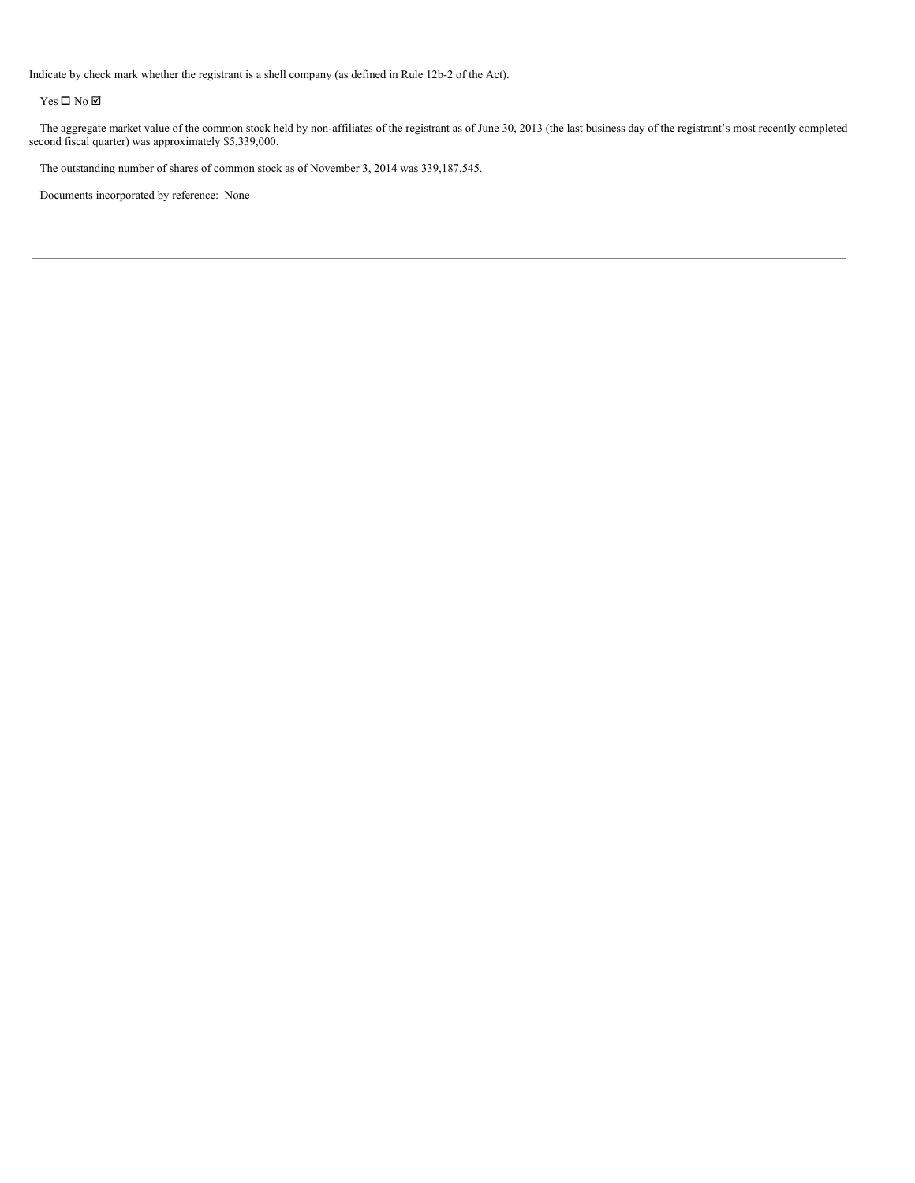Indicate by check mark whether the registrant is a shell company (as defined in Rule 12b-2 of the Act).

## $\mathop{\mathrm{Yes}}\nolimits \ \Box$  No  $\boxtimes$

The aggregate market value of the common stock held by non-affiliates of the registrant as of June 30, 2013 (the last business day of the registrant's most recently completed second fiscal quarter) was approximately \$5,339,000.

The outstanding number of shares of common stock as of November 3, 2014 was 339,187,545.

Documents incorporated by reference: None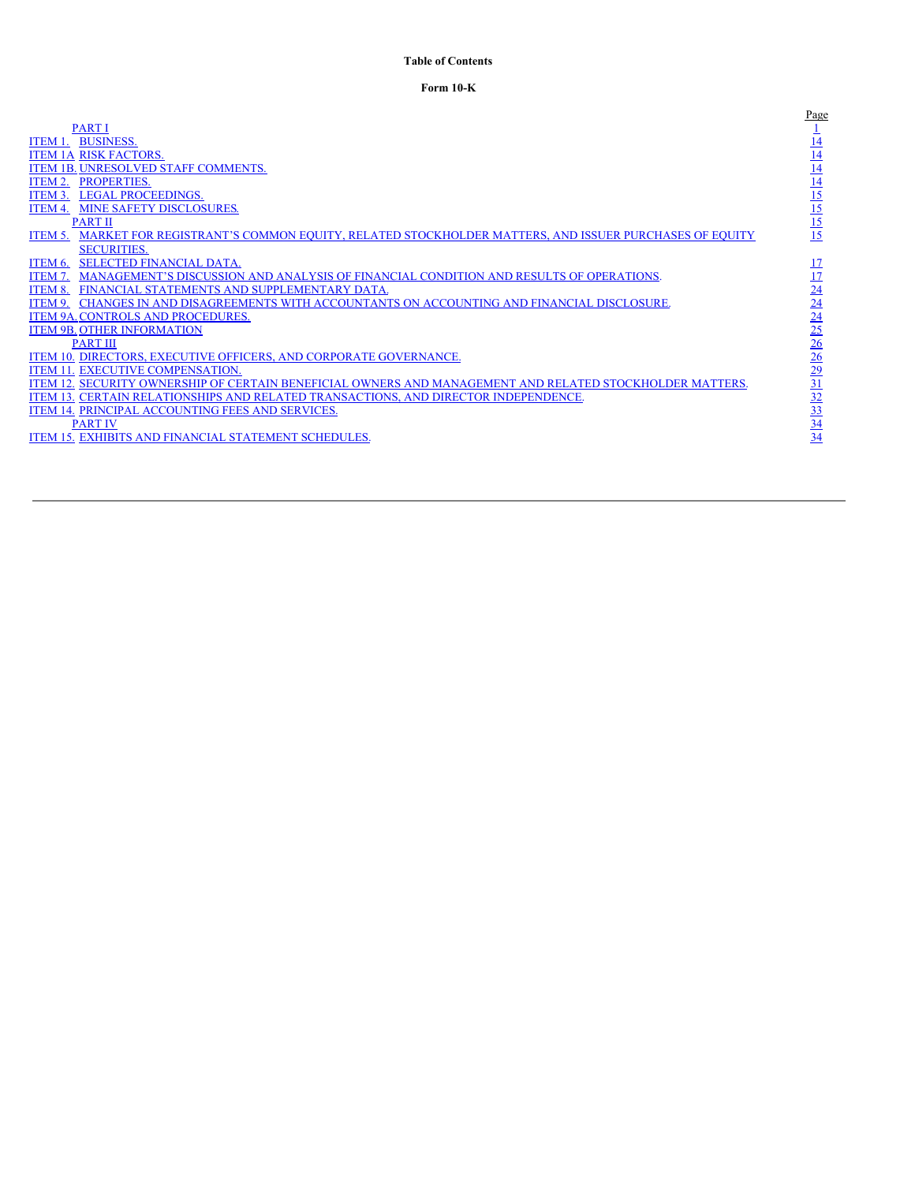# <span id="page-2-0"></span>**Table of Contents**

**Form 10-K**

|         | <b>PART I</b>                                                                                            | <u>Page</u>                                                                                     |
|---------|----------------------------------------------------------------------------------------------------------|-------------------------------------------------------------------------------------------------|
|         | ITEM 1. BUSINESS.                                                                                        | $\frac{14}{1}$                                                                                  |
|         | <b>ITEM 1A RISK FACTORS.</b>                                                                             | $\frac{14}{1}$                                                                                  |
|         | ITEM 1B. UNRESOLVED STAFF COMMENTS.                                                                      |                                                                                                 |
|         | ITEM 2. PROPERTIES.                                                                                      | $\frac{14}{14}$<br>$\frac{15}{15}$<br>$\frac{15}{15}$                                           |
|         | ITEM 3. LEGAL PROCEEDINGS.                                                                               |                                                                                                 |
|         | ITEM 4. MINE SAFETY DISCLOSURES.                                                                         |                                                                                                 |
|         | <b>PART II</b>                                                                                           |                                                                                                 |
| ITEM 5. | MARKET FOR REGISTRANT'S COMMON EQUITY, RELATED STOCKHOLDER MATTERS, AND ISSUER PURCHASES OF EQUITY       |                                                                                                 |
|         | <b>SECURITIES.</b>                                                                                       |                                                                                                 |
|         | ITEM 6. SELECTED FINANCIAL DATA.                                                                         |                                                                                                 |
| ITEM 7. | MANAGEMENT'S DISCUSSION AND ANALYSIS OF FINANCIAL CONDITION AND RESULTS OF OPERATIONS.                   | $\frac{17}{24}$ $\frac{24}{24}$ $\frac{25}{25}$ $\frac{26}{26}$ $\frac{29}{29}$ $\frac{31}{21}$ |
| ITEM 8. | FINANCIAL STATEMENTS AND SUPPLEMENTARY DATA.                                                             |                                                                                                 |
| ITEM 9. | CHANGES IN AND DISAGREEMENTS WITH ACCOUNTANTS ON ACCOUNTING AND FINANCIAL DISCLOSURE.                    |                                                                                                 |
|         | ITEM 9A. CONTROLS AND PROCEDURES.                                                                        |                                                                                                 |
|         | <b>ITEM 9B. OTHER INFORMATION</b>                                                                        |                                                                                                 |
|         | <b>PART III</b>                                                                                          |                                                                                                 |
|         | ITEM 10. DIRECTORS, EXECUTIVE OFFICERS, AND CORPORATE GOVERNANCE.                                        |                                                                                                 |
|         | ITEM 11. EXECUTIVE COMPENSATION.                                                                         |                                                                                                 |
|         | ITEM 12. SECURITY OWNERSHIP OF CERTAIN BENEFICIAL OWNERS AND MANAGEMENT AND RELATED STOCKHOLDER MATTERS. |                                                                                                 |
|         | ITEM 13. CERTAIN RELATIONSHIPS AND RELATED TRANSACTIONS, AND DIRECTOR INDEPENDENCE.                      | $\frac{32}{33}$                                                                                 |
|         | ITEM 14. PRINCIPAL ACCOUNTING FEES AND SERVICES.                                                         |                                                                                                 |
|         | <b>PART IV</b>                                                                                           |                                                                                                 |
|         | <b>ITEM 15. EXHIBITS AND FINANCIAL STATEMENT SCHEDULES.</b>                                              | 34                                                                                              |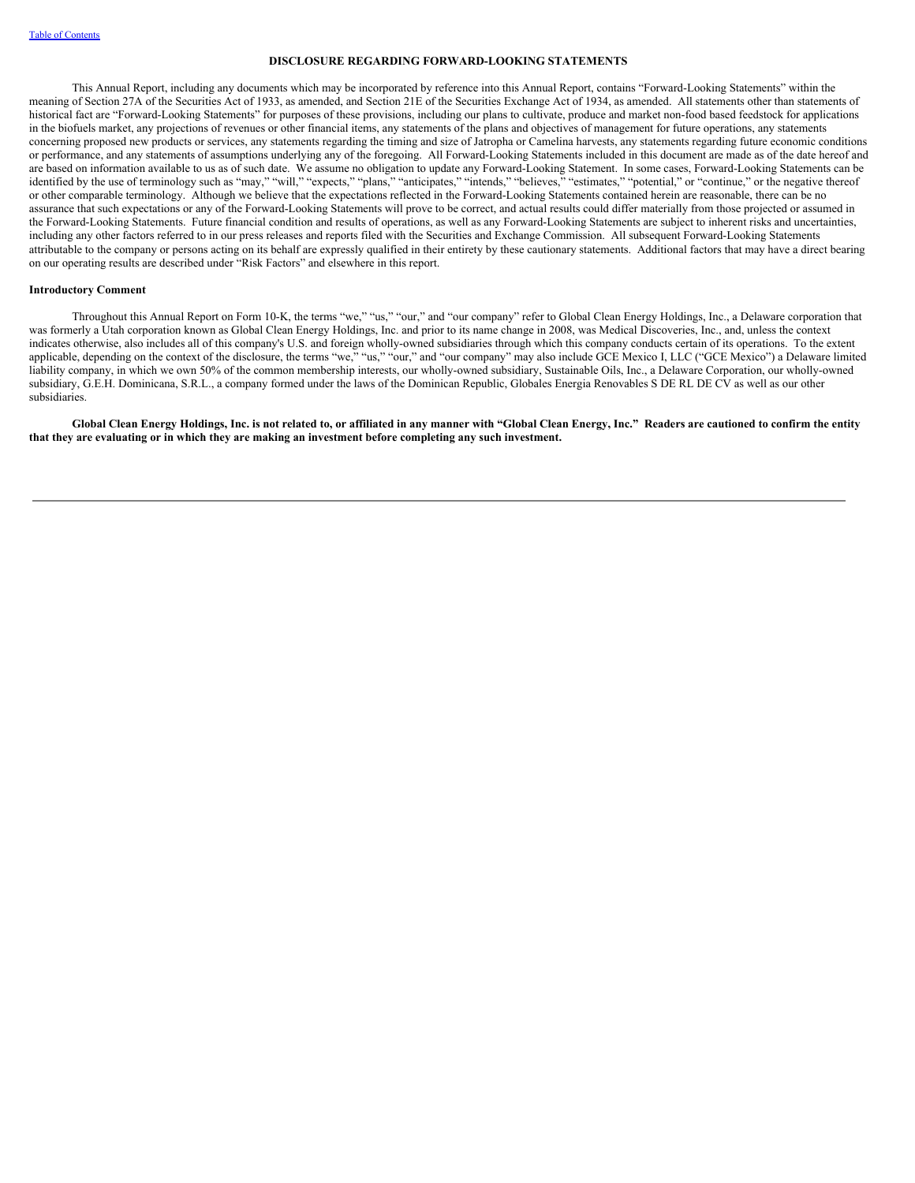#### **DISCLOSURE REGARDING FORWARD-LOOKING STATEMENTS**

This Annual Report, including any documents which may be incorporated by reference into this Annual Report, contains "Forward-Looking Statements" within the meaning of Section 27A of the Securities Act of 1933, as amended, and Section 21E of the Securities Exchange Act of 1934, as amended. All statements other than statements of historical fact are "Forward-Looking Statements" for purposes of these provisions, including our plans to cultivate, produce and market non-food based feedstock for applications in the biofuels market, any projections of revenues or other financial items, any statements of the plans and objectives of management for future operations, any statements concerning proposed new products or services, any statements regarding the timing and size of Jatropha or Camelina harvests, any statements regarding future economic conditions or performance, and any statements of assumptions underlying any of the foregoing. All Forward-Looking Statements included in this document are made as of the date hereof and are based on information available to us as of such date. We assume no obligation to update any Forward-Looking Statement. In some cases, Forward-Looking Statements can be identified by the use of terminology such as "may," "will," "expects," "plans," "anticipates," "intends," "believes," "estimates," "potential," or "continue," or the negative thereof or other comparable terminology. Although we believe that the expectations reflected in the Forward-Looking Statements contained herein are reasonable, there can be no assurance that such expectations or any of the Forward-Looking Statements will prove to be correct, and actual results could differ materially from those projected or assumed in the Forward-Looking Statements. Future financial condition and results of operations, as well as any Forward-Looking Statements are subject to inherent risks and uncertainties, including any other factors referred to in our press releases and reports filed with the Securities and Exchange Commission. All subsequent Forward-Looking Statements attributable to the company or persons acting on its behalf are expressly qualified in their entirety by these cautionary statements. Additional factors that may have a direct bearing on our operating results are described under "Risk Factors" and elsewhere in this report.

#### **Introductory Comment**

Throughout this Annual Report on Form 10-K, the terms "we," "us," "our," and "our company" refer to Global Clean Energy Holdings, Inc., a Delaware corporation that was formerly a Utah corporation known as Global Clean Energy Holdings, Inc. and prior to its name change in 2008, was Medical Discoveries, Inc., and, unless the context indicates otherwise, also includes all of this company's U.S. and foreign wholly-owned subsidiaries through which this company conducts certain of its operations. To the extent applicable, depending on the context of the disclosure, the terms "we," "us," "our," and "our company" may also include GCE Mexico I, LLC ("GCE Mexico") a Delaware limited liability company, in which we own 50% of the common membership interests, our wholly-owned subsidiary, Sustainable Oils, Inc., a Delaware Corporation, our wholly-owned subsidiary, G.E.H. Dominicana, S.R.L., a company formed under the laws of the Dominican Republic, Globales Energia Renovables S DE RL DE CV as well as our other subsidiaries.

Global Clean Energy Holdings, Inc. is not related to, or affiliated in any manner with "Global Clean Energy, Inc." Readers are cautioned to confirm the entity **that they are evaluating or in which they are making an investment before completing any such investment.**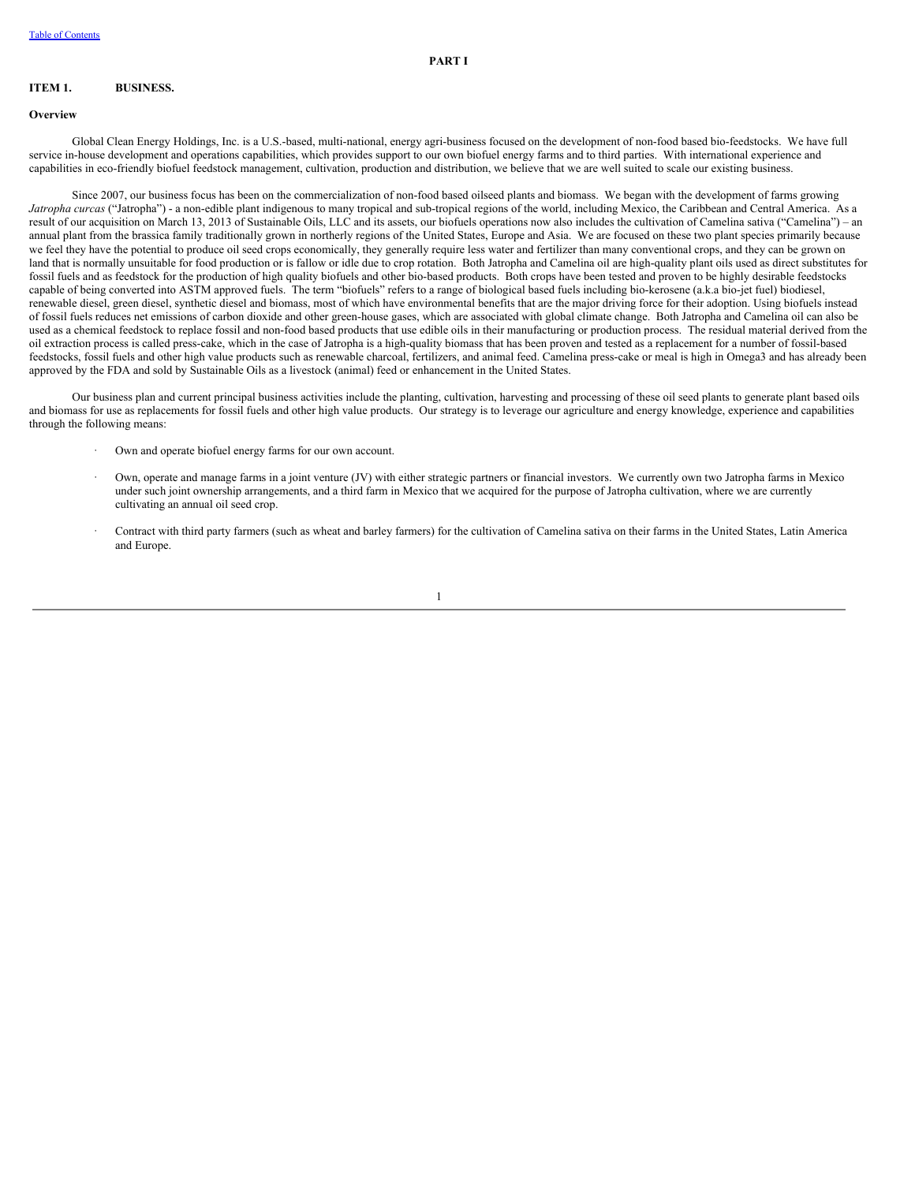### <span id="page-4-1"></span><span id="page-4-0"></span>**ITEM 1. BUSINESS.**

## **Overview**

Global Clean Energy Holdings, Inc. is a U.S.-based, multi-national, energy agri-business focused on the development of non-food based bio-feedstocks. We have full service in-house development and operations capabilities, which provides support to our own biofuel energy farms and to third parties. With international experience and capabilities in eco-friendly biofuel feedstock management, cultivation, production and distribution, we believe that we are well suited to scale our existing business.

Since 2007, our business focus has been on the commercialization of non-food based oilseed plants and biomass. We began with the development of farms growing *Jatropha curcas* ("Jatropha") - a non-edible plant indigenous to many tropical and sub-tropical regions of the world, including Mexico, the Caribbean and Central America. As a result of our acquisition on March 13, 2013 of Sustainable Oils, LLC and its assets, our biofuels operations now also includes the cultivation of Camelina sativa ("Camelina") – an annual plant from the brassica family traditionally grown in northerly regions of the United States, Europe and Asia. We are focused on these two plant species primarily because we feel they have the potential to produce oil seed crops economically, they generally require less water and fertilizer than many conventional crops, and they can be grown on land that is normally unsuitable for food production or is fallow or idle due to crop rotation. Both Jatropha and Camelina oil are high-quality plant oils used as direct substitutes for fossil fuels and as feedstock for the production of high quality biofuels and other bio-based products. Both crops have been tested and proven to be highly desirable feedstocks capable of being converted into ASTM approved fuels. The term "biofuels" refers to a range of biological based fuels including bio-kerosene (a.k.a bio-jet fuel) biodiesel, renewable diesel, green diesel, synthetic diesel and biomass, most of which have environmental benefits that are the major driving force for their adoption. Using biofuels instead of fossil fuels reduces net emissions of carbon dioxide and other green-house gases, which are associated with global climate change. Both Jatropha and Camelina oil can also be used as a chemical feedstock to replace fossil and non-food based products that use edible oils in their manufacturing or production process. The residual material derived from the oil extraction process is called press-cake, which in the case of Jatropha is a high-quality biomass that has been proven and tested as a replacement for a number of fossil-based feedstocks, fossil fuels and other high value products such as renewable charcoal, fertilizers, and animal feed. Camelina press-cake or meal is high in Omega3 and has already been approved by the FDA and sold by Sustainable Oils as a livestock (animal) feed or enhancement in the United States.

Our business plan and current principal business activities include the planting, cultivation, harvesting and processing of these oil seed plants to generate plant based oils and biomass for use as replacements for fossil fuels and other high value products. Our strategy is to leverage our agriculture and energy knowledge, experience and capabilities through the following means:

- Own and operate biofuel energy farms for our own account.
- · Own, operate and manage farms in a joint venture (JV) with either strategic partners or financial investors. We currently own two Jatropha farms in Mexico under such joint ownership arrangements, and a third farm in Mexico that we acquired for the purpose of Jatropha cultivation, where we are currently cultivating an annual oil seed crop.
- · Contract with third party farmers (such as wheat and barley farmers) for the cultivation of Camelina sativa on their farms in the United States, Latin America and Europe.

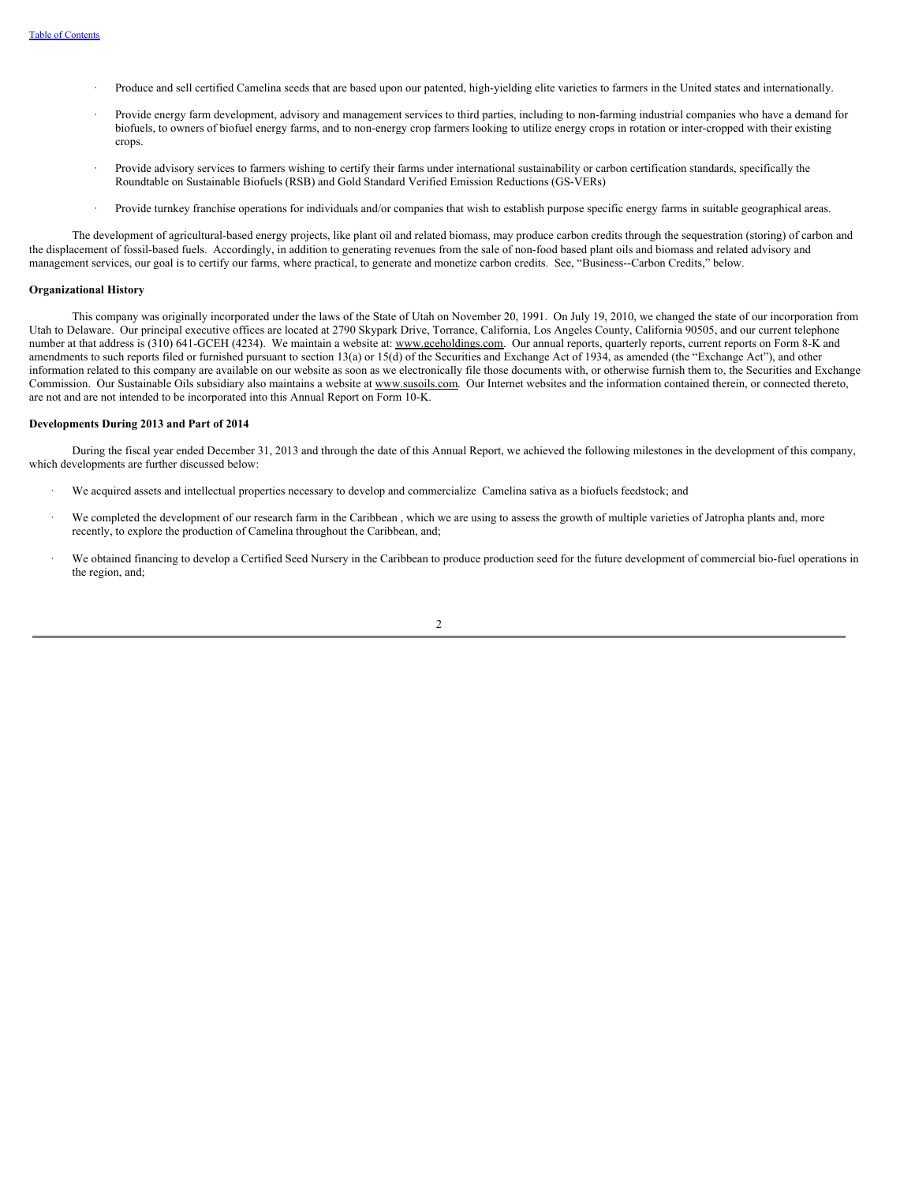- · Produce and sell certified Camelina seeds that are based upon our patented, high-yielding elite varieties to farmers in the United states and internationally.
- · Provide energy farm development, advisory and management services to third parties, including to non-farming industrial companies who have a demand for biofuels, to owners of biofuel energy farms, and to non-energy crop farmers looking to utilize energy crops in rotation or inter-cropped with their existing crops.
- Provide advisory services to farmers wishing to certify their farms under international sustainability or carbon certification standards, specifically the Roundtable on Sustainable Biofuels (RSB) and Gold Standard Verified Emission Reductions (GS-VERs)
- Provide turnkey franchise operations for individuals and/or companies that wish to establish purpose specific energy farms in suitable geographical areas.

The development of agricultural-based energy projects, like plant oil and related biomass, may produce carbon credits through the sequestration (storing) of carbon and the displacement of fossil-based fuels. Accordingly, in addition to generating revenues from the sale of non-food based plant oils and biomass and related advisory and management services, our goal is to certify our farms, where practical, to generate and monetize carbon credits. See, "Business--Carbon Credits," below.

#### **Organizational History**

This company was originally incorporated under the laws of the State of Utah on November 20, 1991. On July 19, 2010, we changed the state of our incorporation from Utah to Delaware. Our principal executive offices are located at 2790 Skypark Drive, Torrance, California, Los Angeles County, California 90505, and our current telephone number at that address is (310) 641-GCEH (4234). We maintain a website at: www.gceholdings.com. Our annual reports, quarterly reports, current reports on Form 8-K and amendments to such reports filed or furnished pursuant to section 13(a) or 15(d) of the Securities and Exchange Act of 1934, as amended (the "Exchange Act"), and other information related to this company are available on our website as soon as we electronically file those documents with, or otherwise furnish them to, the Securities and Exchange Commission. Our Sustainable Oils subsidiary also maintains a website at www.susoils.com. Our Internet websites and the information contained therein, or connected thereto, are not and are not intended to be incorporated into this Annual Report on Form 10-K.

#### **Developments During 2013 and Part of 2014**

During the fiscal year ended December 31, 2013 and through the date of this Annual Report, we achieved the following milestones in the development of this company, which developments are further discussed below:

- · We acquired assets and intellectual properties necessary to develop and commercialize Camelina sativa as a biofuels feedstock; and
- We completed the development of our research farm in the Caribbean, which we are using to assess the growth of multiple varieties of Jatropha plants and, more recently, to explore the production of Camelina throughout the Caribbean, and;
- We obtained financing to develop a Certified Seed Nursery in the Caribbean to produce production seed for the future development of commercial bio-fuel operations in the region, and;

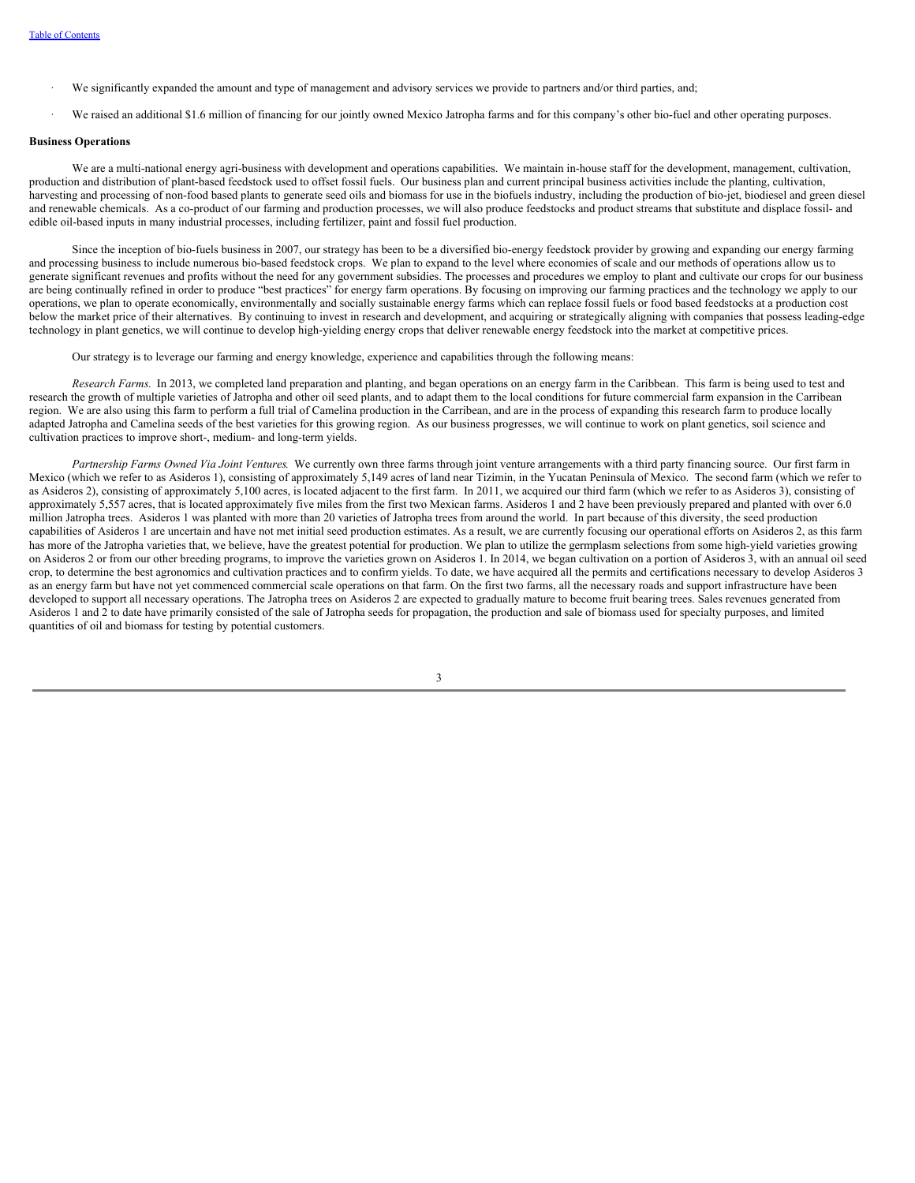- We significantly expanded the amount and type of management and advisory services we provide to partners and/or third parties, and;
- We raised an additional \$1.6 million of financing for our jointly owned Mexico Jatropha farms and for this company's other bio-fuel and other operating purposes.

#### **Business Operations**

We are a multi-national energy agri-business with development and operations capabilities. We maintain in-house staff for the development, management, cultivation, production and distribution of plant-based feedstock used to offset fossil fuels. Our business plan and current principal business activities include the planting, cultivation, harvesting and processing of non-food based plants to generate seed oils and biomass for use in the biofuels industry, including the production of bio-jet, biodiesel and green diesel and renewable chemicals. As a co-product of our farming and production processes, we will also produce feedstocks and product streams that substitute and displace fossil- and edible oil-based inputs in many industrial processes, including fertilizer, paint and fossil fuel production.

Since the inception of bio-fuels business in 2007, our strategy has been to be a diversified bio-energy feedstock provider by growing and expanding our energy farming and processing business to include numerous bio-based feedstock crops. We plan to expand to the level where economies of scale and our methods of operations allow us to generate significant revenues and profits without the need for any government subsidies. The processes and procedures we employ to plant and cultivate our crops for our business are being continually refined in order to produce "best practices" for energy farm operations. By focusing on improving our farming practices and the technology we apply to our operations, we plan to operate economically, environmentally and socially sustainable energy farms which can replace fossil fuels or food based feedstocks at a production cost below the market price of their alternatives. By continuing to invest in research and development, and acquiring or strategically aligning with companies that possess leading-edge technology in plant genetics, we will continue to develop high-yielding energy crops that deliver renewable energy feedstock into the market at competitive prices.

Our strategy is to leverage our farming and energy knowledge, experience and capabilities through the following means:

*Research Farms.* In 2013, we completed land preparation and planting, and began operations on an energy farm in the Caribbean. This farm is being used to test and research the growth of multiple varieties of Jatropha and other oil seed plants, and to adapt them to the local conditions for future commercial farm expansion in the Carribean region. We are also using this farm to perform a full trial of Camelina production in the Carribean, and are in the process of expanding this research farm to produce locally adapted Jatropha and Camelina seeds of the best varieties for this growing region. As our business progresses, we will continue to work on plant genetics, soil science and cultivation practices to improve short-, medium- and long-term yields.

*Partnership Farms Owned Via Joint Ventures*. We currently own three farms through joint venture arrangements with a third party financing source. Our first farm in Mexico (which we refer to as Asideros 1), consisting of approximately 5,149 acres of land near Tizimin, in the Yucatan Peninsula of Mexico. The second farm (which we refer to as Asideros 2), consisting of approximately 5,100 acres, is located adjacent to the first farm. In 2011, we acquired our third farm (which we refer to as Asideros 3), consisting of approximately 5,557 acres, that is located approximately five miles from the first two Mexican farms. Asideros 1 and 2 have been previously prepared and planted with over 6.0 million Jatropha trees. Asideros 1 was planted with more than 20 varieties of Jatropha trees from around the world. In part because of this diversity, the seed production capabilities of Asideros 1 are uncertain and have not met initial seed production estimates. As a result, we are currently focusing our operational efforts on Asideros 2, as this farm has more of the Jatropha varieties that, we believe, have the greatest potential for production. We plan to utilize the germplasm selections from some high-yield varieties growing on Asideros 2 or from our other breeding programs, to improve the varieties grown on Asideros 1. In 2014, we began cultivation on a portion of Asideros 3, with an annual oil seed crop, to determine the best agronomics and cultivation practices and to confirm yields. To date, we have acquired all the permits and certifications necessary to develop Asideros 3 as an energy farm but have not yet commenced commercial scale operations on that farm. On the first two farms, all the necessary roads and support infrastructure have been developed to support all necessary operations. The Jatropha trees on Asideros 2 are expected to gradually mature to become fruit bearing trees. Sales revenues generated from Asideros 1 and 2 to date have primarily consisted of the sale of Jatropha seeds for propagation, the production and sale of biomass used for specialty purposes, and limited quantities of oil and biomass for testing by potential customers.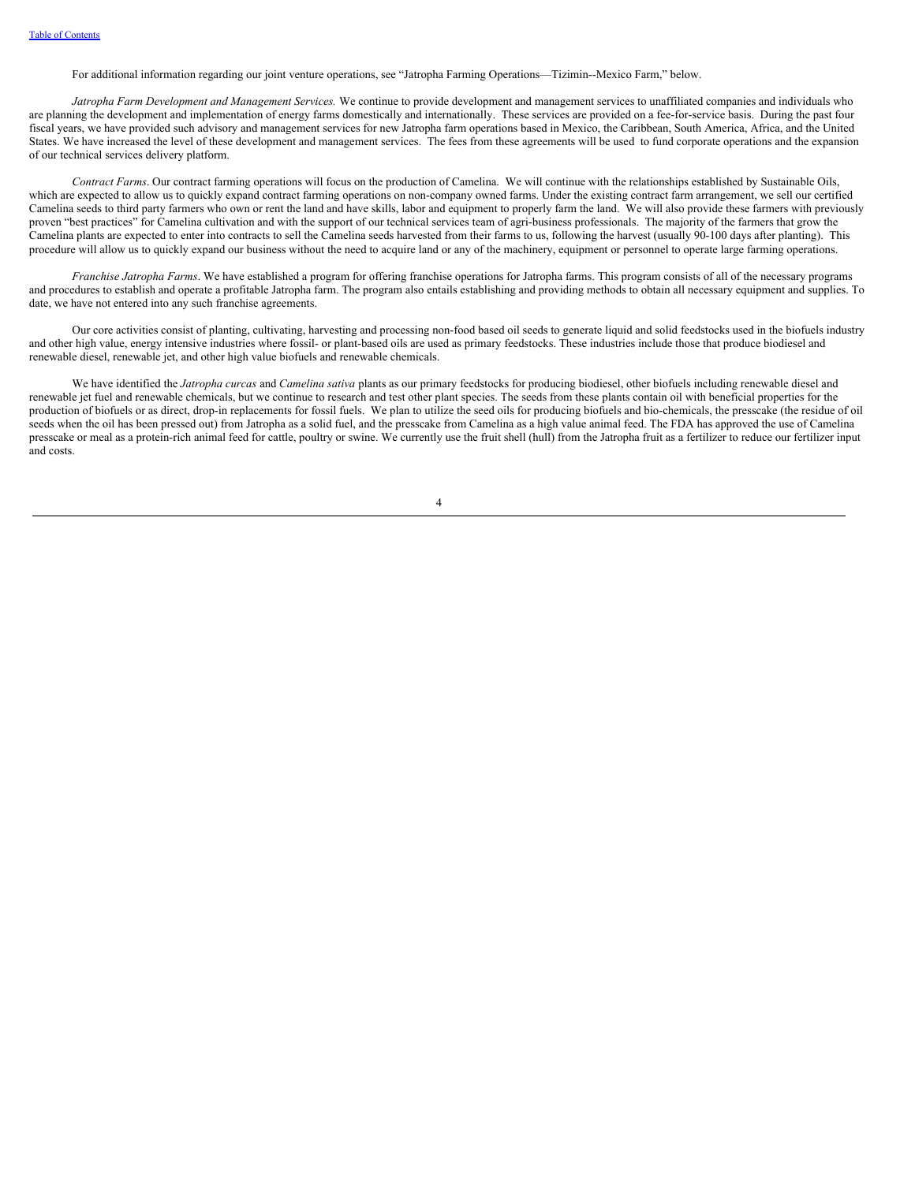For additional information regarding our joint venture operations, see "Jatropha Farming Operations—Tizimin--Mexico Farm," below.

*Jatropha Farm Development and Management Services.* We continue to provide development and management services to unaffiliated companies and individuals who are planning the development and implementation of energy farms domestically and internationally. These services are provided on a fee-for-service basis. During the past four fiscal years, we have provided such advisory and management services for new Jatropha farm operations based in Mexico, the Caribbean, South America, Africa, and the United States. We have increased the level of these development and management services. The fees from these agreements will be used to fund corporate operations and the expansion of our technical services delivery platform.

*Contract Farms*. Our contract farming operations will focus on the production of Camelina. We will continue with the relationships established by Sustainable Oils, which are expected to allow us to quickly expand contract farming operations on non-company owned farms. Under the existing contract farm arrangement, we sell our certified Camelina seeds to third party farmers who own or rent the land and have skills, labor and equipment to properly farm the land. We will also provide these farmers with previously proven "best practices" for Camelina cultivation and with the support of our technical services team of agri-business professionals. The majority of the farmers that grow the Camelina plants are expected to enter into contracts to sell the Camelina seeds harvested from their farms to us, following the harvest (usually 90-100 days after planting). This procedure will allow us to quickly expand our business without the need to acquire land or any of the machinery, equipment or personnel to operate large farming operations.

*Franchise Jatropha Farms*. We have established a program for offering franchise operations for Jatropha farms. This program consists of all of the necessary programs and procedures to establish and operate a profitable Jatropha farm. The program also entails establishing and providing methods to obtain all necessary equipment and supplies. To date, we have not entered into any such franchise agreements.

Our core activities consist of planting, cultivating, harvesting and processing non-food based oil seeds to generate liquid and solid feedstocks used in the biofuels industry and other high value, energy intensive industries where fossil- or plant-based oils are used as primary feedstocks. These industries include those that produce biodiesel and renewable diesel, renewable jet, and other high value biofuels and renewable chemicals.

We have identified the *Jatropha curcas* and *Camelina sativa* plants as our primary feedstocks for producing biodiesel, other biofuels including renewable diesel and renewable jet fuel and renewable chemicals, but we continue to research and test other plant species. The seeds from these plants contain oil with beneficial properties for the production of biofuels or as direct, drop-in replacements for fossil fuels. We plan to utilize the seed oils for producing biofuels and bio-chemicals, the presscake (the residue of oil seeds when the oil has been pressed out) from Jatropha as a solid fuel, and the presscake from Camelina as a high value animal feed. The FDA has approved the use of Camelina presscake or meal as a protein-rich animal feed for cattle, poultry or swine. We currently use the fruit shell (hull) from the Jatropha fruit as a fertilizer to reduce our fertilizer input and costs.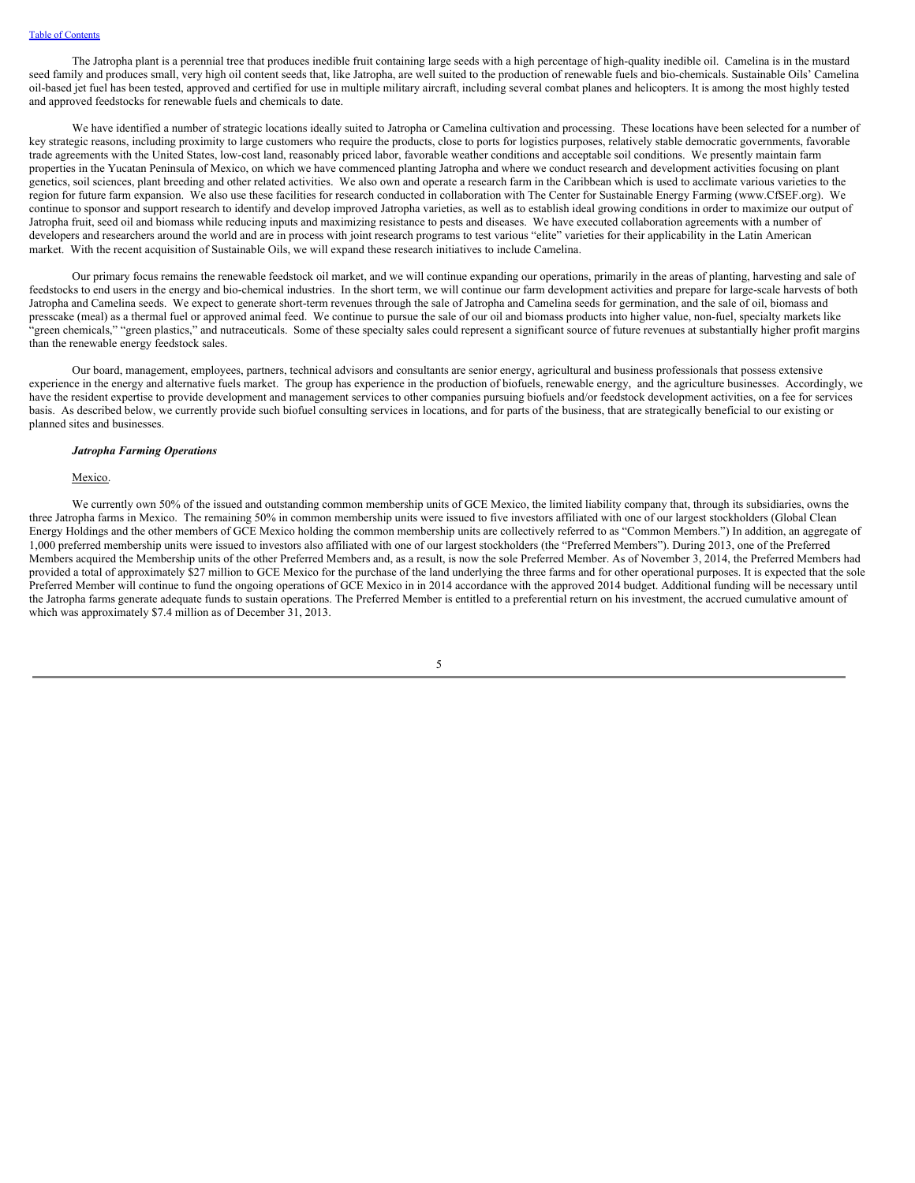The Jatropha plant is a perennial tree that produces inedible fruit containing large seeds with a high percentage of high-quality inedible oil. Camelina is in the mustard seed family and produces small, very high oil content seeds that, like Jatropha, are well suited to the production of renewable fuels and bio-chemicals. Sustainable Oils' Camelina oil-based jet fuel has been tested, approved and certified for use in multiple military aircraft, including several combat planes and helicopters. It is among the most highly tested and approved feedstocks for renewable fuels and chemicals to date.

We have identified a number of strategic locations ideally suited to Jatropha or Camelina cultivation and processing. These locations have been selected for a number of key strategic reasons, including proximity to large customers who require the products, close to ports for logistics purposes, relatively stable democratic governments, favorable trade agreements with the United States, low-cost land, reasonably priced labor, favorable weather conditions and acceptable soil conditions. We presently maintain farm properties in the Yucatan Peninsula of Mexico, on which we have commenced planting Jatropha and where we conduct research and development activities focusing on plant genetics, soil sciences, plant breeding and other related activities. We also own and operate a research farm in the Caribbean which is used to acclimate various varieties to the region for future farm expansion. We also use these facilities for research conducted in collaboration with The Center for Sustainable Energy Farming (www.CfSEF.org). We continue to sponsor and support research to identify and develop improved Jatropha varieties, as well as to establish ideal growing conditions in order to maximize our output of Jatropha fruit, seed oil and biomass while reducing inputs and maximizing resistance to pests and diseases. We have executed collaboration agreements with a number of developers and researchers around the world and are in process with joint research programs to test various "elite" varieties for their applicability in the Latin American market. With the recent acquisition of Sustainable Oils, we will expand these research initiatives to include Camelina.

Our primary focus remains the renewable feedstock oil market, and we will continue expanding our operations, primarily in the areas of planting, harvesting and sale of feedstocks to end users in the energy and bio-chemical industries. In the short term, we will continue our farm development activities and prepare for large-scale harvests of both Jatropha and Camelina seeds. We expect to generate short-term revenues through the sale of Jatropha and Camelina seeds for germination, and the sale of oil, biomass and presscake (meal) as a thermal fuel or approved animal feed. We continue to pursue the sale of our oil and biomass products into higher value, non-fuel, specialty markets like "green chemicals," "green plastics," and nutraceuticals. Some of these specialty sales could represent a significant source of future revenues at substantially higher profit margins than the renewable energy feedstock sales.

Our board, management, employees, partners, technical advisors and consultants are senior energy, agricultural and business professionals that possess extensive experience in the energy and alternative fuels market. The group has experience in the production of biofuels, renewable energy, and the agriculture businesses. Accordingly, we have the resident expertise to provide development and management services to other companies pursuing biofuels and/or feedstock development activities, on a fee for services basis. As described below, we currently provide such biofuel consulting services in locations, and for parts of the business, that are strategically beneficial to our existing or planned sites and businesses.

#### *Jatropha Farming Operations*

### Mexico.

We currently own 50% of the issued and outstanding common membership units of GCE Mexico, the limited liability company that, through its subsidiaries, owns the three Jatropha farms in Mexico. The remaining 50% in common membership units were issued to five investors affiliated with one of our largest stockholders (Global Clean Energy Holdings and the other members of GCE Mexico holding the common membership units are collectively referred to as "Common Members.") In addition, an aggregate of 1,000 preferred membership units were issued to investors also affiliated with one of our largest stockholders (the "Preferred Members"). During 2013, one of the Preferred Members acquired the Membership units of the other Preferred Members and, as a result, is now the sole Preferred Member. As of November 3, 2014, the Preferred Members had provided a total of approximately \$27 million to GCE Mexico for the purchase of the land underlying the three farms and for other operational purposes. It is expected that the sole Preferred Member will continue to fund the ongoing operations of GCE Mexico in in 2014 accordance with the approved 2014 budget. Additional funding will be necessary until the Jatropha farms generate adequate funds to sustain operations. The Preferred Member is entitled to a preferential return on his investment, the accrued cumulative amount of which was approximately \$7.4 million as of December 31, 2013.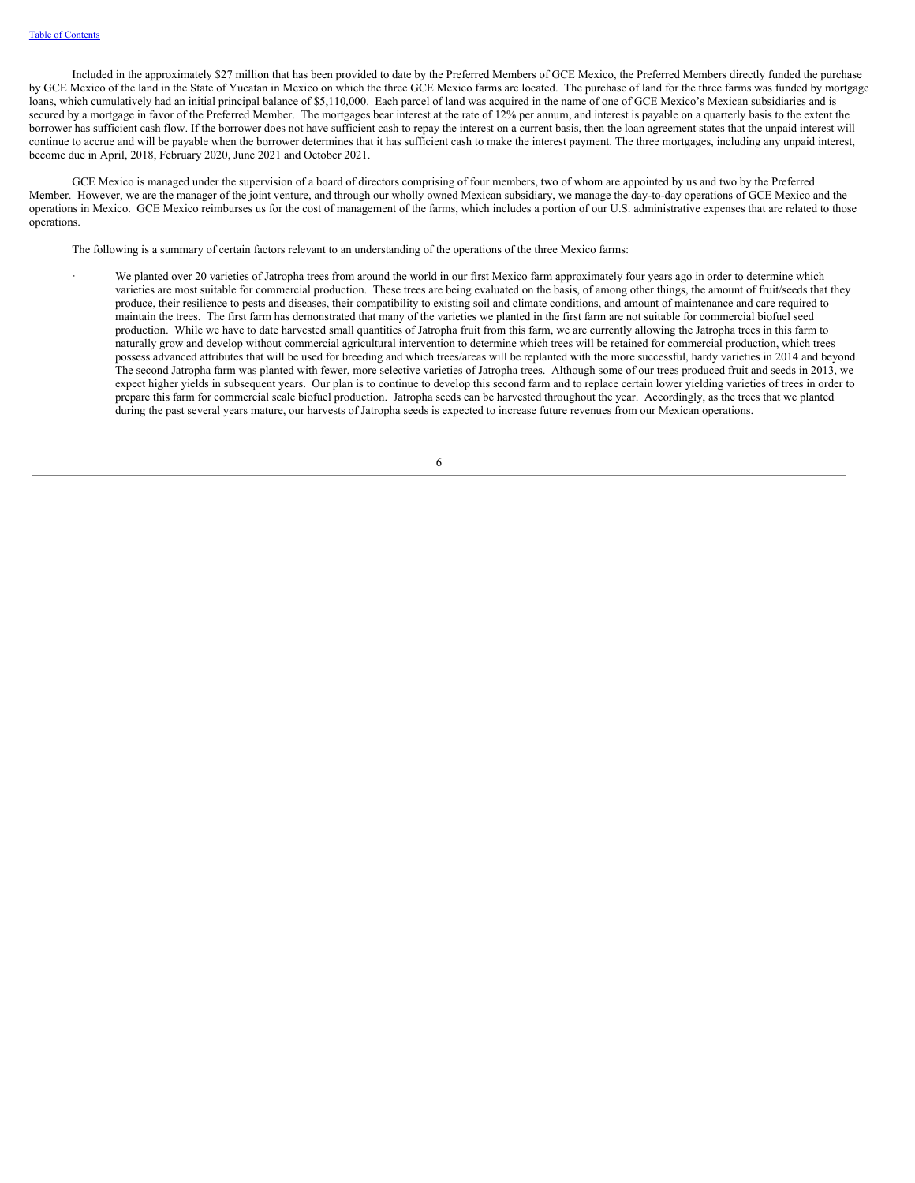Included in the approximately \$27 million that has been provided to date by the Preferred Members of GCE Mexico, the Preferred Members directly funded the purchase by GCE Mexico of the land in the State of Yucatan in Mexico on which the three GCE Mexico farms are located. The purchase of land for the three farms was funded by mortgage loans, which cumulatively had an initial principal balance of \$5,110,000. Each parcel of land was acquired in the name of one of GCE Mexico's Mexican subsidiaries and is secured by a mortgage in favor of the Preferred Member. The mortgages bear interest at the rate of 12% per annum, and interest is payable on a quarterly basis to the extent the borrower has sufficient cash flow. If the borrower does not have sufficient cash to repay the interest on a current basis, then the loan agreement states that the unpaid interest will continue to accrue and will be payable when the borrower determines that it has sufficient cash to make the interest payment. The three mortgages, including any unpaid interest, become due in April, 2018, February 2020, June 2021 and October 2021.

GCE Mexico is managed under the supervision of a board of directors comprising of four members, two of whom are appointed by us and two by the Preferred Member. However, we are the manager of the joint venture, and through our wholly owned Mexican subsidiary, we manage the day-to-day operations of GCE Mexico and the operations in Mexico. GCE Mexico reimburses us for the cost of management of the farms, which includes a portion of our U.S. administrative expenses that are related to those operations.

The following is a summary of certain factors relevant to an understanding of the operations of the three Mexico farms:

We planted over 20 varieties of Jatropha trees from around the world in our first Mexico farm approximately four years ago in order to determine which varieties are most suitable for commercial production. These trees are being evaluated on the basis, of among other things, the amount of fruit/seeds that they produce, their resilience to pests and diseases, their compatibility to existing soil and climate conditions, and amount of maintenance and care required to maintain the trees. The first farm has demonstrated that many of the varieties we planted in the first farm are not suitable for commercial biofuel seed production. While we have to date harvested small quantities of Jatropha fruit from this farm, we are currently allowing the Jatropha trees in this farm to naturally grow and develop without commercial agricultural intervention to determine which trees will be retained for commercial production, which trees possess advanced attributes that will be used for breeding and which trees/areas will be replanted with the more successful, hardy varieties in 2014 and beyond. The second Jatropha farm was planted with fewer, more selective varieties of Jatropha trees. Although some of our trees produced fruit and seeds in 2013, we expect higher yields in subsequent years. Our plan is to continue to develop this second farm and to replace certain lower yielding varieties of trees in order to prepare this farm for commercial scale biofuel production. Jatropha seeds can be harvested throughout the year. Accordingly, as the trees that we planted during the past several years mature, our harvests of Jatropha seeds is expected to increase future revenues from our Mexican operations.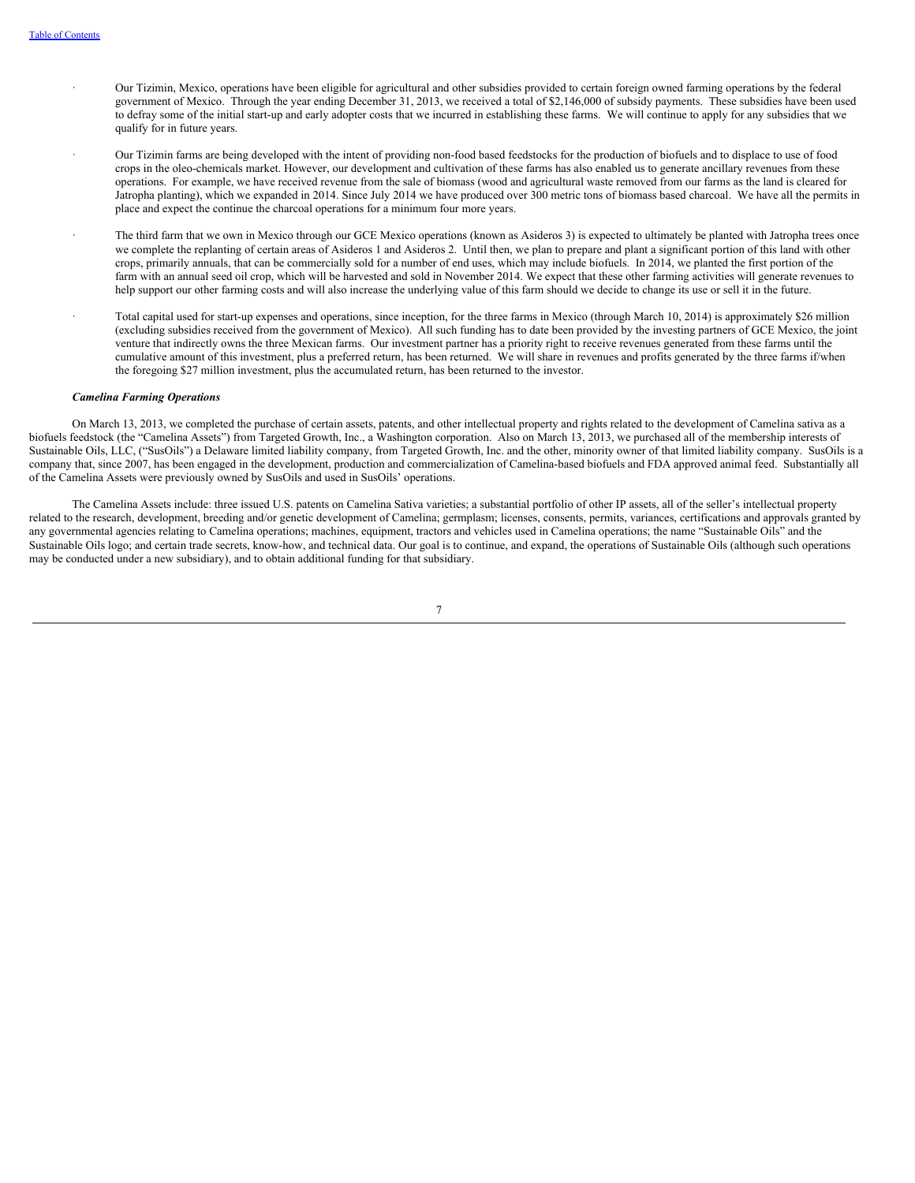- · Our Tizimin, Mexico, operations have been eligible for agricultural and other subsidies provided to certain foreign owned farming operations by the federal government of Mexico. Through the year ending December 31, 2013, we received a total of \$2,146,000 of subsidy payments. These subsidies have been used to defray some of the initial start-up and early adopter costs that we incurred in establishing these farms. We will continue to apply for any subsidies that we qualify for in future years.
- · Our Tizimin farms are being developed with the intent of providing non-food based feedstocks for the production of biofuels and to displace to use of food crops in the oleo-chemicals market. However, our development and cultivation of these farms has also enabled us to generate ancillary revenues from these operations. For example, we have received revenue from the sale of biomass (wood and agricultural waste removed from our farms as the land is cleared for Jatropha planting), which we expanded in 2014. Since July 2014 we have produced over 300 metric tons of biomass based charcoal. We have all the permits in place and expect the continue the charcoal operations for a minimum four more years.
- The third farm that we own in Mexico through our GCE Mexico operations (known as Asideros 3) is expected to ultimately be planted with Jatropha trees once we complete the replanting of certain areas of Asideros 1 and Asideros 2. Until then, we plan to prepare and plant a significant portion of this land with other crops, primarily annuals, that can be commercially sold for a number of end uses, which may include biofuels. In 2014, we planted the first portion of the farm with an annual seed oil crop, which will be harvested and sold in November 2014. We expect that these other farming activities will generate revenues to help support our other farming costs and will also increase the underlying value of this farm should we decide to change its use or sell it in the future.
- · Total capital used for start-up expenses and operations, since inception, for the three farms in Mexico (through March 10, 2014) is approximately \$26 million (excluding subsidies received from the government of Mexico). All such funding has to date been provided by the investing partners of GCE Mexico, the joint venture that indirectly owns the three Mexican farms. Our investment partner has a priority right to receive revenues generated from these farms until the cumulative amount of this investment, plus a preferred return, has been returned. We will share in revenues and profits generated by the three farms if/when the foregoing \$27 million investment, plus the accumulated return, has been returned to the investor.

#### *Camelina Farming Operations*

On March 13, 2013, we completed the purchase of certain assets, patents, and other intellectual property and rights related to the development of Camelina sativa as a biofuels feedstock (the "Camelina Assets") from Targeted Growth, Inc., a Washington corporation. Also on March 13, 2013, we purchased all of the membership interests of Sustainable Oils, LLC, ("SusOils") a Delaware limited liability company, from Targeted Growth, Inc. and the other, minority owner of that limited liability company. SusOils is a company that, since 2007, has been engaged in the development, production and commercialization of Camelina-based biofuels and FDA approved animal feed. Substantially all of the Camelina Assets were previously owned by SusOils and used in SusOils' operations.

The Camelina Assets include: three issued U.S. patents on Camelina Sativa varieties; a substantial portfolio of other IP assets, all of the seller's intellectual property related to the research, development, breeding and/or genetic development of Camelina; germplasm; licenses, consents, permits, variances, certifications and approvals granted by any governmental agencies relating to Camelina operations; machines, equipment, tractors and vehicles used in Camelina operations; the name "Sustainable Oils" and the Sustainable Oils logo; and certain trade secrets, know-how, and technical data. Our goal is to continue, and expand, the operations of Sustainable Oils (although such operations may be conducted under a new subsidiary), and to obtain additional funding for that subsidiary.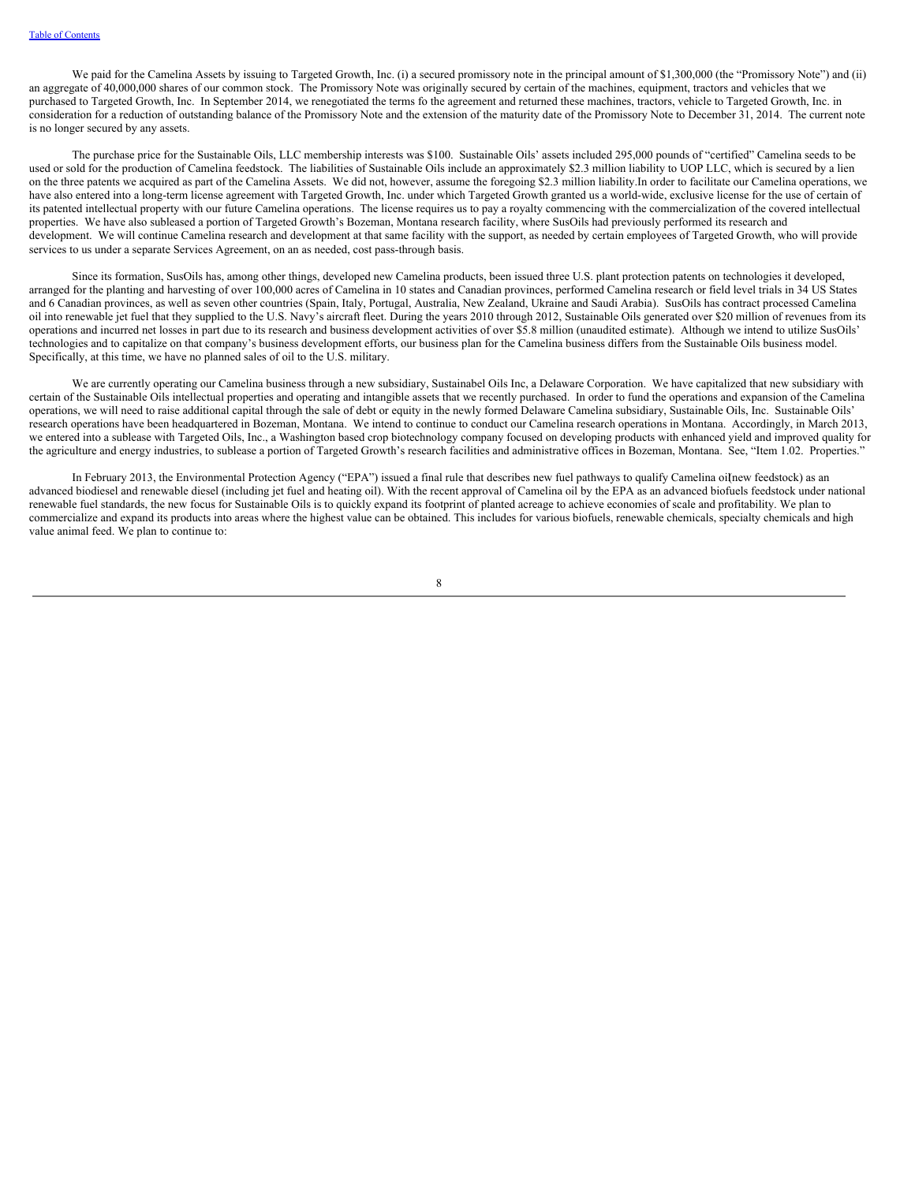We paid for the Camelina Assets by issuing to Targeted Growth, Inc. (i) a secured promissory note in the principal amount of \$1,300,000 (the "Promissory Note") and (ii) an aggregate of 40,000,000 shares of our common stock. The Promissory Note was originally secured by certain of the machines, equipment, tractors and vehicles that we purchased to Targeted Growth, Inc. In September 2014, we renegotiated the terms fo the agreement and returned these machines, tractors, vehicle to Targeted Growth, Inc. in consideration for a reduction of outstanding balance of the Promissory Note and the extension of the maturity date of the Promissory Note to December 31, 2014. The current note is no longer secured by any assets.

The purchase price for the Sustainable Oils, LLC membership interests was \$100. Sustainable Oils' assets included 295,000 pounds of "certified" Camelina seeds to be used or sold for the production of Camelina feedstock. The liabilities of Sustainable Oils include an approximately \$2.3 million liability to UOP LLC, which is secured by a lien on the three patents we acquired as part of the Camelina Assets. We did not, however, assume the foregoing \$2.3 million liability.In order to facilitate our Camelina operations, we have also entered into a long-term license agreement with Targeted Growth, Inc. under which Targeted Growth granted us a world-wide, exclusive license for the use of certain of its patented intellectual property with our future Camelina operations. The license requires us to pay a royalty commencing with the commercialization of the covered intellectual properties. We have also subleased a portion of Targeted Growth's Bozeman, Montana research facility, where SusOils had previously performed its research and development. We will continue Camelina research and development at that same facility with the support, as needed by certain employees of Targeted Growth, who will provide services to us under a separate Services Agreement, on an as needed, cost pass-through basis.

Since its formation, SusOils has, among other things, developed new Camelina products, been issued three U.S. plant protection patents on technologies it developed, arranged for the planting and harvesting of over 100,000 acres of Camelina in 10 states and Canadian provinces, performed Camelina research or field level trials in 34 US States and 6 Canadian provinces, as well as seven other countries (Spain, Italy, Portugal, Australia, New Zealand, Ukraine and Saudi Arabia). SusOils has contract processed Camelina oil into renewable jet fuel that they supplied to the U.S. Navy's aircraft fleet. During the years 2010 through 2012, Sustainable Oils generated over \$20 million of revenues from its operations and incurred net losses in part due to its research and business development activities of over \$5.8 million (unaudited estimate). Although we intend to utilize SusOils' technologies and to capitalize on that company's business development efforts, our business plan for the Camelina business differs from the Sustainable Oils business model. Specifically, at this time, we have no planned sales of oil to the U.S. military.

We are currently operating our Camelina business through a new subsidiary, Sustainabel Oils Inc, a Delaware Corporation. We have capitalized that new subsidiary with certain of the Sustainable Oils intellectual properties and operating and intangible assets that we recently purchased. In order to fund the operations and expansion of the Camelina operations, we will need to raise additional capital through the sale of debt or equity in the newly formed Delaware Camelina subsidiary, Sustainable Oils, Inc. Sustainable Oils' research operations have been headquartered in Bozeman, Montana. We intend to continue to conduct our Camelina research operations in Montana. Accordingly, in March 2013, we entered into a sublease with Targeted Oils, Inc., a Washington based crop biotechnology company focused on developing products with enhanced yield and improved quality for the agriculture and energy industries, to sublease a portion of Targeted Growth's research facilities and administrative offices in Bozeman, Montana. See, "Item 1.02. Properties."

In February 2013, the Environmental Protection Agency ("EPA") issued a final rule that describes new fuel pathways to qualify Camelina oilnew feedstock) as an advanced biodiesel and renewable diesel (including jet fuel and heating oil). With the recent approval of Camelina oil by the EPA as an advanced biofuels feedstock under national renewable fuel standards, the new focus for Sustainable Oils is to quickly expand its footprint of planted acreage to achieve economies of scale and profitability. We plan to commercialize and expand its products into areas where the highest value can be obtained. This includes for various biofuels, renewable chemicals, specialty chemicals and high value animal feed. We plan to continue to: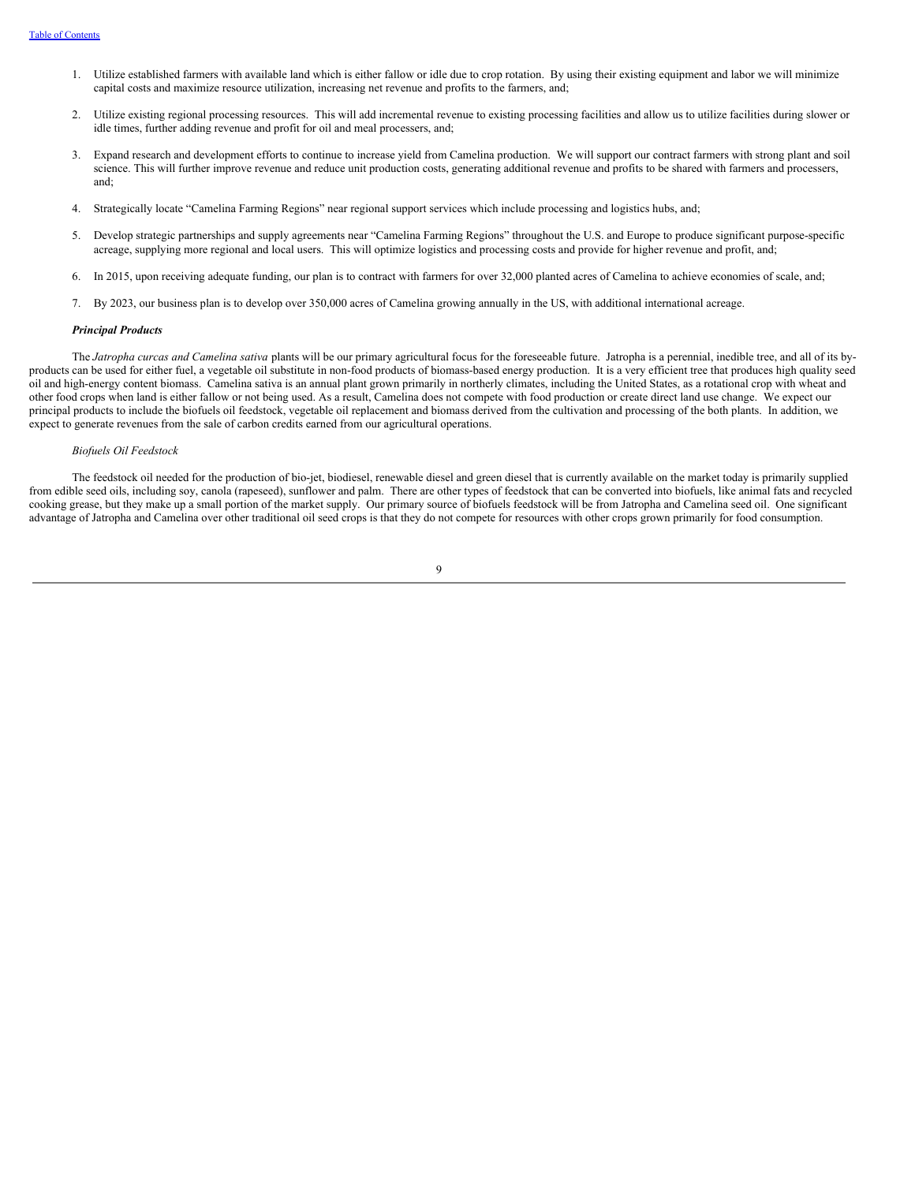- 1. Utilize established farmers with available land which is either fallow or idle due to crop rotation. By using their existing equipment and labor we will minimize capital costs and maximize resource utilization, increasing net revenue and profits to the farmers, and;
- 2. Utilize existing regional processing resources. This will add incremental revenue to existing processing facilities and allow us to utilize facilities during slower or idle times, further adding revenue and profit for oil and meal processers, and;
- 3. Expand research and development efforts to continue to increase yield from Camelina production. We will support our contract farmers with strong plant and soil science. This will further improve revenue and reduce unit production costs, generating additional revenue and profits to be shared with farmers and processers, and;
- 4. Strategically locate "Camelina Farming Regions" near regional support services which include processing and logistics hubs, and;
- 5. Develop strategic partnerships and supply agreements near "Camelina Farming Regions" throughout the U.S. and Europe to produce significant purpose-specific acreage, supplying more regional and local users. This will optimize logistics and processing costs and provide for higher revenue and profit, and;
- 6. In 2015, upon receiving adequate funding, our plan is to contract with farmers for over 32,000 planted acres of Camelina to achieve economies of scale, and;
- 7. By 2023, our business plan is to develop over 350,000 acres of Camelina growing annually in the US, with additional international acreage.

#### *Principal Products*

The *Jatropha curcas and Camelina sativa* plants will be our primary agricultural focus for the foreseeable future. Jatropha is a perennial, inedible tree, and all of its byproducts can be used for either fuel, a vegetable oil substitute in non-food products of biomass-based energy production. It is a very efficient tree that produces high quality seed oil and high-energy content biomass. Camelina sativa is an annual plant grown primarily in northerly climates, including the United States, as a rotational crop with wheat and other food crops when land is either fallow or not being used. As a result, Camelina does not compete with food production or create direct land use change. We expect our principal products to include the biofuels oil feedstock, vegetable oil replacement and biomass derived from the cultivation and processing of the both plants. In addition, we expect to generate revenues from the sale of carbon credits earned from our agricultural operations.

#### *Biofuels Oil Feedstock*

The feedstock oil needed for the production of bio-jet, biodiesel, renewable diesel and green diesel that is currently available on the market today is primarily supplied from edible seed oils, including soy, canola (rapeseed), sunflower and palm. There are other types of feedstock that can be converted into biofuels, like animal fats and recycled cooking grease, but they make up a small portion of the market supply. Our primary source of biofuels feedstock will be from Jatropha and Camelina seed oil. One significant advantage of Jatropha and Camelina over other traditional oil seed crops is that they do not compete for resources with other crops grown primarily for food consumption.

 $\overline{Q}$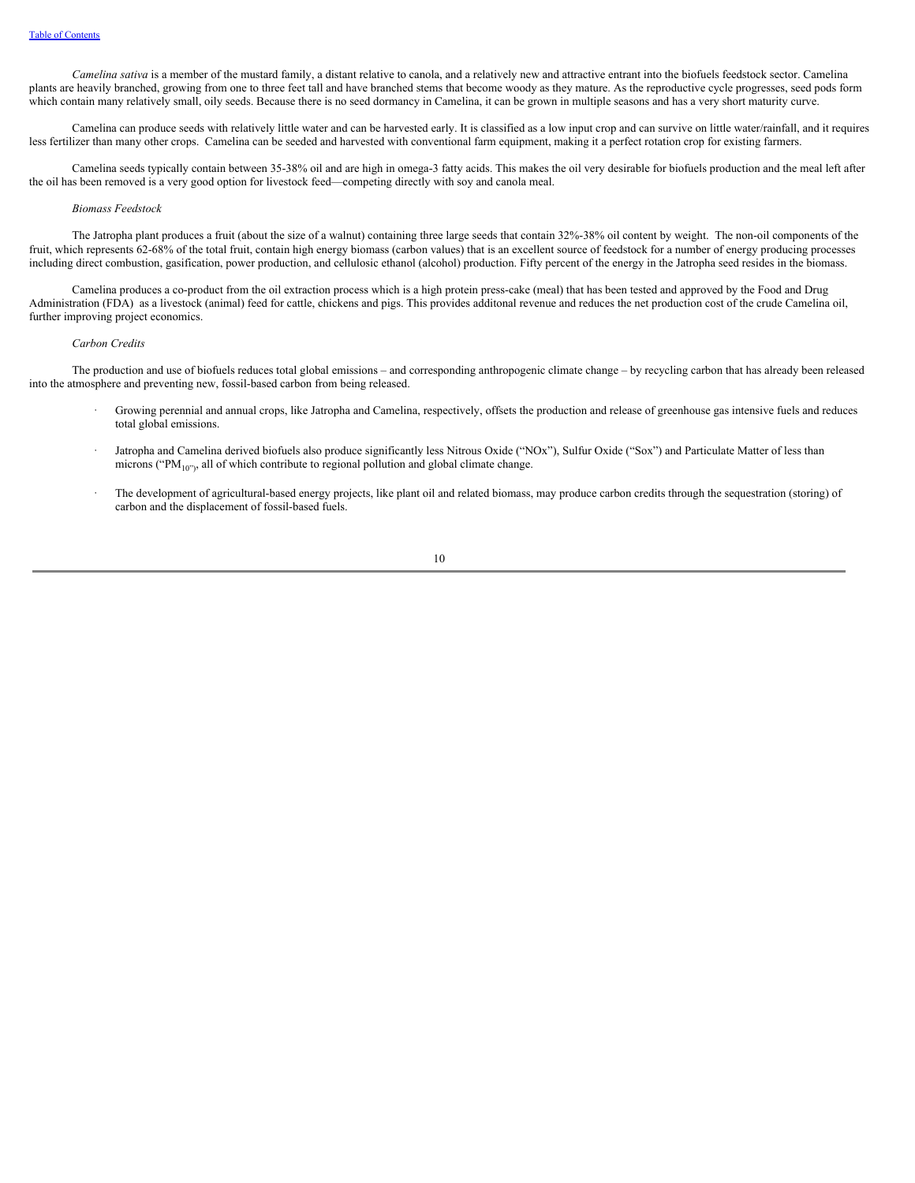*Camelina sativa* is a member of the mustard family, a distant relative to canola, and a relatively new and attractive entrant into the biofuels feedstock sector. Camelina plants are heavily branched, growing from one to three feet tall and have branched stems that become woody as they mature. As the reproductive cycle progresses, seed pods form which contain many relatively small, oily seeds. Because there is no seed dormancy in Camelina, it can be grown in multiple seasons and has a very short maturity curve.

Camelina can produce seeds with relatively little water and can be harvested early. It is classified as a low input crop and can survive on little water/rainfall, and it requires less fertilizer than many other crops. Camelina can be seeded and harvested with conventional farm equipment, making it a perfect rotation crop for existing farmers.

Camelina seeds typically contain between 35-38% oil and are high in omega-3 fatty acids. This makes the oil very desirable for biofuels production and the meal left after the oil has been removed is a very good option for livestock feed—competing directly with soy and canola meal.

#### *Biomass Feedstock*

The Jatropha plant produces a fruit (about the size of a walnut) containing three large seeds that contain 32%-38% oil content by weight. The non-oil components of the fruit, which represents 62-68% of the total fruit, contain high energy biomass (carbon values) that is an excellent source of feedstock for a number of energy producing processes including direct combustion, gasification, power production, and cellulosic ethanol (alcohol) production. Fifty percent of the energy in the Jatropha seed resides in the biomass.

Camelina produces a co-product from the oil extraction process which is a high protein press-cake (meal) that has been tested and approved by the Food and Drug Administration (FDA) as a livestock (animal) feed for cattle, chickens and pigs. This provides additonal revenue and reduces the net production cost of the crude Camelina oil, further improving project economics.

#### *Carbon Credits*

The production and use of biofuels reduces total global emissions – and corresponding anthropogenic climate change – by recycling carbon that has already been released into the atmosphere and preventing new, fossil-based carbon from being released.

- · Growing perennial and annual crops, like Jatropha and Camelina, respectively, offsets the production and release of greenhouse gas intensive fuels and reduces total global emissions.
- Jatropha and Camelina derived biofuels also produce significantly less Nitrous Oxide ("NOx"), Sulfur Oxide ("Sox") and Particulate Matter of less than microns ("PM<sub>10")</sub>, all of which contribute to regional pollution and global climate change.
- The development of agricultural-based energy projects, like plant oil and related biomass, may produce carbon credits through the sequestration (storing) of carbon and the displacement of fossil-based fuels.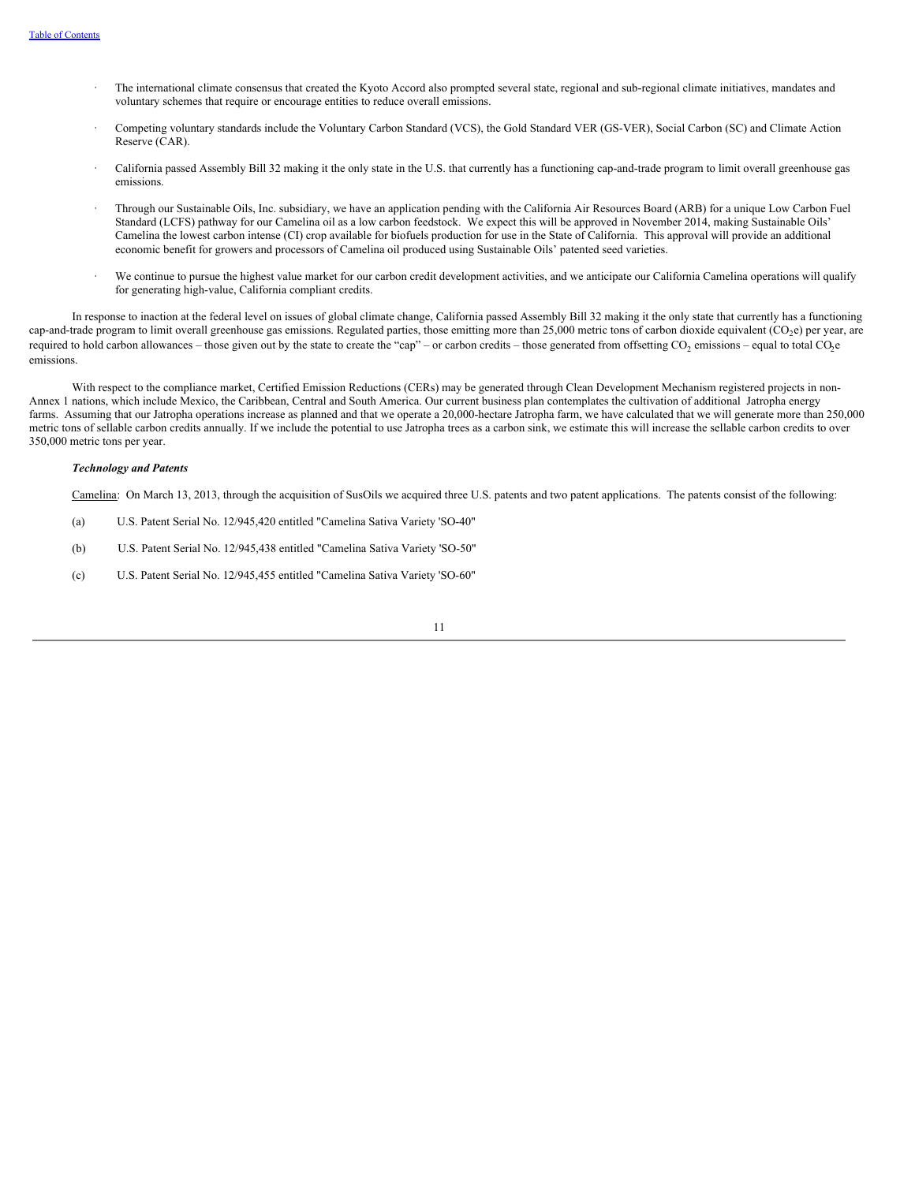- The international climate consensus that created the Kyoto Accord also prompted several state, regional and sub-regional climate initiatives, mandates and voluntary schemes that require or encourage entities to reduce overall emissions.
- · Competing voluntary standards include the Voluntary Carbon Standard (VCS), the Gold Standard VER (GS-VER), Social Carbon (SC) and Climate Action Reserve (CAR).
- California passed Assembly Bill 32 making it the only state in the U.S. that currently has a functioning cap-and-trade program to limit overall greenhouse gas emissions.
- · Through our Sustainable Oils, Inc. subsidiary, we have an application pending with the California Air Resources Board (ARB) for a unique Low Carbon Fuel Standard (LCFS) pathway for our Camelina oil as a low carbon feedstock. We expect this will be approved in November 2014, making Sustainable Oils' Camelina the lowest carbon intense (CI) crop available for biofuels production for use in the State of California. This approval will provide an additional economic benefit for growers and processors of Camelina oil produced using Sustainable Oils' patented seed varieties.
- We continue to pursue the highest value market for our carbon credit development activities, and we anticipate our California Camelina operations will qualify for generating high-value, California compliant credits.

In response to inaction at the federal level on issues of global climate change, California passed Assembly Bill 32 making it the only state that currently has a functioning cap-and-trade program to limit overall greenhouse gas emissions. Regulated parties, those emitting more than  $25,000$  metric tons of carbon dioxide equivalent (CO<sub>2</sub>e) per year, are required to hold carbon allowances – those given out by the state to create the "cap" – or carbon credits – those generated from offsetting  $CO_2$  emissions – equal to total  $CO_2$ e emissions.

With respect to the compliance market, Certified Emission Reductions (CERs) may be generated through Clean Development Mechanism registered projects in non-Annex 1 nations, which include Mexico, the Caribbean, Central and South America. Our current business plan contemplates the cultivation of additional Jatropha energy farms. Assuming that our Jatropha operations increase as planned and that we operate a 20,000-hectare Jatropha farm, we have calculated that we will generate more than 250,000 metric tons of sellable carbon credits annually. If we include the potential to use Jatropha trees as a carbon sink, we estimate this will increase the sellable carbon credits to over 350,000 metric tons per year.

### *Technology and Patents*

Camelina: On March 13, 2013, through the acquisition of SusOils we acquired three U.S. patents and two patent applications. The patents consist of the following:

- (a) U.S. Patent Serial No. 12/945,420 entitled "Camelina Sativa Variety 'SO-40"
- (b) U.S. Patent Serial No. 12/945,438 entitled "Camelina Sativa Variety 'SO-50"
- (c) U.S. Patent Serial No. 12/945,455 entitled "Camelina Sativa Variety 'SO-60"

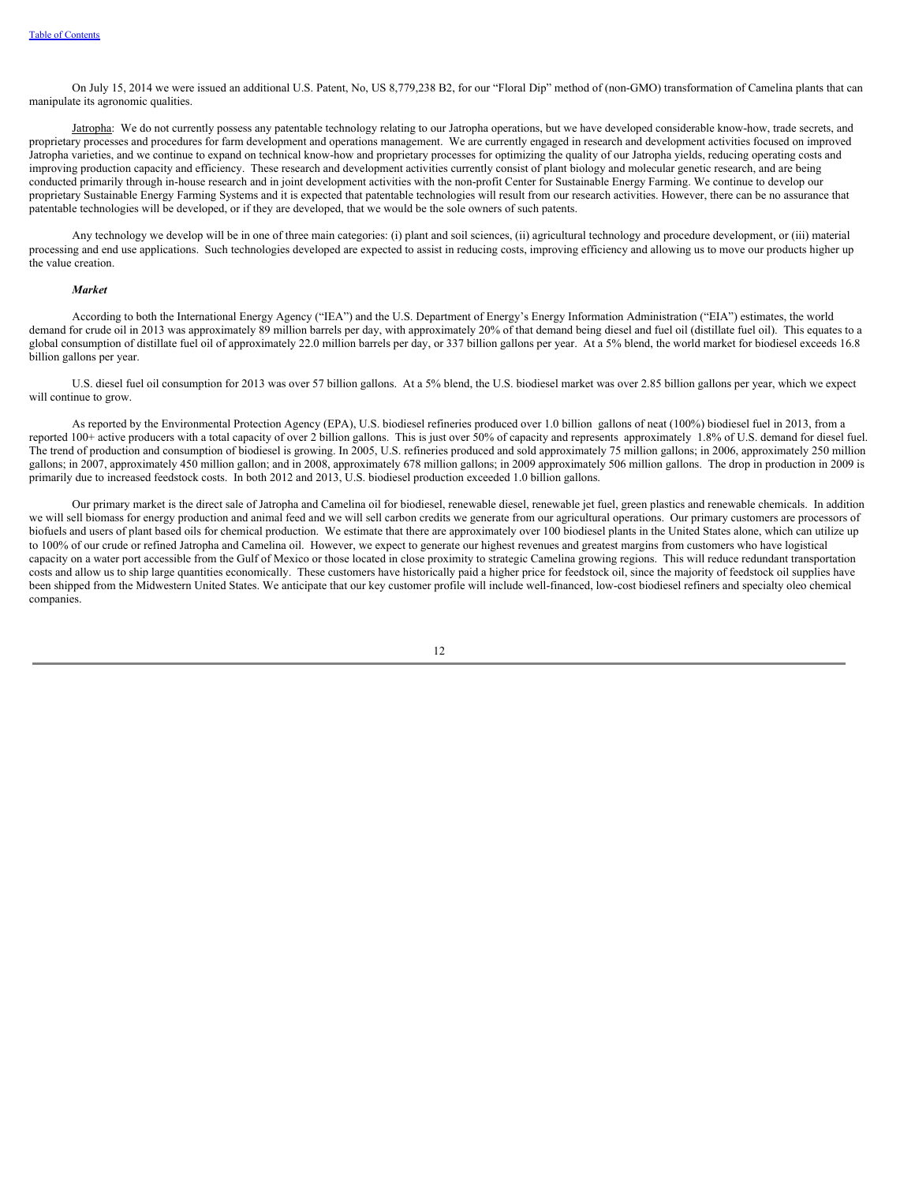On July 15, 2014 we were issued an additional U.S. Patent, No, US 8,779,238 B2, for our "Floral Dip" method of (non-GMO) transformation of Camelina plants that can manipulate its agronomic qualities.

Jatropha: We do not currently possess any patentable technology relating to our Jatropha operations, but we have developed considerable know-how, trade secrets, and proprietary processes and procedures for farm development and operations management. We are currently engaged in research and development activities focused on improved Jatropha varieties, and we continue to expand on technical know-how and proprietary processes for optimizing the quality of our Jatropha yields, reducing operating costs and improving production capacity and efficiency. These research and development activities currently consist of plant biology and molecular genetic research, and are being conducted primarily through in-house research and in joint development activities with the non-profit Center for Sustainable Energy Farming. We continue to develop our proprietary Sustainable Energy Farming Systems and it is expected that patentable technologies will result from our research activities. However, there can be no assurance that patentable technologies will be developed, or if they are developed, that we would be the sole owners of such patents.

Any technology we develop will be in one of three main categories: (i) plant and soil sciences, (ii) agricultural technology and procedure development, or (iii) material processing and end use applications. Such technologies developed are expected to assist in reducing costs, improving efficiency and allowing us to move our products higher up the value creation.

#### *Market*

According to both the International Energy Agency ("IEA") and the U.S. Department of Energy's Energy Information Administration ("EIA") estimates, the world demand for crude oil in 2013 was approximately 89 million barrels per day, with approximately 20% of that demand being diesel and fuel oil (distillate fuel oil). This equates to a global consumption of distillate fuel oil of approximately 22.0 million barrels per day, or 337 billion gallons per year. At a 5% blend, the world market for biodiesel exceeds 16.8 billion gallons per year.

U.S. diesel fuel oil consumption for 2013 was over 57 billion gallons. At a 5% blend, the U.S. biodiesel market was over 2.85 billion gallons per year, which we expect will continue to grow.

As reported by the Environmental Protection Agency (EPA), U.S. biodiesel refineries produced over 1.0 billion gallons of neat (100%) biodiesel fuel in 2013, from a reported 100+ active producers with a total capacity of over 2 billion gallons. This is just over 50% of capacity and represents approximately 1.8% of U.S. demand for diesel fuel. The trend of production and consumption of biodiesel is growing. In 2005, U.S. refineries produced and sold approximately 75 million gallons; in 2006, approximately 250 million gallons; in 2007, approximately 450 million gallon; and in 2008, approximately 678 million gallons; in 2009 approximately 506 million gallons. The drop in production in 2009 is primarily due to increased feedstock costs. In both 2012 and 2013, U.S. biodiesel production exceeded 1.0 billion gallons.

Our primary market is the direct sale of Jatropha and Camelina oil for biodiesel, renewable diesel, renewable jet fuel, green plastics and renewable chemicals. In addition we will sell biomass for energy production and animal feed and we will sell carbon credits we generate from our agricultural operations. Our primary customers are processors of biofuels and users of plant based oils for chemical production. We estimate that there are approximately over 100 biodiesel plants in the United States alone, which can utilize up to 100% of our crude or refined Jatropha and Camelina oil. However, we expect to generate our highest revenues and greatest margins from customers who have logistical capacity on a water port accessible from the Gulf of Mexico or those located in close proximity to strategic Camelina growing regions. This will reduce redundant transportation costs and allow us to ship large quantities economically. These customers have historically paid a higher price for feedstock oil, since the majority of feedstock oil supplies have been shipped from the Midwestern United States. We anticipate that our key customer profile will include well-financed, low-cost biodiesel refiners and specialty oleo chemical companies.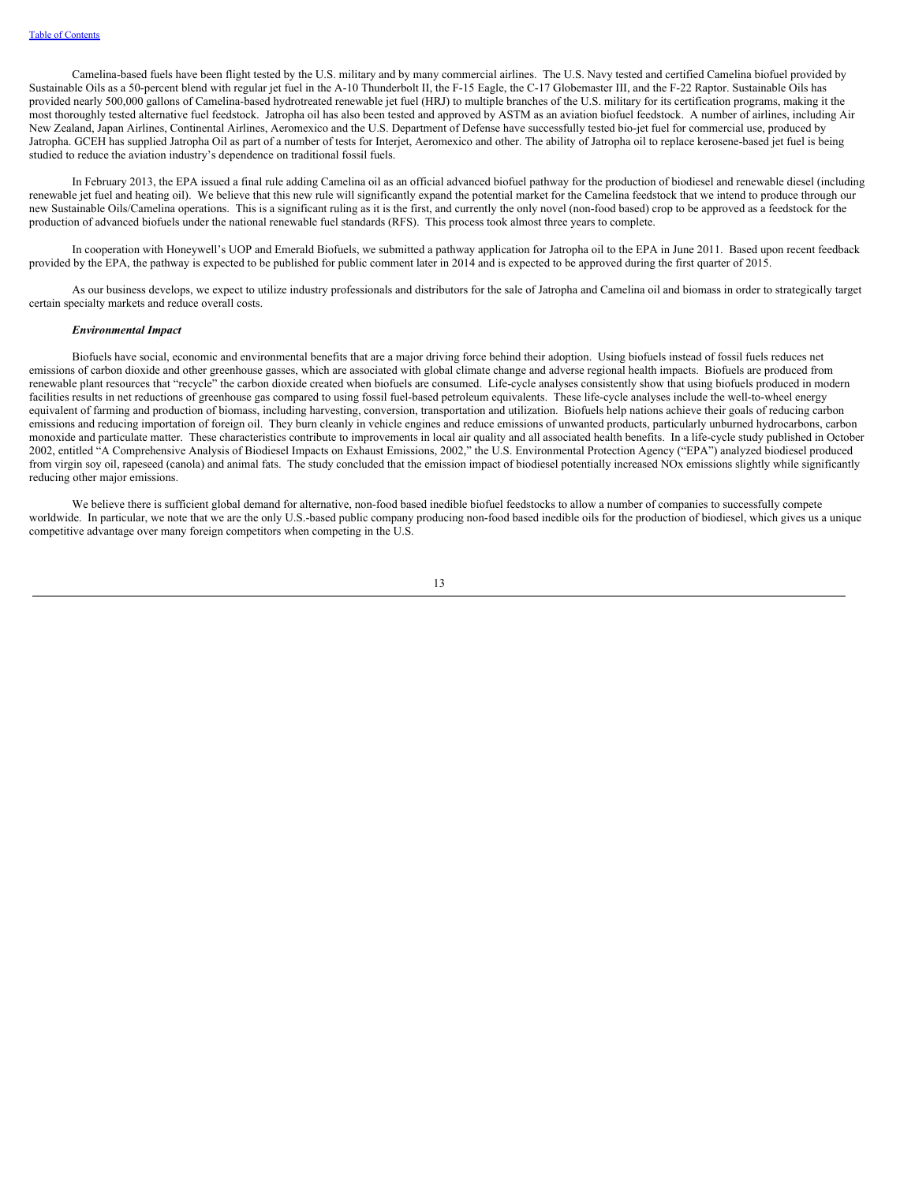Camelina-based fuels have been flight tested by the U.S. military and by many commercial airlines. The U.S. Navy tested and certified Camelina biofuel provided by Sustainable Oils as a 50-percent blend with regular jet fuel in the A-10 Thunderbolt II, the F-15 Eagle, the C-17 Globemaster III, and the F-22 Raptor. Sustainable Oils has provided nearly 500,000 gallons of Camelina-based hydrotreated renewable jet fuel (HRJ) to multiple branches of the U.S. military for its certification programs, making it the most thoroughly tested alternative fuel feedstock. Jatropha oil has also been tested and approved by ASTM as an aviation biofuel feedstock. A number of airlines, including Air New Zealand, Japan Airlines, Continental Airlines, Aeromexico and the U.S. Department of Defense have successfully tested bio-jet fuel for commercial use, produced by Jatropha. GCEH has supplied Jatropha Oil as part of a number of tests for Interjet, Aeromexico and other. The ability of Jatropha oil to replace kerosene-based jet fuel is being studied to reduce the aviation industry's dependence on traditional fossil fuels.

In February 2013, the EPA issued a final rule adding Camelina oil as an official advanced biofuel pathway for the production of biodiesel and renewable diesel (including renewable jet fuel and heating oil). We believe that this new rule will significantly expand the potential market for the Camelina feedstock that we intend to produce through our new Sustainable Oils/Camelina operations. This is a significant ruling as it is the first, and currently the only novel (non-food based) crop to be approved as a feedstock for the production of advanced biofuels under the national renewable fuel standards (RFS). This process took almost three years to complete.

In cooperation with Honeywell's UOP and Emerald Biofuels, we submitted a pathway application for Jatropha oil to the EPA in June 2011. Based upon recent feedback provided by the EPA, the pathway is expected to be published for public comment later in 2014 and is expected to be approved during the first quarter of 2015.

As our business develops, we expect to utilize industry professionals and distributors for the sale of Jatropha and Camelina oil and biomass in order to strategically target certain specialty markets and reduce overall costs.

#### *Environmental Impact*

Biofuels have social, economic and environmental benefits that are a major driving force behind their adoption. Using biofuels instead of fossil fuels reduces net emissions of carbon dioxide and other greenhouse gasses, which are associated with global climate change and adverse regional health impacts. Biofuels are produced from renewable plant resources that "recycle" the carbon dioxide created when biofuels are consumed. Life-cycle analyses consistently show that using biofuels produced in modern facilities results in net reductions of greenhouse gas compared to using fossil fuel-based petroleum equivalents. These life-cycle analyses include the well-to-wheel energy equivalent of farming and production of biomass, including harvesting, conversion, transportation and utilization. Biofuels help nations achieve their goals of reducing carbon emissions and reducing importation of foreign oil. They burn cleanly in vehicle engines and reduce emissions of unwanted products, particularly unburned hydrocarbons, carbon monoxide and particulate matter. These characteristics contribute to improvements in local air quality and all associated health benefits. In a life-cycle study published in October 2002, entitled "A Comprehensive Analysis of Biodiesel Impacts on Exhaust Emissions, 2002," the U.S. Environmental Protection Agency ("EPA") analyzed biodiesel produced from virgin soy oil, rapeseed (canola) and animal fats. The study concluded that the emission impact of biodiesel potentially increased NOx emissions slightly while significantly reducing other major emissions.

We believe there is sufficient global demand for alternative, non-food based inedible biofuel feedstocks to allow a number of companies to successfully compete worldwide. In particular, we note that we are the only U.S.-based public company producing non-food based inedible oils for the production of biodiesel, which gives us a unique competitive advantage over many foreign competitors when competing in the U.S.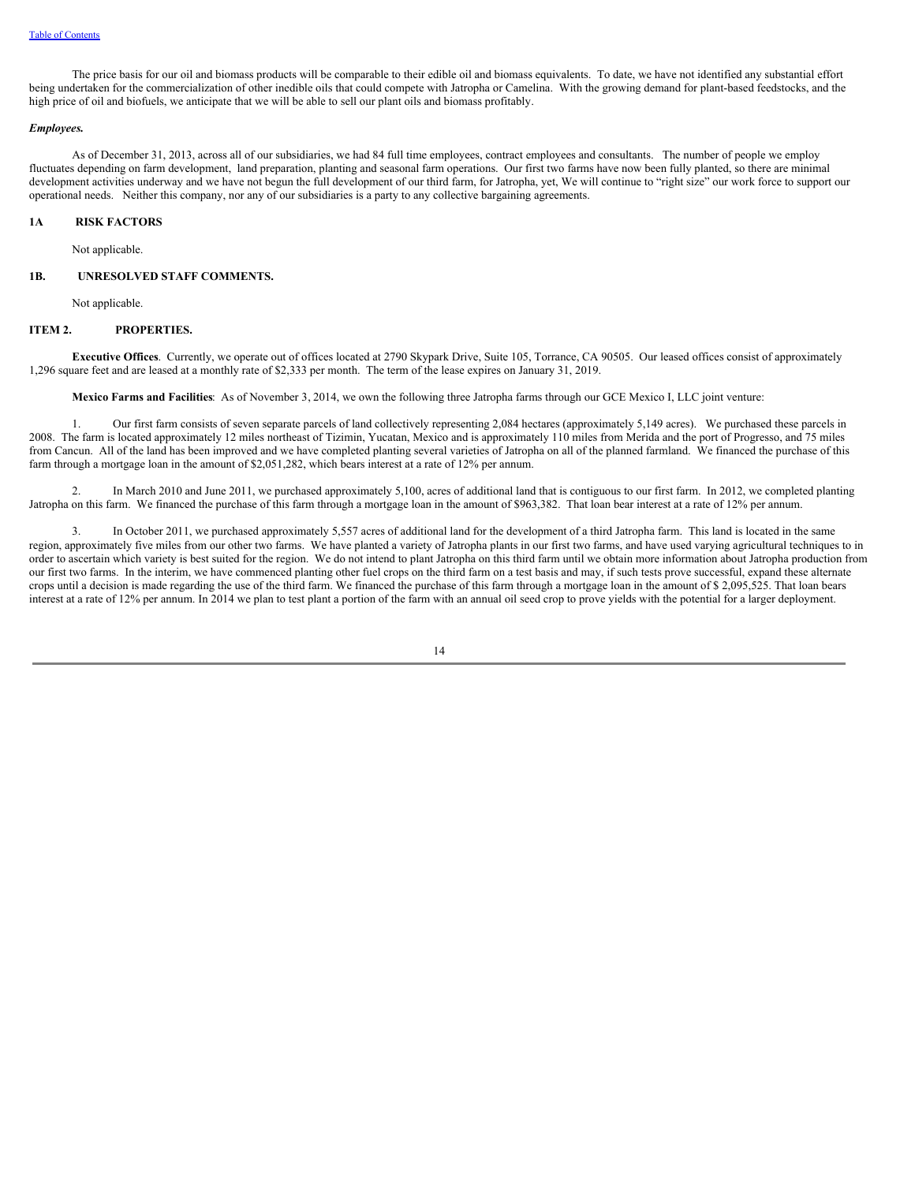The price basis for our oil and biomass products will be comparable to their edible oil and biomass equivalents. To date, we have not identified any substantial effort being undertaken for the commercialization of other inedible oils that could compete with Jatropha or Camelina. With the growing demand for plant-based feedstocks, and the high price of oil and biofuels, we anticipate that we will be able to sell our plant oils and biomass profitably.

#### *Employees.*

As of December 31, 2013, across all of our subsidiaries, we had 84 full time employees, contract employees and consultants. The number of people we employ fluctuates depending on farm development, land preparation, planting and seasonal farm operations. Our first two farms have now been fully planted, so there are minimal development activities underway and we have not begun the full development of our third farm, for Jatropha, yet, We will continue to "right size" our work force to support our operational needs. Neither this company, nor any of our subsidiaries is a party to any collective bargaining agreements.

## <span id="page-17-0"></span>**1A RISK FACTORS**

<span id="page-17-1"></span>Not applicable.

### **1B. UNRESOLVED STAFF COMMENTS.**

<span id="page-17-2"></span>Not applicable.

### **ITEM 2. PROPERTIES.**

**Executive Offices**. Currently, we operate out of offices located at 2790 Skypark Drive, Suite 105, Torrance, CA 90505. Our leased offices consist of approximately 1,296 square feet and are leased at a monthly rate of \$2,333 per month. The term of the lease expires on January 31, 2019.

**Mexico Farms and Facilities**: As of November 3, 2014, we own the following three Jatropha farms through our GCE Mexico I, LLC joint venture:

1. Our first farm consists of seven separate parcels of land collectively representing 2,084 hectares (approximately 5,149 acres). We purchased these parcels in 2008. The farm is located approximately 12 miles northeast of Tizimin, Yucatan, Mexico and is approximately 110 miles from Merida and the port of Progresso, and 75 miles from Cancun. All of the land has been improved and we have completed planting several varieties of Jatropha on all of the planned farmland. We financed the purchase of this farm through a mortgage loan in the amount of \$2,051,282, which bears interest at a rate of 12% per annum.

2. In March 2010 and June 2011, we purchased approximately 5,100, acres of additional land that is contiguous to our first farm. In 2012, we completed planting Jatropha on this farm. We financed the purchase of this farm through a mortgage loan in the amount of \$963,382. That loan bear interest at a rate of 12% per annum.

In October 2011, we purchased approximately 5,557 acres of additional land for the development of a third Jatropha farm. This land is located in the same region, approximately five miles from our other two farms. We have planted a variety of Jatropha plants in our first two farms, and have used varying agricultural techniques to in order to ascertain which variety is best suited for the region. We do not intend to plant Jatropha on this third farm until we obtain more information about Jatropha production from our first two farms. In the interim, we have commenced planting other fuel crops on the third farm on a test basis and may, if such tests prove successful, expand these alternate crops until a decision is made regarding the use of the third farm. We financed the purchase of this farm through a mortgage loan in the amount of \$ 2,095,525. That loan bears interest at a rate of 12% per annum. In 2014 we plan to test plant a portion of the farm with an annual oil seed crop to prove yields with the potential for a larger deployment.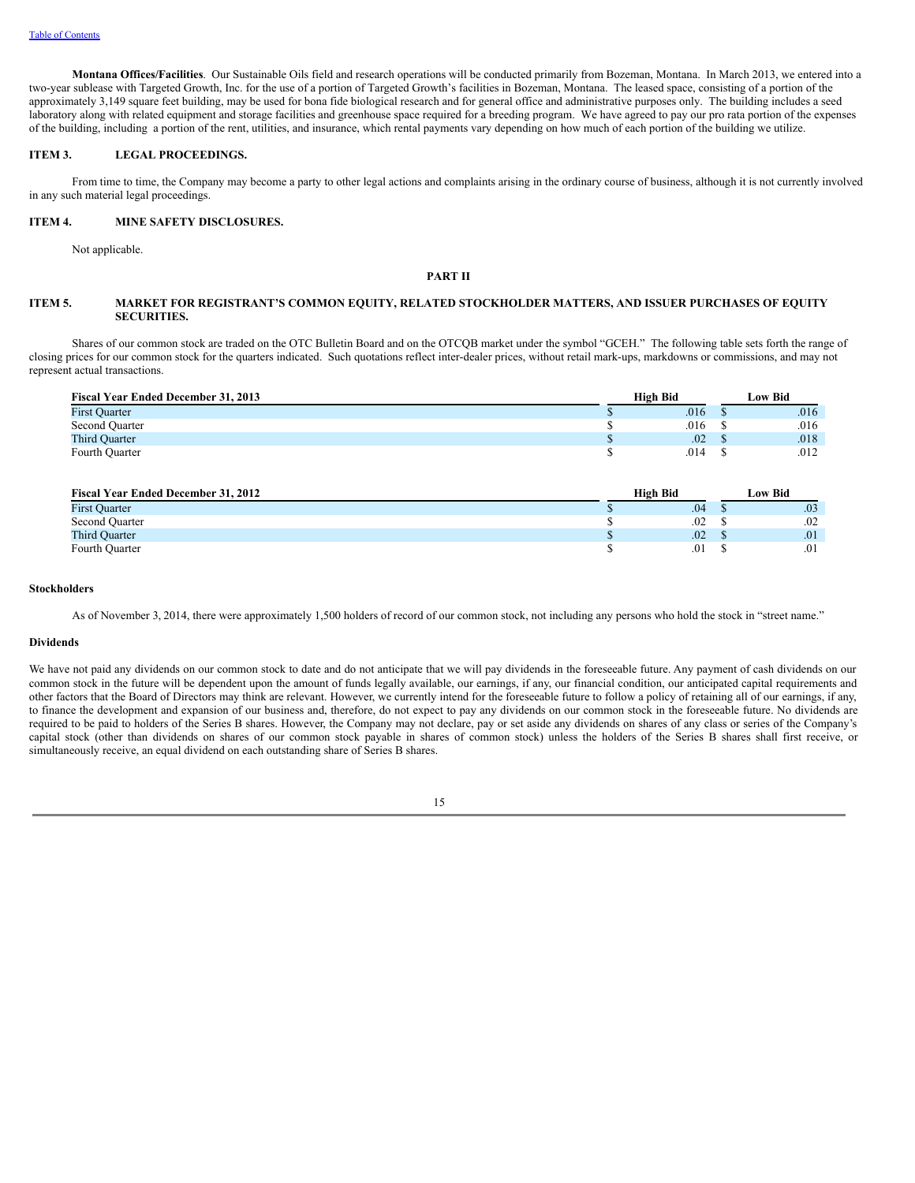**Montana Offices/Facilities**. Our Sustainable Oils field and research operations will be conducted primarily from Bozeman, Montana. In March 2013, we entered into a two-year sublease with Targeted Growth, Inc. for the use of a portion of Targeted Growth's facilities in Bozeman, Montana. The leased space, consisting of a portion of the approximately 3,149 square feet building, may be used for bona fide biological research and for general office and administrative purposes only. The building includes a seed laboratory along with related equipment and storage facilities and greenhouse space required for a breeding program. We have agreed to pay our pro rata portion of the expenses of the building, including a portion of the rent, utilities, and insurance, which rental payments vary depending on how much of each portion of the building we utilize.

## <span id="page-18-0"></span>**ITEM 3. LEGAL PROCEEDINGS.**

From time to time, the Company may become a party to other legal actions and complaints arising in the ordinary course of business, although it is not currently involved in any such material legal proceedings.

## **ITEM 4. MINE SAFETY DISCLOSURES.**

<span id="page-18-3"></span><span id="page-18-1"></span>Not applicable.

## <span id="page-18-2"></span>**PART II**

### **ITEM 5. MARKET FOR REGISTRANT'S COMMON EQUITY, RELATED STOCKHOLDER MATTERS, AND ISSUER PURCHASES OF EQUITY SECURITIES.**

Shares of our common stock are traded on the OTC Bulletin Board and on the OTCQB market under the symbol "GCEH." The following table sets forth the range of closing prices for our common stock for the quarters indicated. Such quotations reflect inter-dealer prices, without retail mark-ups, markdowns or commissions, and may not represent actual transactions.

| <b>Fiscal Year Ended December 31, 2013</b> |  | <b>High Bid</b> |  | Low Bid |  |
|--------------------------------------------|--|-----------------|--|---------|--|
| <b>First Ouarter</b>                       |  | .016            |  | .016    |  |
| Second Quarter                             |  | .016            |  | .016    |  |
| Third Ouarter                              |  | .02             |  | .018    |  |
| Fourth Quarter                             |  | .014            |  | .012    |  |

| <b>Fiscal Year Ended December 31, 2012</b> | <b>High Bid</b> |  | Low Bid |  |
|--------------------------------------------|-----------------|--|---------|--|
| <b>First Ouarter</b>                       | .04             |  | .03     |  |
| <b>Second Quarter</b>                      | .02             |  | .02     |  |
| Third Ouarter                              | .02             |  | .01     |  |
| Fourth Quarter                             | .01             |  | .01     |  |

## **Stockholders**

As of November 3, 2014, there were approximately 1,500 holders of record of our common stock, not including any persons who hold the stock in "street name."

## **Dividends**

We have not paid any dividends on our common stock to date and do not anticipate that we will pay dividends in the foreseeable future. Any payment of cash dividends on our common stock in the future will be dependent upon the amount of funds legally available, our earnings, if any, our financial condition, our anticipated capital requirements and other factors that the Board of Directors may think are relevant. However, we currently intend for the foreseeable future to follow a policy of retaining all of our earnings, if any, to finance the development and expansion of our business and, therefore, do not expect to pay any dividends on our common stock in the foreseeable future. No dividends are required to be paid to holders of the Series B shares. However, the Company may not declare, pay or set aside any dividends on shares of any class or series of the Company's capital stock (other than dividends on shares of our common stock payable in shares of common stock) unless the holders of the Series B shares shall first receive, or simultaneously receive, an equal dividend on each outstanding share of Series B shares.

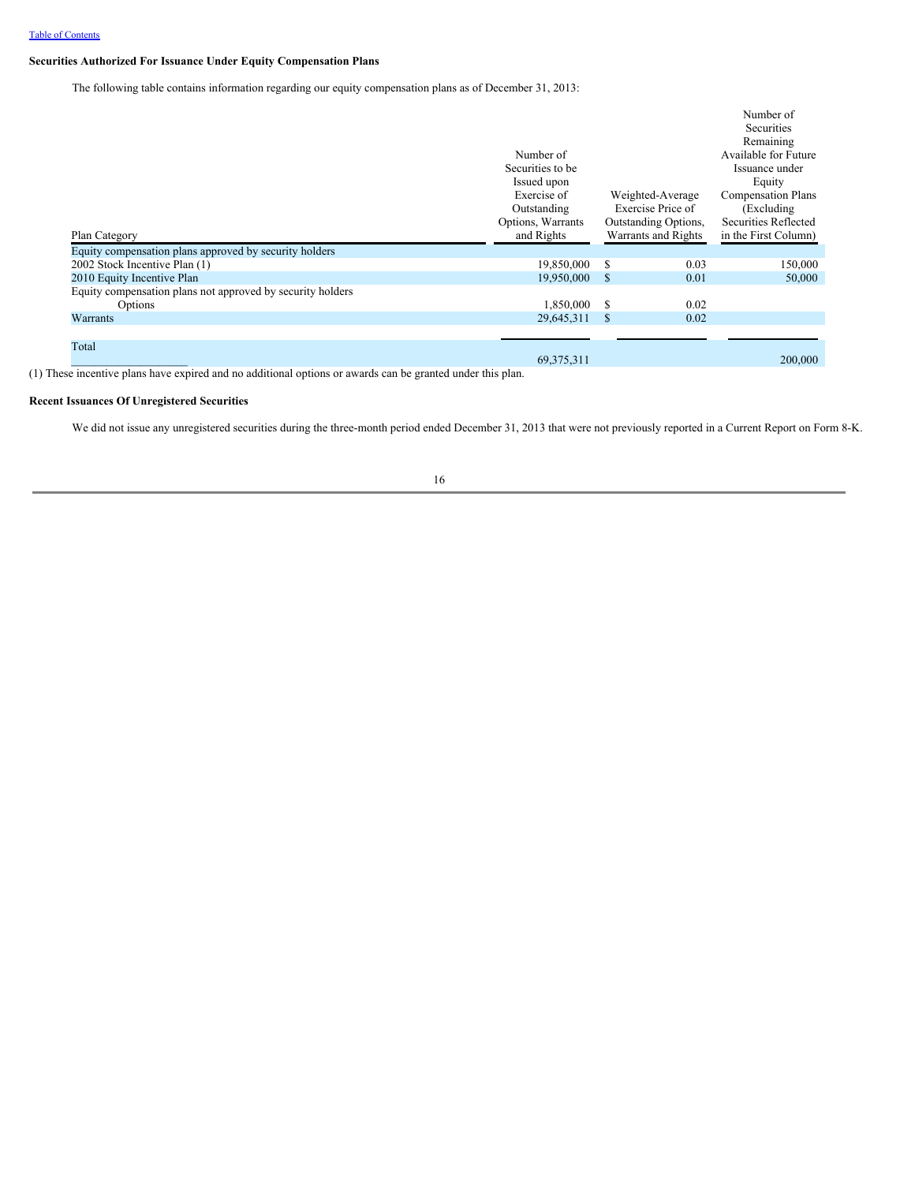# **Securities Authorized For Issuance Under Equity Compensation Plans**

The following table contains information regarding our equity compensation plans as of December 31, 2013:

| Securities<br>Remaining<br>Number of<br>Securities to be.<br>Issuance under |             |                           |
|-----------------------------------------------------------------------------|-------------|---------------------------|
|                                                                             |             |                           |
|                                                                             |             |                           |
|                                                                             |             | Available for Future      |
|                                                                             |             |                           |
|                                                                             | Issued upon | Equity                    |
| Exercise of<br>Weighted-Average                                             |             | <b>Compensation Plans</b> |
| Exercise Price of<br>(Excluding)<br>Outstanding                             |             |                           |
| Securities Reflected<br>Options, Warrants<br>Outstanding Options,           |             |                           |
| and Rights<br>Warrants and Rights<br>Plan Category                          |             | in the First Column)      |
| Equity compensation plans approved by security holders                      |             |                           |
| 2002 Stock Incentive Plan (1)<br>\$.<br>19,850,000<br>0.03                  |             | 150,000                   |
| 2010 Equity Incentive Plan<br>S<br>19.950.000<br>0.01                       |             | 50,000                    |
| Equity compensation plans not approved by security holders                  |             |                           |
| Options<br>1,850,000<br>\$.<br>0.02                                         |             |                           |
| Warrants<br>29,645,311<br>S<br>0.02                                         |             |                           |
|                                                                             |             |                           |
| Total                                                                       |             |                           |
| 69, 375, 311<br>200,000                                                     |             |                           |

(1) These incentive plans have expired and no additional options or awards can be granted under this plan.

# **Recent Issuances Of Unregistered Securities**

We did not issue any unregistered securities during the three-month period ended December 31, 2013 that were not previously reported in a Current Report on Form 8-K.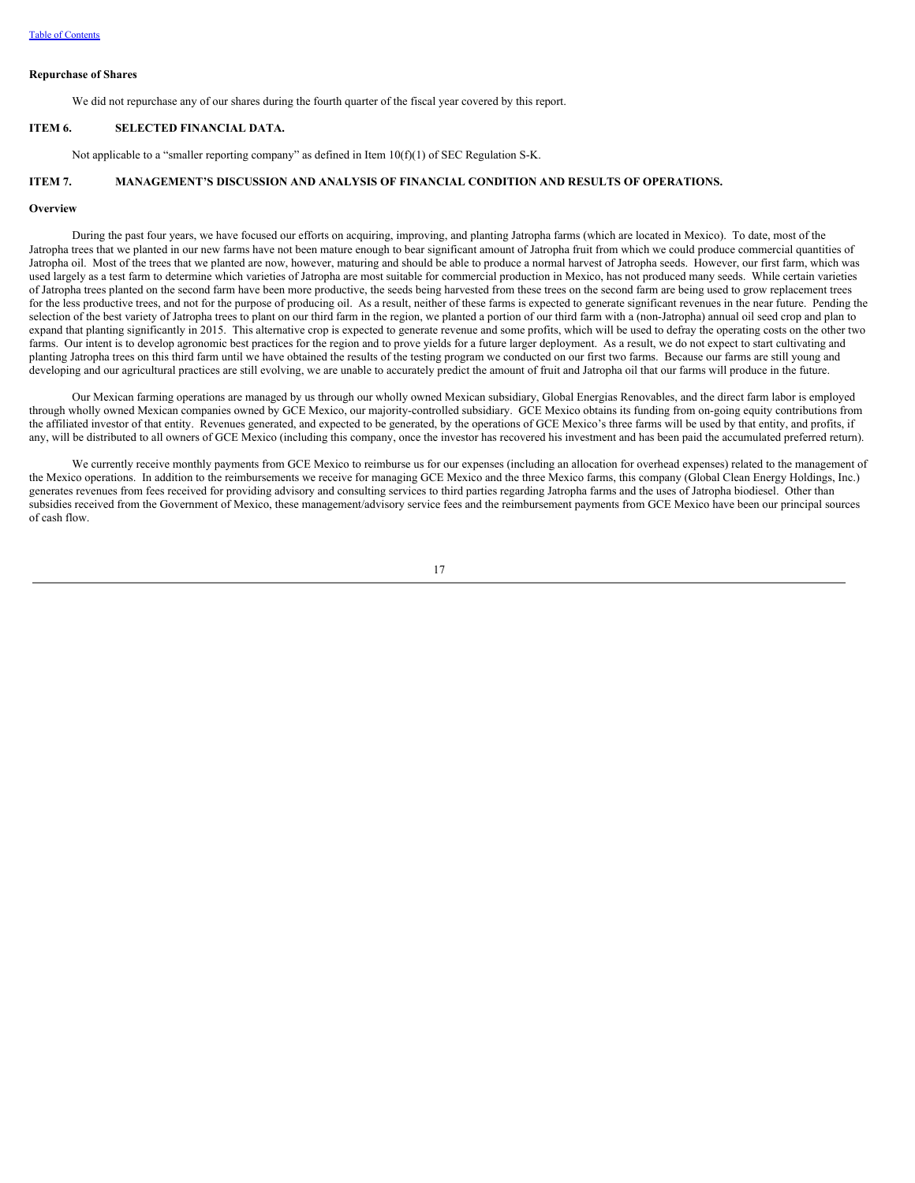#### **Repurchase of Shares**

<span id="page-20-0"></span>We did not repurchase any of our shares during the fourth quarter of the fiscal year covered by this report.

#### **ITEM 6. SELECTED FINANCIAL DATA.**

<span id="page-20-1"></span>Not applicable to a "smaller reporting company" as defined in Item 10(f)(1) of SEC Regulation S-K.

## **ITEM 7. MANAGEMENT'S DISCUSSION AND ANALYSIS OF FINANCIAL CONDITION AND RESULTS OF OPERATIONS.**

#### **Overview**

During the past four years, we have focused our efforts on acquiring, improving, and planting Jatropha farms (which are located in Mexico). To date, most of the Jatropha trees that we planted in our new farms have not been mature enough to bear significant amount of Jatropha fruit from which we could produce commercial quantities of Jatropha oil. Most of the trees that we planted are now, however, maturing and should be able to produce a normal harvest of Jatropha seeds. However, our first farm, which was used largely as a test farm to determine which varieties of Jatropha are most suitable for commercial production in Mexico, has not produced many seeds. While certain varieties of Jatropha trees planted on the second farm have been more productive, the seeds being harvested from these trees on the second farm are being used to grow replacement trees for the less productive trees, and not for the purpose of producing oil. As a result, neither of these farms is expected to generate significant revenues in the near future. Pending the selection of the best variety of Jatropha trees to plant on our third farm in the region, we planted a portion of our third farm with a (non-Jatropha) annual oil seed crop and plan to expand that planting significantly in 2015. This alternative crop is expected to generate revenue and some profits, which will be used to defray the operating costs on the other two farms. Our intent is to develop agronomic best practices for the region and to prove yields for a future larger deployment. As a result, we do not expect to start cultivating and planting Jatropha trees on this third farm until we have obtained the results of the testing program we conducted on our first two farms. Because our farms are still young and developing and our agricultural practices are still evolving, we are unable to accurately predict the amount of fruit and Jatropha oil that our farms will produce in the future.

Our Mexican farming operations are managed by us through our wholly owned Mexican subsidiary, Global Energias Renovables, and the direct farm labor is employed through wholly owned Mexican companies owned by GCE Mexico, our majority-controlled subsidiary. GCE Mexico obtains its funding from on-going equity contributions from the affiliated investor of that entity. Revenues generated, and expected to be generated, by the operations of GCE Mexico's three farms will be used by that entity, and profits, if any, will be distributed to all owners of GCE Mexico (including this company, once the investor has recovered his investment and has been paid the accumulated preferred return).

We currently receive monthly payments from GCE Mexico to reimburse us for our expenses (including an allocation for overhead expenses) related to the management of the Mexico operations. In addition to the reimbursements we receive for managing GCE Mexico and the three Mexico farms, this company (Global Clean Energy Holdings, Inc.) generates revenues from fees received for providing advisory and consulting services to third parties regarding Jatropha farms and the uses of Jatropha biodiesel. Other than subsidies received from the Government of Mexico, these management/advisory service fees and the reimbursement payments from GCE Mexico have been our principal sources of cash flow.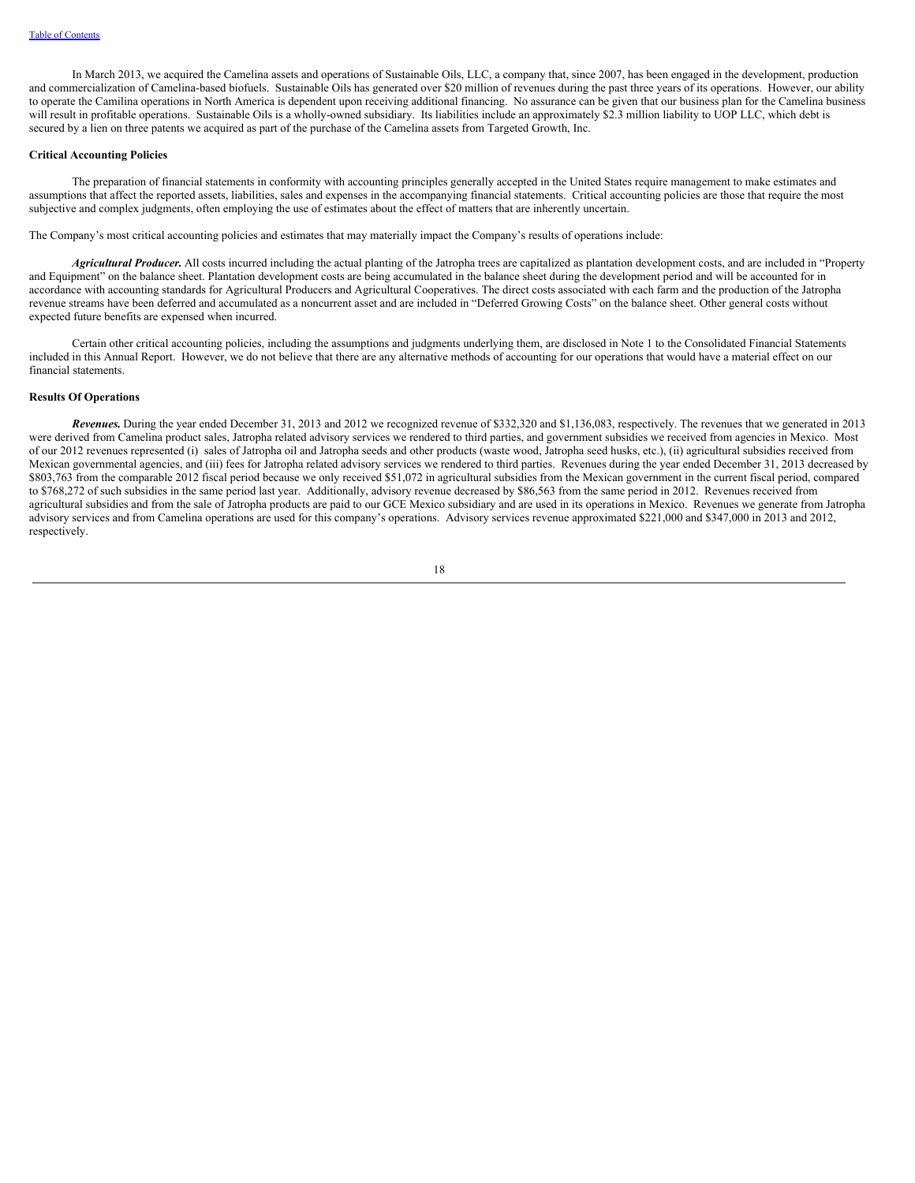In March 2013, we acquired the Camelina assets and operations of Sustainable Oils, LLC, a company that, since 2007, has been engaged in the development, production and commercialization of Camelina-based biofuels. Sustainable Oils has generated over \$20 million of revenues during the past three years of its operations. However, our ability to operate the Camilina operations in North America is dependent upon receiving additional financing. No assurance can be given that our business plan for the Camelina business will result in profitable operations. Sustainable Oils is a wholly-owned subsidiary. Its liabilities include an approximately \$2.3 million liability to UOP LLC, which debt is secured by a lien on three patents we acquired as part of the purchase of the Camelina assets from Targeted Growth, Inc.

### **Critical Accounting Policies**

The preparation of financial statements in conformity with accounting principles generally accepted in the United States require management to make estimates and assumptions that affect the reported assets, liabilities, sales and expenses in the accompanying financial statements. Critical accounting policies are those that require the most subjective and complex judgments, often employing the use of estimates about the effect of matters that are inherently uncertain.

The Company's most critical accounting policies and estimates that may materially impact the Company's results of operations include:

*Agricultural Producer.* All costs incurred including the actual planting of the Jatropha trees are capitalized as plantation development costs, and are included in "Property and Equipment" on the balance sheet. Plantation development costs are being accumulated in the balance sheet during the development period and will be accounted for in accordance with accounting standards for Agricultural Producers and Agricultural Cooperatives. The direct costs associated with each farm and the production of the Jatropha revenue streams have been deferred and accumulated as a noncurrent asset and are included in "Deferred Growing Costs" on the balance sheet. Other general costs without expected future benefits are expensed when incurred.

Certain other critical accounting policies, including the assumptions and judgments underlying them, are disclosed in Note 1 to the Consolidated Financial Statements included in this Annual Report. However, we do not believe that there are any alternative methods of accounting for our operations that would have a material effect on our financial statements.

#### **Results Of Operations**

*Revenues.* During the year ended December 31, 2013 and 2012 we recognized revenue of \$332,320 and \$1,136,083, respectively. The revenues that we generated in 2013 were derived from Camelina product sales, Jatropha related advisory services we rendered to third parties, and government subsidies we received from agencies in Mexico. Most of our 2012 revenues represented (i) sales of Jatropha oil and Jatropha seeds and other products (waste wood, Jatropha seed husks, etc.), (ii) agricultural subsidies received from Mexican governmental agencies, and (iii) fees for Jatropha related advisory services we rendered to third parties. Revenues during the year ended December 31, 2013 decreased by \$803,763 from the comparable 2012 fiscal period because we only received \$51,072 in agricultural subsidies from the Mexican government in the current fiscal period, compared to \$768,272 of such subsidies in the same period last year. Additionally, advisory revenue decreased by \$86,563 from the same period in 2012. Revenues received from agricultural subsidies and from the sale of Jatropha products are paid to our GCE Mexico subsidiary and are used in its operations in Mexico. Revenues we generate from Jatropha advisory services and from Camelina operations are used for this company's operations. Advisory services revenue approximated \$221,000 and \$347,000 in 2013 and 2012, respectively.

$$
18 \\
$$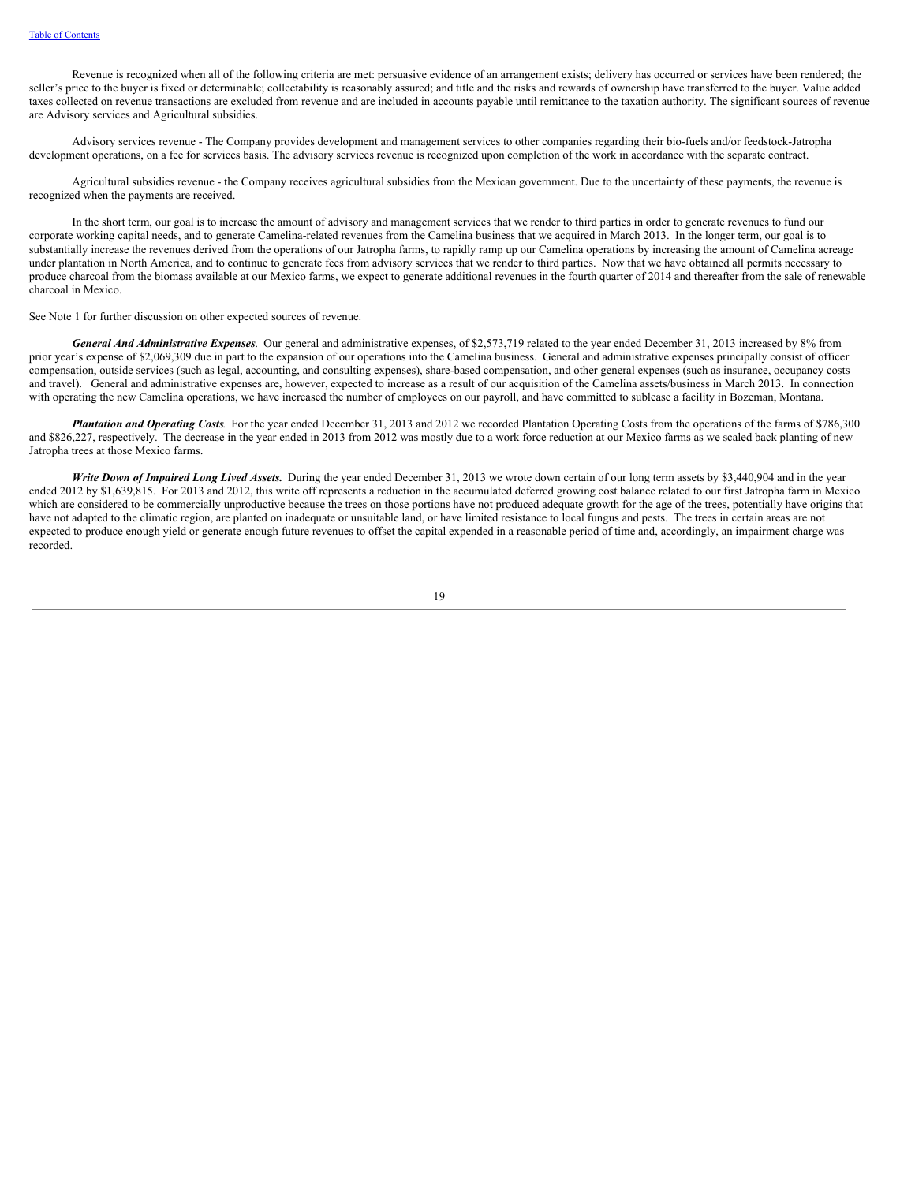Revenue is recognized when all of the following criteria are met: persuasive evidence of an arrangement exists; delivery has occurred or services have been rendered; the seller's price to the buyer is fixed or determinable; collectability is reasonably assured; and title and the risks and rewards of ownership have transferred to the buyer. Value added taxes collected on revenue transactions are excluded from revenue and are included in accounts payable until remittance to the taxation authority. The significant sources of revenue are Advisory services and Agricultural subsidies.

Advisory services revenue - The Company provides development and management services to other companies regarding their bio-fuels and/or feedstock-Jatropha development operations, on a fee for services basis. The advisory services revenue is recognized upon completion of the work in accordance with the separate contract.

Agricultural subsidies revenue - the Company receives agricultural subsidies from the Mexican government. Due to the uncertainty of these payments, the revenue is recognized when the payments are received.

In the short term, our goal is to increase the amount of advisory and management services that we render to third parties in order to generate revenues to fund our corporate working capital needs, and to generate Camelina-related revenues from the Camelina business that we acquired in March 2013. In the longer term, our goal is to substantially increase the revenues derived from the operations of our Jatropha farms, to rapidly ramp up our Camelina operations by increasing the amount of Camelina acreage under plantation in North America, and to continue to generate fees from advisory services that we render to third parties. Now that we have obtained all permits necessary to produce charcoal from the biomass available at our Mexico farms, we expect to generate additional revenues in the fourth quarter of 2014 and thereafter from the sale of renewable charcoal in Mexico.

See Note 1 for further discussion on other expected sources of revenue.

*General And Administrative Expenses*. Our general and administrative expenses, of \$2,573,719 related to the year ended December 31, 2013 increased by 8% from prior year's expense of \$2,069,309 due in part to the expansion of our operations into the Camelina business. General and administrative expenses principally consist of officer compensation, outside services (such as legal, accounting, and consulting expenses), share-based compensation, and other general expenses (such as insurance, occupancy costs and travel). General and administrative expenses are, however, expected to increase as a result of our acquisition of the Camelina assets/business in March 2013. In connection with operating the new Camelina operations, we have increased the number of employees on our payroll, and have committed to sublease a facility in Bozeman, Montana.

*Plantation and Operating Costs*. For the year ended December 31, 2013 and 2012 we recorded Plantation Operating Costs from the operations of the farms of \$786,300 and \$826,227, respectively. The decrease in the year ended in 2013 from 2012 was mostly due to a work force reduction at our Mexico farms as we scaled back planting of new Jatropha trees at those Mexico farms.

*Write Down of Impaired Long Lived Assets.* During the year ended December 31, 2013 we wrote down certain of our long term assets by \$3,440,904 and in the year ended 2012 by \$1,639,815. For 2013 and 2012, this write off represents a reduction in the accumulated deferred growing cost balance related to our first Jatropha farm in Mexico which are considered to be commercially unproductive because the trees on those portions have not produced adequate growth for the age of the trees, potentially have origins that have not adapted to the climatic region, are planted on inadequate or unsuitable land, or have limited resistance to local fungus and pests. The trees in certain areas are not expected to produce enough yield or generate enough future revenues to offset the capital expended in a reasonable period of time and, accordingly, an impairment charge was recorded.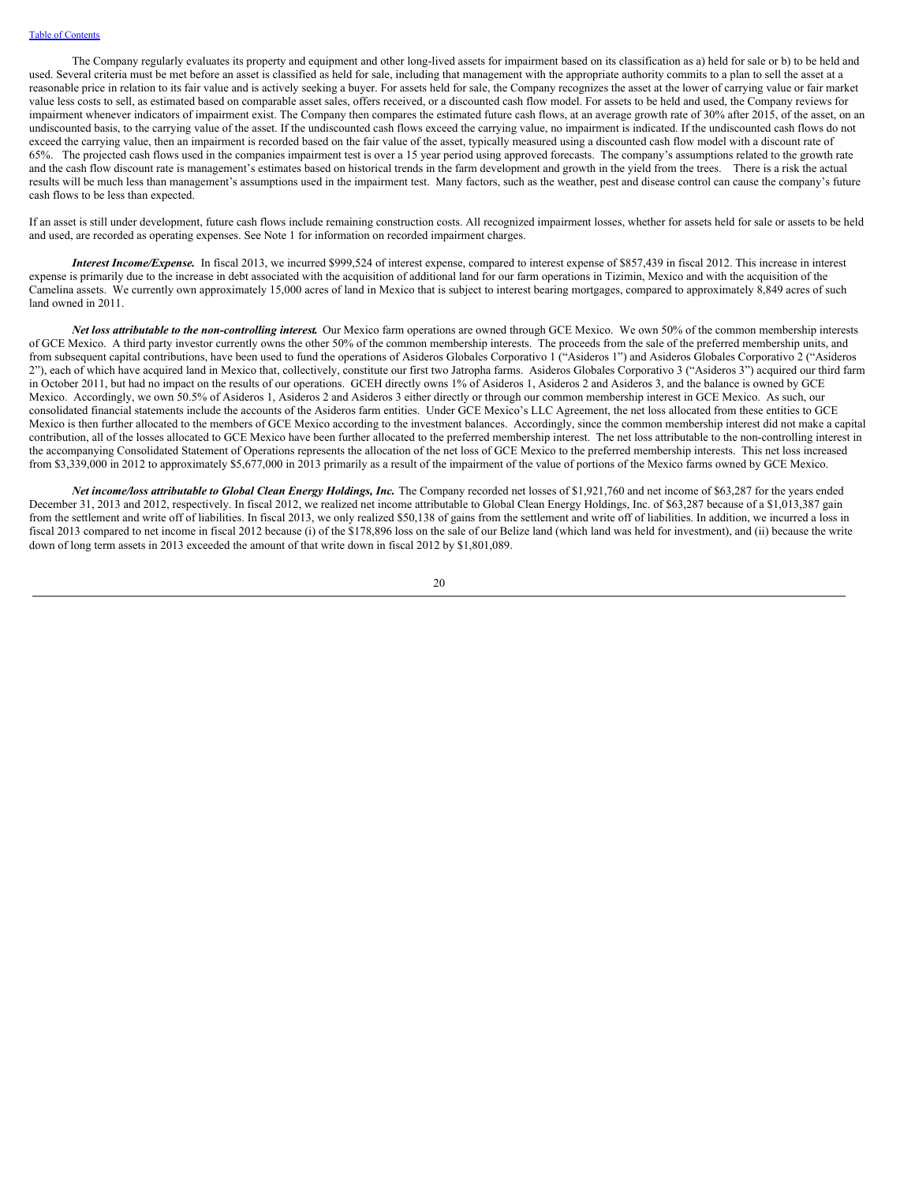The Company regularly evaluates its property and equipment and other long-lived assets for impairment based on its classification as a) held for sale or b) to be held and used. Several criteria must be met before an asset is classified as held for sale, including that management with the appropriate authority commits to a plan to sell the asset at a reasonable price in relation to its fair value and is actively seeking a buyer. For assets held for sale, the Company recognizes the asset at the lower of carrying value or fair market value less costs to sell, as estimated based on comparable asset sales, offers received, or a discounted cash flow model. For assets to be held and used, the Company reviews for impairment whenever indicators of impairment exist. The Company then compares the estimated future cash flows, at an average growth rate of 30% after 2015, of the asset, on an undiscounted basis, to the carrying value of the asset. If the undiscounted cash flows exceed the carrying value, no impairment is indicated. If the undiscounted cash flows do not exceed the carrying value, then an impairment is recorded based on the fair value of the asset, typically measured using a discounted cash flow model with a discount rate of 65%. The projected cash flows used in the companies impairment test is over a 15 year period using approved forecasts. The company's assumptions related to the growth rate and the cash flow discount rate is management's estimates based on historical trends in the farm development and growth in the yield from the trees. There is a risk the actual results will be much less than management's assumptions used in the impairment test. Many factors, such as the weather, pest and disease control can cause the company's future cash flows to be less than expected.

If an asset is still under development, future cash flows include remaining construction costs. All recognized impairment losses, whether for assets held for sale or assets to be held and used, are recorded as operating expenses. See Note 1 for information on recorded impairment charges.

*Interest Income/Expense.* In fiscal 2013, we incurred \$999,524 of interest expense, compared to interest expense of \$857,439 in fiscal 2012. This increase in interest expense is primarily due to the increase in debt associated with the acquisition of additional land for our farm operations in Tizimin, Mexico and with the acquisition of the Camelina assets. We currently own approximately 15,000 acres of land in Mexico that is subject to interest bearing mortgages, compared to approximately 8,849 acres of such land owned in 2011.

*Net loss attributable to the non-controlling interest***.** Our Mexico farm operations are owned through GCE Mexico. We own 50% of the common membership interests of GCE Mexico. A third party investor currently owns the other 50% of the common membership interests. The proceeds from the sale of the preferred membership units, and from subsequent capital contributions, have been used to fund the operations of Asideros Globales Corporativo 1 ("Asideros 1") and Asideros Globales Corporativo 2 ("Asideros 2"), each of which have acquired land in Mexico that, collectively, constitute our first two Jatropha farms. Asideros Globales Corporativo 3 ("Asideros 3") acquired our third farm in October 2011, but had no impact on the results of our operations. GCEH directly owns 1% of Asideros 1, Asideros 2 and Asideros 3, and the balance is owned by GCE Mexico. Accordingly, we own 50.5% of Asideros 1, Asideros 2 and Asideros 3 either directly or through our common membership interest in GCE Mexico. As such, our consolidated financial statements include the accounts of the Asideros farm entities. Under GCE Mexico's LLC Agreement, the net loss allocated from these entities to GCE Mexico is then further allocated to the members of GCE Mexico according to the investment balances. Accordingly, since the common membership interest did not make a capital contribution, all of the losses allocated to GCE Mexico have been further allocated to the preferred membership interest. The net loss attributable to the non-controlling interest in the accompanying Consolidated Statement of Operations represents the allocation of the net loss of GCE Mexico to the preferred membership interests. This net loss increased from \$3,339,000 in 2012 to approximately \$5,677,000 in 2013 primarily as a result of the impairment of the value of portions of the Mexico farms owned by GCE Mexico.

*Net income/loss attributable to Global Clean Energy Holdings, Inc.* The Company recorded net losses of \$1,921,760 and net income of \$63,287 for the years ended December 31, 2013 and 2012, respectively. In fiscal 2012, we realized net income attributable to Global Clean Energy Holdings, Inc. of \$63,287 because of a \$1,013,387 gain from the settlement and write off of liabilities. In fiscal 2013, we only realized \$50,138 of gains from the settlement and write off of liabilities. In addition, we incurred a loss in fiscal 2013 compared to net income in fiscal 2012 because (i) of the \$178,896 loss on the sale of our Belize land (which land was held for investment), and (ii) because the write down of long term assets in 2013 exceeded the amount of that write down in fiscal 2012 by \$1,801,089.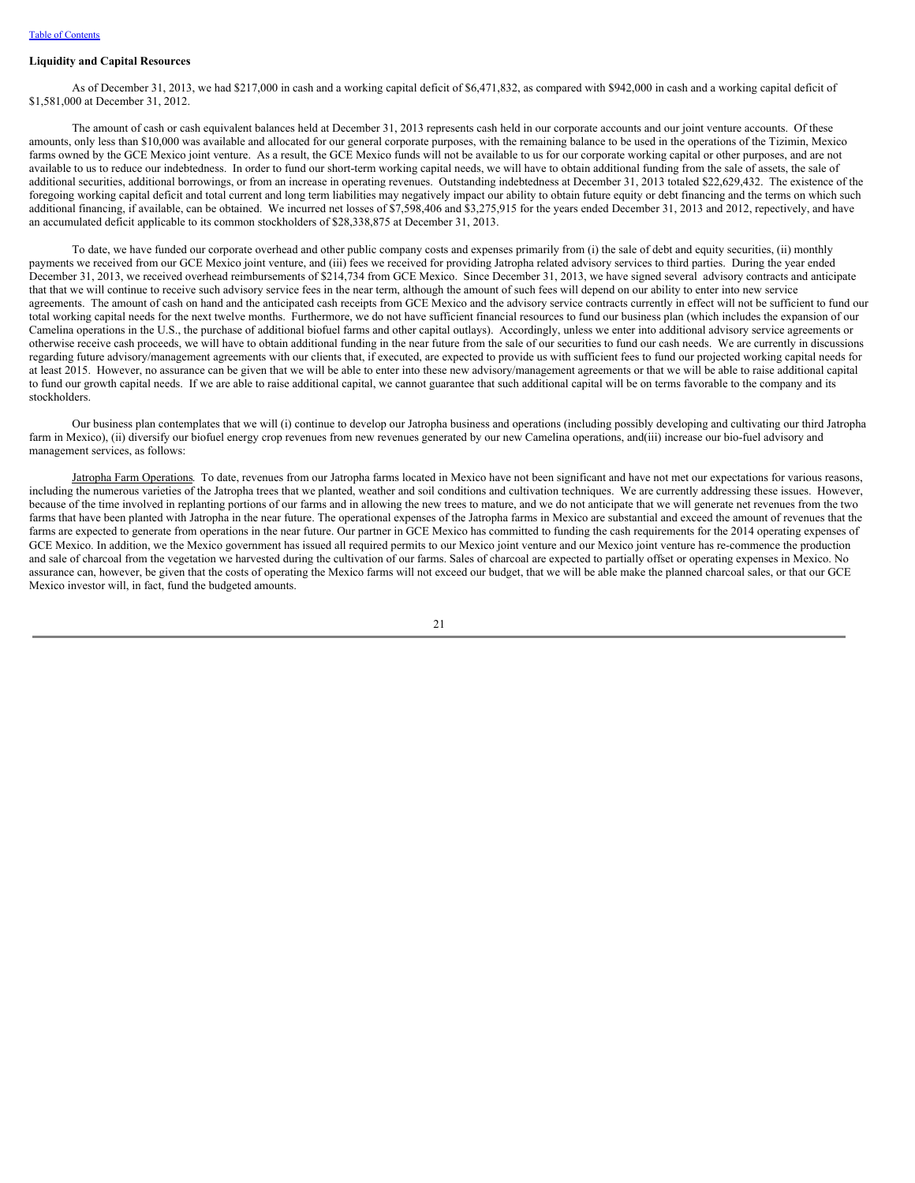#### **Liquidity and Capital Resources**

As of December 31, 2013, we had \$217,000 in cash and a working capital deficit of \$6,471,832, as compared with \$942,000 in cash and a working capital deficit of \$1,581,000 at December 31, 2012.

The amount of cash or cash equivalent balances held at December 31, 2013 represents cash held in our corporate accounts and our joint venture accounts. Of these amounts, only less than \$10,000 was available and allocated for our general corporate purposes, with the remaining balance to be used in the operations of the Tizimin, Mexico farms owned by the GCE Mexico joint venture. As a result, the GCE Mexico funds will not be available to us for our corporate working capital or other purposes, and are not available to us to reduce our indebtedness. In order to fund our short-term working capital needs, we will have to obtain additional funding from the sale of assets, the sale of additional securities, additional borrowings, or from an increase in operating revenues. Outstanding indebtedness at December 31, 2013 totaled \$22,629,432. The existence of the foregoing working capital deficit and total current and long term liabilities may negatively impact our ability to obtain future equity or debt financing and the terms on which such additional financing, if available, can be obtained. We incurred net losses of \$7,598,406 and \$3,275,915 for the years ended December 31, 2013 and 2012, repectively, and have an accumulated deficit applicable to its common stockholders of \$28,338,875 at December 31, 2013.

To date, we have funded our corporate overhead and other public company costs and expenses primarily from (i) the sale of debt and equity securities, (ii) monthly payments we received from our GCE Mexico joint venture, and (iii) fees we received for providing Jatropha related advisory services to third parties. During the year ended December 31, 2013, we received overhead reimbursements of \$214,734 from GCE Mexico. Since December 31, 2013, we have signed several advisory contracts and anticipate that that we will continue to receive such advisory service fees in the near term, although the amount of such fees will depend on our ability to enter into new service agreements. The amount of cash on hand and the anticipated cash receipts from GCE Mexico and the advisory service contracts currently in effect will not be sufficient to fund our total working capital needs for the next twelve months. Furthermore, we do not have sufficient financial resources to fund our business plan (which includes the expansion of our Camelina operations in the U.S., the purchase of additional biofuel farms and other capital outlays). Accordingly, unless we enter into additional advisory service agreements or otherwise receive cash proceeds, we will have to obtain additional funding in the near future from the sale of our securities to fund our cash needs. We are currently in discussions regarding future advisory/management agreements with our clients that, if executed, are expected to provide us with sufficient fees to fund our projected working capital needs for at least 2015. However, no assurance can be given that we will be able to enter into these new advisory/management agreements or that we will be able to raise additional capital to fund our growth capital needs. If we are able to raise additional capital, we cannot guarantee that such additional capital will be on terms favorable to the company and its stockholders.

Our business plan contemplates that we will (i) continue to develop our Jatropha business and operations (including possibly developing and cultivating our third Jatropha farm in Mexico), (ii) diversify our biofuel energy crop revenues from new revenues generated by our new Camelina operations, and(iii) increase our bio-fuel advisory and management services, as follows:

Jatropha Farm Operations. To date, revenues from our Jatropha farms located in Mexico have not been significant and have not met our expectations for various reasons, including the numerous varieties of the Jatropha trees that we planted, weather and soil conditions and cultivation techniques. We are currently addressing these issues. However, because of the time involved in replanting portions of our farms and in allowing the new trees to mature, and we do not anticipate that we will generate net revenues from the two farms that have been planted with Jatropha in the near future. The operational expenses of the Jatropha farms in Mexico are substantial and exceed the amount of revenues that the farms are expected to generate from operations in the near future. Our partner in GCE Mexico has committed to funding the cash requirements for the 2014 operating expenses of GCE Mexico. In addition, we the Mexico government has issued all required permits to our Mexico joint venture and our Mexico joint venture has re-commence the production and sale of charcoal from the vegetation we harvested during the cultivation of our farms. Sales of charcoal are expected to partially offset or operating expenses in Mexico. No assurance can, however, be given that the costs of operating the Mexico farms will not exceed our budget, that we will be able make the planned charcoal sales, or that our GCE Mexico investor will, in fact, fund the budgeted amounts.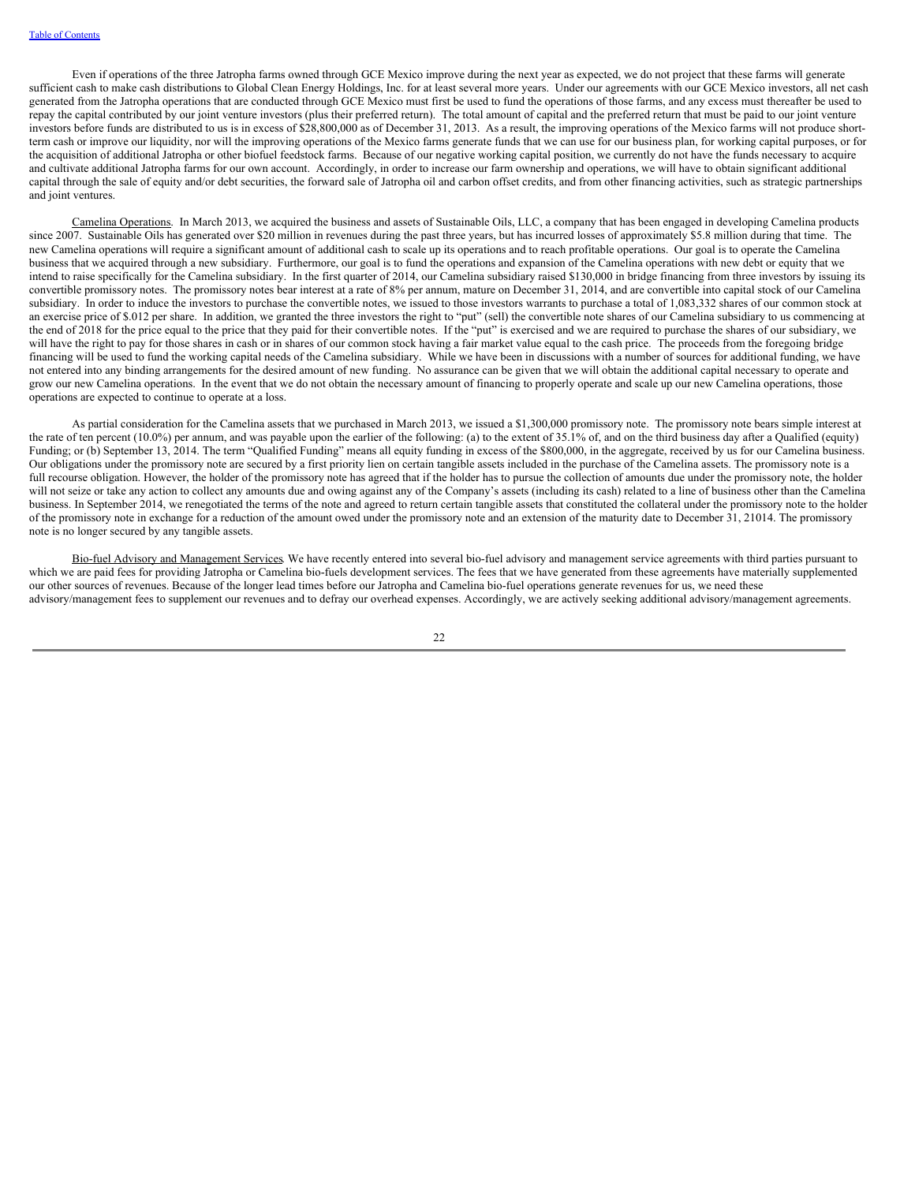Even if operations of the three Jatropha farms owned through GCE Mexico improve during the next year as expected, we do not project that these farms will generate sufficient cash to make cash distributions to Global Clean Energy Holdings, Inc. for at least several more years. Under our agreements with our GCE Mexico investors, all net cash generated from the Jatropha operations that are conducted through GCE Mexico must first be used to fund the operations of those farms, and any excess must thereafter be used to repay the capital contributed by our joint venture investors (plus their preferred return). The total amount of capital and the preferred return that must be paid to our joint venture investors before funds are distributed to us is in excess of \$28,800,000 as of December 31, 2013. As a result, the improving operations of the Mexico farms will not produce shortterm cash or improve our liquidity, nor will the improving operations of the Mexico farms generate funds that we can use for our business plan, for working capital purposes, or for the acquisition of additional Jatropha or other biofuel feedstock farms. Because of our negative working capital position, we currently do not have the funds necessary to acquire and cultivate additional Jatropha farms for our own account. Accordingly, in order to increase our farm ownership and operations, we will have to obtain significant additional capital through the sale of equity and/or debt securities, the forward sale of Jatropha oil and carbon offset credits, and from other financing activities, such as strategic partnerships and joint ventures.

Camelina Operations. In March 2013, we acquired the business and assets of Sustainable Oils, LLC, a company that has been engaged in developing Camelina products since 2007. Sustainable Oils has generated over \$20 million in revenues during the past three years, but has incurred losses of approximately \$5.8 million during that time. The new Camelina operations will require a significant amount of additional cash to scale up its operations and to reach profitable operations. Our goal is to operate the Camelina business that we acquired through a new subsidiary. Furthermore, our goal is to fund the operations and expansion of the Camelina operations with new debt or equity that we intend to raise specifically for the Camelina subsidiary. In the first quarter of 2014, our Camelina subsidiary raised \$130,000 in bridge financing from three investors by issuing its convertible promissory notes. The promissory notes bear interest at a rate of 8% per annum, mature on December 31, 2014, and are convertible into capital stock of our Camelina subsidiary. In order to induce the investors to purchase the convertible notes, we issued to those investors warrants to purchase a total of 1,083,332 shares of our common stock at an exercise price of \$.012 per share. In addition, we granted the three investors the right to "put" (sell) the convertible note shares of our Camelina subsidiary to us commencing at the end of 2018 for the price equal to the price that they paid for their convertible notes. If the "put" is exercised and we are required to purchase the shares of our subsidiary, we will have the right to pay for those shares in cash or in shares of our common stock having a fair market value equal to the cash price. The proceeds from the foregoing bridge financing will be used to fund the working capital needs of the Camelina subsidiary. While we have been in discussions with a number of sources for additional funding, we have not entered into any binding arrangements for the desired amount of new funding. No assurance can be given that we will obtain the additional capital necessary to operate and grow our new Camelina operations. In the event that we do not obtain the necessary amount of financing to properly operate and scale up our new Camelina operations, those operations are expected to continue to operate at a loss.

As partial consideration for the Camelina assets that we purchased in March 2013, we issued a \$1,300,000 promissory note. The promissory note bears simple interest at the rate of ten percent (10.0%) per annum, and was payable upon the earlier of the following: (a) to the extent of 35.1% of, and on the third business day after a Qualified (equity) Funding; or (b) September 13, 2014. The term "Qualified Funding" means all equity funding in excess of the \$800,000, in the aggregate, received by us for our Camelina business. Our obligations under the promissory note are secured by a first priority lien on certain tangible assets included in the purchase of the Camelina assets. The promissory note is a full recourse obligation. However, the holder of the promissory note has agreed that if the holder has to pursue the collection of amounts due under the promissory note, the holder will not seize or take any action to collect any amounts due and owing against any of the Company's assets (including its cash) related to a line of business other than the Camelina business. In September 2014, we renegotiated the terms of the note and agreed to return certain tangible assets that constituted the collateral under the promissory note to the holder of the promissory note in exchange for a reduction of the amount owed under the promissory note and an extension of the maturity date to December 31, 21014. The promissory note is no longer secured by any tangible assets.

Bio-fuel Advisory and Management Services. We have recently entered into several bio-fuel advisory and management service agreements with third parties pursuant to which we are paid fees for providing Jatropha or Camelina bio-fuels development services. The fees that we have generated from these agreements have materially supplemented our other sources of revenues. Because of the longer lead times before our Jatropha and Camelina bio-fuel operations generate revenues for us, we need these advisory/management fees to supplement our revenues and to defray our overhead expenses. Accordingly, we are actively seeking additional advisory/management agreements.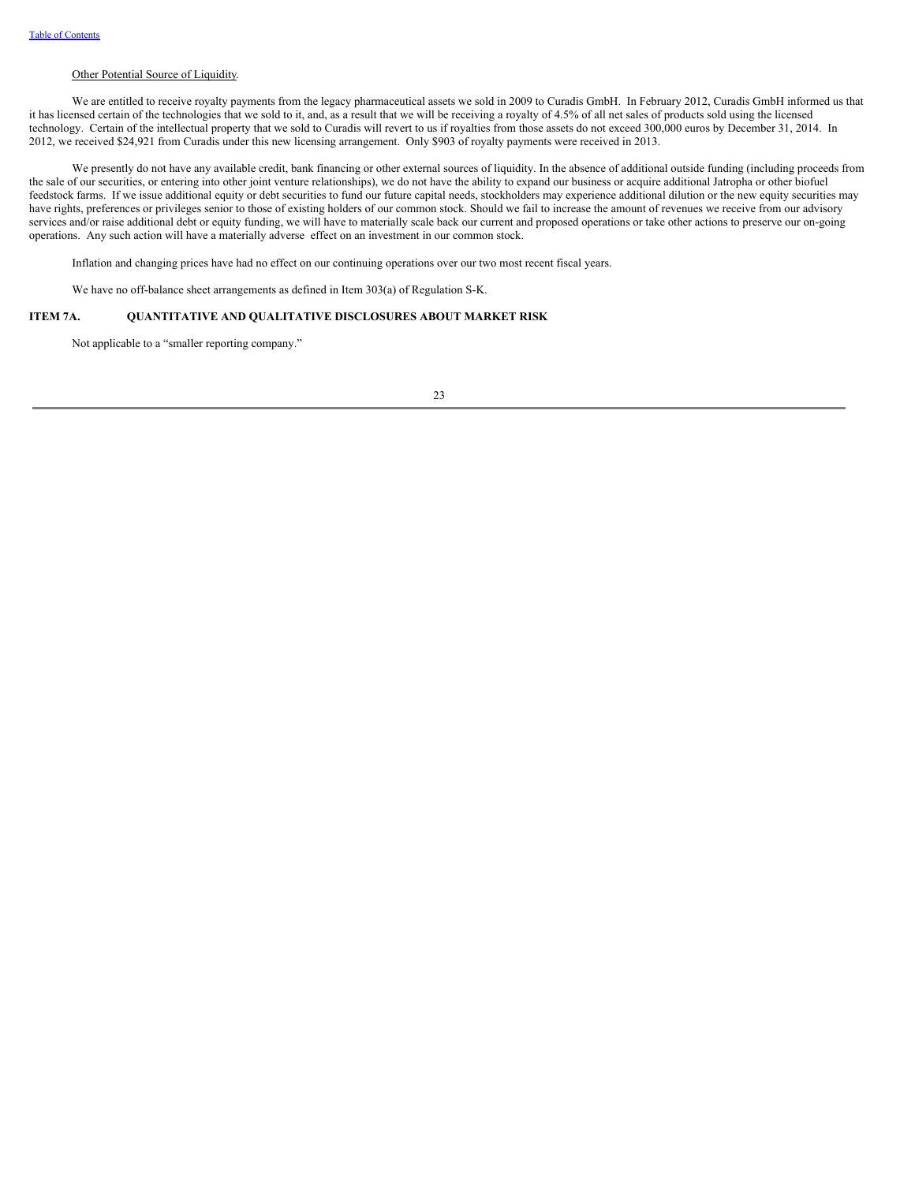### Other Potential Source of Liquidity.

We are entitled to receive royalty payments from the legacy pharmaceutical assets we sold in 2009 to Curadis GmbH. In February 2012, Curadis GmbH informed us that it has licensed certain of the technologies that we sold to it, and, as a result that we will be receiving a royalty of 4.5% of all net sales of products sold using the licensed technology. Certain of the intellectual property that we sold to Curadis will revert to us if royalties from those assets do not exceed 300,000 euros by December 31, 2014. In 2012, we received \$24,921 from Curadis under this new licensing arrangement. Only \$903 of royalty payments were received in 2013.

We presently do not have any available credit, bank financing or other external sources of liquidity. In the absence of additional outside funding (including proceeds from the sale of our securities, or entering into other joint venture relationships), we do not have the ability to expand our business or acquire additional Jatropha or other biofuel feedstock farms. If we issue additional equity or debt securities to fund our future capital needs, stockholders may experience additional dilution or the new equity securities may have rights, preferences or privileges senior to those of existing holders of our common stock. Should we fail to increase the amount of revenues we receive from our advisory services and/or raise additional debt or equity funding, we will have to materially scale back our current and proposed operations or take other actions to preserve our on-going operations. Any such action will have a materially adverse effect on an investment in our common stock.

Inflation and changing prices have had no effect on our continuing operations over our two most recent fiscal years.

We have no off-balance sheet arrangements as defined in Item 303(a) of Regulation S-K.

## **ITEM 7A. QUANTITATIVE AND QUALITATIVE DISCLOSURES ABOUT MARKET RISK**

Not applicable to a "smaller reporting company."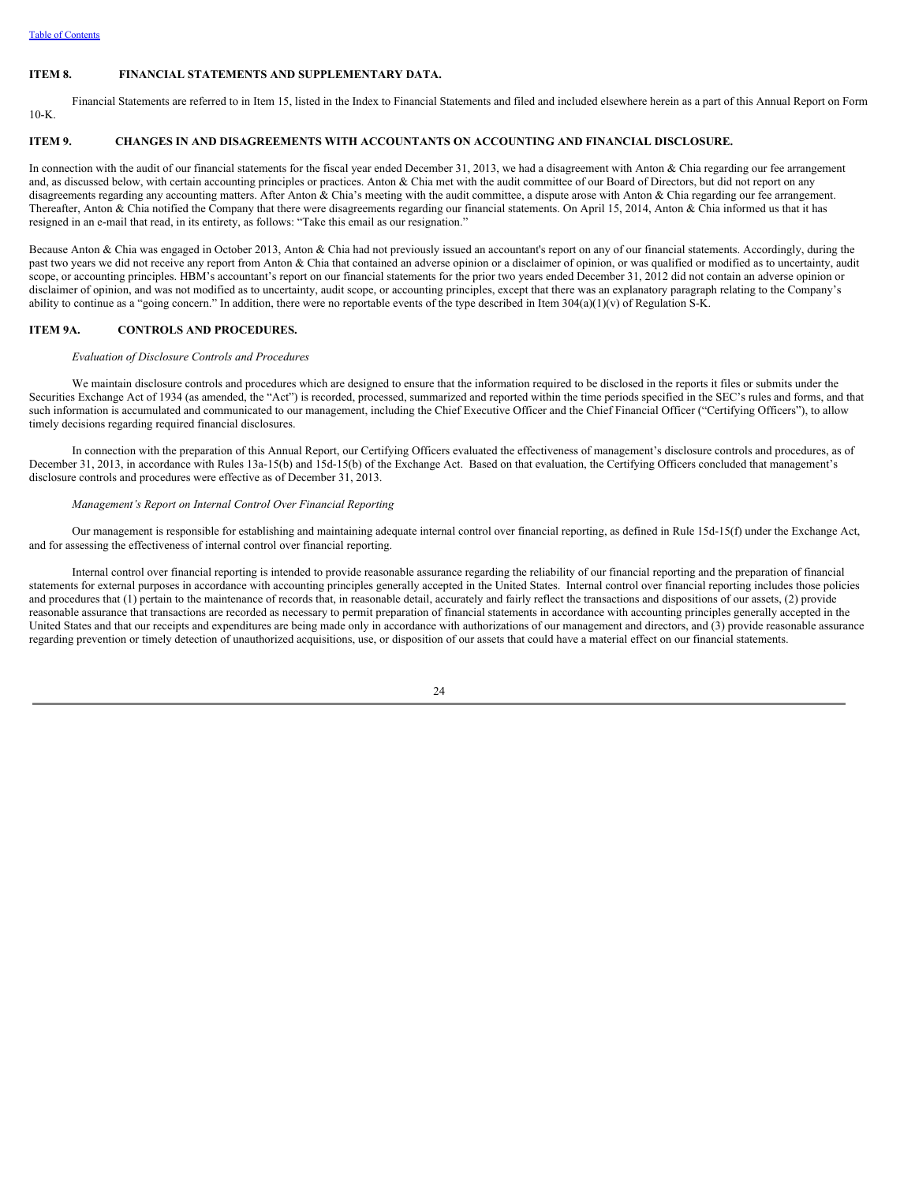#### <span id="page-27-0"></span>**ITEM 8. FINANCIAL STATEMENTS AND SUPPLEMENTARY DATA.**

Financial Statements are referred to in Item 15, listed in the Index to Financial Statements and filed and included elsewhere herein as a part of this Annual Report on Form  $10-K$ 

### <span id="page-27-1"></span>**ITEM 9. CHANGES IN AND DISAGREEMENTS WITH ACCOUNTANTS ON ACCOUNTING AND FINANCIAL DISCLOSURE.**

In connection with the audit of our financial statements for the fiscal year ended December 31, 2013, we had a disagreement with Anton & Chia regarding our fee arrangement and, as discussed below, with certain accounting principles or practices. Anton & Chia met with the audit committee of our Board of Directors, but did not report on any disagreements regarding any accounting matters. After Anton & Chia's meeting with the audit committee, a dispute arose with Anton & Chia regarding our fee arrangement. Thereafter, Anton & Chia notified the Company that there were disagreements regarding our financial statements. On April 15, 2014, Anton & Chia informed us that it has resigned in an e-mail that read, in its entirety, as follows: "Take this email as our resignation."

Because Anton & Chia was engaged in October 2013, Anton & Chia had not previously issued an accountant's report on any of our financial statements. Accordingly, during the past two years we did not receive any report from Anton & Chia that contained an adverse opinion or a disclaimer of opinion, or was qualified or modified as to uncertainty, audit scope, or accounting principles. HBM's accountant's report on our financial statements for the prior two years ended December 31, 2012 did not contain an adverse opinion or disclaimer of opinion, and was not modified as to uncertainty, audit scope, or accounting principles, except that there was an explanatory paragraph relating to the Company's ability to continue as a "going concern." In addition, there were no reportable events of the type described in Item 304(a)(1)(v) of Regulation S-K.

### **ITEM 9A. CONTROLS AND PROCEDURES.**

#### <span id="page-27-2"></span>*Evaluation of Disclosure Controls and Procedures*

We maintain disclosure controls and procedures which are designed to ensure that the information required to be disclosed in the reports it files or submits under the Securities Exchange Act of 1934 (as amended, the "Act") is recorded, processed, summarized and reported within the time periods specified in the SEC's rules and forms, and that such information is accumulated and communicated to our management, including the Chief Executive Officer and the Chief Financial Officer ("Certifying Officers"), to allow timely decisions regarding required financial disclosures.

In connection with the preparation of this Annual Report, our Certifying Officers evaluated the effectiveness of management's disclosure controls and procedures, as of December 31, 2013, in accordance with Rules 13a-15(b) and 15d-15(b) of the Exchange Act. Based on that evaluation, the Certifying Officers concluded that management's disclosure controls and procedures were effective as of December 31, 2013.

#### *Management's Report on Internal Control Over Financial Reporting*

Our management is responsible for establishing and maintaining adequate internal control over financial reporting, as defined in Rule 15d-15(f) under the Exchange Act, and for assessing the effectiveness of internal control over financial reporting.

Internal control over financial reporting is intended to provide reasonable assurance regarding the reliability of our financial reporting and the preparation of financial statements for external purposes in accordance with accounting principles generally accepted in the United States. Internal control over financial reporting includes those policies and procedures that (1) pertain to the maintenance of records that, in reasonable detail, accurately and fairly reflect the transactions and dispositions of our assets, (2) provide reasonable assurance that transactions are recorded as necessary to permit preparation of financial statements in accordance with accounting principles generally accepted in the United States and that our receipts and expenditures are being made only in accordance with authorizations of our management and directors, and (3) provide reasonable assurance regarding prevention or timely detection of unauthorized acquisitions, use, or disposition of our assets that could have a material effect on our financial statements.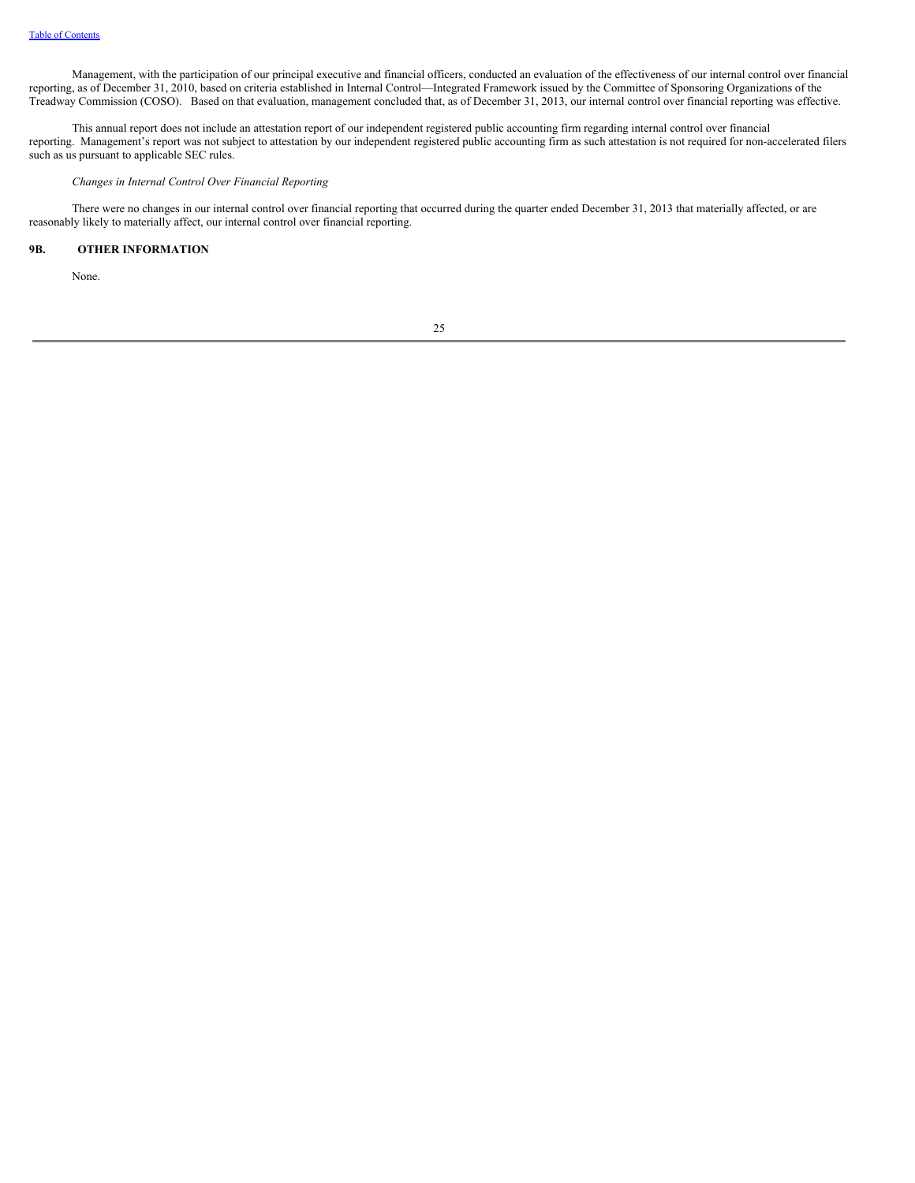Management, with the participation of our principal executive and financial officers, conducted an evaluation of the effectiveness of our internal control over financial reporting, as of December 31, 2010, based on criteria established in Internal Control—Integrated Framework issued by the Committee of Sponsoring Organizations of the Treadway Commission (COSO). Based on that evaluation, management concluded that, as of December 31, 2013, our internal control over financial reporting was effective.

This annual report does not include an attestation report of our independent registered public accounting firm regarding internal control over financial reporting. Management's report was not subject to attestation by our independent registered public accounting firm as such attestation is not required for non-accelerated filers such as us pursuant to applicable SEC rules.

## *Changes in Internal Control Over Financial Reporting*

There were no changes in our internal control over financial reporting that occurred during the quarter ended December 31, 2013 that materially affected, or are reasonably likely to materially affect, our internal control over financial reporting.

# **9B. OTHER INFORMATION**

<span id="page-28-0"></span>None.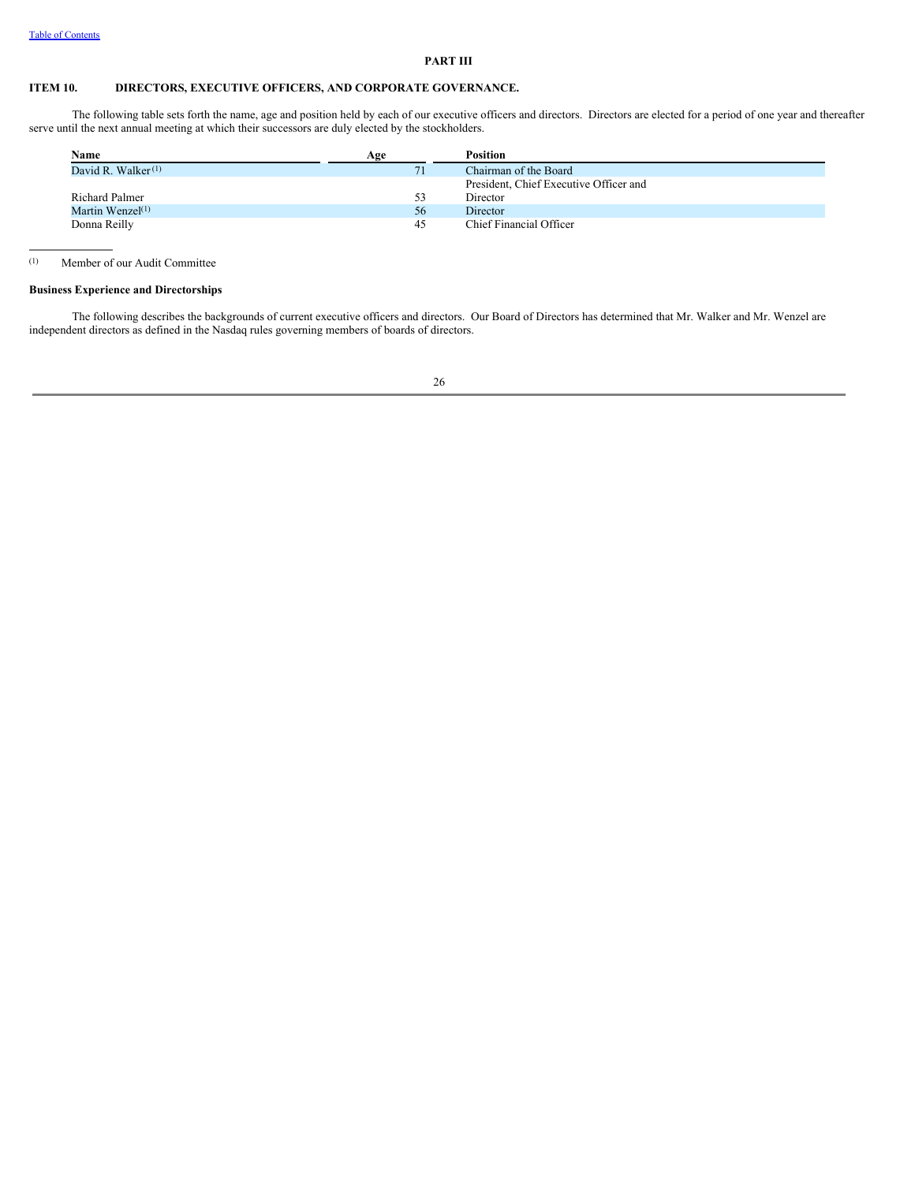#### <span id="page-29-0"></span>**PART III**

# <span id="page-29-1"></span>**ITEM 10. DIRECTORS, EXECUTIVE OFFICERS, AND CORPORATE GOVERNANCE.**

The following table sets forth the name, age and position held by each of our executive officers and directors. Directors are elected for a period of one year and thereafter serve until the next annual meeting at which their successors are duly elected by the stockholders.

| Name                         | Age | <b>Position</b>                        |
|------------------------------|-----|----------------------------------------|
| David R. Walker $(1)$        |     | Chairman of the Board                  |
|                              |     | President, Chief Executive Officer and |
| <b>Richard Palmer</b>        |     | Director                               |
| Martin Wenzel <sup>(1)</sup> | 56  | Director                               |
| Donna Reilly                 | 45  | Chief Financial Officer                |

(1) Member of our Audit Committee

# **Business Experience and Directorships**

The following describes the backgrounds of current executive officers and directors. Our Board of Directors has determined that Mr. Walker and Mr. Wenzel are independent directors as defined in the Nasdaq rules governing members of boards of directors.

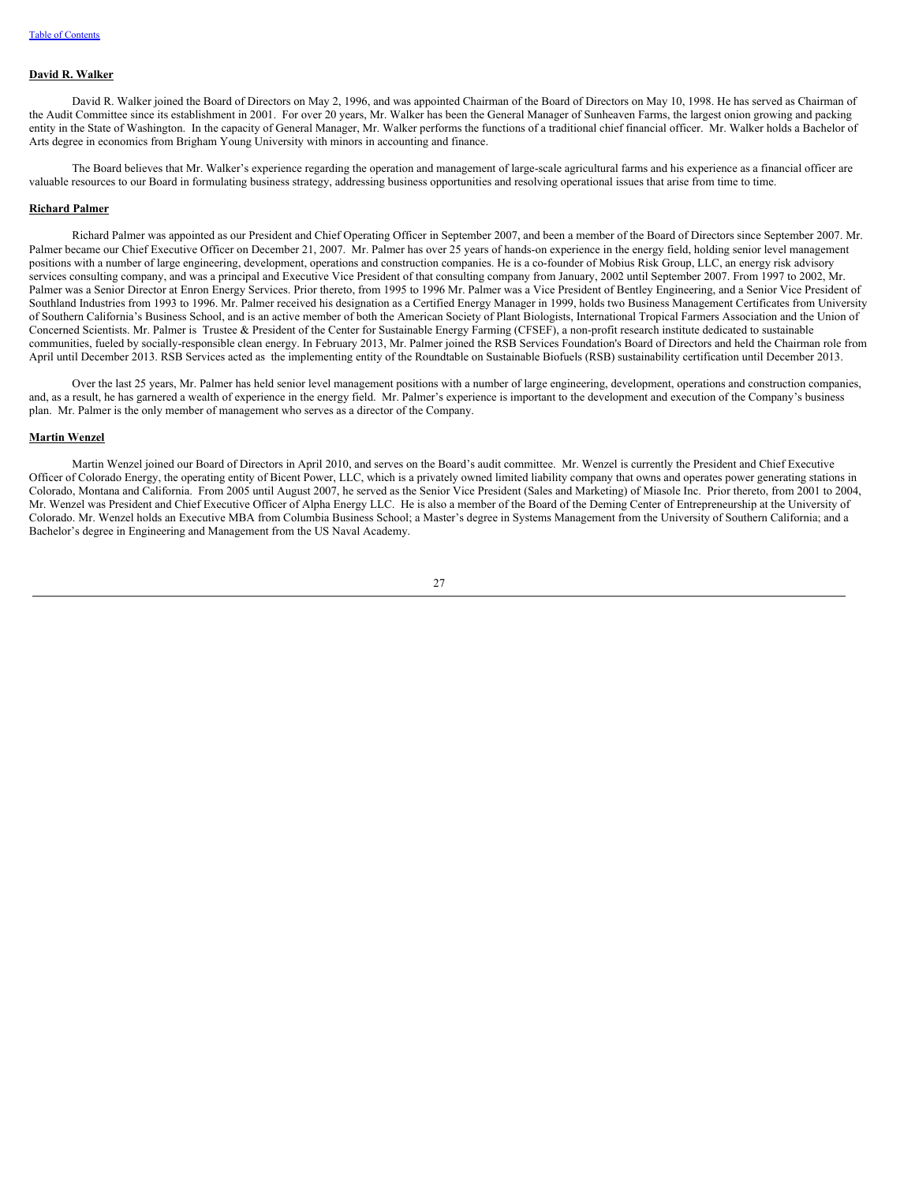### **David R. Walker**

David R. Walker joined the Board of Directors on May 2, 1996, and was appointed Chairman of the Board of Directors on May 10, 1998. He has served as Chairman of the Audit Committee since its establishment in 2001. For over 20 years, Mr. Walker has been the General Manager of Sunheaven Farms, the largest onion growing and packing entity in the State of Washington. In the capacity of General Manager, Mr. Walker performs the functions of a traditional chief financial officer. Mr. Walker holds a Bachelor of Arts degree in economics from Brigham Young University with minors in accounting and finance.

The Board believes that Mr. Walker's experience regarding the operation and management of large-scale agricultural farms and his experience as a financial officer are valuable resources to our Board in formulating business strategy, addressing business opportunities and resolving operational issues that arise from time to time.

#### **Richard Palmer**

Richard Palmer was appointed as our President and Chief Operating Officer in September 2007, and been a member of the Board of Directors since September 2007. Mr. Palmer became our Chief Executive Officer on December 21, 2007. Mr. Palmer has over 25 years of hands-on experience in the energy field, holding senior level management positions with a number of large engineering, development, operations and construction companies. He is a co-founder of Mobius Risk Group, LLC, an energy risk advisory services consulting company, and was a principal and Executive Vice President of that consulting company from January, 2002 until September 2007. From 1997 to 2002, Mr. Palmer was a Senior Director at Enron Energy Services. Prior thereto, from 1995 to 1996 Mr. Palmer was a Vice President of Bentley Engineering, and a Senior Vice President of Southland Industries from 1993 to 1996. Mr. Palmer received his designation as a Certified Energy Manager in 1999, holds two Business Management Certificates from University of Southern California's Business School, and is an active member of both the American Society of Plant Biologists, International Tropical Farmers Association and the Union of Concerned Scientists. Mr. Palmer is Trustee & President of the Center for Sustainable Energy Farming (CFSEF), a non-profit research institute dedicated to sustainable communities, fueled by socially-responsible clean energy. In February 2013, Mr. Palmer joined the RSB Services Foundation's Board of Directors and held the Chairman role from April until December 2013. RSB Services acted as the implementing entity of the Roundtable on Sustainable Biofuels (RSB) sustainability certification until December 2013.

Over the last 25 years, Mr. Palmer has held senior level management positions with a number of large engineering, development, operations and construction companies, and, as a result, he has garnered a wealth of experience in the energy field. Mr. Palmer's experience is important to the development and execution of the Company's business plan. Mr. Palmer is the only member of management who serves as a director of the Company.

#### **Martin Wenzel**

Martin Wenzel joined our Board of Directors in April 2010, and serves on the Board's audit committee. Mr. Wenzel is currently the President and Chief Executive Officer of Colorado Energy, the operating entity of Bicent Power, LLC, which is a privately owned limited liability company that owns and operates power generating stations in Colorado, Montana and California. From 2005 until August 2007, he served as the Senior Vice President (Sales and Marketing) of Miasole Inc. Prior thereto, from 2001 to 2004, Mr. Wenzel was President and Chief Executive Officer of Alpha Energy LLC. He is also a member of the Board of the Deming Center of Entrepreneurship at the University of Colorado. Mr. Wenzel holds an Executive MBA from Columbia Business School; a Master's degree in Systems Management from the University of Southern California; and a Bachelor's degree in Engineering and Management from the US Naval Academy.

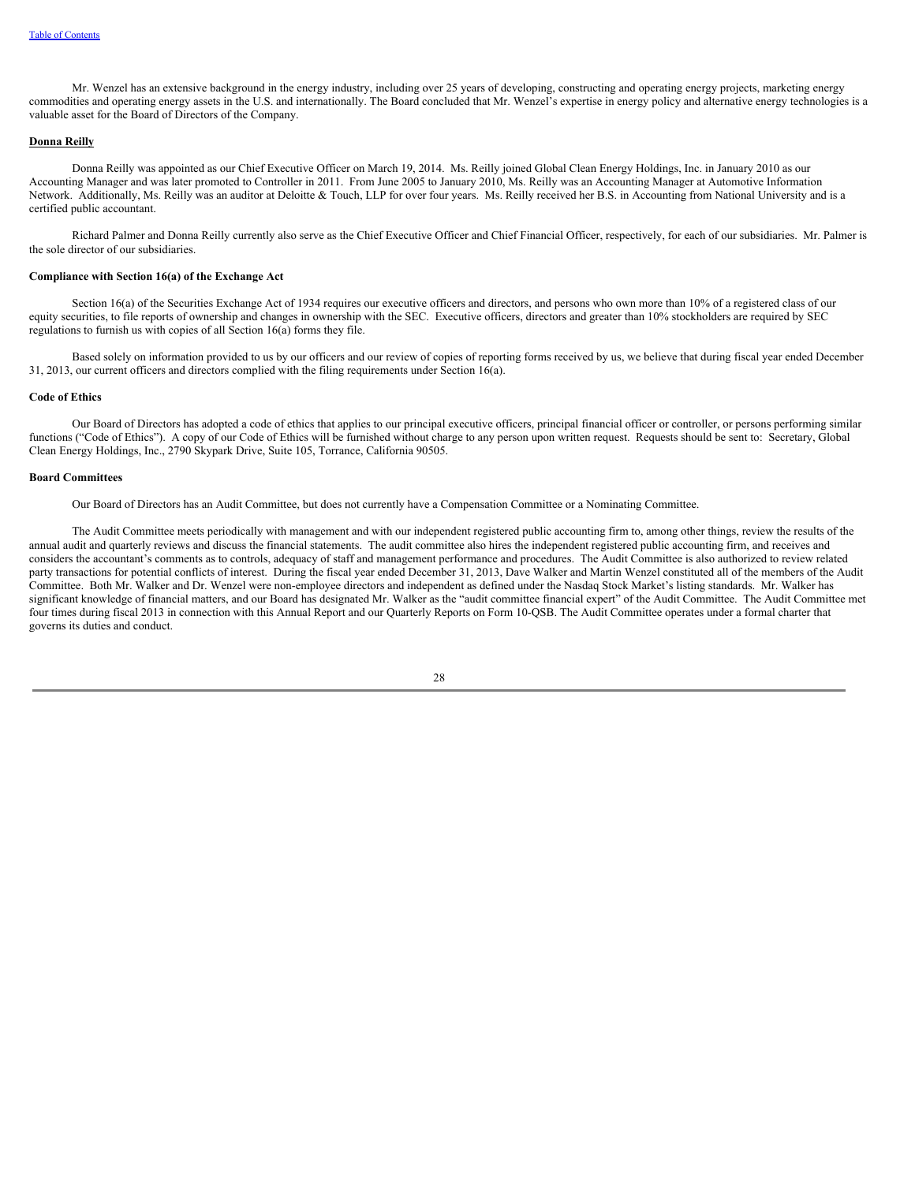Mr. Wenzel has an extensive background in the energy industry, including over 25 years of developing, constructing and operating energy projects, marketing energy commodities and operating energy assets in the U.S. and internationally. The Board concluded that Mr. Wenzel's expertise in energy policy and alternative energy technologies is a valuable asset for the Board of Directors of the Company.

### **Donna Reilly**

Donna Reilly was appointed as our Chief Executive Officer on March 19, 2014. Ms. Reilly joined Global Clean Energy Holdings, Inc. in January 2010 as our Accounting Manager and was later promoted to Controller in 2011. From June 2005 to January 2010, Ms. Reilly was an Accounting Manager at Automotive Information Network. Additionally, Ms. Reilly was an auditor at Deloitte & Touch, LLP for over four years. Ms. Reilly received her B.S. in Accounting from National University and is a certified public accountant.

Richard Palmer and Donna Reilly currently also serve as the Chief Executive Officer and Chief Financial Officer, respectively, for each of our subsidiaries. Mr. Palmer is the sole director of our subsidiaries.

### **Compliance with Section 16(a) of the Exchange Act**

Section 16(a) of the Securities Exchange Act of 1934 requires our executive officers and directors, and persons who own more than 10% of a registered class of our equity securities, to file reports of ownership and changes in ownership with the SEC. Executive officers, directors and greater than 10% stockholders are required by SEC regulations to furnish us with copies of all Section 16(a) forms they file.

Based solely on information provided to us by our officers and our review of copies of reporting forms received by us, we believe that during fiscal year ended December 31, 2013, our current officers and directors complied with the filing requirements under Section 16(a).

#### **Code of Ethics**

Our Board of Directors has adopted a code of ethics that applies to our principal executive officers, principal financial officer or controller, or persons performing similar functions ("Code of Ethics"). A copy of our Code of Ethics will be furnished without charge to any person upon written request. Requests should be sent to: Secretary, Global Clean Energy Holdings, Inc., 2790 Skypark Drive, Suite 105, Torrance, California 90505.

### **Board Committees**

Our Board of Directors has an Audit Committee, but does not currently have a Compensation Committee or a Nominating Committee.

The Audit Committee meets periodically with management and with our independent registered public accounting firm to, among other things, review the results of the annual audit and quarterly reviews and discuss the financial statements. The audit committee also hires the independent registered public accounting firm, and receives and considers the accountant's comments as to controls, adequacy of staff and management performance and procedures. The Audit Committee is also authorized to review related party transactions for potential conflicts of interest. During the fiscal year ended December 31, 2013, Dave Walker and Martin Wenzel constituted all of the members of the Audit Committee. Both Mr. Walker and Dr. Wenzel were non-employee directors and independent as defined under the Nasdaq Stock Market's listing standards. Mr. Walker has significant knowledge of financial matters, and our Board has designated Mr. Walker as the "audit committee financial expert" of the Audit Committee. The Audit Committee met four times during fiscal 2013 in connection with this Annual Report and our Quarterly Reports on Form 10-QSB. The Audit Committee operates under a formal charter that governs its duties and conduct.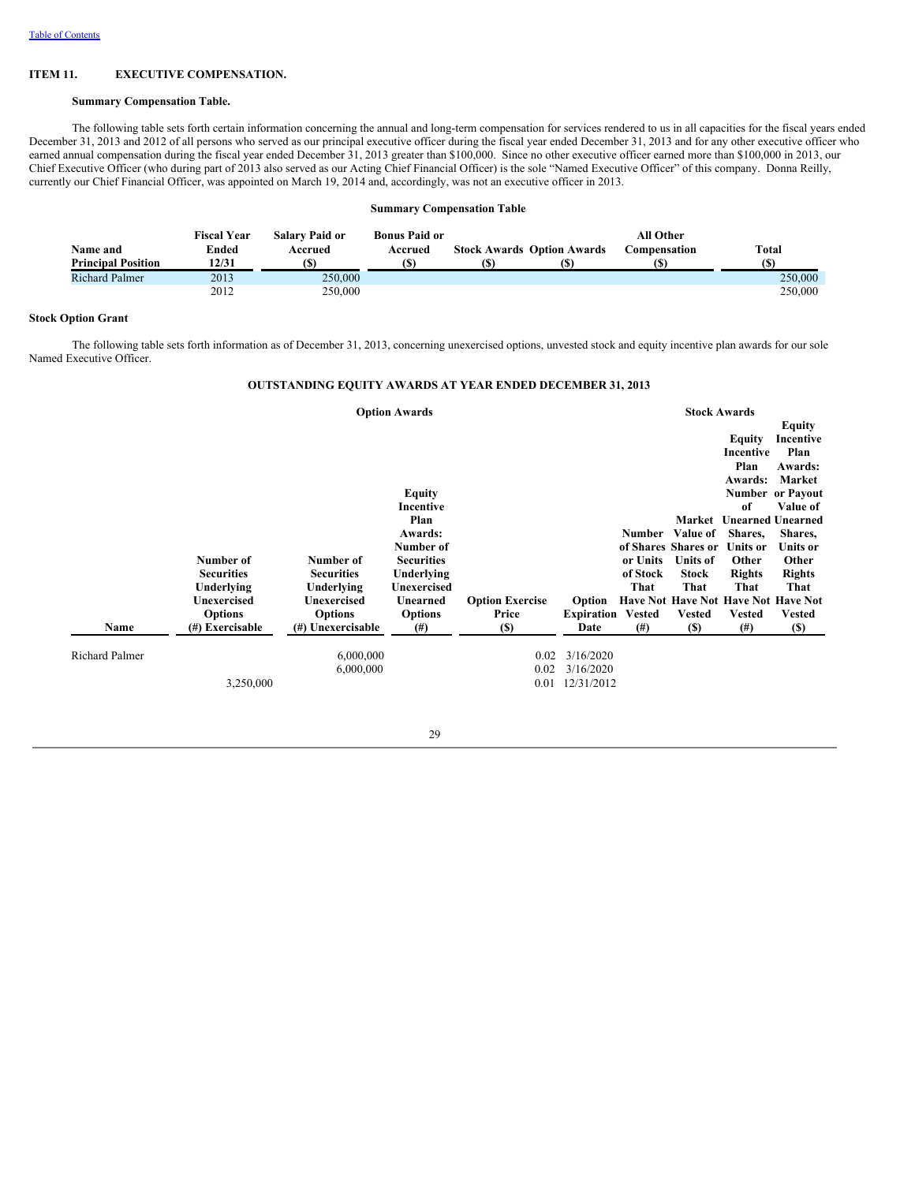## **ITEM 11. EXECUTIVE COMPENSATION.**

## <span id="page-32-0"></span>**Summary Compensation Table.**

The following table sets forth certain information concerning the annual and long-term compensation for services rendered to us in all capacities for the fiscal years ended December 31, 2013 and 2012 of all persons who served as our principal executive officer during the fiscal year ended December 31, 2013 and for any other executive officer who earned annual compensation during the fiscal year ended December 31, 2013 greater than \$100,000. Since no other executive officer earned more than \$100,000 in 2013, our Chief Executive Officer (who during part of 2013 also served as our Acting Chief Financial Officer) is the sole "Named Executive Officer" of this company. Donna Reilly, currently our Chief Financial Officer, was appointed on March 19, 2014 and, accordingly, was not an executive officer in 2013.

#### **Summary Compensation Table**

| Name and                                    | <b>Fiscal Year</b><br>Ended | <b>Salary Paid or</b><br>Accrued | <b>Bonus Paid or</b><br>Accrued | <b>Stock Awards Option Awards</b> | All Other<br>Compensation | <b>Total</b> |
|---------------------------------------------|-----------------------------|----------------------------------|---------------------------------|-----------------------------------|---------------------------|--------------|
| <b>Principal Position</b><br>Richard Palmer | 12/31<br>2013               | 250,000                          |                                 |                                   | (S)                       | 250,000      |
|                                             | 2012                        | 250,000                          |                                 |                                   |                           | 250,000      |

### **Stock Option Grant**

The following table sets forth information as of December 31, 2013, concerning unexercised options, unvested stock and equity incentive plan awards for our sole Named Executive Officer.

## **OUTSTANDING EQUITY AWARDS AT YEAR ENDED DECEMBER 31, 2013**

|                            | <b>Stock Awards</b> |                   |                        |                          |               |                              |                |                                     |
|----------------------------|---------------------|-------------------|------------------------|--------------------------|---------------|------------------------------|----------------|-------------------------------------|
|                            |                     |                   |                        |                          |               |                              |                | Equity                              |
|                            |                     |                   |                        |                          |               |                              | Equity         | Incentive                           |
|                            |                     |                   |                        |                          |               |                              | Incentive      | Plan                                |
|                            |                     |                   |                        |                          |               |                              | Plan           | Awards:                             |
|                            |                     |                   |                        |                          |               |                              | <b>Awards:</b> | Market                              |
|                            |                     | <b>Equity</b>     |                        |                          |               |                              |                | <b>Number or Payout</b>             |
|                            |                     | Incentive         |                        |                          |               |                              | of             | Value of                            |
|                            |                     | Plan              |                        |                          |               |                              |                | <b>Market</b> Unearned Unearned     |
|                            |                     | Awards:           |                        |                          | <b>Number</b> | Value of                     | Shares,        | Shares,                             |
|                            |                     | Number of         |                        |                          |               | of Shares Shares or Units or |                | Units or                            |
| Number of                  | Number of           | <b>Securities</b> |                        |                          | or Units      | <b>Units of</b>              | Other          | Other                               |
| <b>Securities</b>          | <b>Securities</b>   | Underlying        |                        |                          | of Stock      | <b>Stock</b>                 | <b>Rights</b>  | <b>Rights</b>                       |
| Underlying                 | Underlying          | Unexercised       |                        |                          | That          | That                         | That           | That                                |
| Unexercised                | Unexercised         | Unearned          | <b>Option Exercise</b> | Option                   |               |                              |                | Have Not Have Not Have Not Have Not |
| <b>Options</b>             | <b>Options</b>      | <b>Options</b>    | Price                  | <b>Expiration Vested</b> |               | <b>Vested</b>                | Vested         | <b>Vested</b>                       |
| $(\#)$ Exercisable<br>Name | (#) Unexercisable   | $^{(#)}$          | <b>(S)</b>             | Date                     | $^{(#)}$      | <b>(\$)</b>                  | $^{(#)}$       | $(S)$                               |
|                            |                     |                   |                        |                          |               |                              |                |                                     |
| <b>Richard Palmer</b>      | 6,000,000           |                   |                        | 3/16/2020<br>0.02        |               |                              |                |                                     |
|                            | 6,000,000           |                   |                        | 3/16/2020<br>0.02        |               |                              |                |                                     |
| 3,250,000                  |                     |                   |                        | 12/31/2012<br>0.01       |               |                              |                |                                     |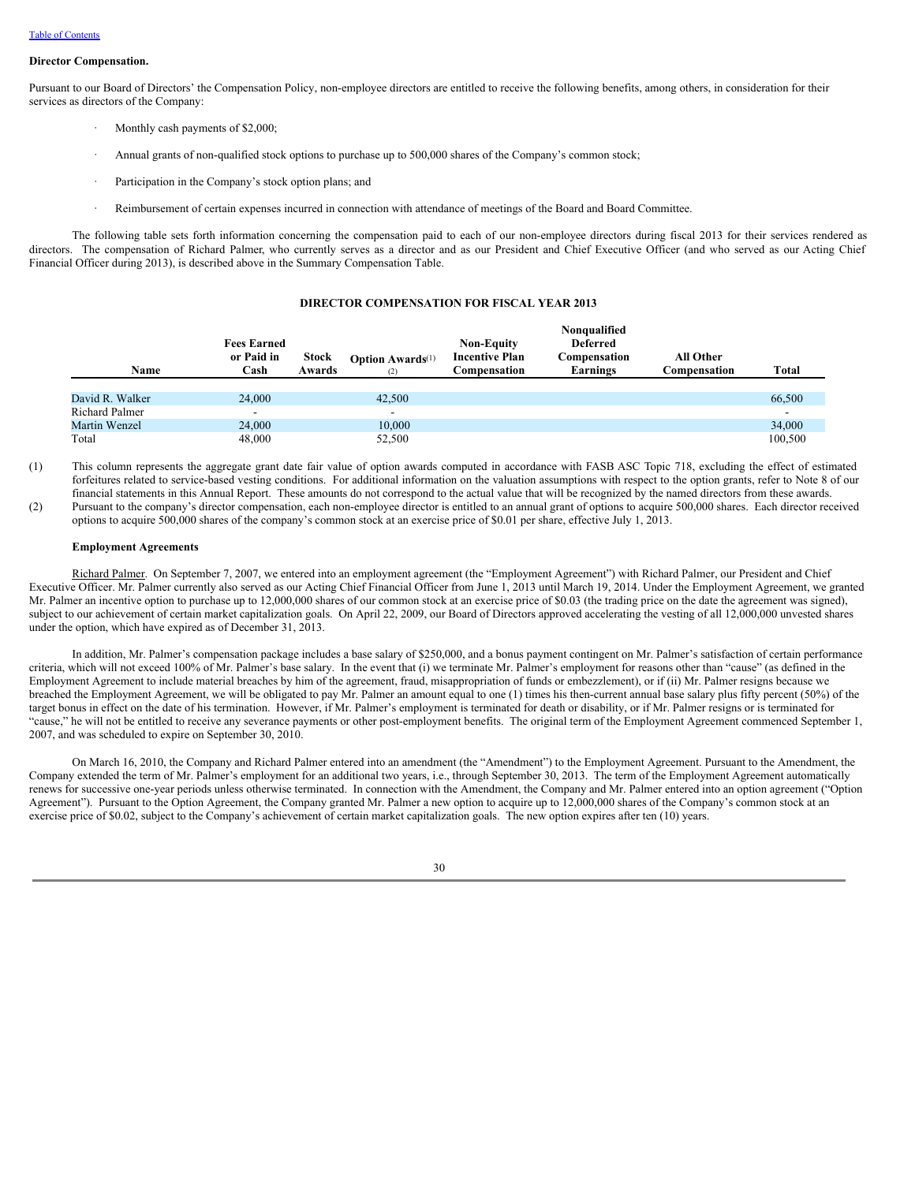#### **Director Compensation.**

Pursuant to our Board of Directors' the Compensation Policy, non-employee directors are entitled to receive the following benefits, among others, in consideration for their services as directors of the Company:

- Monthly cash payments of \$2,000;
- · Annual grants of non-qualified stock options to purchase up to 500,000 shares of the Company's common stock;
- Participation in the Company's stock option plans; and
- Reimbursement of certain expenses incurred in connection with attendance of meetings of the Board and Board Committee.

The following table sets forth information concerning the compensation paid to each of our non-employee directors during fiscal 2013 for their services rendered as directors. The compensation of Richard Palmer, who currently serves as a director and as our President and Chief Executive Officer (and who served as our Acting Chief Financial Officer during 2013), is described above in the Summary Compensation Table.

## **DIRECTOR COMPENSATION FOR FISCAL YEAR 2013**

| Name                  | <b>Fees Earned</b><br>or Paid in<br>Cash | <b>Stock</b><br>Awards | <b>Option Awards</b> $^{(1)}$<br>(2) | <b>Non-Equity</b><br><b>Incentive Plan</b><br>Compensation | Nonqualified<br><b>Deferred</b><br>Compensation<br>Earnings | All Other<br>Compensation | <b>Total</b>             |
|-----------------------|------------------------------------------|------------------------|--------------------------------------|------------------------------------------------------------|-------------------------------------------------------------|---------------------------|--------------------------|
|                       |                                          |                        |                                      |                                                            |                                                             |                           |                          |
| David R. Walker       | 24,000                                   |                        | 42,500                               |                                                            |                                                             |                           | 66,500                   |
| <b>Richard Palmer</b> | $\overline{\phantom{a}}$                 |                        | -                                    |                                                            |                                                             |                           | $\overline{\phantom{0}}$ |
| <b>Martin Wenzel</b>  | 24,000                                   |                        | 10,000                               |                                                            |                                                             |                           | 34,000                   |
| Total                 | 48,000                                   |                        | 52,500                               |                                                            |                                                             |                           | 100.500                  |

(1) This column represents the aggregate grant date fair value of option awards computed in accordance with FASB ASC Topic 718, excluding the effect of estimated forfeitures related to service-based vesting conditions. For additional information on the valuation assumptions with respect to the option grants, refer to Note 8 of our financial statements in this Annual Report. These amounts do not correspond to the actual value that will be recognized by the named directors from these awards. (2) Pursuant to the company's director compensation, each non-employee director is entitled to an annual grant of options to acquire 500,000 shares. Each director received

options to acquire 500,000 shares of the company's common stock at an exercise price of \$0.01 per share, effective July 1, 2013.

### **Employment Agreements**

Richard Palmer. On September 7, 2007, we entered into an employment agreement (the "Employment Agreement") with Richard Palmer, our President and Chief Executive Officer. Mr. Palmer currently also served as our Acting Chief Financial Officer from June 1, 2013 until March 19, 2014. Under the Employment Agreement, we granted Mr. Palmer an incentive option to purchase up to 12,000,000 shares of our common stock at an exercise price of \$0.03 (the trading price on the date the agreement was signed), subject to our achievement of certain market capitalization goals. On April 22, 2009, our Board of Directors approved accelerating the vesting of all 12,000,000 unvested shares under the option, which have expired as of December 31, 2013.

In addition, Mr. Palmer's compensation package includes a base salary of \$250,000, and a bonus payment contingent on Mr. Palmer's satisfaction of certain performance criteria, which will not exceed 100% of Mr. Palmer's base salary. In the event that (i) we terminate Mr. Palmer's employment for reasons other than "cause" (as defined in the Employment Agreement to include material breaches by him of the agreement, fraud, misappropriation of funds or embezzlement), or if (ii) Mr. Palmer resigns because we breached the Employment Agreement, we will be obligated to pay Mr. Palmer an amount equal to one (1) times his then-current annual base salary plus fifty percent (50%) of the target bonus in effect on the date of his termination. However, if Mr. Palmer's employment is terminated for death or disability, or if Mr. Palmer resigns or is terminated for "cause," he will not be entitled to receive any severance payments or other post-employment benefits. The original term of the Employment Agreement commenced September 1, 2007, and was scheduled to expire on September 30, 2010.

On March 16, 2010, the Company and Richard Palmer entered into an amendment (the "Amendment") to the Employment Agreement. Pursuant to the Amendment, the Company extended the term of Mr. Palmer's employment for an additional two years, i.e., through September 30, 2013. The term of the Employment Agreement automatically renews for successive one-year periods unless otherwise terminated. In connection with the Amendment, the Company and Mr. Palmer entered into an option agreement ("Option Agreement"). Pursuant to the Option Agreement, the Company granted Mr. Palmer a new option to acquire up to 12,000,000 shares of the Company's common stock at an exercise price of \$0.02, subject to the Company's achievement of certain market capitalization goals. The new option expires after ten (10) years.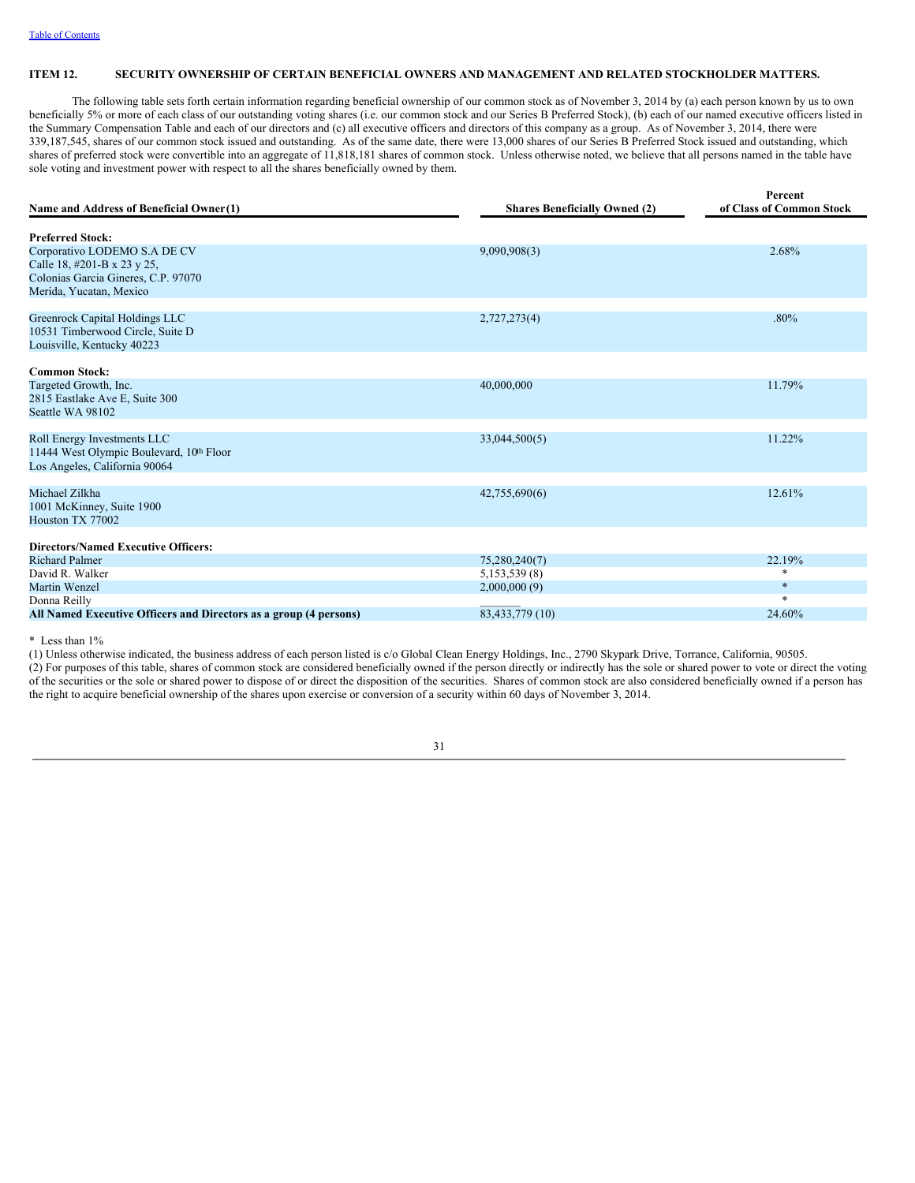## <span id="page-34-0"></span>**ITEM 12. SECURITY OWNERSHIP OF CERTAIN BENEFICIAL OWNERS AND MANAGEMENT AND RELATED STOCKHOLDER MATTERS.**

The following table sets forth certain information regarding beneficial ownership of our common stock as of November 3, 2014 by (a) each person known by us to own beneficially 5% or more of each class of our outstanding voting shares (i.e. our common stock and our Series B Preferred Stock), (b) each of our named executive officers listed in the Summary Compensation Table and each of our directors and (c) all executive officers and directors of this company as a group. As of November 3, 2014, there were 339,187,545, shares of our common stock issued and outstanding. As of the same date, there were 13,000 shares of our Series B Preferred Stock issued and outstanding, which shares of preferred stock were convertible into an aggregate of 11,818,181 shares of common stock. Unless otherwise noted, we believe that all persons named in the table have sole voting and investment power with respect to all the shares beneficially owned by them.

| Name and Address of Beneficial Owner(1)                                   | <b>Shares Beneficially Owned (2)</b> | Percent<br>of Class of Common Stock |
|---------------------------------------------------------------------------|--------------------------------------|-------------------------------------|
|                                                                           |                                      |                                     |
| <b>Preferred Stock:</b>                                                   |                                      |                                     |
| Corporativo LODEMO S.A DE CV                                              | 9,090,908(3)                         | 2.68%                               |
| Calle 18, #201-B x 23 y 25,                                               |                                      |                                     |
| Colonias Garcia Gineres, C.P. 97070                                       |                                      |                                     |
| Merida, Yucatan, Mexico                                                   |                                      |                                     |
| Greenrock Capital Holdings LLC                                            | 2,727,273(4)                         | $.80\%$                             |
| 10531 Timberwood Circle, Suite D                                          |                                      |                                     |
| Louisville, Kentucky 40223                                                |                                      |                                     |
| <b>Common Stock:</b>                                                      |                                      |                                     |
| Targeted Growth, Inc.                                                     | 40,000,000                           | 11.79%                              |
| 2815 Eastlake Ave E, Suite 300                                            |                                      |                                     |
| Seattle WA 98102                                                          |                                      |                                     |
|                                                                           |                                      |                                     |
| Roll Energy Investments LLC                                               | 33,044,500(5)                        | 11.22%                              |
| 11444 West Olympic Boulevard, 10th Floor<br>Los Angeles, California 90064 |                                      |                                     |
|                                                                           |                                      |                                     |
| Michael Zilkha                                                            | 42,755,690(6)                        | 12.61%                              |
| 1001 McKinney, Suite 1900                                                 |                                      |                                     |
| Houston TX 77002                                                          |                                      |                                     |
| <b>Directors/Named Executive Officers:</b>                                |                                      |                                     |
| <b>Richard Palmer</b>                                                     | 75,280,240(7)                        | 22.19%                              |
| David R. Walker                                                           | 5,153,539 (8)                        | *                                   |
| <b>Martin Wenzel</b>                                                      | 2,000,000(9)                         | $\ast$                              |
| Donna Reilly                                                              |                                      | *                                   |
| All Named Executive Officers and Directors as a group (4 persons)         | 83,433,779 (10)                      | 24.60%                              |
|                                                                           |                                      |                                     |

\* Less than 1%

(1) Unless otherwise indicated, the business address of each person listed is c/o Global Clean Energy Holdings, Inc., 2790 Skypark Drive, Torrance, California, 90505. (2) For purposes of this table, shares of common stock are considered beneficially owned if the person directly or indirectly has the sole or shared power to vote or direct the voting of the securities or the sole or shared power to dispose of or direct the disposition of the securities. Shares of common stock are also considered beneficially owned if a person has the right to acquire beneficial ownership of the shares upon exercise or conversion of a security within 60 days of November 3, 2014.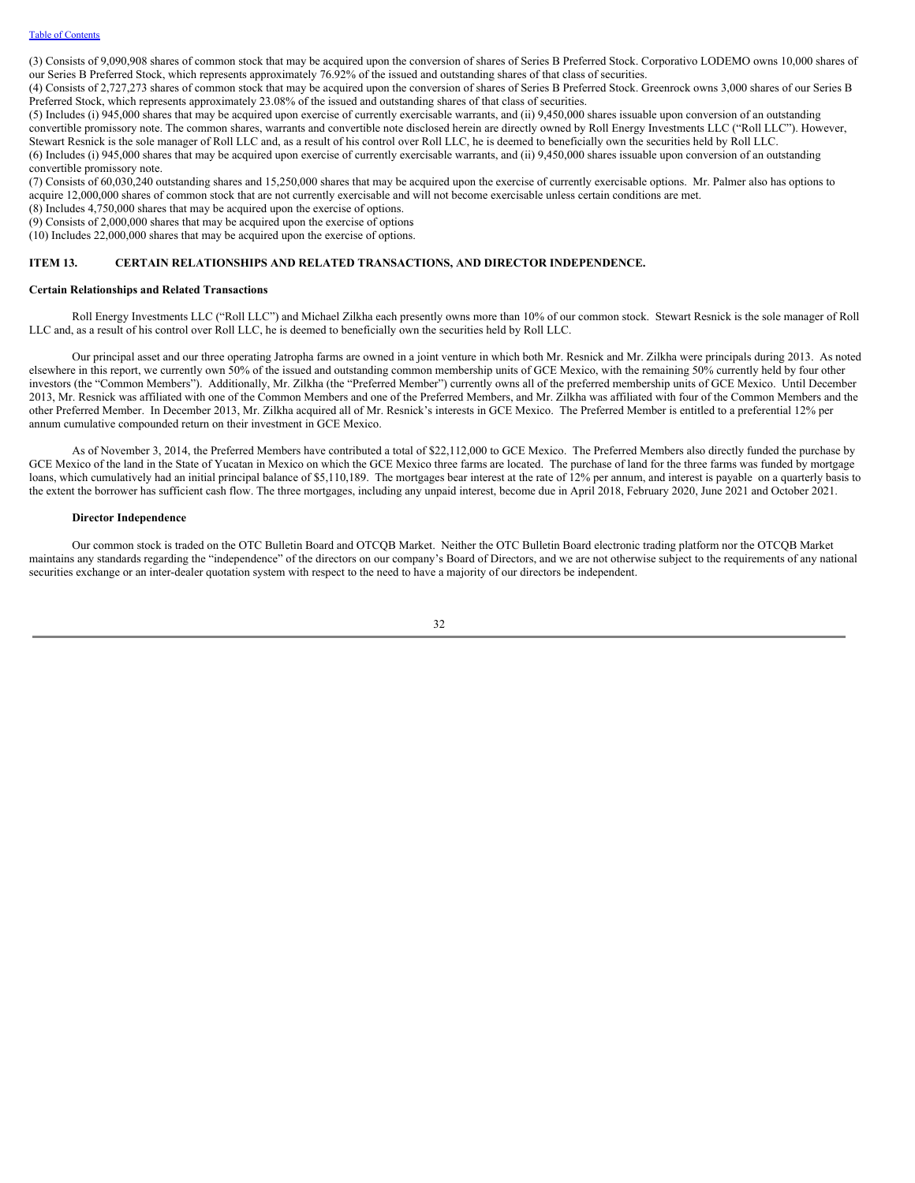(3) Consists of 9,090,908 shares of common stock that may be acquired upon the conversion of shares of Series B Preferred Stock. Corporativo LODEMO owns 10,000 shares of our Series B Preferred Stock, which represents approximately 76.92% of the issued and outstanding shares of that class of securities.

(4) Consists of 2,727,273 shares of common stock that may be acquired upon the conversion of shares of Series B Preferred Stock. Greenrock owns 3,000 shares of our Series B Preferred Stock, which represents approximately 23.08% of the issued and outstanding shares of that class of securities.

(5) Includes (i) 945,000 shares that may be acquired upon exercise of currently exercisable warrants, and (ii) 9,450,000 shares issuable upon conversion of an outstanding convertible promissory note. The common shares, warrants and convertible note disclosed herein are directly owned by Roll Energy Investments LLC ("Roll LLC"). However, Stewart Resnick is the sole manager of Roll LLC and, as a result of his control over Roll LLC, he is deemed to beneficially own the securities held by Roll LLC. (6) Includes (i) 945,000 shares that may be acquired upon exercise of currently exercisable warrants, and (ii) 9,450,000 shares issuable upon conversion of an outstanding convertible promissory note.

(7) Consists of 60,030,240 outstanding shares and 15,250,000 shares that may be acquired upon the exercise of currently exercisable options. Mr. Palmer also has options to acquire 12,000,000 shares of common stock that are not currently exercisable and will not become exercisable unless certain conditions are met.

(8) Includes 4,750,000 shares that may be acquired upon the exercise of options.

(9) Consists of 2,000,000 shares that may be acquired upon the exercise of options.

(10) Includes 22,000,000 shares that may be acquired upon the exercise of options.

### <span id="page-35-0"></span>**ITEM 13. CERTAIN RELATIONSHIPS AND RELATED TRANSACTIONS, AND DIRECTOR INDEPENDENCE.**

#### **Certain Relationships and Related Transactions**

Roll Energy Investments LLC ("Roll LLC") and Michael Zilkha each presently owns more than 10% of our common stock. Stewart Resnick is the sole manager of Roll LLC and, as a result of his control over Roll LLC, he is deemed to beneficially own the securities held by Roll LLC.

Our principal asset and our three operating Jatropha farms are owned in a joint venture in which both Mr. Resnick and Mr. Zilkha were principals during 2013. As noted elsewhere in this report, we currently own 50% of the issued and outstanding common membership units of GCE Mexico, with the remaining 50% currently held by four other investors (the "Common Members"). Additionally, Mr. Zilkha (the "Preferred Member") currently owns all of the preferred membership units of GCE Mexico. Until December 2013, Mr. Resnick was affiliated with one of the Common Members and one of the Preferred Members, and Mr. Zilkha was affiliated with four of the Common Members and the other Preferred Member. In December 2013, Mr. Zilkha acquired all of Mr. Resnick's interests in GCE Mexico. The Preferred Member is entitled to a preferential 12% per annum cumulative compounded return on their investment in GCE Mexico.

As of November 3, 2014, the Preferred Members have contributed a total of \$22,112,000 to GCE Mexico. The Preferred Members also directly funded the purchase by GCE Mexico of the land in the State of Yucatan in Mexico on which the GCE Mexico three farms are located. The purchase of land for the three farms was funded by mortgage loans, which cumulatively had an initial principal balance of \$5,110,189. The mortgages bear interest at the rate of 12% per annum, and interest is payable on a quarterly basis to the extent the borrower has sufficient cash flow. The three mortgages, including any unpaid interest, become due in April 2018, February 2020, June 2021 and October 2021.

### **Director Independence**

Our common stock is traded on the OTC Bulletin Board and OTCQB Market. Neither the OTC Bulletin Board electronic trading platform nor the OTCQB Market maintains any standards regarding the "independence" of the directors on our company's Board of Directors, and we are not otherwise subject to the requirements of any national securities exchange or an inter-dealer quotation system with respect to the need to have a majority of our directors be independent.

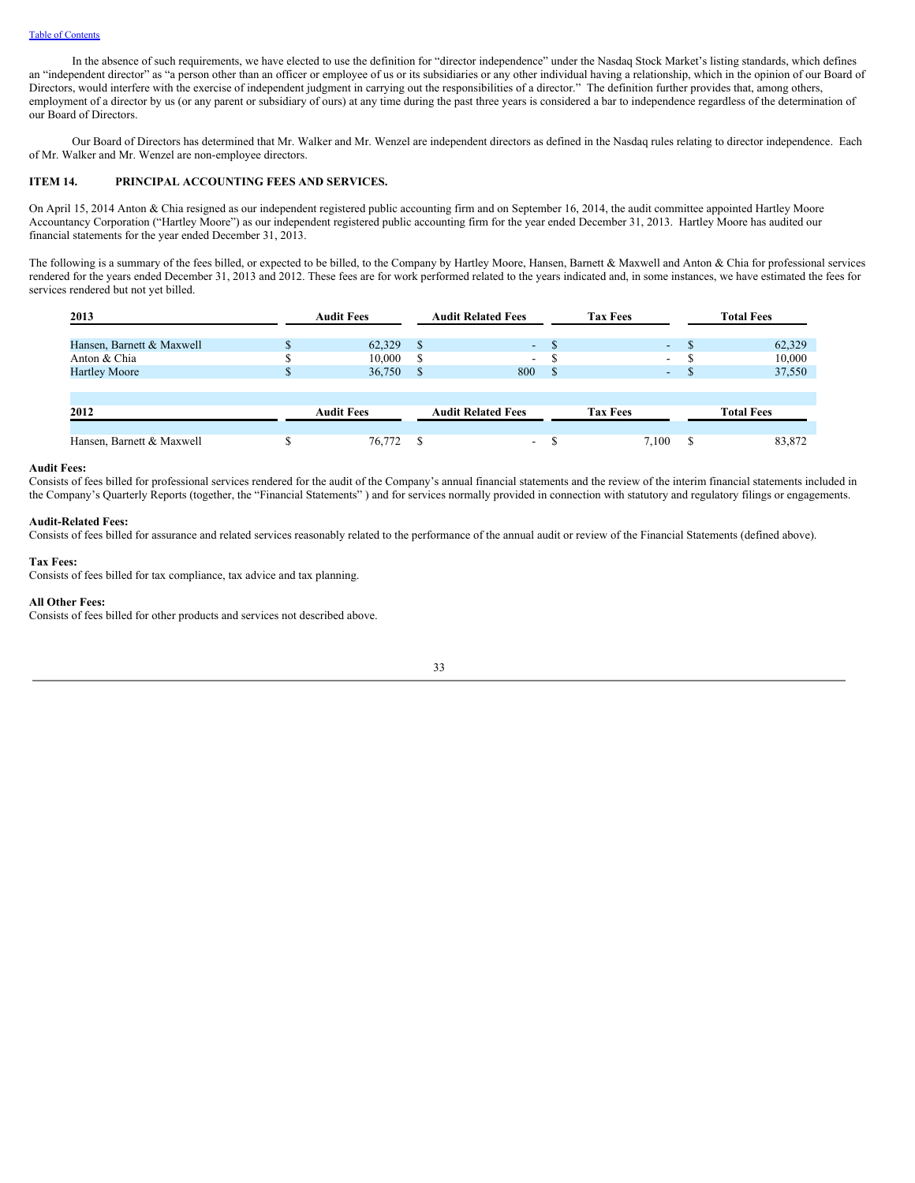In the absence of such requirements, we have elected to use the definition for "director independence" under the Nasdaq Stock Market's listing standards, which defines an "independent director" as "a person other than an officer or employee of us or its subsidiaries or any other individual having a relationship, which in the opinion of our Board of Directors, would interfere with the exercise of independent judgment in carrying out the responsibilities of a director." The definition further provides that, among others, employment of a director by us (or any parent or subsidiary of ours) at any time during the past three years is considered a bar to independence regardless of the determination of our Board of Directors.

Our Board of Directors has determined that Mr. Walker and Mr. Wenzel are independent directors as defined in the Nasdaq rules relating to director independence. Each of Mr. Walker and Mr. Wenzel are non-employee directors.

# **ITEM 14. PRINCIPAL ACCOUNTING FEES AND SERVICES.**

On April 15, 2014 Anton & Chia resigned as our independent registered public accounting firm and on September 16, 2014, the audit committee appointed Hartley Moore Accountancy Corporation ("Hartley Moore") as our independent registered public accounting firm for the year ended December 31, 2013. Hartley Moore has audited our financial statements for the year ended December 31, 2013.

The following is a summary of the fees billed, or expected to be billed, to the Company by Hartley Moore, Hansen, Barnett & Maxwell and Anton & Chia for professional services rendered for the years ended December 31, 2013 and 2012. These fees are for work performed related to the years indicated and, in some instances, we have estimated the fees for services rendered but not yet billed.

| 2013                      |    | <b>Audit Fees</b> | <b>Audit Related Fees</b> |                           |       | <b>Tax Fees</b> |        | <b>Total Fees</b> |                   |  |  |
|---------------------------|----|-------------------|---------------------------|---------------------------|-------|-----------------|--------|-------------------|-------------------|--|--|
| Hansen, Barnett & Maxwell |    | 62,329            | S.                        |                           | $-$ S |                 |        | -S                | 62,329            |  |  |
| Anton & Chia              | Φ  | 10,000            |                           | $\sim$                    |       |                 | $\sim$ |                   | 10.000            |  |  |
| <b>Hartley Moore</b>      | \$ | 36,750            | S                         | 800                       |       |                 | $\sim$ |                   | 37,550            |  |  |
|                           |    |                   |                           |                           |       |                 |        |                   |                   |  |  |
|                           |    |                   |                           |                           |       |                 |        |                   |                   |  |  |
| 2012                      |    | Audit Fees        |                           | <b>Audit Related Fees</b> |       | <b>Tax Fees</b> |        |                   | <b>Total Fees</b> |  |  |
|                           |    |                   |                           |                           |       |                 |        |                   |                   |  |  |
| Hansen, Barnett & Maxwell |    | 76.772            |                           | $\overline{\phantom{a}}$  |       |                 | 7.100  |                   | 83,872            |  |  |

#### **Audit Fees:**

Consists of fees billed for professional services rendered for the audit of the Company's annual financial statements and the review of the interim financial statements included in the Company's Quarterly Reports (together, the "Financial Statements" ) and for services normally provided in connection with statutory and regulatory filings or engagements.

#### **Audit-Related Fees:**

Consists of fees billed for assurance and related services reasonably related to the performance of the annual audit or review of the Financial Statements (defined above).

#### **Tax Fees:**

Consists of fees billed for tax compliance, tax advice and tax planning.

#### **All Other Fees:**

Consists of fees billed for other products and services not described above.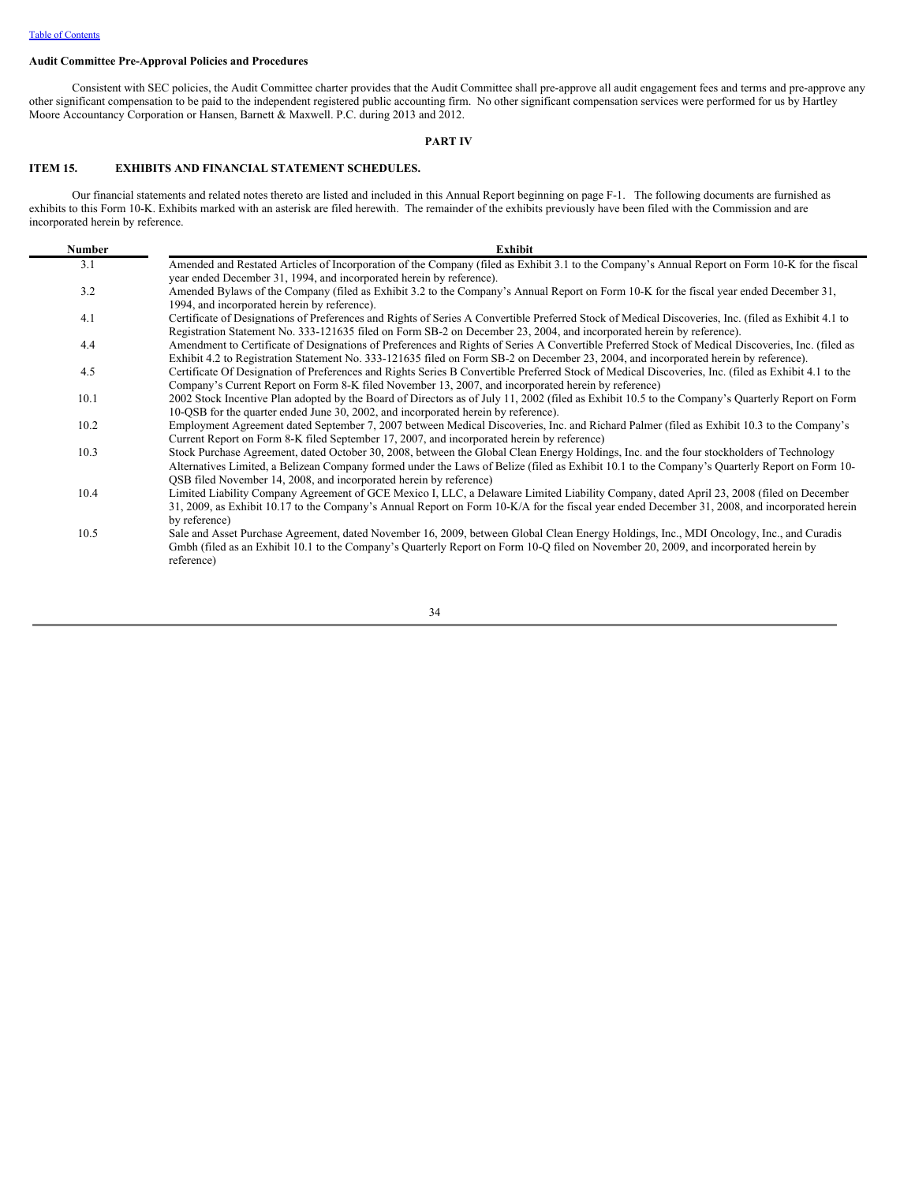#### **Audit Committee Pre-Approval Policies and Procedures**

Consistent with SEC policies, the Audit Committee charter provides that the Audit Committee shall pre-approve all audit engagement fees and terms and pre-approve any other significant compensation to be paid to the independent registered public accounting firm. No other significant compensation services were performed for us by Hartley Moore Accountancy Corporation or Hansen, Barnett & Maxwell. P.C. during 2013 and 2012.

#### **PART IV**

## **ITEM 15. EXHIBITS AND FINANCIAL STATEMENT SCHEDULES.**

Our financial statements and related notes thereto are listed and included in this Annual Report beginning on page F-1. The following documents are furnished as exhibits to this Form 10-K. Exhibits marked with an asterisk are filed herewith. The remainder of the exhibits previously have been filed with the Commission and are incorporated herein by reference.

| <b>Number</b> | <b>Exhibit</b>                                                                                                                                                                                                                                                                                                                                                  |
|---------------|-----------------------------------------------------------------------------------------------------------------------------------------------------------------------------------------------------------------------------------------------------------------------------------------------------------------------------------------------------------------|
| 3.1           | Amended and Restated Articles of Incorporation of the Company (filed as Exhibit 3.1 to the Company's Annual Report on Form 10-K for the fiscal<br>year ended December 31, 1994, and incorporated herein by reference).                                                                                                                                          |
| 3.2           | Amended Bylaws of the Company (filed as Exhibit 3.2 to the Company's Annual Report on Form 10-K for the fiscal year ended December 31,<br>1994, and incorporated herein by reference).                                                                                                                                                                          |
| 4.1           | Certificate of Designations of Preferences and Rights of Series A Convertible Preferred Stock of Medical Discoveries, Inc. (filed as Exhibit 4.1 to<br>Registration Statement No. 333-121635 filed on Form SB-2 on December 23, 2004, and incorporated herein by reference).                                                                                    |
| 4.4           | Amendment to Certificate of Designations of Preferences and Rights of Series A Convertible Preferred Stock of Medical Discoveries, Inc. (filed as<br>Exhibit 4.2 to Registration Statement No. 333-121635 filed on Form SB-2 on December 23, 2004, and incorporated herein by reference).                                                                       |
| 4.5           | Certificate Of Designation of Preferences and Rights Series B Convertible Preferred Stock of Medical Discoveries, Inc. (filed as Exhibit 4.1 to the<br>Company's Current Report on Form 8-K filed November 13, 2007, and incorporated herein by reference)                                                                                                      |
| 10.1          | 2002 Stock Incentive Plan adopted by the Board of Directors as of July 11, 2002 (filed as Exhibit 10.5 to the Company's Quarterly Report on Form<br>10-OSB for the quarter ended June 30, 2002, and incorporated herein by reference).                                                                                                                          |
| 10.2          | Employment Agreement dated September 7, 2007 between Medical Discoveries, Inc. and Richard Palmer (filed as Exhibit 10.3 to the Company's<br>Current Report on Form 8-K filed September 17, 2007, and incorporated herein by reference)                                                                                                                         |
| 10.3          | Stock Purchase Agreement, dated October 30, 2008, between the Global Clean Energy Holdings, Inc. and the four stockholders of Technology<br>Alternatives Limited, a Belizean Company formed under the Laws of Belize (filed as Exhibit 10.1 to the Company's Quarterly Report on Form 10-<br>QSB filed November 14, 2008, and incorporated herein by reference) |
| 10.4          | Limited Liability Company Agreement of GCE Mexico I, LLC, a Delaware Limited Liability Company, dated April 23, 2008 (filed on December<br>31, 2009, as Exhibit 10.17 to the Company's Annual Report on Form 10-K/A for the fiscal year ended December 31, 2008, and incorporated herein<br>by reference)                                                       |
| 10.5          | Sale and Asset Purchase Agreement, dated November 16, 2009, between Global Clean Energy Holdings, Inc., MDI Oncology, Inc., and Curadis<br>Gmbh (filed as an Exhibit 10.1 to the Company's Quarterly Report on Form 10-Q filed on November 20, 2009, and incorporated herein by<br>reference)                                                                   |

34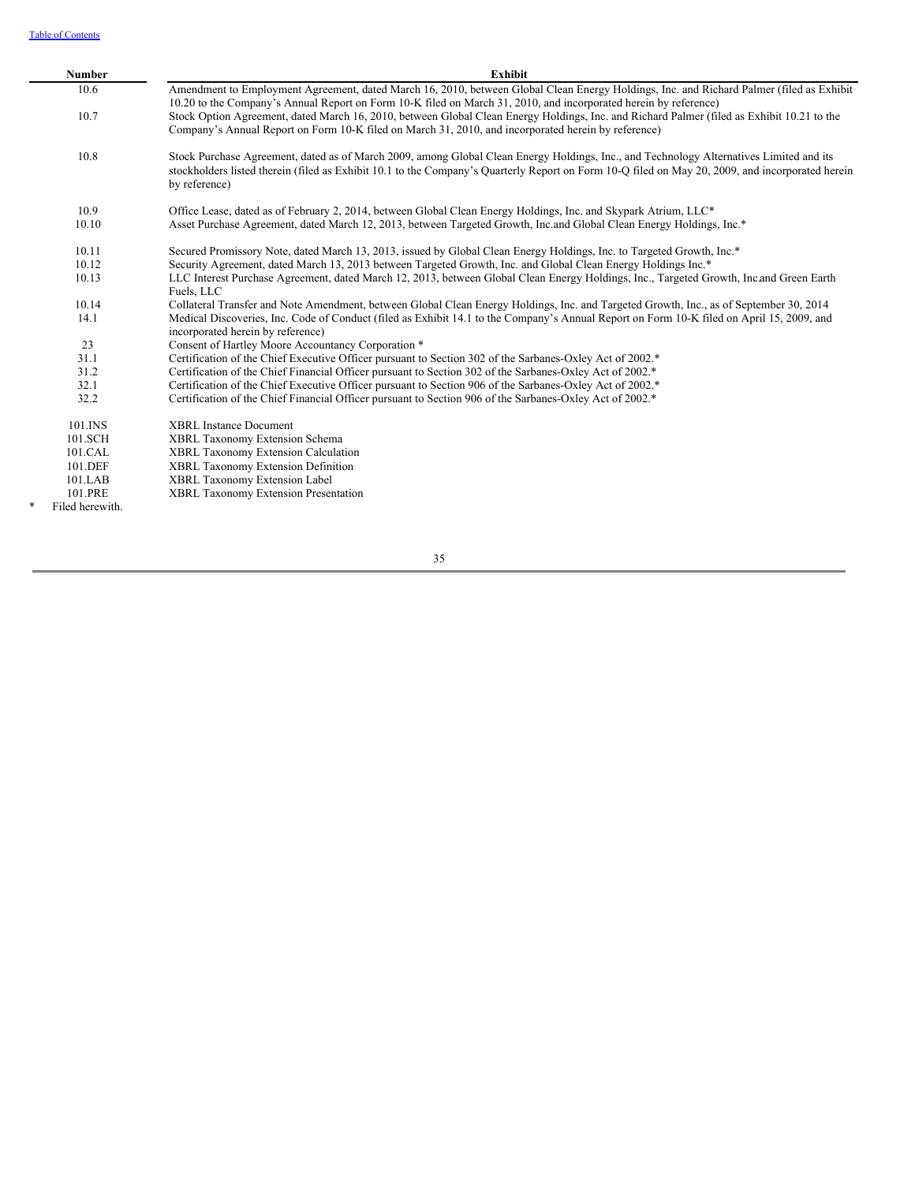| <b>Number</b>        | <b>Exhibit</b>                                                                                                                                                                                                                                                                                               |
|----------------------|--------------------------------------------------------------------------------------------------------------------------------------------------------------------------------------------------------------------------------------------------------------------------------------------------------------|
| 10.6                 | Amendment to Employment Agreement, dated March 16, 2010, between Global Clean Energy Holdings, Inc. and Richard Palmer (filed as Exhibit<br>10.20 to the Company's Annual Report on Form 10-K filed on March 31, 2010, and incorporated herein by reference)                                                 |
| 10.7                 | Stock Option Agreement, dated March 16, 2010, between Global Clean Energy Holdings, Inc. and Richard Palmer (filed as Exhibit 10.21 to the<br>Company's Annual Report on Form 10-K filed on March 31, 2010, and incorporated herein by reference)                                                            |
| 10.8                 | Stock Purchase Agreement, dated as of March 2009, among Global Clean Energy Holdings, Inc., and Technology Alternatives Limited and its<br>stockholders listed therein (filed as Exhibit 10.1 to the Company's Quarterly Report on Form 10-Q filed on May 20, 2009, and incorporated herein<br>by reference) |
| 10.9                 | Office Lease, dated as of February 2, 2014, between Global Clean Energy Holdings, Inc. and Skypark Atrium, LLC*                                                                                                                                                                                              |
| 10.10                | Asset Purchase Agreement, dated March 12, 2013, between Targeted Growth, Inc. and Global Clean Energy Holdings, Inc.*                                                                                                                                                                                        |
| 10.11                | Secured Promissory Note, dated March 13, 2013, issued by Global Clean Energy Holdings, Inc. to Targeted Growth, Inc.*                                                                                                                                                                                        |
| 10.12                | Security Agreement, dated March 13, 2013 between Targeted Growth, Inc. and Global Clean Energy Holdings Inc.*                                                                                                                                                                                                |
| 10.13                | LLC Interest Purchase Agreement, dated March 12, 2013, between Global Clean Energy Holdings, Inc., Targeted Growth, Inc.and Green Earth<br>Fuels, LLC                                                                                                                                                        |
| 10.14                | Collateral Transfer and Note Amendment, between Global Clean Energy Holdings, Inc. and Targeted Growth, Inc., as of September 30, 2014                                                                                                                                                                       |
| 14.1                 | Medical Discoveries, Inc. Code of Conduct (filed as Exhibit 14.1 to the Company's Annual Report on Form 10-K filed on April 15, 2009, and<br>incorporated herein by reference)                                                                                                                               |
| 23                   | Consent of Hartley Moore Accountancy Corporation *                                                                                                                                                                                                                                                           |
| 31.1                 | Certification of the Chief Executive Officer pursuant to Section 302 of the Sarbanes-Oxley Act of 2002.*                                                                                                                                                                                                     |
| 31.2                 | Certification of the Chief Financial Officer pursuant to Section 302 of the Sarbanes-Oxley Act of 2002.*                                                                                                                                                                                                     |
| 32.1                 | Certification of the Chief Executive Officer pursuant to Section 906 of the Sarbanes-Oxley Act of 2002.*                                                                                                                                                                                                     |
| 32.2                 | Certification of the Chief Financial Officer pursuant to Section 906 of the Sarbanes-Oxley Act of 2002.*                                                                                                                                                                                                     |
| 101.INS              | <b>XBRL</b> Instance Document                                                                                                                                                                                                                                                                                |
| 101.SCH              | XBRL Taxonomy Extension Schema                                                                                                                                                                                                                                                                               |
| 101.CAL              | XBRL Taxonomy Extension Calculation                                                                                                                                                                                                                                                                          |
| 101.DEF              | XBRL Taxonomy Extension Definition                                                                                                                                                                                                                                                                           |
| 101.LAB              | XBRL Taxonomy Extension Label                                                                                                                                                                                                                                                                                |
| 101.PRE              | XBRL Taxonomy Extension Presentation                                                                                                                                                                                                                                                                         |
| *<br>Filed herewith. |                                                                                                                                                                                                                                                                                                              |

35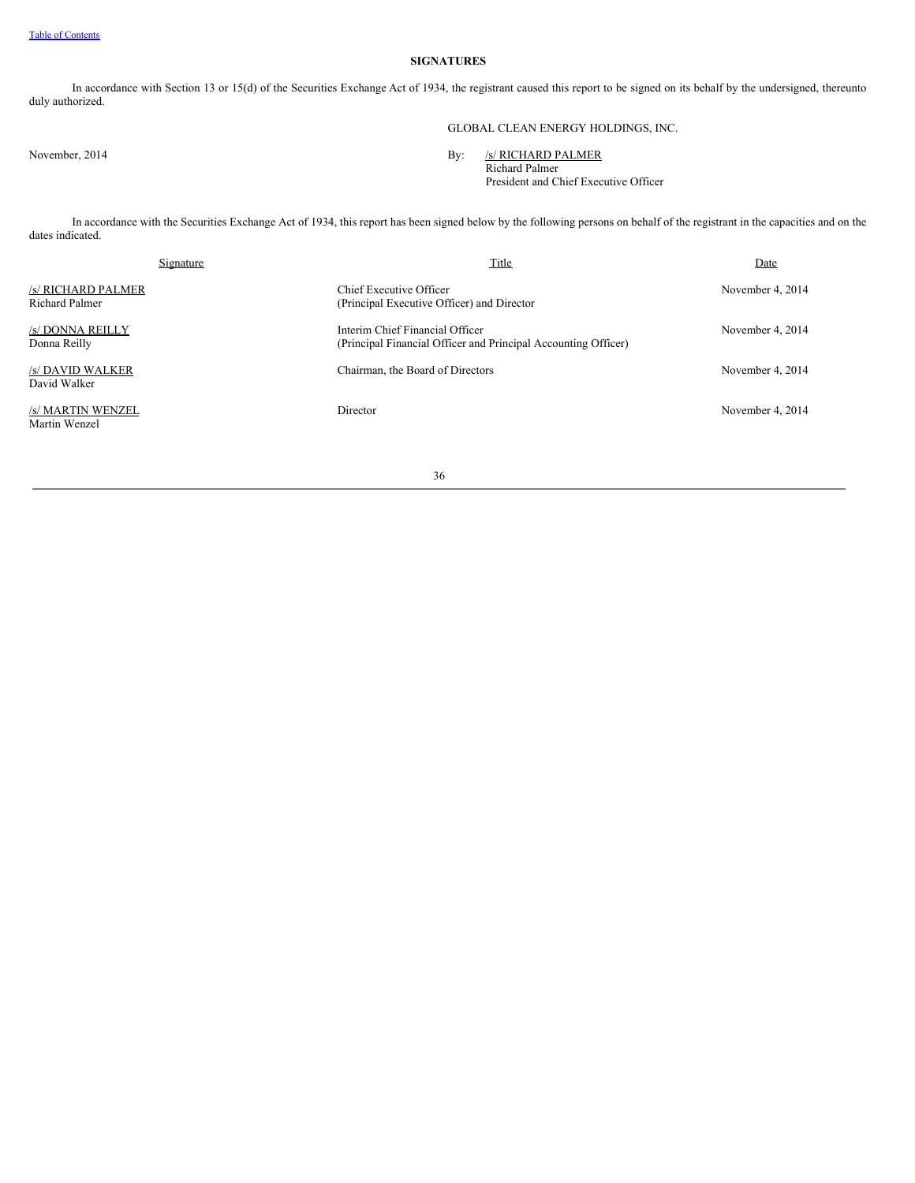# **SIGNATURES**

In accordance with Section 13 or 15(d) of the Securities Exchange Act of 1934, the registrant caused this report to be signed on its behalf by the undersigned, thereunto duly authorized.

GLOBAL CLEAN ENERGY HOLDINGS, INC.

November, 2014 By: /s/ RICHARD PALMER Richard Palmer President and Chief Executive Officer

In accordance with the Securities Exchange Act of 1934, this report has been signed below by the following persons on behalf of the registrant in the capacities and on the dates indicated.

| Signature                            | Title                                                                                             | Date             |
|--------------------------------------|---------------------------------------------------------------------------------------------------|------------------|
| /s/ RICHARD PALMER<br>Richard Palmer | Chief Executive Officer<br>(Principal Executive Officer) and Director                             | November 4, 2014 |
| /s/ DONNA REILLY<br>Donna Reilly     | Interim Chief Financial Officer<br>(Principal Financial Officer and Principal Accounting Officer) | November 4, 2014 |
| /s/ DAVID WALKER<br>David Walker     | Chairman, the Board of Directors                                                                  | November 4, 2014 |
| /s/ MARTIN WENZEL<br>Martin Wenzel   | Director                                                                                          | November 4, 2014 |

# 36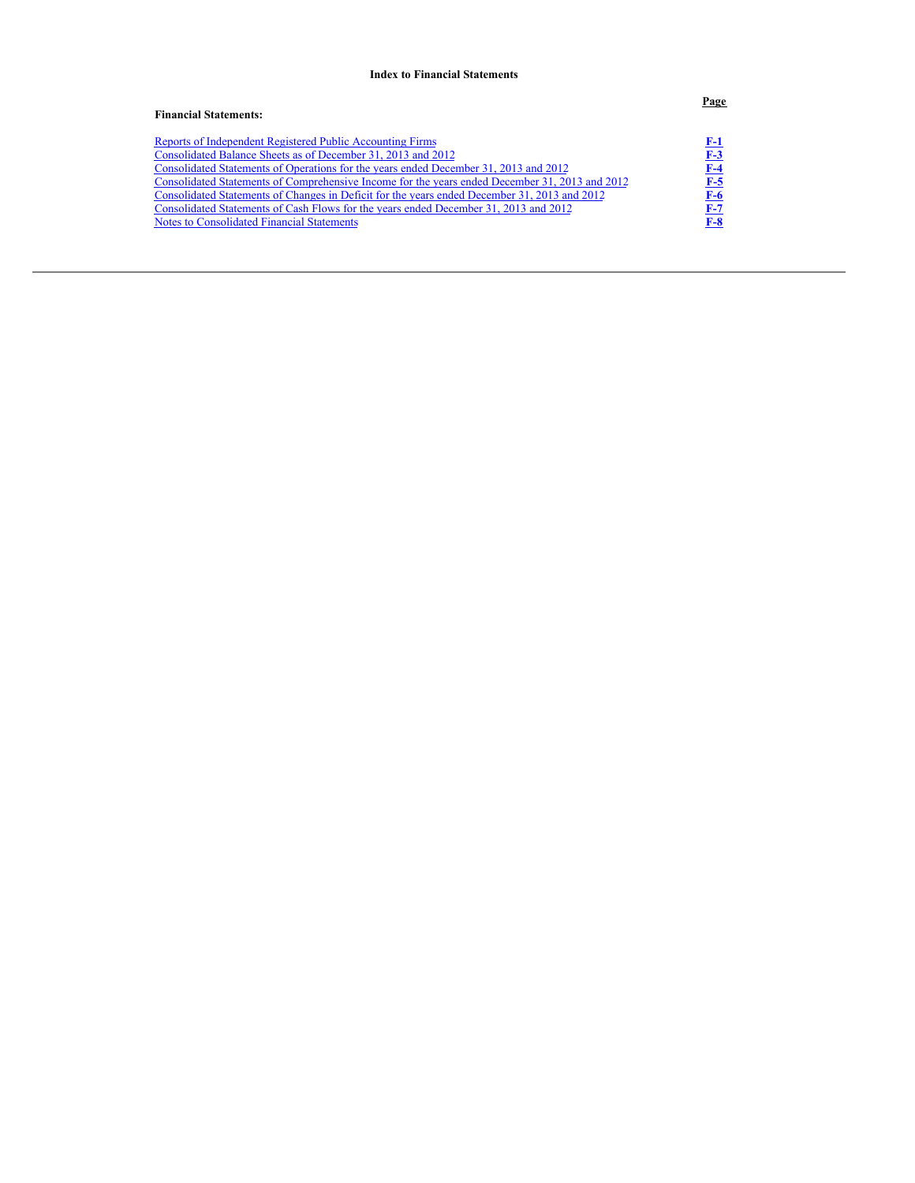# **Index to Financial Statements**

# **Financial Statements:**

# **Page**

| Reports of Independent Registered Public Accounting Firms                                      | $F-1$ |
|------------------------------------------------------------------------------------------------|-------|
| Consolidated Balance Sheets as of December 31, 2013 and 2012                                   | $F-3$ |
| Consolidated Statements of Operations for the years ended December 31, 2013 and 2012           | $F-4$ |
| Consolidated Statements of Comprehensive Income for the years ended December 31, 2013 and 2012 | $F-5$ |
| Consolidated Statements of Changes in Deficit for the years ended December 31, 2013 and 2012   | $F-6$ |
| Consolidated Statements of Cash Flows for the years ended December 31, 2013 and 2012           | $F-7$ |
| <b>Notes to Consolidated Financial Statements</b>                                              | $F-8$ |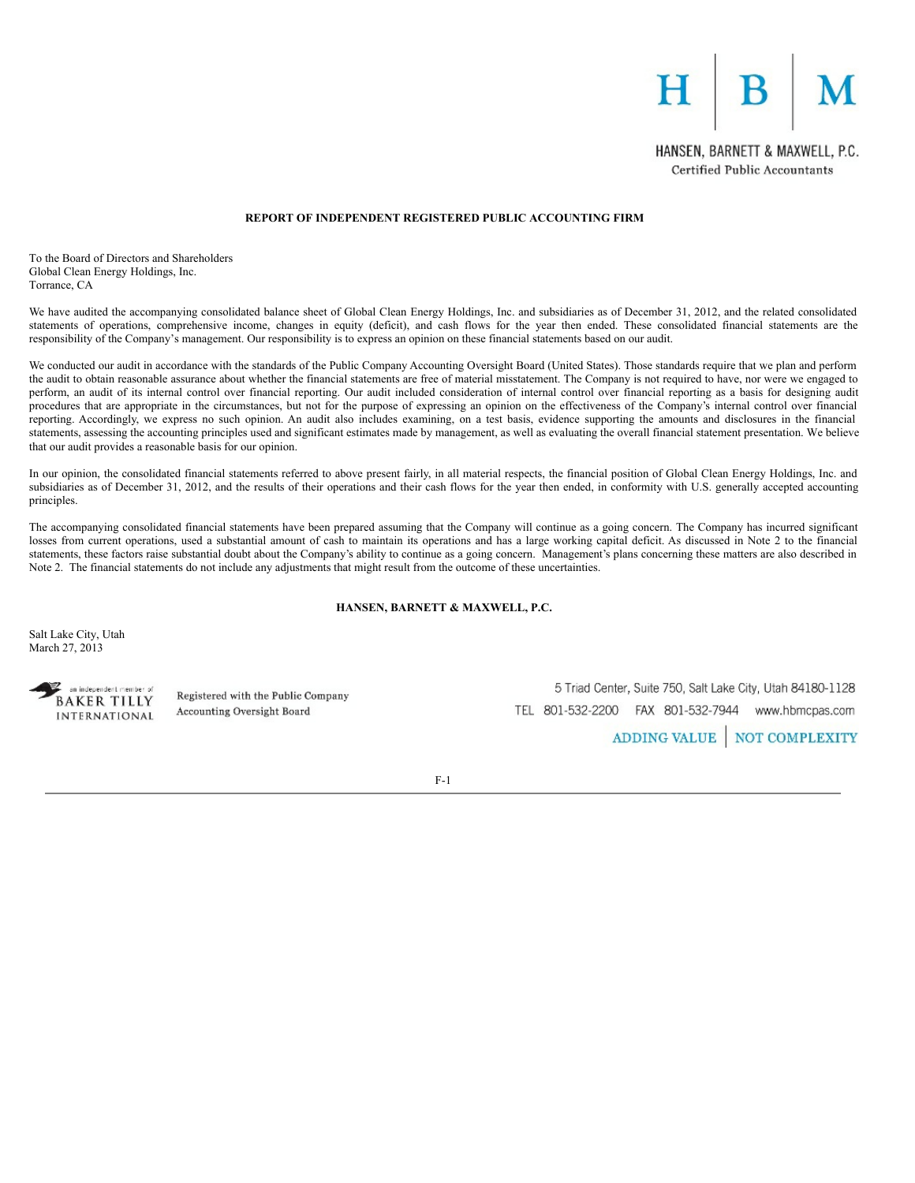

HANSEN, BARNETT & MAXWELL, P.C. **Certified Public Accountants** 

#### **REPORT OF INDEPENDENT REGISTERED PUBLIC ACCOUNTING FIRM**

To the Board of Directors and Shareholders Global Clean Energy Holdings, Inc. Torrance, CA

We have audited the accompanying consolidated balance sheet of Global Clean Energy Holdings, Inc. and subsidiaries as of December 31, 2012, and the related consolidated statements of operations, comprehensive income, changes in equity (deficit), and cash flows for the year then ended. These consolidated financial statements are the responsibility of the Company's management. Our responsibility is to express an opinion on these financial statements based on our audit.

We conducted our audit in accordance with the standards of the Public Company Accounting Oversight Board (United States). Those standards require that we plan and perform the audit to obtain reasonable assurance about whether the financial statements are free of material misstatement. The Company is not required to have, nor were we engaged to perform, an audit of its internal control over financial reporting. Our audit included consideration of internal control over financial reporting as a basis for designing audit procedures that are appropriate in the circumstances, but not for the purpose of expressing an opinion on the effectiveness of the Company's internal control over financial reporting. Accordingly, we express no such opinion. An audit also includes examining, on a test basis, evidence supporting the amounts and disclosures in the financial statements, assessing the accounting principles used and significant estimates made by management, as well as evaluating the overall financial statement presentation. We believe that our audit provides a reasonable basis for our opinion.

In our opinion, the consolidated financial statements referred to above present fairly, in all material respects, the financial position of Global Clean Energy Holdings, Inc. and subsidiaries as of December 31, 2012, and the results of their operations and their cash flows for the year then ended, in conformity with U.S. generally accepted accounting principles.

The accompanying consolidated financial statements have been prepared assuming that the Company will continue as a going concern. The Company has incurred significant losses from current operations, used a substantial amount of cash to maintain its operations and has a large working capital deficit. As discussed in Note 2 to the financial statements, these factors raise substantial doubt about the Company's ability to continue as a going concern. Management's plans concerning these matters are also described in Note 2. The financial statements do not include any adjustments that might result from the outcome of these uncertainties.

## **HANSEN, BARNETT & MAXWELL, P.C.**

Salt Lake City, Utah March 27, 2013

 $\mathbb Z$  an independent member of **BAKER TILLY INTERNATIONAL** 

Registered with the Public Company **Accounting Oversight Board** 

5 Triad Center, Suite 750, Salt Lake City, Utah 84180-1128 TEL 801-532-2200 FAX 801-532-7944 www.hbmcpas.com

# ADDING VALUE | NOT COMPLEXITY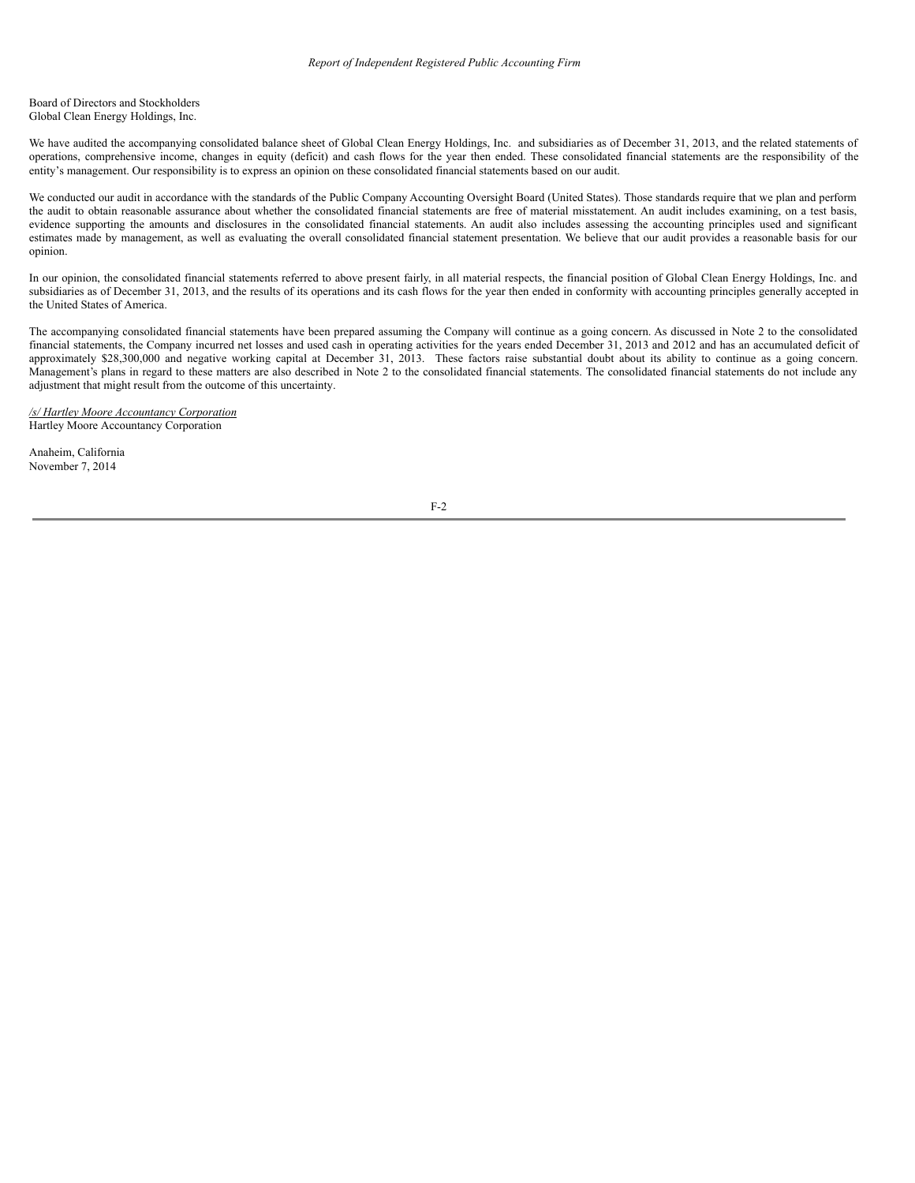Board of Directors and Stockholders Global Clean Energy Holdings, Inc.

We have audited the accompanying consolidated balance sheet of Global Clean Energy Holdings, Inc. and subsidiaries as of December 31, 2013, and the related statements of operations, comprehensive income, changes in equity (deficit) and cash flows for the year then ended. These consolidated financial statements are the responsibility of the entity's management. Our responsibility is to express an opinion on these consolidated financial statements based on our audit.

We conducted our audit in accordance with the standards of the Public Company Accounting Oversight Board (United States). Those standards require that we plan and perform the audit to obtain reasonable assurance about whether the consolidated financial statements are free of material misstatement. An audit includes examining, on a test basis, evidence supporting the amounts and disclosures in the consolidated financial statements. An audit also includes assessing the accounting principles used and significant estimates made by management, as well as evaluating the overall consolidated financial statement presentation. We believe that our audit provides a reasonable basis for our opinion.

In our opinion, the consolidated financial statements referred to above present fairly, in all material respects, the financial position of Global Clean Energy Holdings, Inc. and subsidiaries as of December 31, 2013, and the results of its operations and its cash flows for the year then ended in conformity with accounting principles generally accepted in the United States of America.

The accompanying consolidated financial statements have been prepared assuming the Company will continue as a going concern. As discussed in Note 2 to the consolidated financial statements, the Company incurred net losses and used cash in operating activities for the years ended December 31, 2013 and 2012 and has an accumulated deficit of approximately \$28,300,000 and negative working capital at December 31, 2013. These factors raise substantial doubt about its ability to continue as a going concern. Management's plans in regard to these matters are also described in Note 2 to the consolidated financial statements. The consolidated financial statements do not include any adjustment that might result from the outcome of this uncertainty.

*/s/ Hartley Moore Accountancy Corporation* Hartley Moore Accountancy Corporation

Anaheim, California November 7, 2014

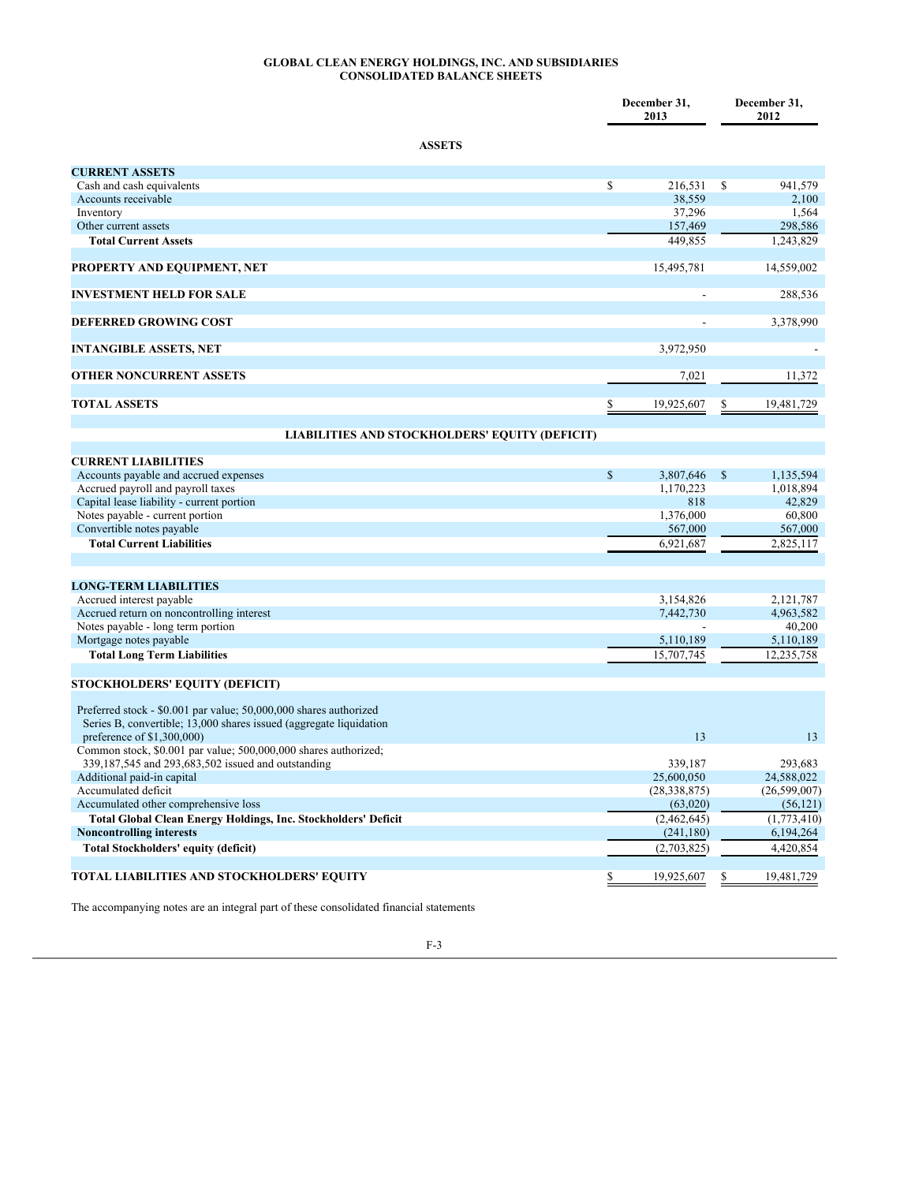#### <span id="page-43-0"></span>**GLOBAL CLEAN ENERGY HOLDINGS, INC. AND SUBSIDIARIES CONSOLIDATED BALANCE SHEETS**

|                                                                       | December 31,<br>2013 |                |               | December 31,<br>2012 |  |  |
|-----------------------------------------------------------------------|----------------------|----------------|---------------|----------------------|--|--|
| <b>ASSETS</b>                                                         |                      |                |               |                      |  |  |
| <b>CURRENT ASSETS</b>                                                 |                      |                |               |                      |  |  |
| Cash and cash equivalents                                             | \$                   | 216,531        | S             | 941,579              |  |  |
| Accounts receivable                                                   |                      | 38,559         |               | 2,100                |  |  |
| Inventory                                                             |                      | 37,296         |               | 1,564                |  |  |
| Other current assets                                                  |                      | 157,469        |               | 298,586              |  |  |
| <b>Total Current Assets</b>                                           |                      | 449,855        |               | 1,243,829            |  |  |
| PROPERTY AND EQUIPMENT, NET                                           |                      | 15,495,781     |               | 14,559,002           |  |  |
| <b>INVESTMENT HELD FOR SALE</b>                                       |                      |                |               | 288,536              |  |  |
| <b>DEFERRED GROWING COST</b>                                          |                      |                |               | 3,378,990            |  |  |
| <b>INTANGIBLE ASSETS, NET</b>                                         |                      | 3,972,950      |               |                      |  |  |
| <b>OTHER NONCURRENT ASSETS</b>                                        |                      | 7,021          |               | 11,372               |  |  |
| <b>TOTAL ASSETS</b>                                                   |                      | 19,925,607     |               | 19,481,729           |  |  |
|                                                                       |                      |                |               |                      |  |  |
| LIABILITIES AND STOCKHOLDERS' EQUITY (DEFICIT)                        |                      |                |               |                      |  |  |
| <b>CURRENT LIABILITIES</b>                                            |                      |                |               |                      |  |  |
| Accounts payable and accrued expenses                                 | $\mathbb{S}$         | 3,807,646      | <sup>\$</sup> | 1,135,594            |  |  |
| Accrued payroll and payroll taxes                                     |                      | 1,170,223      |               | 1,018,894            |  |  |
| Capital lease liability - current portion                             |                      | 818            |               | 42,829               |  |  |
| Notes payable - current portion                                       |                      | 1,376,000      |               | 60,800               |  |  |
| Convertible notes payable                                             |                      | 567,000        |               | 567,000              |  |  |
| <b>Total Current Liabilities</b>                                      |                      | 6,921,687      |               | 2,825,117            |  |  |
| <b>LONG-TERM LIABILITIES</b>                                          |                      |                |               |                      |  |  |
| Accrued interest payable                                              |                      | 3,154,826      |               | 2,121,787            |  |  |
| Accrued return on noncontrolling interest                             |                      | 7,442,730      |               | 4,963,582            |  |  |
| Notes payable - long term portion                                     |                      |                |               | 40,200               |  |  |
| Mortgage notes payable                                                |                      | 5,110,189      |               | 5,110,189            |  |  |
| <b>Total Long Term Liabilities</b>                                    |                      | 15,707,745     |               | 12,235,758           |  |  |
| STOCKHOLDERS' EQUITY (DEFICIT)                                        |                      |                |               |                      |  |  |
| Preferred stock - \$0.001 par value; 50,000,000 shares authorized     |                      |                |               |                      |  |  |
| Series B, convertible; 13,000 shares issued (aggregate liquidation    |                      |                |               |                      |  |  |
| preference of \$1,300,000)                                            |                      | 13             |               | 13                   |  |  |
| Common stock, \$0.001 par value; 500,000,000 shares authorized;       |                      |                |               |                      |  |  |
| 339,187,545 and 293,683,502 issued and outstanding                    |                      | 339,187        |               | 293,683              |  |  |
| Additional paid-in capital                                            |                      | 25,600,050     |               | 24,588,022           |  |  |
| Accumulated deficit                                                   |                      | (28, 338, 875) |               | (26, 599, 007)       |  |  |
| Accumulated other comprehensive loss                                  |                      | (63,020)       |               | (56, 121)            |  |  |
| <b>Total Global Clean Energy Holdings, Inc. Stockholders' Deficit</b> |                      | (2,462,645)    |               | (1,773,410)          |  |  |
| <b>Noncontrolling interests</b>                                       |                      | (241, 180)     |               | 6,194,264            |  |  |
| Total Stockholders' equity (deficit)                                  |                      | (2,703,825)    |               | 4,420,854            |  |  |
| TOTAL LIABILITIES AND STOCKHOLDERS' EQUITY                            | \$                   | 19,925,607     |               | 19,481,729           |  |  |

The accompanying notes are an integral part of these consolidated financial statements

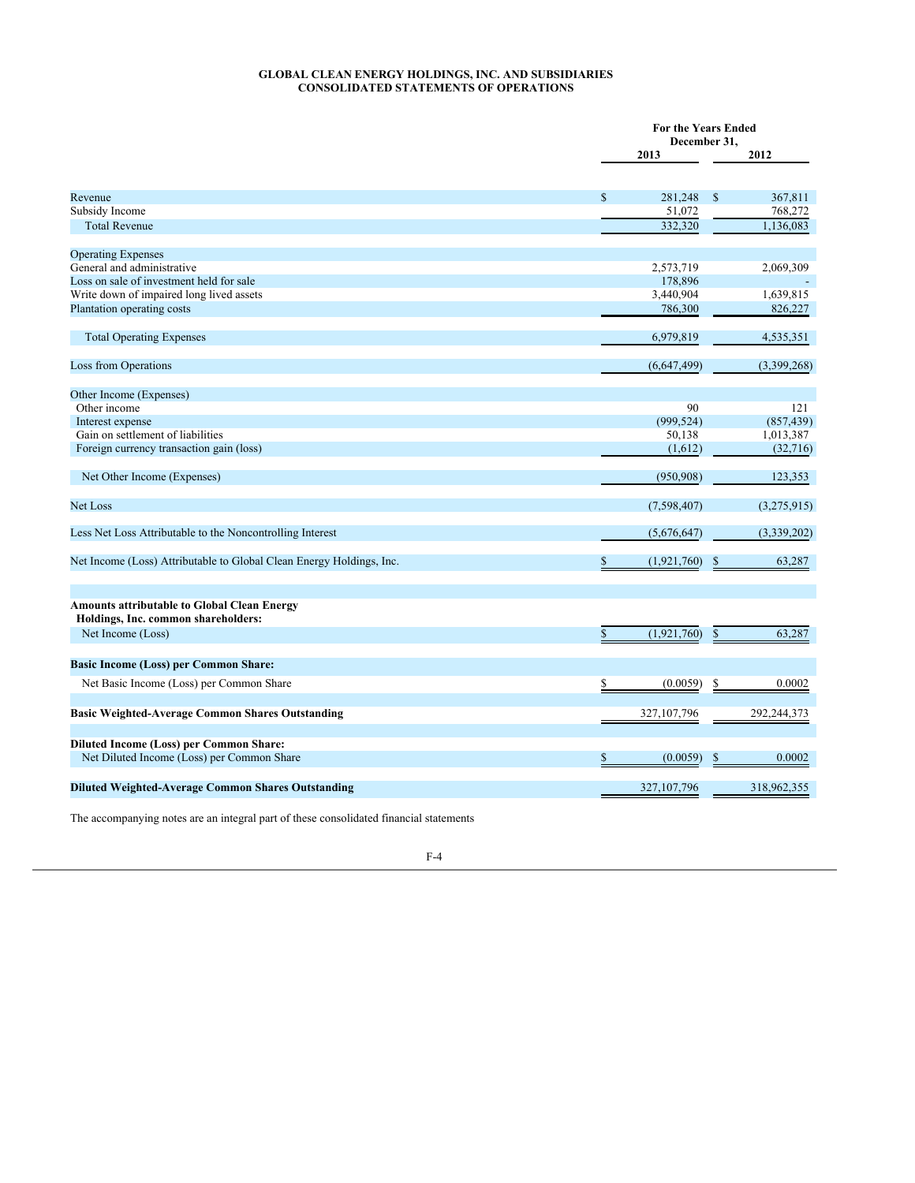## <span id="page-44-0"></span>**GLOBAL CLEAN ENERGY HOLDINGS, INC. AND SUBSIDIARIES CONSOLIDATED STATEMENTS OF OPERATIONS**

|                                                                                           |                   | <b>For the Years Ended</b> |
|-------------------------------------------------------------------------------------------|-------------------|----------------------------|
|                                                                                           | 2013              | December 31,<br>2012       |
|                                                                                           |                   |                            |
| Revenue                                                                                   | \$<br>281,248     | \$<br>367,811              |
| Subsidy Income                                                                            | 51,072            | 768,272                    |
| <b>Total Revenue</b>                                                                      | 332,320           | 1,136,083                  |
| <b>Operating Expenses</b>                                                                 |                   |                            |
| General and administrative                                                                | 2,573,719         | 2,069,309                  |
| Loss on sale of investment held for sale                                                  | 178,896           |                            |
| Write down of impaired long lived assets                                                  | 3,440,904         | 1,639,815                  |
| Plantation operating costs                                                                | 786,300           | 826,227                    |
| <b>Total Operating Expenses</b>                                                           | 6,979,819         | 4,535,351                  |
| Loss from Operations                                                                      | (6,647,499)       | (3,399,268)                |
| Other Income (Expenses)                                                                   |                   |                            |
| Other income                                                                              | 90                | 121                        |
| Interest expense                                                                          | (999, 524)        | (857, 439)                 |
| Gain on settlement of liabilities                                                         | 50,138            | 1,013,387                  |
| Foreign currency transaction gain (loss)                                                  | (1,612)           | (32,716)                   |
| Net Other Income (Expenses)                                                               | (950, 908)        | 123,353                    |
| <b>Net Loss</b>                                                                           | (7, 598, 407)     | (3,275,915)                |
| Less Net Loss Attributable to the Noncontrolling Interest                                 | (5,676,647)       | (3,339,202)                |
| Net Income (Loss) Attributable to Global Clean Energy Holdings, Inc.                      | \$<br>(1,921,760) | \$<br>63,287               |
| <b>Amounts attributable to Global Clean Energy</b><br>Holdings, Inc. common shareholders: |                   |                            |
| Net Income (Loss)                                                                         | \$<br>(1,921,760) | $\mathbb{S}$<br>63,287     |
| <b>Basic Income (Loss) per Common Share:</b>                                              |                   |                            |
| Net Basic Income (Loss) per Common Share                                                  | (0.0059)<br>\$    | 0.0002<br>\$               |
| <b>Basic Weighted-Average Common Shares Outstanding</b>                                   | 327,107,796       | 292,244,373                |
| Diluted Income (Loss) per Common Share:                                                   |                   |                            |
| Net Diluted Income (Loss) per Common Share                                                | (0.0059)<br>\$    | 0.0002<br>S                |
| <b>Diluted Weighted-Average Common Shares Outstanding</b>                                 | 327,107,796       | 318,962,355                |
|                                                                                           |                   |                            |

The accompanying notes are an integral part of these consolidated financial statements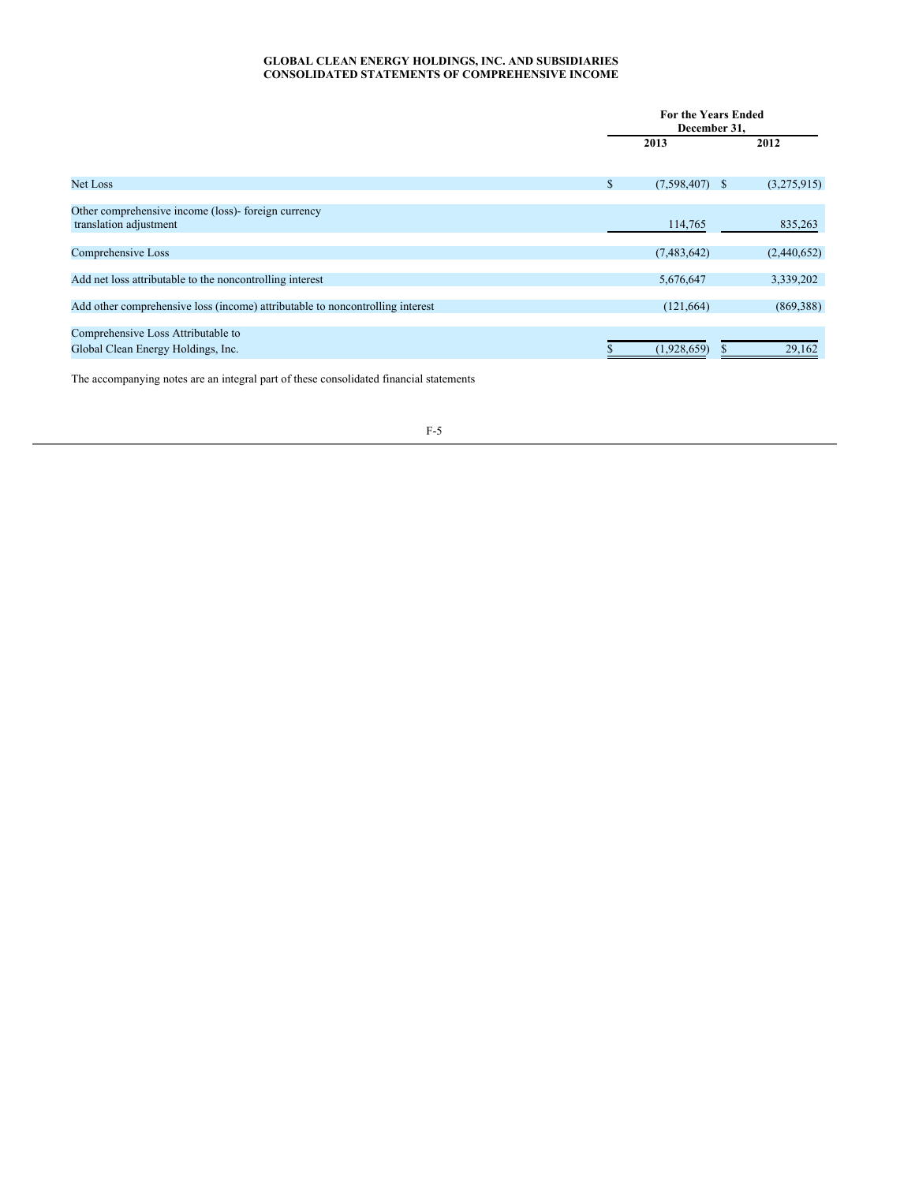#### <span id="page-45-0"></span>**GLOBAL CLEAN ENERGY HOLDINGS, INC. AND SUBSIDIARIES CONSOLIDATED STATEMENTS OF COMPREHENSIVE INCOME**

|                                                                               |    | <b>For the Years Ended</b><br>December 31, |  |             |  |
|-------------------------------------------------------------------------------|----|--------------------------------------------|--|-------------|--|
|                                                                               |    | 2013                                       |  | 2012        |  |
|                                                                               |    |                                            |  |             |  |
| <b>Net Loss</b>                                                               | S. | $(7,598,407)$ \$                           |  | (3,275,915) |  |
| Other comprehensive income (loss)- foreign currency<br>translation adjustment |    | 114,765                                    |  | 835,263     |  |
| Comprehensive Loss                                                            |    | (7,483,642)                                |  | (2,440,652) |  |
| Add net loss attributable to the noncontrolling interest                      |    | 5,676,647                                  |  | 3,339,202   |  |
| Add other comprehensive loss (income) attributable to noncontrolling interest |    | (121, 664)                                 |  | (869, 388)  |  |
| Comprehensive Loss Attributable to                                            |    |                                            |  |             |  |
| Global Clean Energy Holdings, Inc.                                            |    | (1,928,659)                                |  | 29,162      |  |

The accompanying notes are an integral part of these consolidated financial statements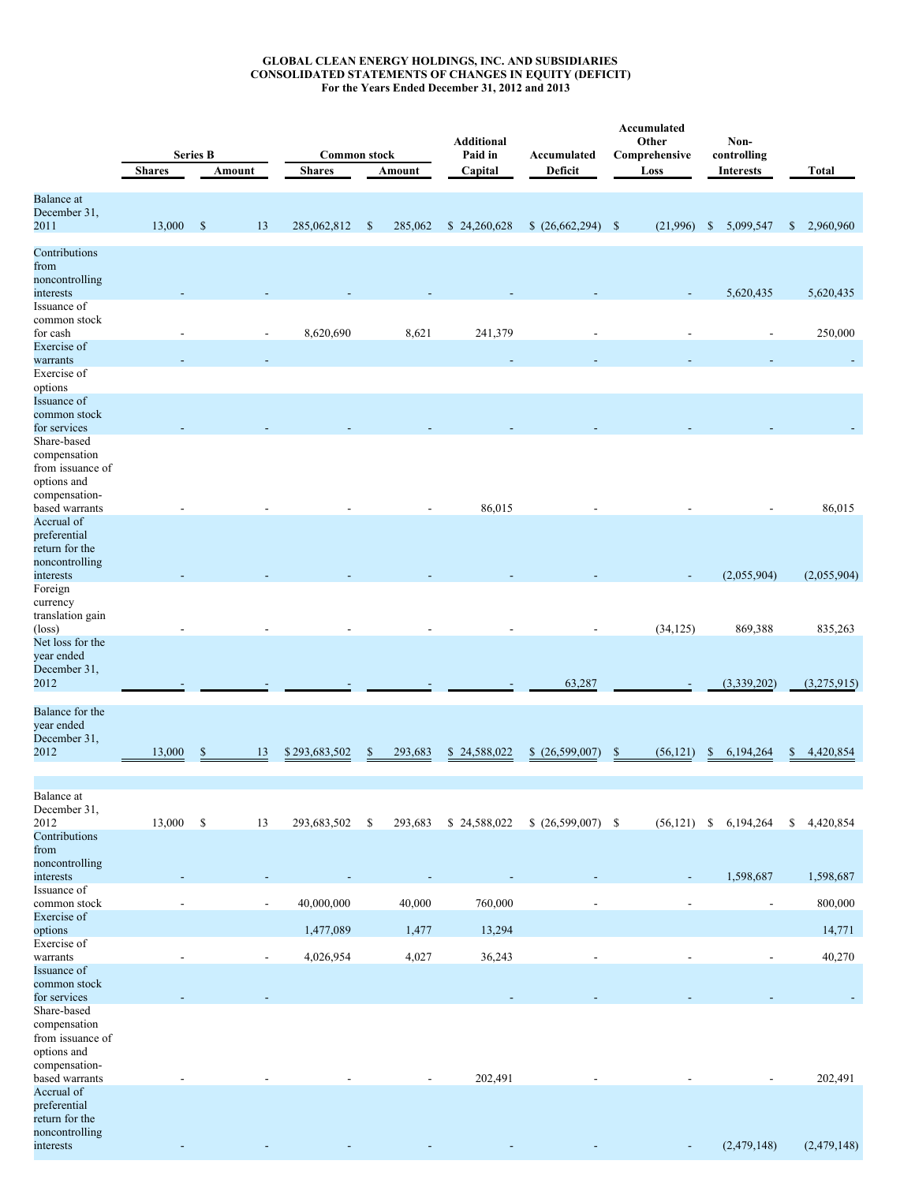#### <span id="page-46-0"></span>**GLOBAL CLEAN ENERGY HOLDINGS, INC. AND SUBSIDIARIES CONSOLIDATED STATEMENTS OF CHANGES IN EQUITY (DEFICIT) For the Years Ended December 31, 2012 and 2013**

|                                                                     | <b>Shares</b> | <b>Series B</b> | Amount         | <b>Common stock</b><br><b>Shares</b> |              | <b>Amount</b> | <b>Additional</b><br>Paid in<br>Capital | Accumulated<br>Deficit | Accumulated<br>Other<br>Comprehensive<br>Loss | Non-<br>controlling<br><b>Interests</b> |                           | <b>Total</b> |
|---------------------------------------------------------------------|---------------|-----------------|----------------|--------------------------------------|--------------|---------------|-----------------------------------------|------------------------|-----------------------------------------------|-----------------------------------------|---------------------------|--------------|
| <b>Balance</b> at<br>December 31,<br>2011                           | 13,000        | $\mathcal{S}$   | 13             | 285,062,812                          | $\mathbb{S}$ | 285,062       | \$24,260,628                            | (26,662,294)           | $\mathbb{S}$<br>(21,996)                      | \$<br>5,099,547                         | $\boldsymbol{\mathsf{S}}$ | 2,960,960    |
| Contributions                                                       |               |                 |                |                                      |              |               |                                         |                        |                                               |                                         |                           |              |
| from<br>noncontrolling<br>interests                                 |               |                 |                |                                      |              |               |                                         |                        |                                               | 5,620,435                               |                           | 5,620,435    |
| Issuance of<br>common stock<br>for cash                             |               |                 | $\overline{a}$ | 8,620,690                            |              | 8,621         | 241,379                                 |                        |                                               | $\overline{\phantom{a}}$                |                           | 250,000      |
| Exercise of<br>warrants                                             |               |                 |                |                                      |              |               |                                         |                        |                                               |                                         |                           |              |
| Exercise of<br>options                                              |               |                 |                |                                      |              |               |                                         |                        |                                               |                                         |                           |              |
| Issuance of<br>common stock<br>for services                         |               |                 |                |                                      |              |               |                                         |                        |                                               |                                         |                           |              |
| Share-based<br>compensation<br>from issuance of<br>options and      |               |                 |                |                                      |              |               |                                         |                        |                                               |                                         |                           |              |
| compensation-<br>based warrants                                     |               |                 |                |                                      |              |               | 86,015                                  |                        |                                               |                                         |                           | 86,015       |
| Accrual of<br>preferential<br>return for the<br>noncontrolling      |               |                 |                |                                      |              |               |                                         |                        |                                               |                                         |                           |              |
| interests<br>Foreign                                                |               |                 |                |                                      |              |               |                                         |                        |                                               | (2,055,904)                             |                           | (2,055,904)  |
| currency<br>translation gain<br>$(\text{loss})$<br>Net loss for the |               |                 |                |                                      |              |               |                                         |                        | (34, 125)                                     | 869,388                                 |                           | 835,263      |
| year ended<br>December 31,<br>2012                                  |               |                 |                |                                      |              |               |                                         | 63,287                 |                                               | (3,339,202)                             |                           | (3,275,915)  |
| Balance for the<br>year ended<br>December 31,                       |               |                 |                |                                      |              |               |                                         |                        |                                               |                                         |                           |              |
| 2012                                                                | 13,000        | S               | 13             | \$293,683,502                        |              | 293,683       | 24,588,022<br>\$                        | \$(26,599,007)         | S<br>(56, 121)                                | 6,194,264<br>S                          | S                         | 4,420,854    |
| Balance at<br>December 31,<br>2012<br>Contributions                 | 13,000        | $\mathbb S$     | 13             | 293,683,502                          | \$           | 293,683       | \$24,588,022                            | $(26,599,007)$ \$      | (56, 121)                                     | -S<br>6,194,264                         | \$                        | 4,420,854    |
| from<br>noncontrolling<br>interests                                 |               |                 |                |                                      |              |               |                                         |                        |                                               | 1,598,687                               |                           | 1,598,687    |
| Issuance of<br>common stock                                         |               |                 |                | 40,000,000                           |              | 40,000        | 760,000                                 |                        |                                               |                                         |                           | 800,000      |
| Exercise of<br>options<br>Exercise of                               |               |                 |                | 1,477,089                            |              | 1,477         | 13,294                                  |                        |                                               |                                         |                           | 14,771       |
| warrants<br>Issuance of<br>common stock                             |               |                 |                | 4,026,954                            |              | 4,027         | 36,243                                  |                        |                                               |                                         |                           | 40,270       |
| for services<br>Share-based<br>compensation                         |               |                 |                |                                      |              |               |                                         |                        |                                               |                                         |                           |              |
| from issuance of<br>options and<br>compensation-                    |               |                 |                |                                      |              |               |                                         |                        |                                               |                                         |                           |              |
| based warrants<br>Accrual of<br>preferential<br>return for the      |               |                 |                |                                      |              |               | 202,491                                 |                        |                                               |                                         |                           | 202,491      |
| noncontrolling<br>interests                                         |               |                 |                |                                      |              |               |                                         |                        |                                               | (2,479,148)                             |                           | (2,479,148)  |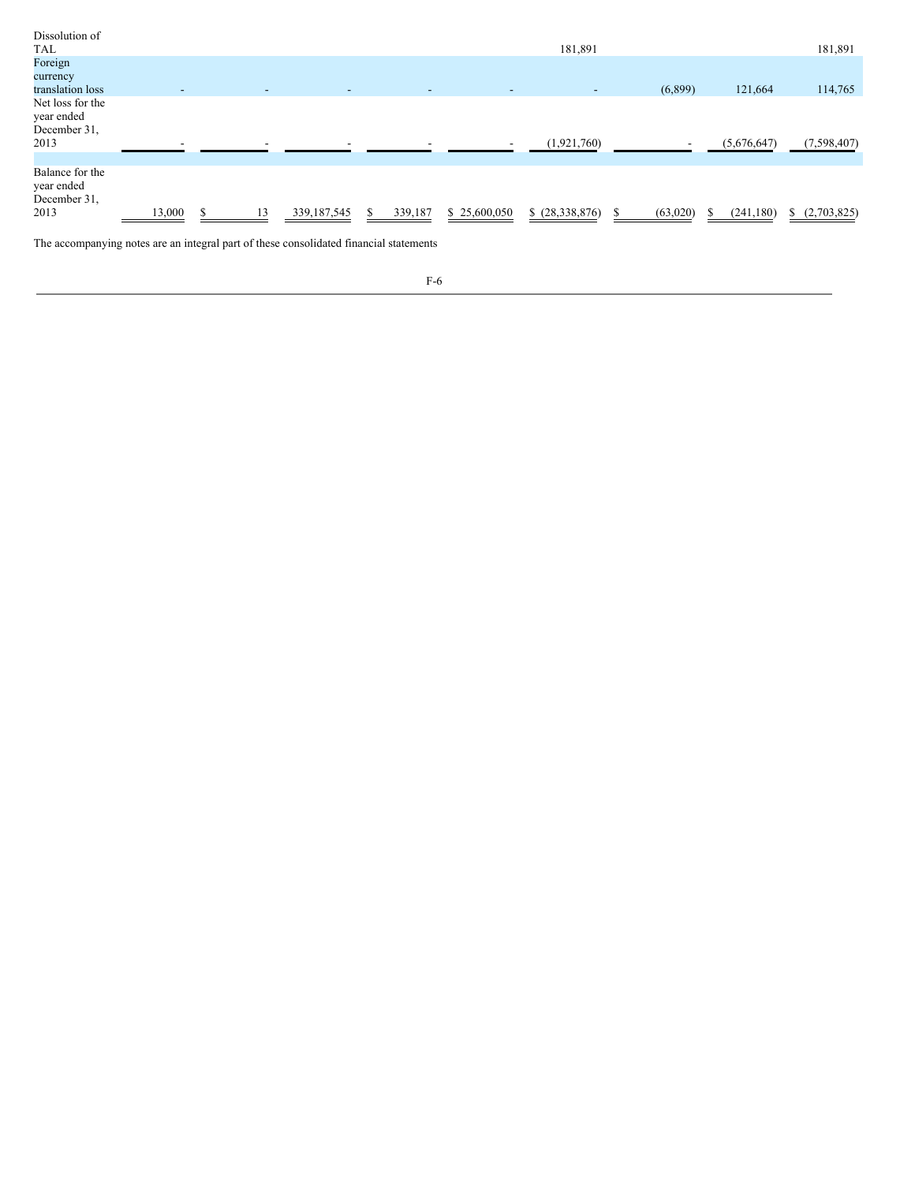| Dissolution of<br>TAL                                                                  |        |    |               |   |         |              | 181,891         |          |                  | 181,891     |
|----------------------------------------------------------------------------------------|--------|----|---------------|---|---------|--------------|-----------------|----------|------------------|-------------|
| Foreign                                                                                |        |    |               |   |         |              |                 |          |                  |             |
| currency                                                                               |        |    |               |   |         |              |                 |          |                  |             |
| translation loss                                                                       |        |    |               |   |         |              |                 | (6,899)  | 121,664          | 114,765     |
| Net loss for the<br>year ended                                                         |        |    |               |   |         |              |                 |          |                  |             |
| December 31.                                                                           |        |    |               |   |         |              |                 |          |                  |             |
| 2013                                                                                   |        |    |               |   |         |              | (1,921,760)     |          | (5,676,647)      | (7,598,407) |
| Balance for the<br>year ended<br>December 31,                                          |        |    |               |   |         |              |                 |          |                  |             |
| 2013                                                                                   | 13,000 | 13 | 339, 187, 545 | S | 339,187 | \$25,600,050 | \$ (28,338,876) | (63,020) | (241, 180)<br>S. | (2,703,825) |
| The accompanying notes are an integral part of these consolidated financial statements |        |    |               |   |         |              |                 |          |                  |             |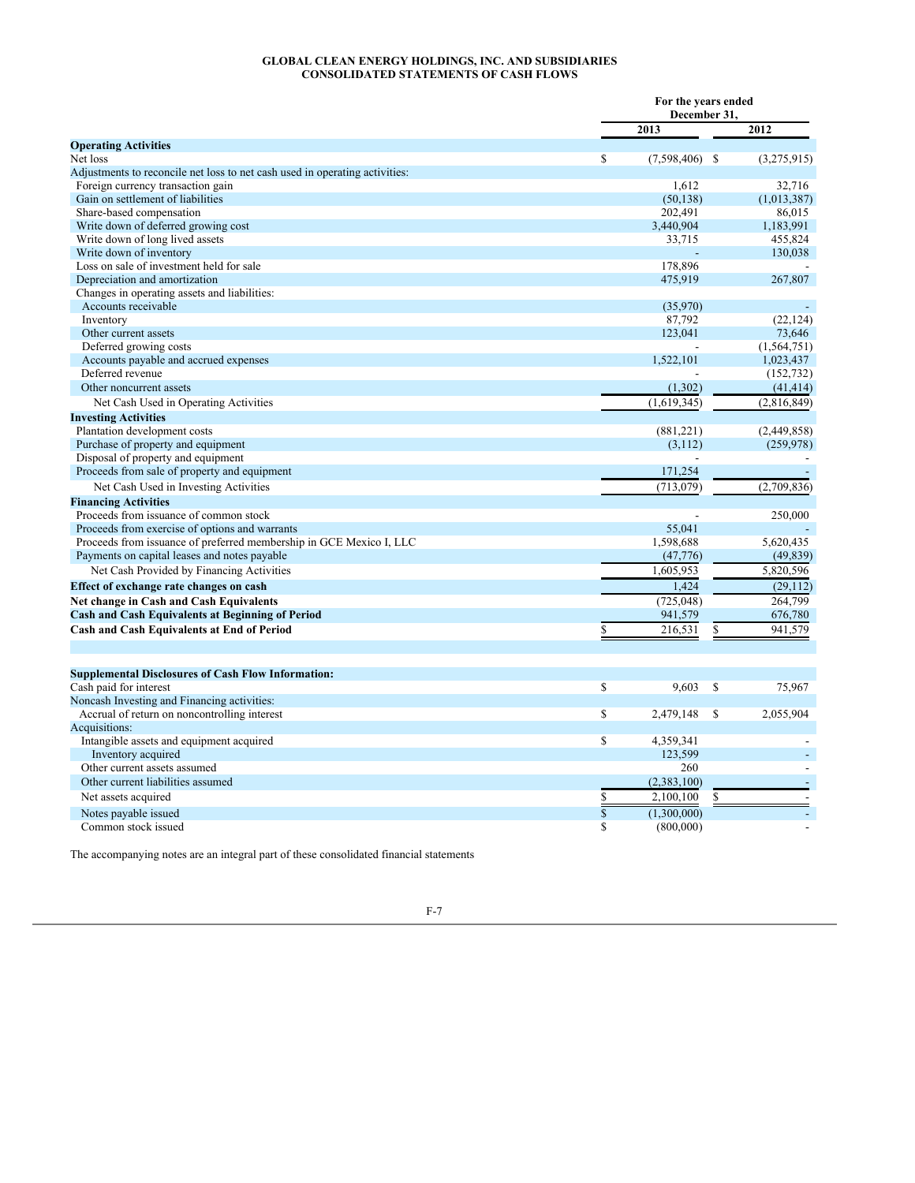#### <span id="page-48-0"></span>**GLOBAL CLEAN ENERGY HOLDINGS, INC. AND SUBSIDIARIES CONSOLIDATED STATEMENTS OF CASH FLOWS**

| 2013<br>2012<br><b>Operating Activities</b><br>Net loss<br>\$<br>$(7,598,406)$ \$<br>(3,275,915)<br>Adjustments to reconcile net loss to net cash used in operating activities:<br>Foreign currency transaction gain<br>1,612<br>32,716<br>Gain on settlement of liabilities<br>(1,013,387)<br>(50, 138)<br>Share-based compensation<br>202,491<br>86.015<br>Write down of deferred growing cost<br>3,440,904<br>1,183,991<br>Write down of long lived assets<br>33,715<br>455,824<br>Write down of inventory<br>130,038<br>Loss on sale of investment held for sale<br>178,896<br>Depreciation and amortization<br>475,919<br>267,807<br>Changes in operating assets and liabilities:<br>Accounts receivable<br>(35,970)<br>87,792<br>(22, 124)<br>Inventory<br>Other current assets<br>123,041<br>73,646<br>Deferred growing costs<br>(1, 564, 751)<br>Accounts payable and accrued expenses<br>1,522,101<br>1,023,437<br>Deferred revenue<br>(152, 732)<br>(1,302)<br>Other noncurrent assets<br>(41, 414)<br>(1,619,345)<br>Net Cash Used in Operating Activities<br>(2,816,849)<br><b>Investing Activities</b><br>Plantation development costs<br>(881,221)<br>(2,449,858)<br>Purchase of property and equipment<br>(3,112)<br>(259, 978)<br>Disposal of property and equipment<br>Proceeds from sale of property and equipment<br>171,254<br>Net Cash Used in Investing Activities<br>(713,079)<br>(2,709,836)<br><b>Financing Activities</b><br>Proceeds from issuance of common stock<br>250,000<br>Proceeds from exercise of options and warrants<br>55,041<br>Proceeds from issuance of preferred membership in GCE Mexico I, LLC<br>1,598,688<br>5,620,435<br>Payments on capital leases and notes payable<br>(47,776)<br>(49, 839)<br>1,605,953<br>5,820,596<br>Net Cash Provided by Financing Activities<br>1,424<br>(29, 112)<br>Effect of exchange rate changes on cash<br>264,799<br>(725, 048)<br>Net change in Cash and Cash Equivalents<br>941,579<br>676,780<br>Cash and Cash Equivalents at Beginning of Period<br>\$<br>216,531<br>941,579<br><b>Cash and Cash Equivalents at End of Period</b><br>\$<br><b>Supplemental Disclosures of Cash Flow Information:</b><br>\$<br>75,967<br>Cash paid for interest<br>9,603<br>S<br>Noncash Investing and Financing activities:<br>Accrual of return on noncontrolling interest<br>\$<br>2,479,148<br>2,055,904<br>\$<br>Acquisitions:<br>\$<br>Intangible assets and equipment acquired<br>4,359,341<br>Inventory acquired<br>123,599<br>Other current assets assumed<br>260<br>$\overline{a}$<br>Other current liabilities assumed<br>(2,383,100)<br>Net assets acquired<br>\$<br>2,100,100<br>\$<br>$\overline{\$}$<br>(1,300,000)<br>Notes payable issued<br>$\blacksquare$<br>\$<br>Common stock issued<br>(800,000)<br>$\overline{a}$ | For the years ended<br>December 31, |  |  |  |
|-------------------------------------------------------------------------------------------------------------------------------------------------------------------------------------------------------------------------------------------------------------------------------------------------------------------------------------------------------------------------------------------------------------------------------------------------------------------------------------------------------------------------------------------------------------------------------------------------------------------------------------------------------------------------------------------------------------------------------------------------------------------------------------------------------------------------------------------------------------------------------------------------------------------------------------------------------------------------------------------------------------------------------------------------------------------------------------------------------------------------------------------------------------------------------------------------------------------------------------------------------------------------------------------------------------------------------------------------------------------------------------------------------------------------------------------------------------------------------------------------------------------------------------------------------------------------------------------------------------------------------------------------------------------------------------------------------------------------------------------------------------------------------------------------------------------------------------------------------------------------------------------------------------------------------------------------------------------------------------------------------------------------------------------------------------------------------------------------------------------------------------------------------------------------------------------------------------------------------------------------------------------------------------------------------------------------------------------------------------------------------------------------------------------------------------------------------------------------------------------------------------------------------------------------------------------------------------------------------------------------------------------------------------------------------------------------------------------------------------------------------------------------------------------------------------|-------------------------------------|--|--|--|
|                                                                                                                                                                                                                                                                                                                                                                                                                                                                                                                                                                                                                                                                                                                                                                                                                                                                                                                                                                                                                                                                                                                                                                                                                                                                                                                                                                                                                                                                                                                                                                                                                                                                                                                                                                                                                                                                                                                                                                                                                                                                                                                                                                                                                                                                                                                                                                                                                                                                                                                                                                                                                                                                                                                                                                                                             |                                     |  |  |  |
|                                                                                                                                                                                                                                                                                                                                                                                                                                                                                                                                                                                                                                                                                                                                                                                                                                                                                                                                                                                                                                                                                                                                                                                                                                                                                                                                                                                                                                                                                                                                                                                                                                                                                                                                                                                                                                                                                                                                                                                                                                                                                                                                                                                                                                                                                                                                                                                                                                                                                                                                                                                                                                                                                                                                                                                                             |                                     |  |  |  |
|                                                                                                                                                                                                                                                                                                                                                                                                                                                                                                                                                                                                                                                                                                                                                                                                                                                                                                                                                                                                                                                                                                                                                                                                                                                                                                                                                                                                                                                                                                                                                                                                                                                                                                                                                                                                                                                                                                                                                                                                                                                                                                                                                                                                                                                                                                                                                                                                                                                                                                                                                                                                                                                                                                                                                                                                             |                                     |  |  |  |
|                                                                                                                                                                                                                                                                                                                                                                                                                                                                                                                                                                                                                                                                                                                                                                                                                                                                                                                                                                                                                                                                                                                                                                                                                                                                                                                                                                                                                                                                                                                                                                                                                                                                                                                                                                                                                                                                                                                                                                                                                                                                                                                                                                                                                                                                                                                                                                                                                                                                                                                                                                                                                                                                                                                                                                                                             |                                     |  |  |  |
|                                                                                                                                                                                                                                                                                                                                                                                                                                                                                                                                                                                                                                                                                                                                                                                                                                                                                                                                                                                                                                                                                                                                                                                                                                                                                                                                                                                                                                                                                                                                                                                                                                                                                                                                                                                                                                                                                                                                                                                                                                                                                                                                                                                                                                                                                                                                                                                                                                                                                                                                                                                                                                                                                                                                                                                                             |                                     |  |  |  |
|                                                                                                                                                                                                                                                                                                                                                                                                                                                                                                                                                                                                                                                                                                                                                                                                                                                                                                                                                                                                                                                                                                                                                                                                                                                                                                                                                                                                                                                                                                                                                                                                                                                                                                                                                                                                                                                                                                                                                                                                                                                                                                                                                                                                                                                                                                                                                                                                                                                                                                                                                                                                                                                                                                                                                                                                             |                                     |  |  |  |
|                                                                                                                                                                                                                                                                                                                                                                                                                                                                                                                                                                                                                                                                                                                                                                                                                                                                                                                                                                                                                                                                                                                                                                                                                                                                                                                                                                                                                                                                                                                                                                                                                                                                                                                                                                                                                                                                                                                                                                                                                                                                                                                                                                                                                                                                                                                                                                                                                                                                                                                                                                                                                                                                                                                                                                                                             |                                     |  |  |  |
|                                                                                                                                                                                                                                                                                                                                                                                                                                                                                                                                                                                                                                                                                                                                                                                                                                                                                                                                                                                                                                                                                                                                                                                                                                                                                                                                                                                                                                                                                                                                                                                                                                                                                                                                                                                                                                                                                                                                                                                                                                                                                                                                                                                                                                                                                                                                                                                                                                                                                                                                                                                                                                                                                                                                                                                                             |                                     |  |  |  |
|                                                                                                                                                                                                                                                                                                                                                                                                                                                                                                                                                                                                                                                                                                                                                                                                                                                                                                                                                                                                                                                                                                                                                                                                                                                                                                                                                                                                                                                                                                                                                                                                                                                                                                                                                                                                                                                                                                                                                                                                                                                                                                                                                                                                                                                                                                                                                                                                                                                                                                                                                                                                                                                                                                                                                                                                             |                                     |  |  |  |
|                                                                                                                                                                                                                                                                                                                                                                                                                                                                                                                                                                                                                                                                                                                                                                                                                                                                                                                                                                                                                                                                                                                                                                                                                                                                                                                                                                                                                                                                                                                                                                                                                                                                                                                                                                                                                                                                                                                                                                                                                                                                                                                                                                                                                                                                                                                                                                                                                                                                                                                                                                                                                                                                                                                                                                                                             |                                     |  |  |  |
|                                                                                                                                                                                                                                                                                                                                                                                                                                                                                                                                                                                                                                                                                                                                                                                                                                                                                                                                                                                                                                                                                                                                                                                                                                                                                                                                                                                                                                                                                                                                                                                                                                                                                                                                                                                                                                                                                                                                                                                                                                                                                                                                                                                                                                                                                                                                                                                                                                                                                                                                                                                                                                                                                                                                                                                                             |                                     |  |  |  |
|                                                                                                                                                                                                                                                                                                                                                                                                                                                                                                                                                                                                                                                                                                                                                                                                                                                                                                                                                                                                                                                                                                                                                                                                                                                                                                                                                                                                                                                                                                                                                                                                                                                                                                                                                                                                                                                                                                                                                                                                                                                                                                                                                                                                                                                                                                                                                                                                                                                                                                                                                                                                                                                                                                                                                                                                             |                                     |  |  |  |
|                                                                                                                                                                                                                                                                                                                                                                                                                                                                                                                                                                                                                                                                                                                                                                                                                                                                                                                                                                                                                                                                                                                                                                                                                                                                                                                                                                                                                                                                                                                                                                                                                                                                                                                                                                                                                                                                                                                                                                                                                                                                                                                                                                                                                                                                                                                                                                                                                                                                                                                                                                                                                                                                                                                                                                                                             |                                     |  |  |  |
|                                                                                                                                                                                                                                                                                                                                                                                                                                                                                                                                                                                                                                                                                                                                                                                                                                                                                                                                                                                                                                                                                                                                                                                                                                                                                                                                                                                                                                                                                                                                                                                                                                                                                                                                                                                                                                                                                                                                                                                                                                                                                                                                                                                                                                                                                                                                                                                                                                                                                                                                                                                                                                                                                                                                                                                                             |                                     |  |  |  |
|                                                                                                                                                                                                                                                                                                                                                                                                                                                                                                                                                                                                                                                                                                                                                                                                                                                                                                                                                                                                                                                                                                                                                                                                                                                                                                                                                                                                                                                                                                                                                                                                                                                                                                                                                                                                                                                                                                                                                                                                                                                                                                                                                                                                                                                                                                                                                                                                                                                                                                                                                                                                                                                                                                                                                                                                             |                                     |  |  |  |
|                                                                                                                                                                                                                                                                                                                                                                                                                                                                                                                                                                                                                                                                                                                                                                                                                                                                                                                                                                                                                                                                                                                                                                                                                                                                                                                                                                                                                                                                                                                                                                                                                                                                                                                                                                                                                                                                                                                                                                                                                                                                                                                                                                                                                                                                                                                                                                                                                                                                                                                                                                                                                                                                                                                                                                                                             |                                     |  |  |  |
|                                                                                                                                                                                                                                                                                                                                                                                                                                                                                                                                                                                                                                                                                                                                                                                                                                                                                                                                                                                                                                                                                                                                                                                                                                                                                                                                                                                                                                                                                                                                                                                                                                                                                                                                                                                                                                                                                                                                                                                                                                                                                                                                                                                                                                                                                                                                                                                                                                                                                                                                                                                                                                                                                                                                                                                                             |                                     |  |  |  |
|                                                                                                                                                                                                                                                                                                                                                                                                                                                                                                                                                                                                                                                                                                                                                                                                                                                                                                                                                                                                                                                                                                                                                                                                                                                                                                                                                                                                                                                                                                                                                                                                                                                                                                                                                                                                                                                                                                                                                                                                                                                                                                                                                                                                                                                                                                                                                                                                                                                                                                                                                                                                                                                                                                                                                                                                             |                                     |  |  |  |
|                                                                                                                                                                                                                                                                                                                                                                                                                                                                                                                                                                                                                                                                                                                                                                                                                                                                                                                                                                                                                                                                                                                                                                                                                                                                                                                                                                                                                                                                                                                                                                                                                                                                                                                                                                                                                                                                                                                                                                                                                                                                                                                                                                                                                                                                                                                                                                                                                                                                                                                                                                                                                                                                                                                                                                                                             |                                     |  |  |  |
|                                                                                                                                                                                                                                                                                                                                                                                                                                                                                                                                                                                                                                                                                                                                                                                                                                                                                                                                                                                                                                                                                                                                                                                                                                                                                                                                                                                                                                                                                                                                                                                                                                                                                                                                                                                                                                                                                                                                                                                                                                                                                                                                                                                                                                                                                                                                                                                                                                                                                                                                                                                                                                                                                                                                                                                                             |                                     |  |  |  |
|                                                                                                                                                                                                                                                                                                                                                                                                                                                                                                                                                                                                                                                                                                                                                                                                                                                                                                                                                                                                                                                                                                                                                                                                                                                                                                                                                                                                                                                                                                                                                                                                                                                                                                                                                                                                                                                                                                                                                                                                                                                                                                                                                                                                                                                                                                                                                                                                                                                                                                                                                                                                                                                                                                                                                                                                             |                                     |  |  |  |
|                                                                                                                                                                                                                                                                                                                                                                                                                                                                                                                                                                                                                                                                                                                                                                                                                                                                                                                                                                                                                                                                                                                                                                                                                                                                                                                                                                                                                                                                                                                                                                                                                                                                                                                                                                                                                                                                                                                                                                                                                                                                                                                                                                                                                                                                                                                                                                                                                                                                                                                                                                                                                                                                                                                                                                                                             |                                     |  |  |  |
|                                                                                                                                                                                                                                                                                                                                                                                                                                                                                                                                                                                                                                                                                                                                                                                                                                                                                                                                                                                                                                                                                                                                                                                                                                                                                                                                                                                                                                                                                                                                                                                                                                                                                                                                                                                                                                                                                                                                                                                                                                                                                                                                                                                                                                                                                                                                                                                                                                                                                                                                                                                                                                                                                                                                                                                                             |                                     |  |  |  |
|                                                                                                                                                                                                                                                                                                                                                                                                                                                                                                                                                                                                                                                                                                                                                                                                                                                                                                                                                                                                                                                                                                                                                                                                                                                                                                                                                                                                                                                                                                                                                                                                                                                                                                                                                                                                                                                                                                                                                                                                                                                                                                                                                                                                                                                                                                                                                                                                                                                                                                                                                                                                                                                                                                                                                                                                             |                                     |  |  |  |
|                                                                                                                                                                                                                                                                                                                                                                                                                                                                                                                                                                                                                                                                                                                                                                                                                                                                                                                                                                                                                                                                                                                                                                                                                                                                                                                                                                                                                                                                                                                                                                                                                                                                                                                                                                                                                                                                                                                                                                                                                                                                                                                                                                                                                                                                                                                                                                                                                                                                                                                                                                                                                                                                                                                                                                                                             |                                     |  |  |  |
|                                                                                                                                                                                                                                                                                                                                                                                                                                                                                                                                                                                                                                                                                                                                                                                                                                                                                                                                                                                                                                                                                                                                                                                                                                                                                                                                                                                                                                                                                                                                                                                                                                                                                                                                                                                                                                                                                                                                                                                                                                                                                                                                                                                                                                                                                                                                                                                                                                                                                                                                                                                                                                                                                                                                                                                                             |                                     |  |  |  |
|                                                                                                                                                                                                                                                                                                                                                                                                                                                                                                                                                                                                                                                                                                                                                                                                                                                                                                                                                                                                                                                                                                                                                                                                                                                                                                                                                                                                                                                                                                                                                                                                                                                                                                                                                                                                                                                                                                                                                                                                                                                                                                                                                                                                                                                                                                                                                                                                                                                                                                                                                                                                                                                                                                                                                                                                             |                                     |  |  |  |
|                                                                                                                                                                                                                                                                                                                                                                                                                                                                                                                                                                                                                                                                                                                                                                                                                                                                                                                                                                                                                                                                                                                                                                                                                                                                                                                                                                                                                                                                                                                                                                                                                                                                                                                                                                                                                                                                                                                                                                                                                                                                                                                                                                                                                                                                                                                                                                                                                                                                                                                                                                                                                                                                                                                                                                                                             |                                     |  |  |  |
|                                                                                                                                                                                                                                                                                                                                                                                                                                                                                                                                                                                                                                                                                                                                                                                                                                                                                                                                                                                                                                                                                                                                                                                                                                                                                                                                                                                                                                                                                                                                                                                                                                                                                                                                                                                                                                                                                                                                                                                                                                                                                                                                                                                                                                                                                                                                                                                                                                                                                                                                                                                                                                                                                                                                                                                                             |                                     |  |  |  |
|                                                                                                                                                                                                                                                                                                                                                                                                                                                                                                                                                                                                                                                                                                                                                                                                                                                                                                                                                                                                                                                                                                                                                                                                                                                                                                                                                                                                                                                                                                                                                                                                                                                                                                                                                                                                                                                                                                                                                                                                                                                                                                                                                                                                                                                                                                                                                                                                                                                                                                                                                                                                                                                                                                                                                                                                             |                                     |  |  |  |
|                                                                                                                                                                                                                                                                                                                                                                                                                                                                                                                                                                                                                                                                                                                                                                                                                                                                                                                                                                                                                                                                                                                                                                                                                                                                                                                                                                                                                                                                                                                                                                                                                                                                                                                                                                                                                                                                                                                                                                                                                                                                                                                                                                                                                                                                                                                                                                                                                                                                                                                                                                                                                                                                                                                                                                                                             |                                     |  |  |  |
|                                                                                                                                                                                                                                                                                                                                                                                                                                                                                                                                                                                                                                                                                                                                                                                                                                                                                                                                                                                                                                                                                                                                                                                                                                                                                                                                                                                                                                                                                                                                                                                                                                                                                                                                                                                                                                                                                                                                                                                                                                                                                                                                                                                                                                                                                                                                                                                                                                                                                                                                                                                                                                                                                                                                                                                                             |                                     |  |  |  |
|                                                                                                                                                                                                                                                                                                                                                                                                                                                                                                                                                                                                                                                                                                                                                                                                                                                                                                                                                                                                                                                                                                                                                                                                                                                                                                                                                                                                                                                                                                                                                                                                                                                                                                                                                                                                                                                                                                                                                                                                                                                                                                                                                                                                                                                                                                                                                                                                                                                                                                                                                                                                                                                                                                                                                                                                             |                                     |  |  |  |
|                                                                                                                                                                                                                                                                                                                                                                                                                                                                                                                                                                                                                                                                                                                                                                                                                                                                                                                                                                                                                                                                                                                                                                                                                                                                                                                                                                                                                                                                                                                                                                                                                                                                                                                                                                                                                                                                                                                                                                                                                                                                                                                                                                                                                                                                                                                                                                                                                                                                                                                                                                                                                                                                                                                                                                                                             |                                     |  |  |  |
|                                                                                                                                                                                                                                                                                                                                                                                                                                                                                                                                                                                                                                                                                                                                                                                                                                                                                                                                                                                                                                                                                                                                                                                                                                                                                                                                                                                                                                                                                                                                                                                                                                                                                                                                                                                                                                                                                                                                                                                                                                                                                                                                                                                                                                                                                                                                                                                                                                                                                                                                                                                                                                                                                                                                                                                                             |                                     |  |  |  |
|                                                                                                                                                                                                                                                                                                                                                                                                                                                                                                                                                                                                                                                                                                                                                                                                                                                                                                                                                                                                                                                                                                                                                                                                                                                                                                                                                                                                                                                                                                                                                                                                                                                                                                                                                                                                                                                                                                                                                                                                                                                                                                                                                                                                                                                                                                                                                                                                                                                                                                                                                                                                                                                                                                                                                                                                             |                                     |  |  |  |
|                                                                                                                                                                                                                                                                                                                                                                                                                                                                                                                                                                                                                                                                                                                                                                                                                                                                                                                                                                                                                                                                                                                                                                                                                                                                                                                                                                                                                                                                                                                                                                                                                                                                                                                                                                                                                                                                                                                                                                                                                                                                                                                                                                                                                                                                                                                                                                                                                                                                                                                                                                                                                                                                                                                                                                                                             |                                     |  |  |  |
|                                                                                                                                                                                                                                                                                                                                                                                                                                                                                                                                                                                                                                                                                                                                                                                                                                                                                                                                                                                                                                                                                                                                                                                                                                                                                                                                                                                                                                                                                                                                                                                                                                                                                                                                                                                                                                                                                                                                                                                                                                                                                                                                                                                                                                                                                                                                                                                                                                                                                                                                                                                                                                                                                                                                                                                                             |                                     |  |  |  |
|                                                                                                                                                                                                                                                                                                                                                                                                                                                                                                                                                                                                                                                                                                                                                                                                                                                                                                                                                                                                                                                                                                                                                                                                                                                                                                                                                                                                                                                                                                                                                                                                                                                                                                                                                                                                                                                                                                                                                                                                                                                                                                                                                                                                                                                                                                                                                                                                                                                                                                                                                                                                                                                                                                                                                                                                             |                                     |  |  |  |
|                                                                                                                                                                                                                                                                                                                                                                                                                                                                                                                                                                                                                                                                                                                                                                                                                                                                                                                                                                                                                                                                                                                                                                                                                                                                                                                                                                                                                                                                                                                                                                                                                                                                                                                                                                                                                                                                                                                                                                                                                                                                                                                                                                                                                                                                                                                                                                                                                                                                                                                                                                                                                                                                                                                                                                                                             |                                     |  |  |  |
|                                                                                                                                                                                                                                                                                                                                                                                                                                                                                                                                                                                                                                                                                                                                                                                                                                                                                                                                                                                                                                                                                                                                                                                                                                                                                                                                                                                                                                                                                                                                                                                                                                                                                                                                                                                                                                                                                                                                                                                                                                                                                                                                                                                                                                                                                                                                                                                                                                                                                                                                                                                                                                                                                                                                                                                                             |                                     |  |  |  |
|                                                                                                                                                                                                                                                                                                                                                                                                                                                                                                                                                                                                                                                                                                                                                                                                                                                                                                                                                                                                                                                                                                                                                                                                                                                                                                                                                                                                                                                                                                                                                                                                                                                                                                                                                                                                                                                                                                                                                                                                                                                                                                                                                                                                                                                                                                                                                                                                                                                                                                                                                                                                                                                                                                                                                                                                             |                                     |  |  |  |
|                                                                                                                                                                                                                                                                                                                                                                                                                                                                                                                                                                                                                                                                                                                                                                                                                                                                                                                                                                                                                                                                                                                                                                                                                                                                                                                                                                                                                                                                                                                                                                                                                                                                                                                                                                                                                                                                                                                                                                                                                                                                                                                                                                                                                                                                                                                                                                                                                                                                                                                                                                                                                                                                                                                                                                                                             |                                     |  |  |  |
|                                                                                                                                                                                                                                                                                                                                                                                                                                                                                                                                                                                                                                                                                                                                                                                                                                                                                                                                                                                                                                                                                                                                                                                                                                                                                                                                                                                                                                                                                                                                                                                                                                                                                                                                                                                                                                                                                                                                                                                                                                                                                                                                                                                                                                                                                                                                                                                                                                                                                                                                                                                                                                                                                                                                                                                                             |                                     |  |  |  |
|                                                                                                                                                                                                                                                                                                                                                                                                                                                                                                                                                                                                                                                                                                                                                                                                                                                                                                                                                                                                                                                                                                                                                                                                                                                                                                                                                                                                                                                                                                                                                                                                                                                                                                                                                                                                                                                                                                                                                                                                                                                                                                                                                                                                                                                                                                                                                                                                                                                                                                                                                                                                                                                                                                                                                                                                             |                                     |  |  |  |
|                                                                                                                                                                                                                                                                                                                                                                                                                                                                                                                                                                                                                                                                                                                                                                                                                                                                                                                                                                                                                                                                                                                                                                                                                                                                                                                                                                                                                                                                                                                                                                                                                                                                                                                                                                                                                                                                                                                                                                                                                                                                                                                                                                                                                                                                                                                                                                                                                                                                                                                                                                                                                                                                                                                                                                                                             |                                     |  |  |  |
|                                                                                                                                                                                                                                                                                                                                                                                                                                                                                                                                                                                                                                                                                                                                                                                                                                                                                                                                                                                                                                                                                                                                                                                                                                                                                                                                                                                                                                                                                                                                                                                                                                                                                                                                                                                                                                                                                                                                                                                                                                                                                                                                                                                                                                                                                                                                                                                                                                                                                                                                                                                                                                                                                                                                                                                                             |                                     |  |  |  |
|                                                                                                                                                                                                                                                                                                                                                                                                                                                                                                                                                                                                                                                                                                                                                                                                                                                                                                                                                                                                                                                                                                                                                                                                                                                                                                                                                                                                                                                                                                                                                                                                                                                                                                                                                                                                                                                                                                                                                                                                                                                                                                                                                                                                                                                                                                                                                                                                                                                                                                                                                                                                                                                                                                                                                                                                             |                                     |  |  |  |
|                                                                                                                                                                                                                                                                                                                                                                                                                                                                                                                                                                                                                                                                                                                                                                                                                                                                                                                                                                                                                                                                                                                                                                                                                                                                                                                                                                                                                                                                                                                                                                                                                                                                                                                                                                                                                                                                                                                                                                                                                                                                                                                                                                                                                                                                                                                                                                                                                                                                                                                                                                                                                                                                                                                                                                                                             |                                     |  |  |  |
|                                                                                                                                                                                                                                                                                                                                                                                                                                                                                                                                                                                                                                                                                                                                                                                                                                                                                                                                                                                                                                                                                                                                                                                                                                                                                                                                                                                                                                                                                                                                                                                                                                                                                                                                                                                                                                                                                                                                                                                                                                                                                                                                                                                                                                                                                                                                                                                                                                                                                                                                                                                                                                                                                                                                                                                                             |                                     |  |  |  |

The accompanying notes are an integral part of these consolidated financial statements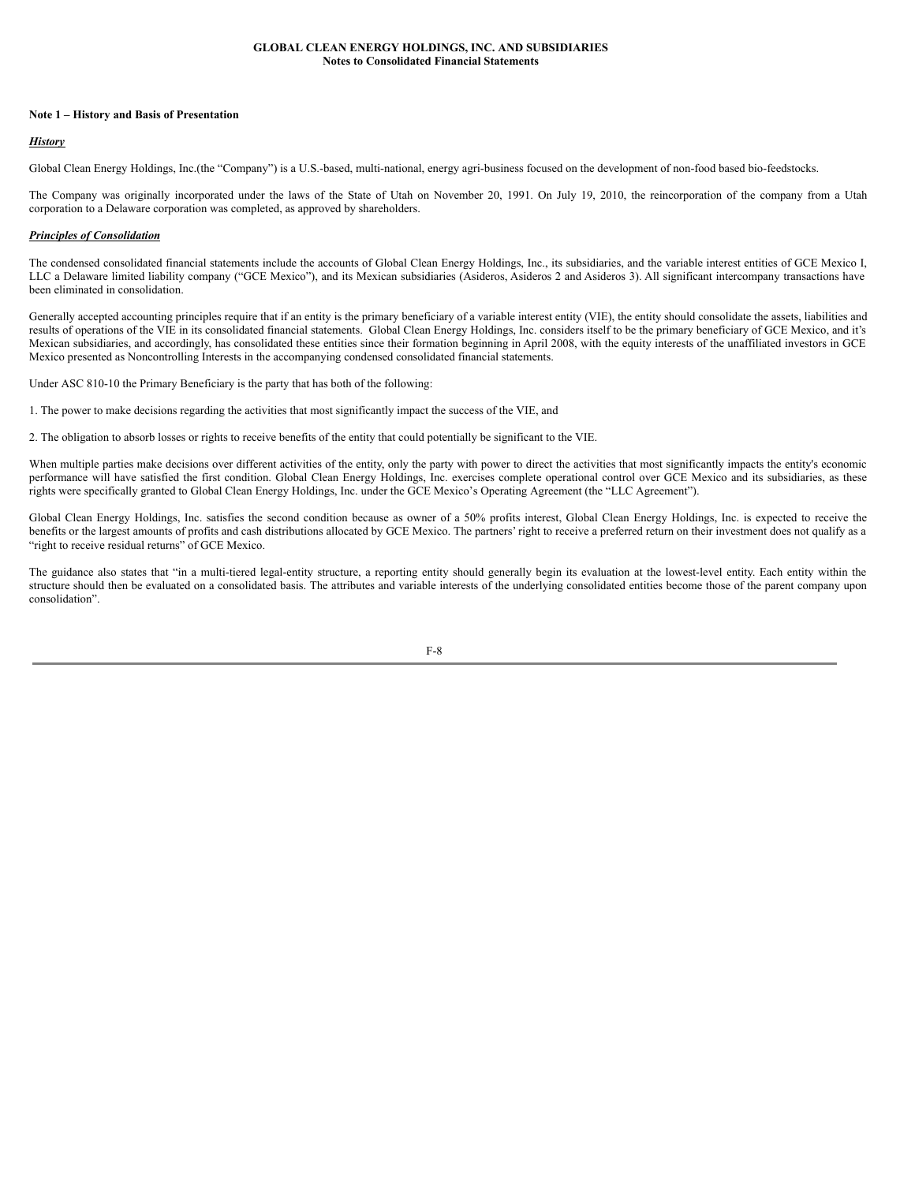## <span id="page-49-0"></span>**Note 1 – History and Basis of Presentation**

# *History*

Global Clean Energy Holdings, Inc.(the "Company") is a U.S.-based, multi-national, energy agri-business focused on the development of non-food based bio-feedstocks.

The Company was originally incorporated under the laws of the State of Utah on November 20, 1991. On July 19, 2010, the reincorporation of the company from a Utah corporation to a Delaware corporation was completed, as approved by shareholders.

# *Principles of Consolidation*

The condensed consolidated financial statements include the accounts of Global Clean Energy Holdings, Inc., its subsidiaries, and the variable interest entities of GCE Mexico I, LLC a Delaware limited liability company ("GCE Mexico"), and its Mexican subsidiaries (Asideros, Asideros 2 and Asideros 3). All significant intercompany transactions have been eliminated in consolidation.

Generally accepted accounting principles require that if an entity is the primary beneficiary of a variable interest entity (VIE), the entity should consolidate the assets, liabilities and results of operations of the VIE in its consolidated financial statements. Global Clean Energy Holdings, Inc. considers itself to be the primary beneficiary of GCE Mexico, and it's Mexican subsidiaries, and accordingly, has consolidated these entities since their formation beginning in April 2008, with the equity interests of the unaffiliated investors in GCE Mexico presented as Noncontrolling Interests in the accompanying condensed consolidated financial statements.

Under ASC 810-10 the Primary Beneficiary is the party that has both of the following:

1. The power to make decisions regarding the activities that most significantly impact the success of the VIE, and

2. The obligation to absorb losses or rights to receive benefits of the entity that could potentially be significant to the VIE.

When multiple parties make decisions over different activities of the entity, only the party with power to direct the activities that most significantly impacts the entity's economic performance will have satisfied the first condition. Global Clean Energy Holdings, Inc. exercises complete operational control over GCE Mexico and its subsidiaries, as these rights were specifically granted to Global Clean Energy Holdings, Inc. under the GCE Mexico's Operating Agreement (the "LLC Agreement").

Global Clean Energy Holdings, Inc. satisfies the second condition because as owner of a 50% profits interest, Global Clean Energy Holdings, Inc. is expected to receive the benefits or the largest amounts of profits and cash distributions allocated by GCE Mexico. The partners' right to receive a preferred return on their investment does not qualify as a "right to receive residual returns" of GCE Mexico.

The guidance also states that "in a multi-tiered legal-entity structure, a reporting entity should generally begin its evaluation at the lowest-level entity. Each entity within the structure should then be evaluated on a consolidated basis. The attributes and variable interests of the underlying consolidated entities become those of the parent company upon consolidation".

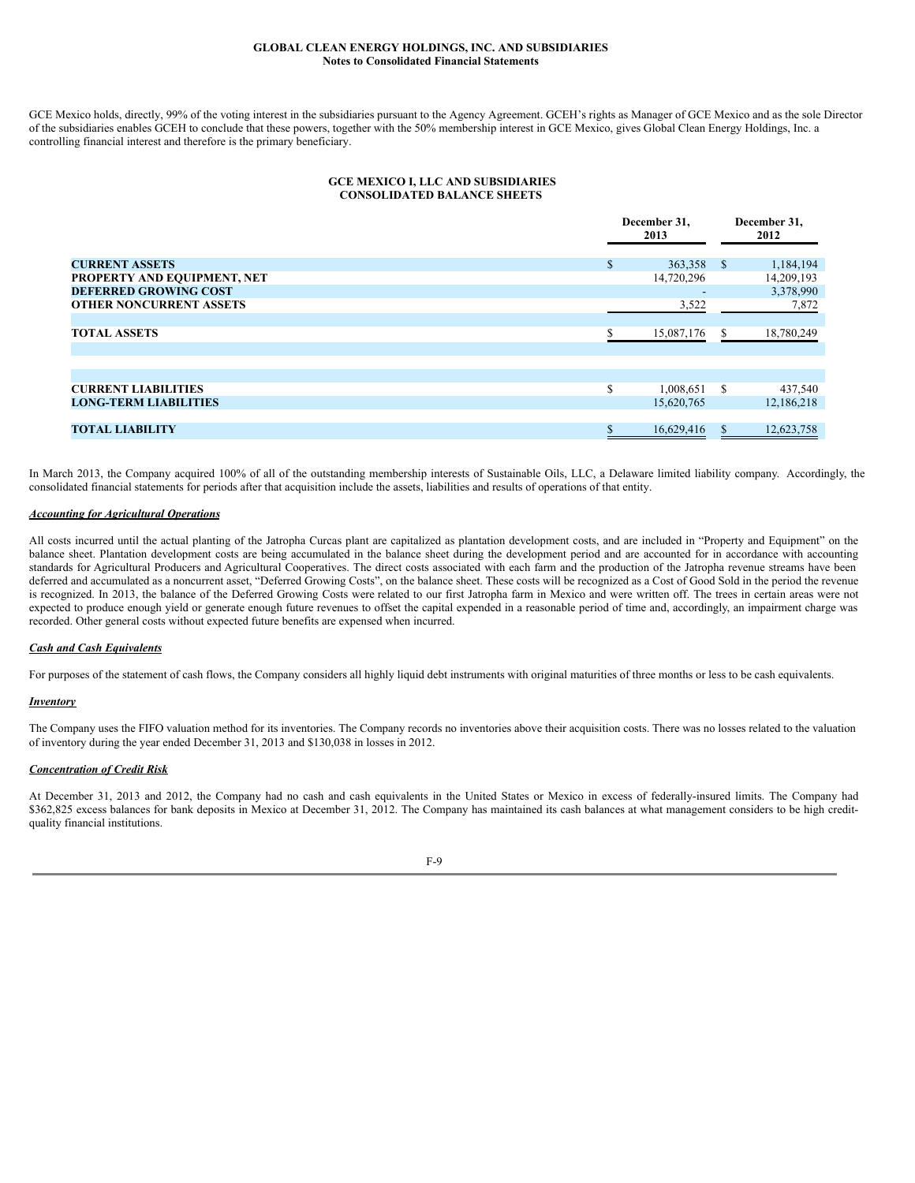GCE Mexico holds, directly, 99% of the voting interest in the subsidiaries pursuant to the Agency Agreement. GCEH's rights as Manager of GCE Mexico and as the sole Director of the subsidiaries enables GCEH to conclude that these powers, together with the 50% membership interest in GCE Mexico, gives Global Clean Energy Holdings, Inc. a controlling financial interest and therefore is the primary beneficiary.

# **GCE MEXICO I, LLC AND SUBSIDIARIES CONSOLIDATED BALANCE SHEETS**

|                                |              | December 31,<br>2013 | December 31,<br>2012 |            |  |
|--------------------------------|--------------|----------------------|----------------------|------------|--|
| <b>CURRENT ASSETS</b>          | $\mathbb{S}$ | 363,358 \$           |                      | 1,184,194  |  |
| PROPERTY AND EQUIPMENT, NET    |              | 14,720,296           |                      | 14,209,193 |  |
| <b>DEFERRED GROWING COST</b>   |              |                      |                      | 3,378,990  |  |
| <b>OTHER NONCURRENT ASSETS</b> |              | 3,522                |                      | 7,872      |  |
| <b>TOTAL ASSETS</b>            |              | 15,087,176           |                      | 18,780,249 |  |
|                                |              |                      |                      |            |  |
| <b>CURRENT LIABILITIES</b>     | S            | 1,008,651            | - S                  | 437,540    |  |
| <b>LONG-TERM LIABILITIES</b>   |              | 15,620,765           |                      | 12,186,218 |  |
| <b>TOTAL LIABILITY</b>         |              | 16,629,416           |                      | 12,623,758 |  |

In March 2013, the Company acquired 100% of all of the outstanding membership interests of Sustainable Oils, LLC, a Delaware limited liability company. Accordingly, the consolidated financial statements for periods after that acquisition include the assets, liabilities and results of operations of that entity.

## *Accounting for Agricultural Operations*

All costs incurred until the actual planting of the Jatropha Curcas plant are capitalized as plantation development costs, and are included in "Property and Equipment" on the balance sheet. Plantation development costs are being accumulated in the balance sheet during the development period and are accounted for in accordance with accounting standards for Agricultural Producers and Agricultural Cooperatives. The direct costs associated with each farm and the production of the Jatropha revenue streams have been deferred and accumulated as a noncurrent asset, "Deferred Growing Costs", on the balance sheet. These costs will be recognized as a Cost of Good Sold in the period the revenue is recognized. In 2013, the balance of the Deferred Growing Costs were related to our first Jatropha farm in Mexico and were written off. The trees in certain areas were not expected to produce enough yield or generate enough future revenues to offset the capital expended in a reasonable period of time and, accordingly, an impairment charge was recorded. Other general costs without expected future benefits are expensed when incurred.

## *Cash and Cash Equivalents*

For purposes of the statement of cash flows, the Company considers all highly liquid debt instruments with original maturities of three months or less to be cash equivalents.

## *Inventory*

The Company uses the FIFO valuation method for its inventories. The Company records no inventories above their acquisition costs. There was no losses related to the valuation of inventory during the year ended December 31, 2013 and \$130,038 in losses in 2012.

## *Concentration of Credit Risk*

At December 31, 2013 and 2012, the Company had no cash and cash equivalents in the United States or Mexico in excess of federally-insured limits. The Company had \$362,825 excess balances for bank deposits in Mexico at December 31, 2012. The Company has maintained its cash balances at what management considers to be high creditquality financial institutions.

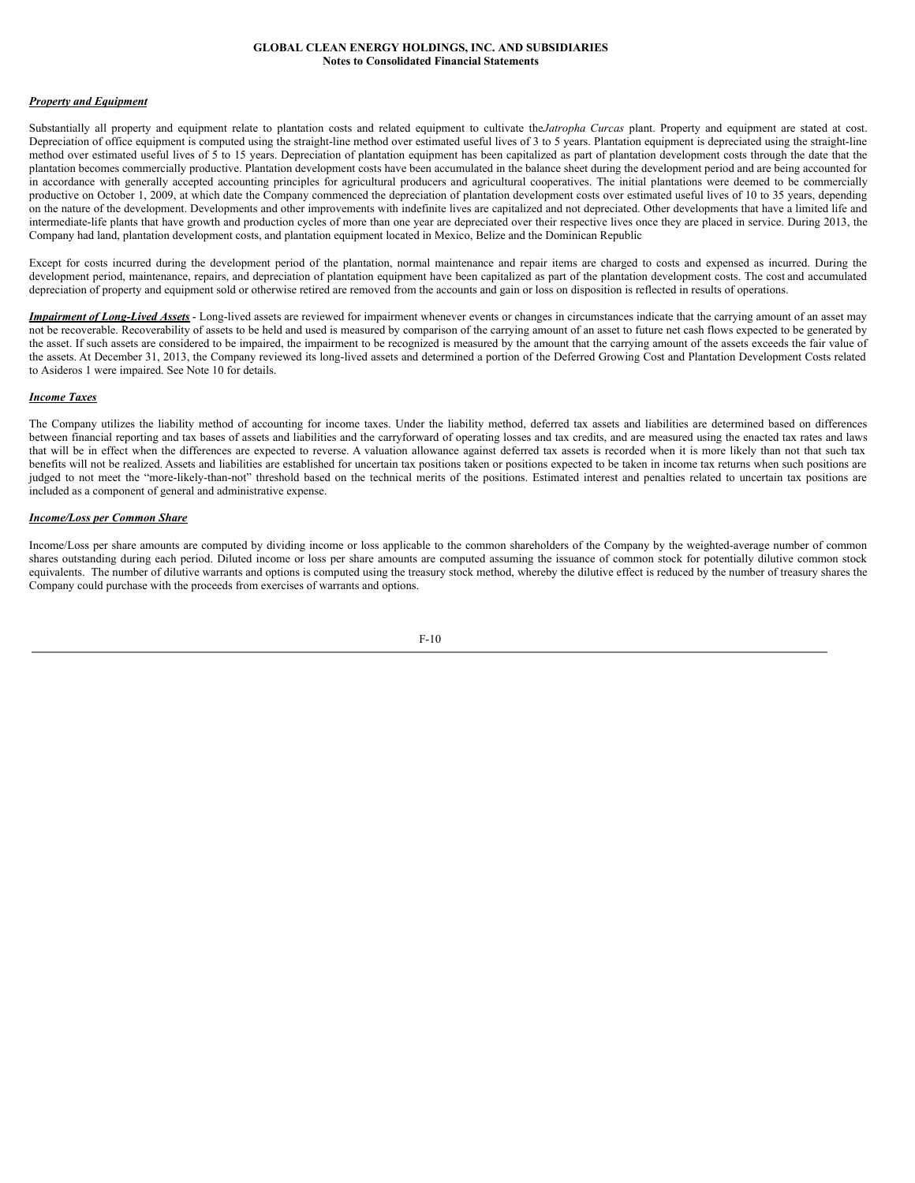## *Property and Equipment*

Substantially all property and equipment relate to plantation costs and related equipment to cultivate the*Jatropha Curcas* plant. Property and equipment are stated at cost. Depreciation of office equipment is computed using the straight-line method over estimated useful lives of 3 to 5 years. Plantation equipment is depreciated using the straight-line method over estimated useful lives of 5 to 15 years. Depreciation of plantation equipment has been capitalized as part of plantation development costs through the date that the plantation becomes commercially productive. Plantation development costs have been accumulated in the balance sheet during the development period and are being accounted for in accordance with generally accepted accounting principles for agricultural producers and agricultural cooperatives. The initial plantations were deemed to be commercially productive on October 1, 2009, at which date the Company commenced the depreciation of plantation development costs over estimated useful lives of 10 to 35 years, depending on the nature of the development. Developments and other improvements with indefinite lives are capitalized and not depreciated. Other developments that have a limited life and intermediate-life plants that have growth and production cycles of more than one year are depreciated over their respective lives once they are placed in service. During 2013, the Company had land, plantation development costs, and plantation equipment located in Mexico, Belize and the Dominican Republic

Except for costs incurred during the development period of the plantation, normal maintenance and repair items are charged to costs and expensed as incurred. During the development period, maintenance, repairs, and depreciation of plantation equipment have been capitalized as part of the plantation development costs. The cost and accumulated depreciation of property and equipment sold or otherwise retired are removed from the accounts and gain or loss on disposition is reflected in results of operations.

*Impairment of Long-Lived Assets* - Long-lived assets are reviewed for impairment whenever events or changes in circumstances indicate that the carrying amount of an asset may not be recoverable. Recoverability of assets to be held and used is measured by comparison of the carrying amount of an asset to future net cash flows expected to be generated by the asset. If such assets are considered to be impaired, the impairment to be recognized is measured by the amount that the carrying amount of the assets exceeds the fair value of the assets. At December 31, 2013, the Company reviewed its long-lived assets and determined a portion of the Deferred Growing Cost and Plantation Development Costs related to Asideros 1 were impaired. See Note 10 for details.

#### *Income Taxes*

The Company utilizes the liability method of accounting for income taxes. Under the liability method, deferred tax assets and liabilities are determined based on differences between financial reporting and tax bases of assets and liabilities and the carryforward of operating losses and tax credits, and are measured using the enacted tax rates and laws that will be in effect when the differences are expected to reverse. A valuation allowance against deferred tax assets is recorded when it is more likely than not that such tax benefits will not be realized. Assets and liabilities are established for uncertain tax positions taken or positions expected to be taken in income tax returns when such positions are judged to not meet the "more-likely-than-not" threshold based on the technical merits of the positions. Estimated interest and penalties related to uncertain tax positions are included as a component of general and administrative expense.

#### *Income/Loss per Common Share*

Income/Loss per share amounts are computed by dividing income or loss applicable to the common shareholders of the Company by the weighted-average number of common shares outstanding during each period. Diluted income or loss per share amounts are computed assuming the issuance of common stock for potentially dilutive common stock equivalents. The number of dilutive warrants and options is computed using the treasury stock method, whereby the dilutive effect is reduced by the number of treasury shares the Company could purchase with the proceeds from exercises of warrants and options.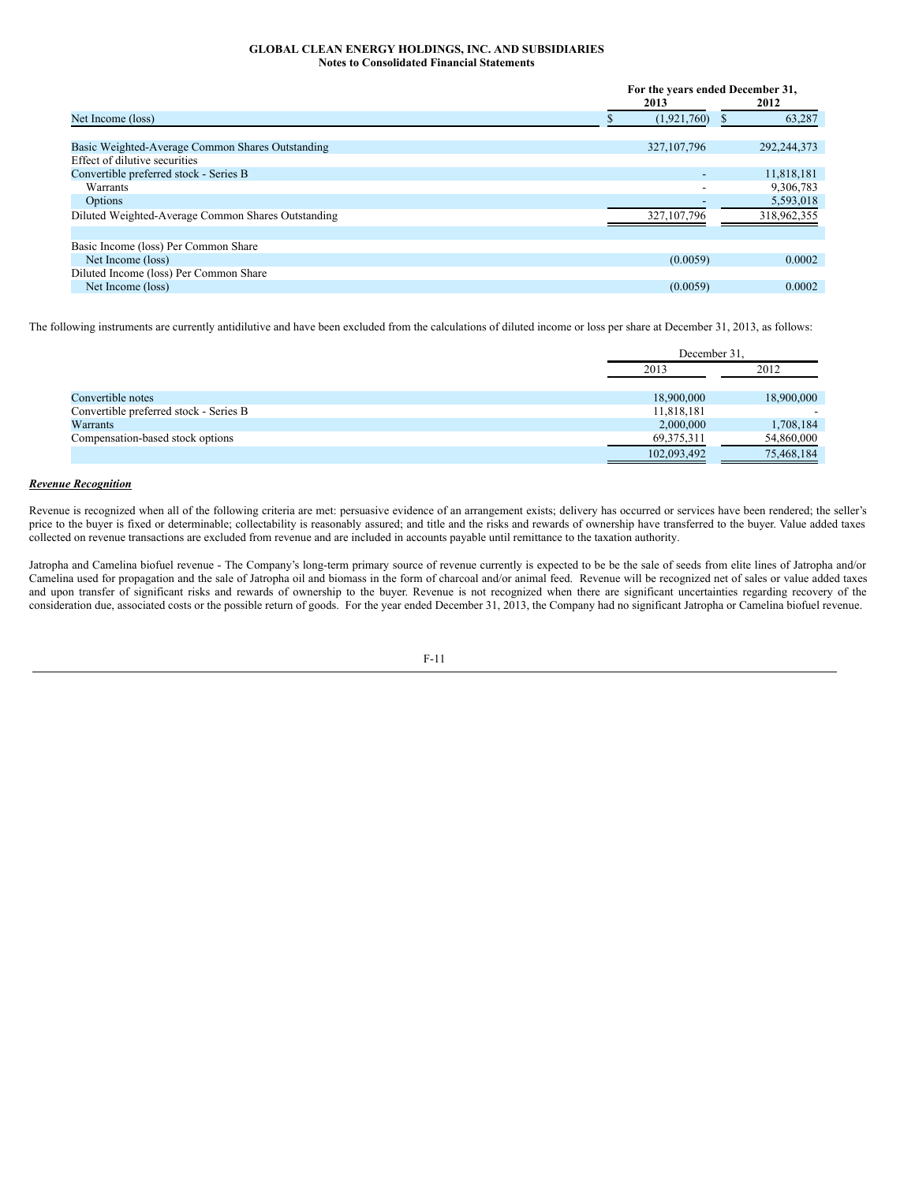|                                                    |               | For the years ended December 31, |               |  |
|----------------------------------------------------|---------------|----------------------------------|---------------|--|
|                                                    | 2013          |                                  | 2012          |  |
| Net Income (loss)                                  | (1,921,760)   |                                  | 63,287        |  |
|                                                    |               |                                  |               |  |
| Basic Weighted-Average Common Shares Outstanding   | 327, 107, 796 |                                  | 292, 244, 373 |  |
| Effect of dilutive securities                      |               |                                  |               |  |
| Convertible preferred stock - Series B             |               |                                  | 11,818,181    |  |
| Warrants                                           |               |                                  | 9,306,783     |  |
| Options                                            |               |                                  | 5,593,018     |  |
| Diluted Weighted-Average Common Shares Outstanding | 327, 107, 796 |                                  | 318,962,355   |  |
|                                                    |               |                                  |               |  |
| Basic Income (loss) Per Common Share               |               |                                  |               |  |
| Net Income (loss)                                  | (0.0059)      |                                  | 0.0002        |  |
| Diluted Income (loss) Per Common Share             |               |                                  |               |  |
| Net Income (loss)                                  | (0.0059)      |                                  | 0.0002        |  |
|                                                    |               |                                  |               |  |

The following instruments are currently antidilutive and have been excluded from the calculations of diluted income or loss per share at December 31, 2013, as follows:

|                                        | December 31. |            |
|----------------------------------------|--------------|------------|
|                                        | 2013         | 2012       |
|                                        |              |            |
| Convertible notes                      | 18,900,000   | 18,900,000 |
| Convertible preferred stock - Series B | 11,818,181   |            |
| Warrants                               | 2,000,000    | 1,708,184  |
| Compensation-based stock options       | 69, 375, 311 | 54,860,000 |
|                                        | 102,093,492  | 75,468,184 |

# *Revenue Recognition*

Revenue is recognized when all of the following criteria are met: persuasive evidence of an arrangement exists; delivery has occurred or services have been rendered; the seller's price to the buyer is fixed or determinable; collectability is reasonably assured; and title and the risks and rewards of ownership have transferred to the buyer. Value added taxes collected on revenue transactions are excluded from revenue and are included in accounts payable until remittance to the taxation authority.

Jatropha and Camelina biofuel revenue - The Company's long-term primary source of revenue currently is expected to be be the sale of seeds from elite lines of Jatropha and/or Camelina used for propagation and the sale of Jatropha oil and biomass in the form of charcoal and/or animal feed. Revenue will be recognized net of sales or value added taxes and upon transfer of significant risks and rewards of ownership to the buyer. Revenue is not recognized when there are significant uncertainties regarding recovery of the consideration due, associated costs or the possible return of goods. For the year ended December 31, 2013, the Company had no significant Jatropha or Camelina biofuel revenue.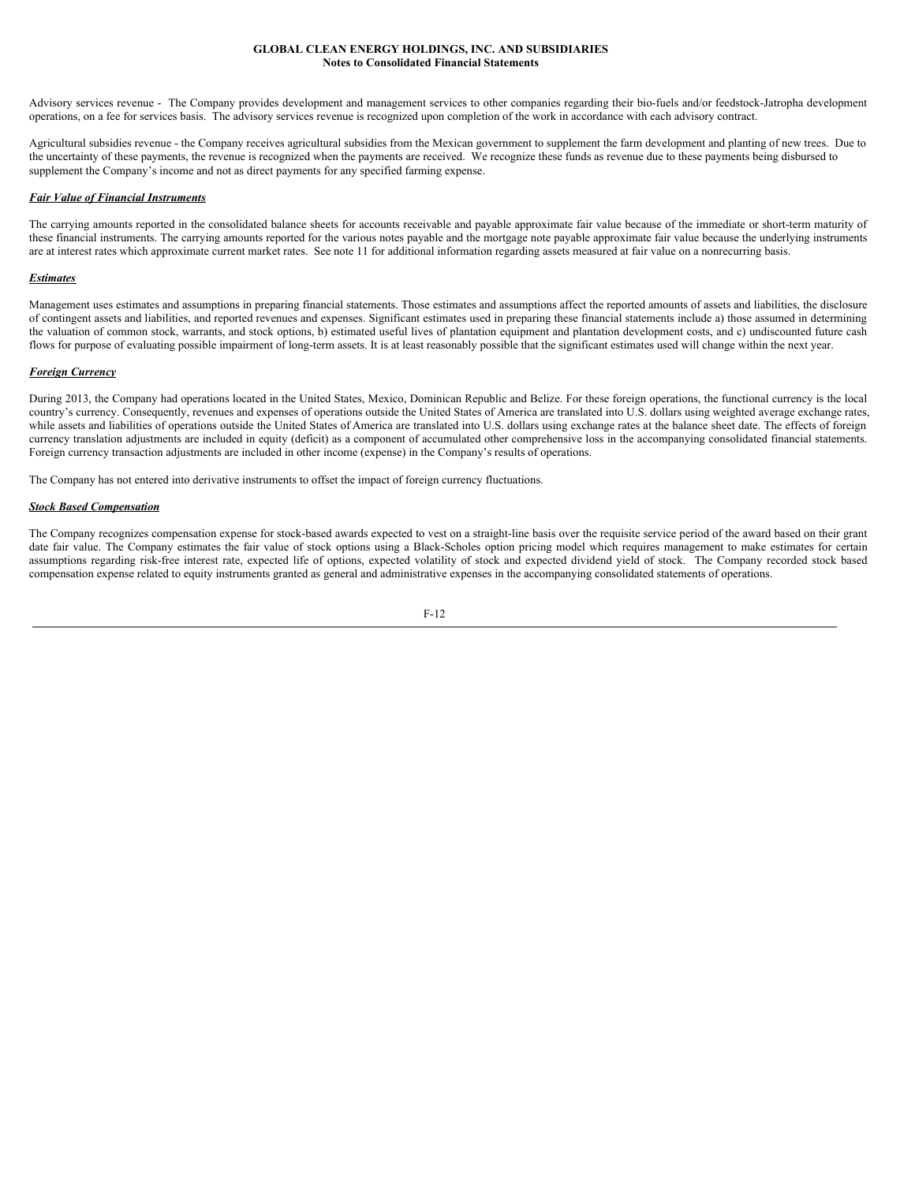Advisory services revenue - The Company provides development and management services to other companies regarding their bio-fuels and/or feedstock-Jatropha development operations, on a fee for services basis. The advisory services revenue is recognized upon completion of the work in accordance with each advisory contract.

Agricultural subsidies revenue - the Company receives agricultural subsidies from the Mexican government to supplement the farm development and planting of new trees. Due to the uncertainty of these payments, the revenue is recognized when the payments are received. We recognize these funds as revenue due to these payments being disbursed to supplement the Company's income and not as direct payments for any specified farming expense.

# *Fair Value of Financial Instruments*

The carrying amounts reported in the consolidated balance sheets for accounts receivable and payable approximate fair value because of the immediate or short-term maturity of these financial instruments. The carrying amounts reported for the various notes payable and the mortgage note payable approximate fair value because the underlying instruments are at interest rates which approximate current market rates. See note 11 for additional information regarding assets measured at fair value on a nonrecurring basis.

#### *Estimates*

Management uses estimates and assumptions in preparing financial statements. Those estimates and assumptions affect the reported amounts of assets and liabilities, the disclosure of contingent assets and liabilities, and reported revenues and expenses. Significant estimates used in preparing these financial statements include a) those assumed in determining the valuation of common stock, warrants, and stock options, b) estimated useful lives of plantation equipment and plantation development costs, and c) undiscounted future cash flows for purpose of evaluating possible impairment of long-term assets. It is at least reasonably possible that the significant estimates used will change within the next year.

#### *Foreign Currency*

During 2013, the Company had operations located in the United States, Mexico, Dominican Republic and Belize. For these foreign operations, the functional currency is the local country's currency. Consequently, revenues and expenses of operations outside the United States of America are translated into U.S. dollars using weighted average exchange rates, while assets and liabilities of operations outside the United States of America are translated into U.S. dollars using exchange rates at the balance sheet date. The effects of foreign currency translation adjustments are included in equity (deficit) as a component of accumulated other comprehensive loss in the accompanying consolidated financial statements. Foreign currency transaction adjustments are included in other income (expense) in the Company's results of operations.

The Company has not entered into derivative instruments to offset the impact of foreign currency fluctuations.

#### *Stock Based Compensation*

The Company recognizes compensation expense for stock-based awards expected to vest on a straight-line basis over the requisite service period of the award based on their grant date fair value. The Company estimates the fair value of stock options using a Black-Scholes option pricing model which requires management to make estimates for certain assumptions regarding risk-free interest rate, expected life of options, expected volatility of stock and expected dividend yield of stock. The Company recorded stock based compensation expense related to equity instruments granted as general and administrative expenses in the accompanying consolidated statements of operations.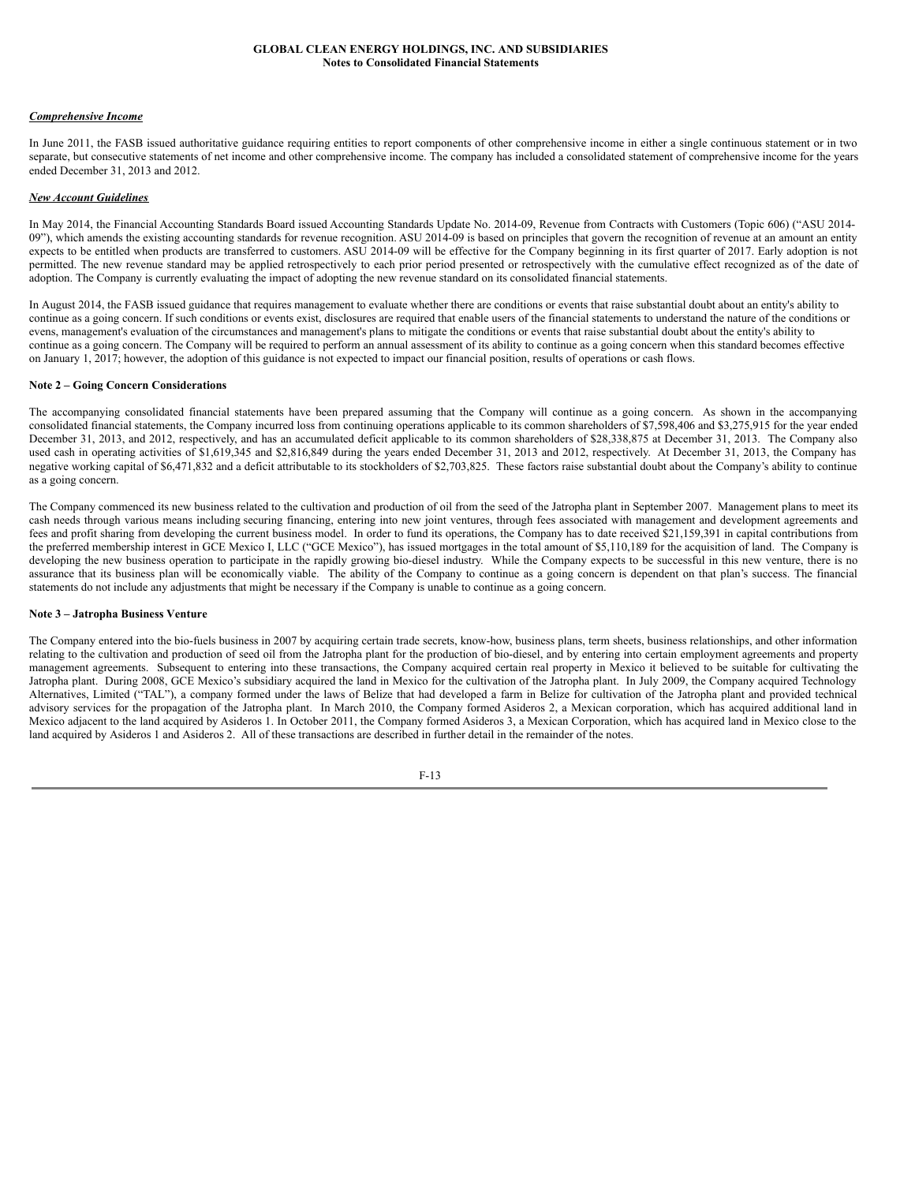## *Comprehensive Income*

In June 2011, the FASB issued authoritative guidance requiring entities to report components of other comprehensive income in either a single continuous statement or in two separate, but consecutive statements of net income and other comprehensive income. The company has included a consolidated statement of comprehensive income for the years ended December 31, 2013 and 2012.

# *New Account Guidelines*

In May 2014, the Financial Accounting Standards Board issued Accounting Standards Update No. 2014-09, Revenue from Contracts with Customers (Topic 606) ("ASU 2014- 09"), which amends the existing accounting standards for revenue recognition. ASU 2014-09 is based on principles that govern the recognition of revenue at an amount an entity expects to be entitled when products are transferred to customers. ASU 2014-09 will be effective for the Company beginning in its first quarter of 2017. Early adoption is not permitted. The new revenue standard may be applied retrospectively to each prior period presented or retrospectively with the cumulative effect recognized as of the date of adoption. The Company is currently evaluating the impact of adopting the new revenue standard on its consolidated financial statements.

In August 2014, the FASB issued guidance that requires management to evaluate whether there are conditions or events that raise substantial doubt about an entity's ability to continue as a going concern. If such conditions or events exist, disclosures are required that enable users of the financial statements to understand the nature of the conditions or evens, management's evaluation of the circumstances and management's plans to mitigate the conditions or events that raise substantial doubt about the entity's ability to continue as a going concern. The Company will be required to perform an annual assessment of its ability to continue as a going concern when this standard becomes effective on January 1, 2017; however, the adoption of this guidance is not expected to impact our financial position, results of operations or cash flows.

## **Note 2 – Going Concern Considerations**

The accompanying consolidated financial statements have been prepared assuming that the Company will continue as a going concern. As shown in the accompanying consolidated financial statements, the Company incurred loss from continuing operations applicable to its common shareholders of \$7,598,406 and \$3,275,915 for the year ended December 31, 2013, and 2012, respectively, and has an accumulated deficit applicable to its common shareholders of \$28,338,875 at December 31, 2013. The Company also used cash in operating activities of \$1,619,345 and \$2,816,849 during the years ended December 31, 2013 and 2012, respectively. At December 31, 2013, the Company has negative working capital of \$6,471,832 and a deficit attributable to its stockholders of \$2,703,825. These factors raise substantial doubt about the Company's ability to continue as a going concern.

The Company commenced its new business related to the cultivation and production of oil from the seed of the Jatropha plant in September 2007. Management plans to meet its cash needs through various means including securing financing, entering into new joint ventures, through fees associated with management and development agreements and fees and profit sharing from developing the current business model. In order to fund its operations, the Company has to date received \$21,159,391 in capital contributions from the preferred membership interest in GCE Mexico I, LLC ("GCE Mexico"), has issued mortgages in the total amount of \$5,110,189 for the acquisition of land. The Company is developing the new business operation to participate in the rapidly growing bio-diesel industry. While the Company expects to be successful in this new venture, there is no assurance that its business plan will be economically viable. The ability of the Company to continue as a going concern is dependent on that plan's success. The financial statements do not include any adjustments that might be necessary if the Company is unable to continue as a going concern.

#### **Note 3 – Jatropha Business Venture**

The Company entered into the bio-fuels business in 2007 by acquiring certain trade secrets, know-how, business plans, term sheets, business relationships, and other information relating to the cultivation and production of seed oil from the Jatropha plant for the production of bio-diesel, and by entering into certain employment agreements and property management agreements. Subsequent to entering into these transactions, the Company acquired certain real property in Mexico it believed to be suitable for cultivating the Jatropha plant. During 2008, GCE Mexico's subsidiary acquired the land in Mexico for the cultivation of the Jatropha plant. In July 2009, the Company acquired Technology Alternatives, Limited ("TAL"), a company formed under the laws of Belize that had developed a farm in Belize for cultivation of the Jatropha plant and provided technical advisory services for the propagation of the Jatropha plant. In March 2010, the Company formed Asideros 2, a Mexican corporation, which has acquired additional land in Mexico adjacent to the land acquired by Asideros 1. In October 2011, the Company formed Asideros 3, a Mexican Corporation, which has acquired land in Mexico close to the land acquired by Asideros 1 and Asideros 2. All of these transactions are described in further detail in the remainder of the notes.

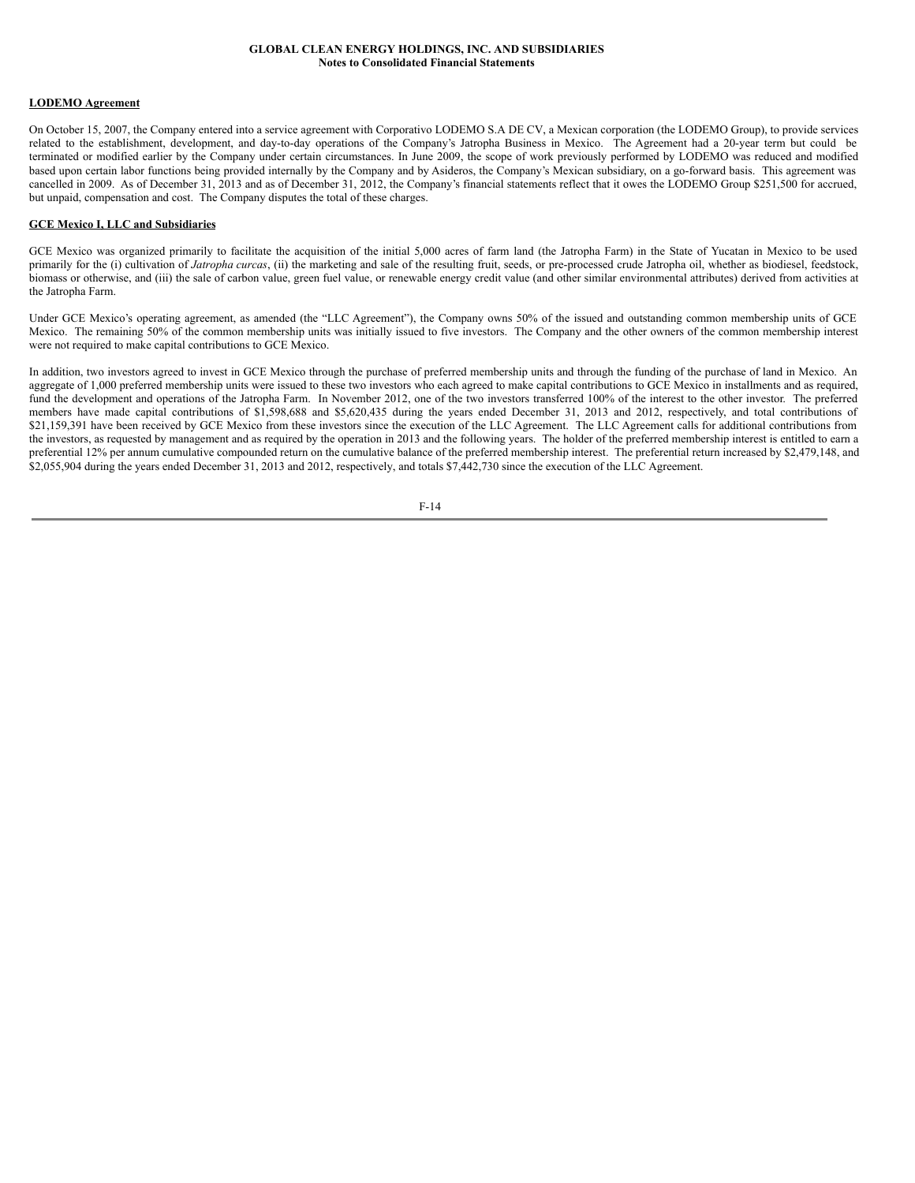## **LODEMO Agreement**

On October 15, 2007, the Company entered into a service agreement with Corporativo LODEMO S.A DE CV, a Mexican corporation (the LODEMO Group), to provide services related to the establishment, development, and day-to-day operations of the Company's Jatropha Business in Mexico. The Agreement had a 20-year term but could be terminated or modified earlier by the Company under certain circumstances. In June 2009, the scope of work previously performed by LODEMO was reduced and modified based upon certain labor functions being provided internally by the Company and by Asideros, the Company's Mexican subsidiary, on a go-forward basis. This agreement was cancelled in 2009. As of December 31, 2013 and as of December 31, 2012, the Company's financial statements reflect that it owes the LODEMO Group \$251,500 for accrued, but unpaid, compensation and cost. The Company disputes the total of these charges.

## **GCE Mexico I, LLC and Subsidiaries**

GCE Mexico was organized primarily to facilitate the acquisition of the initial 5,000 acres of farm land (the Jatropha Farm) in the State of Yucatan in Mexico to be used primarily for the (i) cultivation of *Jatropha curcas*, (ii) the marketing and sale of the resulting fruit, seeds, or pre-processed crude Jatropha oil, whether as biodiesel, feedstock, biomass or otherwise, and (iii) the sale of carbon value, green fuel value, or renewable energy credit value (and other similar environmental attributes) derived from activities at the Jatropha Farm.

Under GCE Mexico's operating agreement, as amended (the "LLC Agreement"), the Company owns 50% of the issued and outstanding common membership units of GCE Mexico. The remaining 50% of the common membership units was initially issued to five investors. The Company and the other owners of the common membership interest were not required to make capital contributions to GCE Mexico.

In addition, two investors agreed to invest in GCE Mexico through the purchase of preferred membership units and through the funding of the purchase of land in Mexico. An aggregate of 1,000 preferred membership units were issued to these two investors who each agreed to make capital contributions to GCE Mexico in installments and as required, fund the development and operations of the Jatropha Farm. In November 2012, one of the two investors transferred 100% of the interest to the other investor. The preferred members have made capital contributions of \$1,598,688 and \$5,620,435 during the years ended December 31, 2013 and 2012, respectively, and total contributions of \$21,159,391 have been received by GCE Mexico from these investors since the execution of the LLC Agreement. The LLC Agreement calls for additional contributions from the investors, as requested by management and as required by the operation in 2013 and the following years. The holder of the preferred membership interest is entitled to earn a preferential 12% per annum cumulative compounded return on the cumulative balance of the preferred membership interest. The preferential return increased by \$2,479,148, and \$2,055,904 during the years ended December 31, 2013 and 2012, respectively, and totals \$7,442,730 since the execution of the LLC Agreement.

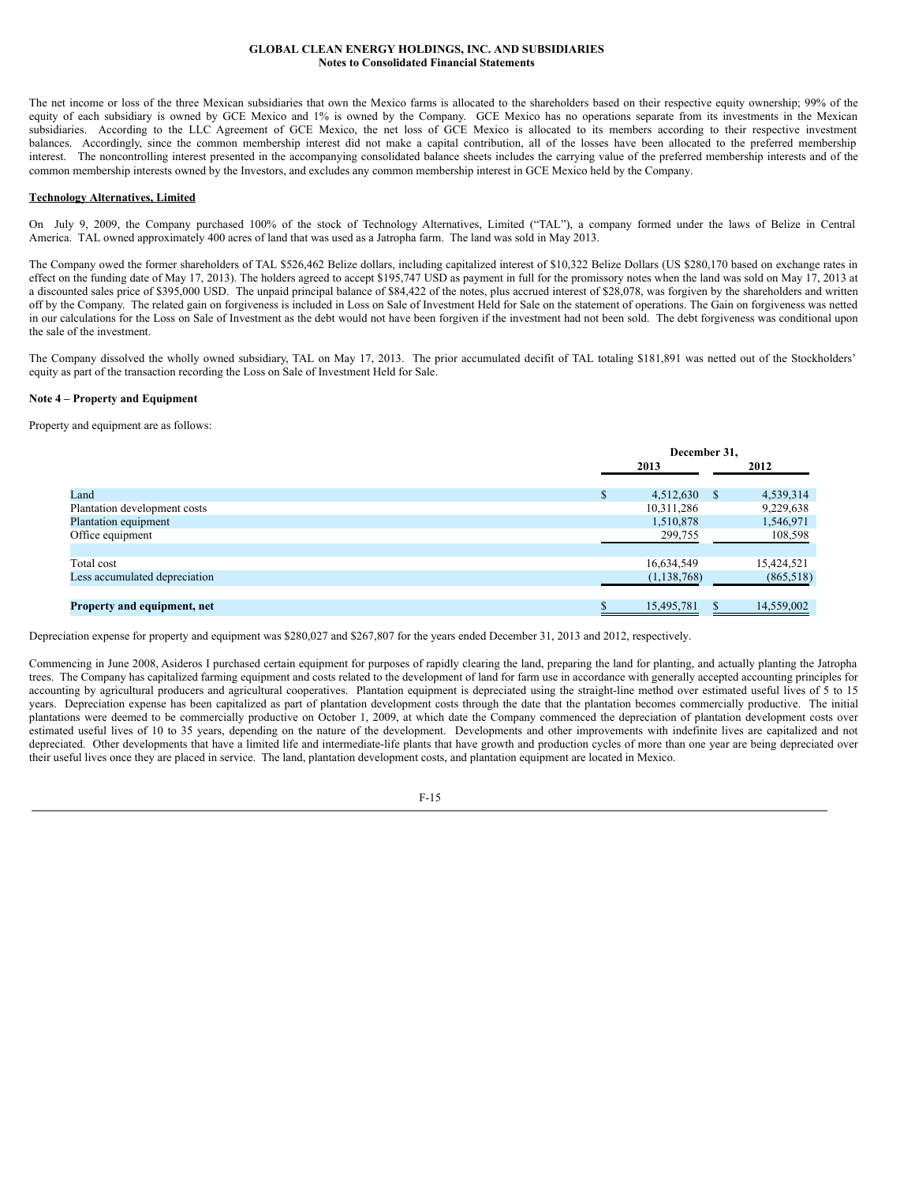The net income or loss of the three Mexican subsidiaries that own the Mexico farms is allocated to the shareholders based on their respective equity ownership; 99% of the equity of each subsidiary is owned by GCE Mexico and 1% is owned by the Company. GCE Mexico has no operations separate from its investments in the Mexican subsidiaries. According to the LLC Agreement of GCE Mexico, the net loss of GCE Mexico is allocated to its members according to their respective investment balances. Accordingly, since the common membership interest did not make a capital contribution, all of the losses have been allocated to the preferred membership interest. The noncontrolling interest presented in the accompanying consolidated balance sheets includes the carrying value of the preferred membership interests and of the common membership interests owned by the Investors, and excludes any common membership interest in GCE Mexico held by the Company.

# **Technology Alternatives, Limited**

On July 9, 2009, the Company purchased 100% of the stock of Technology Alternatives, Limited ("TAL"), a company formed under the laws of Belize in Central America. TAL owned approximately 400 acres of land that was used as a Jatropha farm. The land was sold in May 2013.

The Company owed the former shareholders of TAL \$526,462 Belize dollars, including capitalized interest of \$10,322 Belize Dollars (US \$280,170 based on exchange rates in effect on the funding date of May 17, 2013). The holders agreed to accept \$195,747 USD as payment in full for the promissory notes when the land was sold on May 17, 2013 at a discounted sales price of \$395,000 USD. The unpaid principal balance of \$84,422 of the notes, plus accrued interest of \$28,078, was forgiven by the shareholders and written off by the Company. The related gain on forgiveness is included in Loss on Sale of Investment Held for Sale on the statement of operations. The Gain on forgiveness was netted in our calculations for the Loss on Sale of Investment as the debt would not have been forgiven if the investment had not been sold. The debt forgiveness was conditional upon the sale of the investment.

The Company dissolved the wholly owned subsidiary, TAL on May 17, 2013. The prior accumulated decifit of TAL totaling \$181,891 was netted out of the Stockholders' equity as part of the transaction recording the Loss on Sale of Investment Held for Sale.

#### **Note 4 – Property and Equipment**

Property and equipment are as follows:

|                               | December 31,    |     |            |  |
|-------------------------------|-----------------|-----|------------|--|
|                               | 2013            |     | 2012       |  |
| Land                          | \$<br>4,512,630 | - S | 4,539,314  |  |
| Plantation development costs  | 10,311,286      |     | 9,229,638  |  |
| Plantation equipment          | 1,510,878       |     | 1,546,971  |  |
| Office equipment              | 299,755         |     | 108,598    |  |
| Total cost                    | 16,634,549      |     | 15,424,521 |  |
| Less accumulated depreciation | (1, 138, 768)   |     | (865,518)  |  |
| Property and equipment, net   | 15,495,781      |     | 14,559,002 |  |

Depreciation expense for property and equipment was \$280,027 and \$267,807 for the years ended December 31, 2013 and 2012, respectively.

Commencing in June 2008, Asideros I purchased certain equipment for purposes of rapidly clearing the land, preparing the land for planting, and actually planting the Jatropha trees. The Company has capitalized farming equipment and costs related to the development of land for farm use in accordance with generally accepted accounting principles for accounting by agricultural producers and agricultural cooperatives. Plantation equipment is depreciated using the straight-line method over estimated useful lives of 5 to 15 years. Depreciation expense has been capitalized as part of plantation development costs through the date that the plantation becomes commercially productive. The initial plantations were deemed to be commercially productive on October 1, 2009, at which date the Company commenced the depreciation of plantation development costs over estimated useful lives of 10 to 35 years, depending on the nature of the development. Developments and other improvements with indefinite lives are capitalized and not depreciated. Other developments that have a limited life and intermediate-life plants that have growth and production cycles of more than one year are being depreciated over their useful lives once they are placed in service. The land, plantation development costs, and plantation equipment are located in Mexico.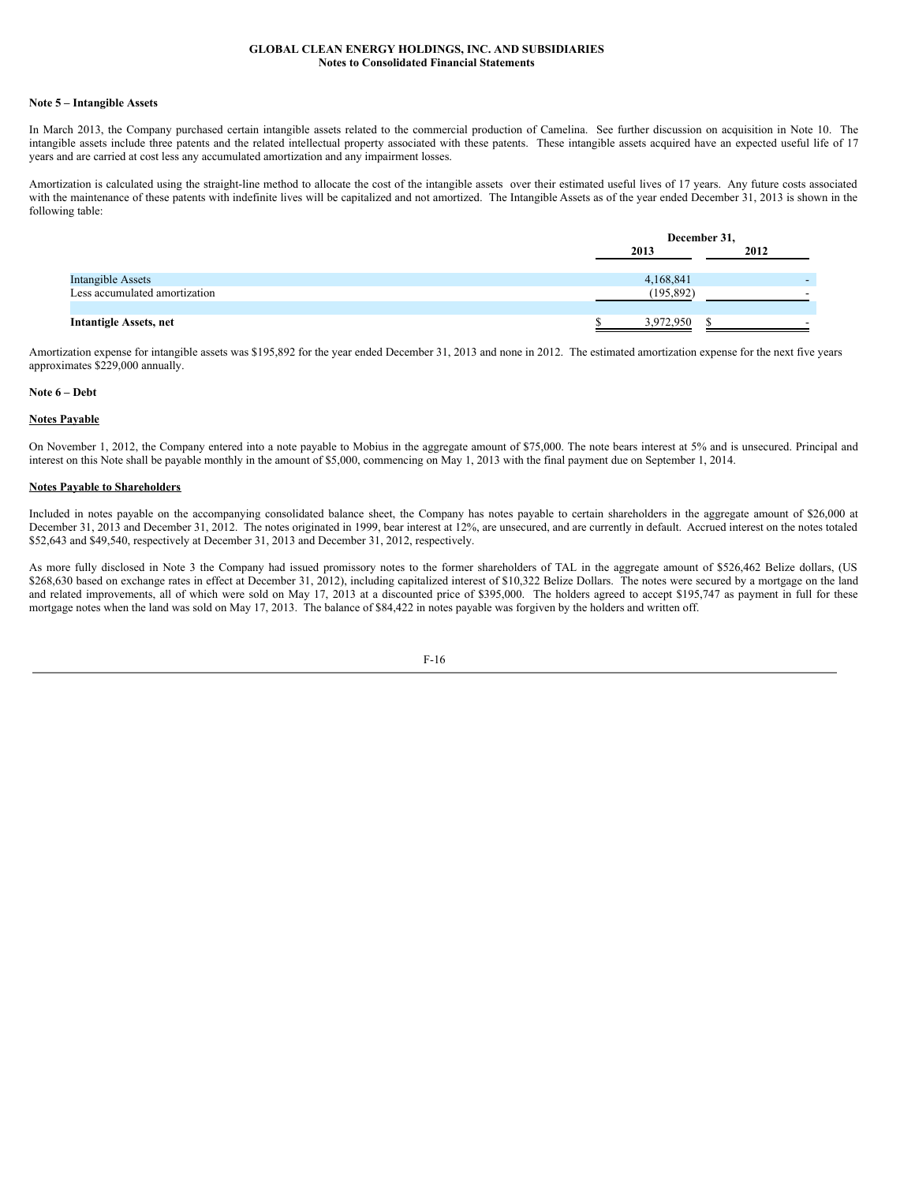## **Note 5 – Intangible Assets**

In March 2013, the Company purchased certain intangible assets related to the commercial production of Camelina. See further discussion on acquisition in Note 10. The intangible assets include three patents and the related intellectual property associated with these patents. These intangible assets acquired have an expected useful life of 17 years and are carried at cost less any accumulated amortization and any impairment losses.

Amortization is calculated using the straight-line method to allocate the cost of the intangible assets over their estimated useful lives of 17 years. Any future costs associated with the maintenance of these patents with indefinite lives will be capitalized and not amortized. The Intangible Assets as of the year ended December 31, 2013 is shown in the following table:

|                               | December 31, |            |      |  |  |  |
|-------------------------------|--------------|------------|------|--|--|--|
|                               |              | 2013       | 2012 |  |  |  |
|                               |              |            |      |  |  |  |
| <b>Intangible Assets</b>      |              | 4,168,841  |      |  |  |  |
| Less accumulated amortization |              | (195, 892) |      |  |  |  |
|                               |              |            |      |  |  |  |
| <b>Intantigle Assets, net</b> |              | 3,972,950  |      |  |  |  |

Amortization expense for intangible assets was \$195,892 for the year ended December 31, 2013 and none in 2012. The estimated amortization expense for the next five years approximates \$229,000 annually.

#### **Note 6 – Debt**

#### **Notes Payable**

On November 1, 2012, the Company entered into a note payable to Mobius in the aggregate amount of \$75,000. The note bears interest at 5% and is unsecured. Principal and interest on this Note shall be payable monthly in the amount of \$5,000, commencing on May 1, 2013 with the final payment due on September 1, 2014.

#### **Notes Payable to Shareholders**

Included in notes payable on the accompanying consolidated balance sheet, the Company has notes payable to certain shareholders in the aggregate amount of \$26,000 at December 31, 2013 and December 31, 2012. The notes originated in 1999, bear interest at 12%, are unsecured, and are currently in default. Accrued interest on the notes totaled \$52,643 and \$49,540, respectively at December 31, 2013 and December 31, 2012, respectively.

As more fully disclosed in Note 3 the Company had issued promissory notes to the former shareholders of TAL in the aggregate amount of \$526,462 Belize dollars, (US \$268,630 based on exchange rates in effect at December 31, 2012), including capitalized interest of \$10,322 Belize Dollars. The notes were secured by a mortgage on the land and related improvements, all of which were sold on May 17, 2013 at a discounted price of \$395,000. The holders agreed to accept \$195,747 as payment in full for these mortgage notes when the land was sold on May 17, 2013. The balance of \$84,422 in notes payable was forgiven by the holders and written off.

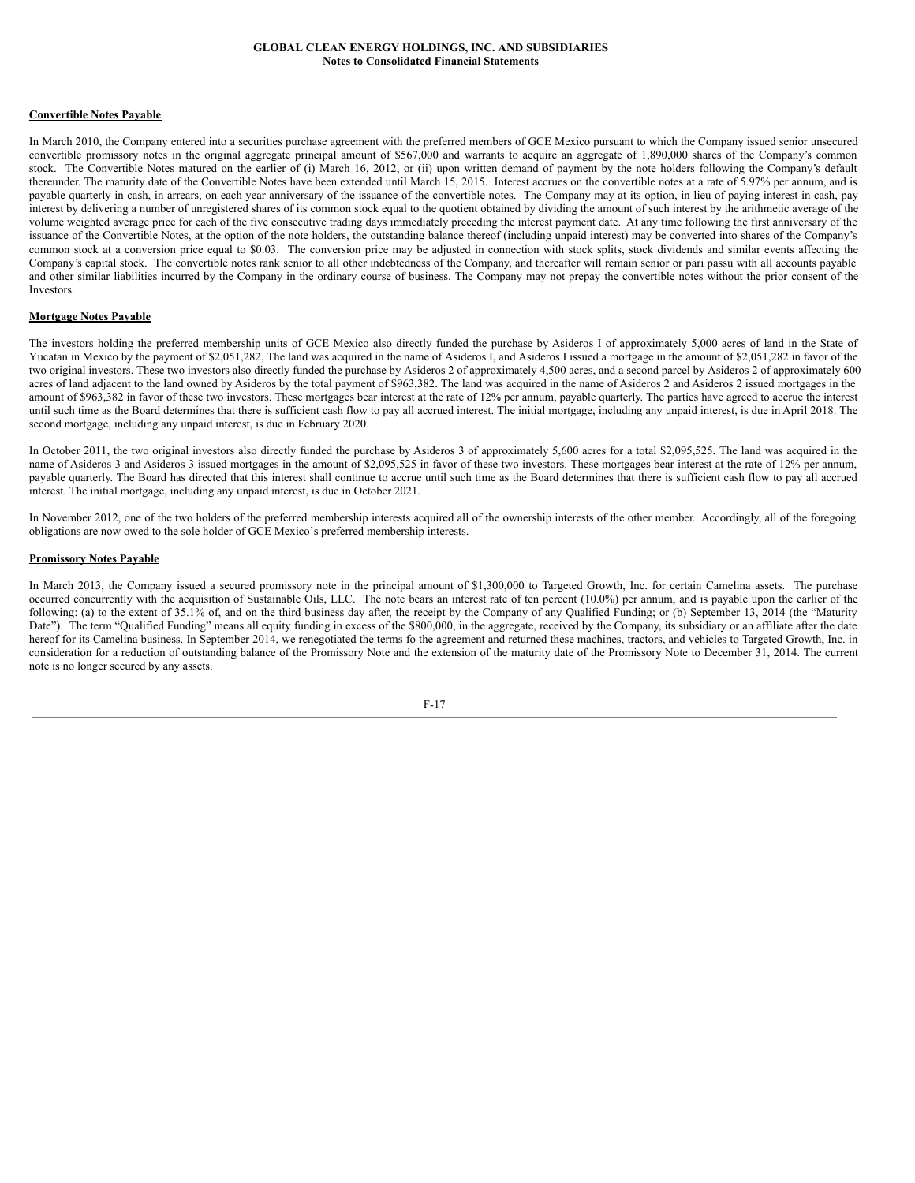#### **Convertible Notes Payable**

In March 2010, the Company entered into a securities purchase agreement with the preferred members of GCE Mexico pursuant to which the Company issued senior unsecured convertible promissory notes in the original aggregate principal amount of \$567,000 and warrants to acquire an aggregate of 1,890,000 shares of the Company's common stock. The Convertible Notes matured on the earlier of (i) March 16, 2012, or (ii) upon written demand of payment by the note holders following the Company's default thereunder. The maturity date of the Convertible Notes have been extended until March 15, 2015. Interest accrues on the convertible notes at a rate of 5.97% per annum, and is payable quarterly in cash, in arrears, on each year anniversary of the issuance of the convertible notes. The Company may at its option, in lieu of paying interest in cash, pay interest by delivering a number of unregistered shares of its common stock equal to the quotient obtained by dividing the amount of such interest by the arithmetic average of the volume weighted average price for each of the five consecutive trading days immediately preceding the interest payment date. At any time following the first anniversary of the issuance of the Convertible Notes, at the option of the note holders, the outstanding balance thereof (including unpaid interest) may be converted into shares of the Company's common stock at a conversion price equal to \$0.03. The conversion price may be adjusted in connection with stock splits, stock dividends and similar events affecting the Company's capital stock. The convertible notes rank senior to all other indebtedness of the Company, and thereafter will remain senior or pari passu with all accounts payable and other similar liabilities incurred by the Company in the ordinary course of business. The Company may not prepay the convertible notes without the prior consent of the **Investors** 

#### **Mortgage Notes Payable**

The investors holding the preferred membership units of GCE Mexico also directly funded the purchase by Asideros I of approximately 5,000 acres of land in the State of Yucatan in Mexico by the payment of \$2,051,282, The land was acquired in the name of Asideros I, and Asideros I issued a mortgage in the amount of \$2,051,282 in favor of the two original investors. These two investors also directly funded the purchase by Asideros 2 of approximately 4,500 acres, and a second parcel by Asideros 2 of approximately 600 acres of land adjacent to the land owned by Asideros by the total payment of \$963,382. The land was acquired in the name of Asideros 2 and Asideros 2 issued mortgages in the amount of \$963,382 in favor of these two investors. These mortgages bear interest at the rate of 12% per annum, payable quarterly. The parties have agreed to accrue the interest until such time as the Board determines that there is sufficient cash flow to pay all accrued interest. The initial mortgage, including any unpaid interest, is due in April 2018. The second mortgage, including any unpaid interest, is due in February 2020.

In October 2011, the two original investors also directly funded the purchase by Asideros 3 of approximately 5,600 acres for a total \$2,095,525. The land was acquired in the name of Asideros 3 and Asideros 3 issued mortgages in the amount of \$2,095,525 in favor of these two investors. These mortgages bear interest at the rate of 12% per annum, payable quarterly. The Board has directed that this interest shall continue to accrue until such time as the Board determines that there is sufficient cash flow to pay all accrued interest. The initial mortgage, including any unpaid interest, is due in October 2021.

In November 2012, one of the two holders of the preferred membership interests acquired all of the ownership interests of the other member. Accordingly, all of the foregoing obligations are now owed to the sole holder of GCE Mexico's preferred membership interests.

#### **Promissory Notes Payable**

In March 2013, the Company issued a secured promissory note in the principal amount of \$1,300,000 to Targeted Growth, Inc. for certain Camelina assets. The purchase occurred concurrently with the acquisition of Sustainable Oils, LLC. The note bears an interest rate of ten percent (10.0%) per annum, and is payable upon the earlier of the following: (a) to the extent of 35.1% of, and on the third business day after, the receipt by the Company of any Qualified Funding; or (b) September 13, 2014 (the "Maturity Date"). The term "Qualified Funding" means all equity funding in excess of the \$800,000, in the aggregate, received by the Company, its subsidiary or an affiliate after the date hereof for its Camelina business. In September 2014, we renegotiated the terms fo the agreement and returned these machines, tractors, and vehicles to Targeted Growth, Inc. in consideration for a reduction of outstanding balance of the Promissory Note and the extension of the maturity date of the Promissory Note to December 31, 2014. The current note is no longer secured by any assets.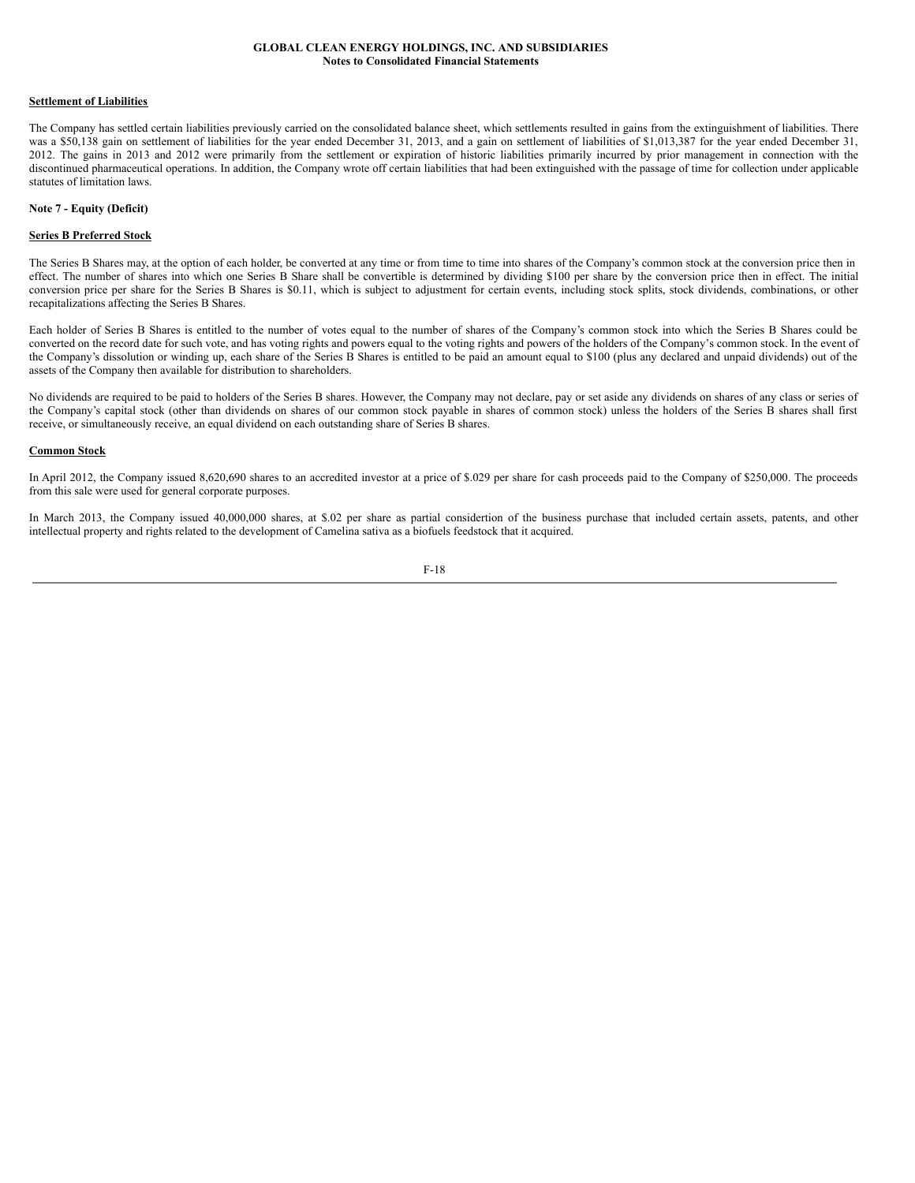#### **Settlement of Liabilities**

The Company has settled certain liabilities previously carried on the consolidated balance sheet, which settlements resulted in gains from the extinguishment of liabilities. There was a \$50,138 gain on settlement of liabilities for the year ended December 31, 2013, and a gain on settlement of liabilities of \$1,013,387 for the year ended December 31, 2012. The gains in 2013 and 2012 were primarily from the settlement or expiration of historic liabilities primarily incurred by prior management in connection with the discontinued pharmaceutical operations. In addition, the Company wrote off certain liabilities that had been extinguished with the passage of time for collection under applicable statutes of limitation laws.

## **Note 7 - Equity (Deficit)**

# **Series B Preferred Stock**

The Series B Shares may, at the option of each holder, be converted at any time or from time to time into shares of the Company's common stock at the conversion price then in effect. The number of shares into which one Series B Share shall be convertible is determined by dividing \$100 per share by the conversion price then in effect. The initial conversion price per share for the Series B Shares is \$0.11, which is subject to adjustment for certain events, including stock splits, stock dividends, combinations, or other recapitalizations affecting the Series B Shares.

Each holder of Series B Shares is entitled to the number of votes equal to the number of shares of the Company's common stock into which the Series B Shares could be converted on the record date for such vote, and has voting rights and powers equal to the voting rights and powers of the holders of the Company's common stock. In the event of the Company's dissolution or winding up, each share of the Series B Shares is entitled to be paid an amount equal to \$100 (plus any declared and unpaid dividends) out of the assets of the Company then available for distribution to shareholders.

No dividends are required to be paid to holders of the Series B shares. However, the Company may not declare, pay or set aside any dividends on shares of any class or series of the Company's capital stock (other than dividends on shares of our common stock payable in shares of common stock) unless the holders of the Series B shares shall first receive, or simultaneously receive, an equal dividend on each outstanding share of Series B shares.

## **Common Stock**

In April 2012, the Company issued 8,620,690 shares to an accredited investor at a price of \$.029 per share for cash proceeds paid to the Company of \$250,000. The proceeds from this sale were used for general corporate purposes.

In March 2013, the Company issued 40,000,000 shares, at \$.02 per share as partial considertion of the business purchase that included certain assets, patents, and other intellectual property and rights related to the development of Camelina sativa as a biofuels feedstock that it acquired.

$$
F-18
$$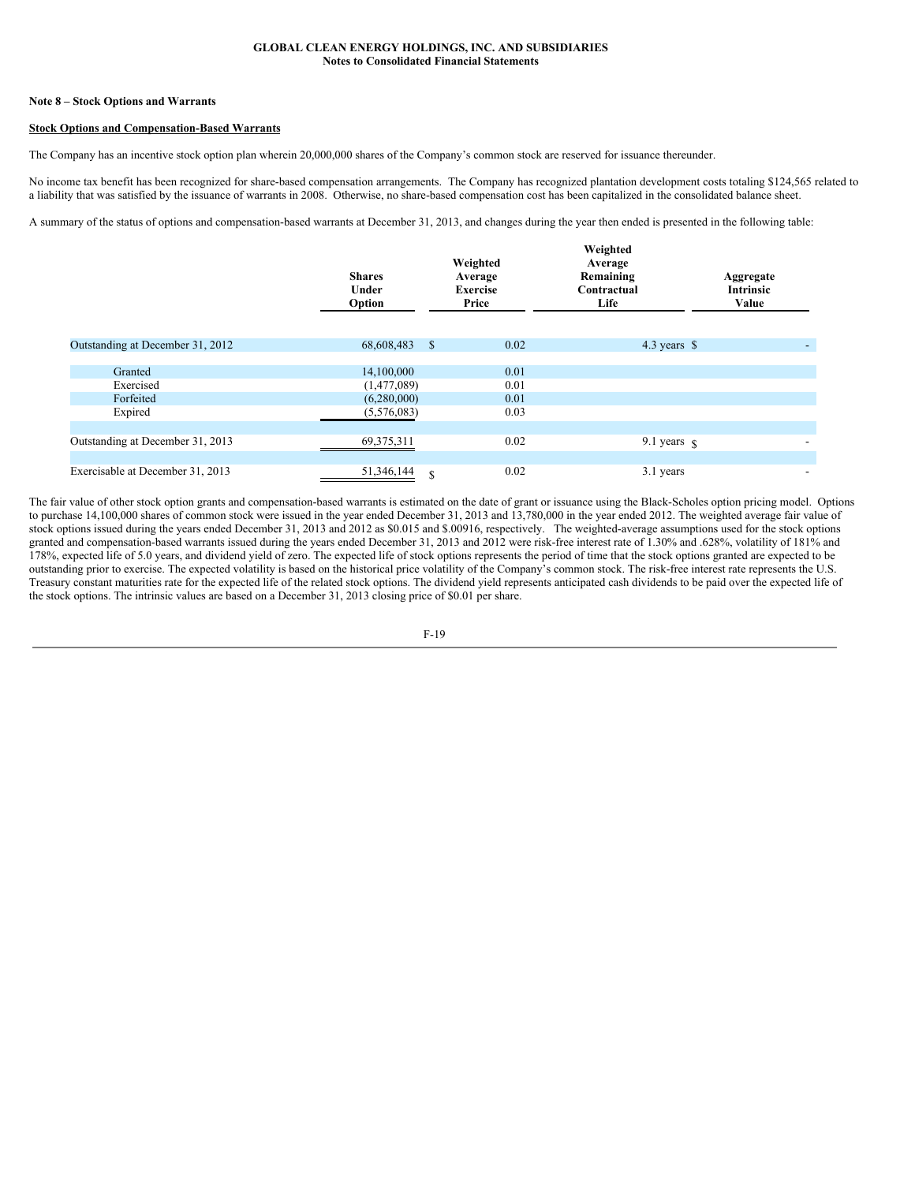#### **Note 8 – Stock Options and Warrants**

#### **Stock Options and Compensation-Based Warrants**

The Company has an incentive stock option plan wherein 20,000,000 shares of the Company's common stock are reserved for issuance thereunder.

No income tax benefit has been recognized for share-based compensation arrangements. The Company has recognized plantation development costs totaling \$124,565 related to a liability that was satisfied by the issuance of warrants in 2008. Otherwise, no share-based compensation cost has been capitalized in the consolidated balance sheet.

A summary of the status of options and compensation-based warrants at December 31, 2013, and changes during the year then ended is presented in the following table:

|                                  | <b>Shares</b><br>Under<br>Option |          | Weighted<br>Average<br><b>Exercise</b><br>Price | Weighted<br>Average<br>Remaining<br>Contractual<br>Life | Aggregate<br>Intrinsic<br>Value |
|----------------------------------|----------------------------------|----------|-------------------------------------------------|---------------------------------------------------------|---------------------------------|
| Outstanding at December 31, 2012 | 68,608,483                       | <b>S</b> | 0.02                                            | 4.3 years $\$$                                          |                                 |
| Granted                          | 14,100,000                       |          | 0.01                                            |                                                         |                                 |
|                                  |                                  |          |                                                 |                                                         |                                 |
| Exercised                        | (1,477,089)                      |          | 0.01                                            |                                                         |                                 |
| Forfeited                        | (6,280,000)                      |          | 0.01                                            |                                                         |                                 |
| Expired                          | (5,576,083)                      |          | 0.03                                            |                                                         |                                 |
|                                  |                                  |          |                                                 |                                                         |                                 |
| Outstanding at December 31, 2013 | 69, 375, 311                     |          | 0.02                                            | 9.1 years $\epsilon$                                    |                                 |
|                                  |                                  |          |                                                 |                                                         |                                 |
| Exercisable at December 31, 2013 | 51,346,144                       |          | 0.02                                            | 3.1 years                                               | $\overline{\phantom{a}}$        |

The fair value of other stock option grants and compensation-based warrants is estimated on the date of grant or issuance using the Black-Scholes option pricing model. Options to purchase 14,100,000 shares of common stock were issued in the year ended December 31, 2013 and 13,780,000 in the year ended 2012. The weighted average fair value of stock options issued during the years ended December 31, 2013 and 2012 as \$0.015 and \$.00916, respectively. The weighted-average assumptions used for the stock options granted and compensation-based warrants issued during the years ended December 31, 2013 and 2012 were risk-free interest rate of 1.30% and .628%, volatility of 181% and 178%, expected life of 5.0 years, and dividend yield of zero. The expected life of stock options represents the period of time that the stock options granted are expected to be outstanding prior to exercise. The expected volatility is based on the historical price volatility of the Company's common stock. The risk-free interest rate represents the U.S. Treasury constant maturities rate for the expected life of the related stock options. The dividend yield represents anticipated cash dividends to be paid over the expected life of the stock options. The intrinsic values are based on a December 31, 2013 closing price of \$0.01 per share.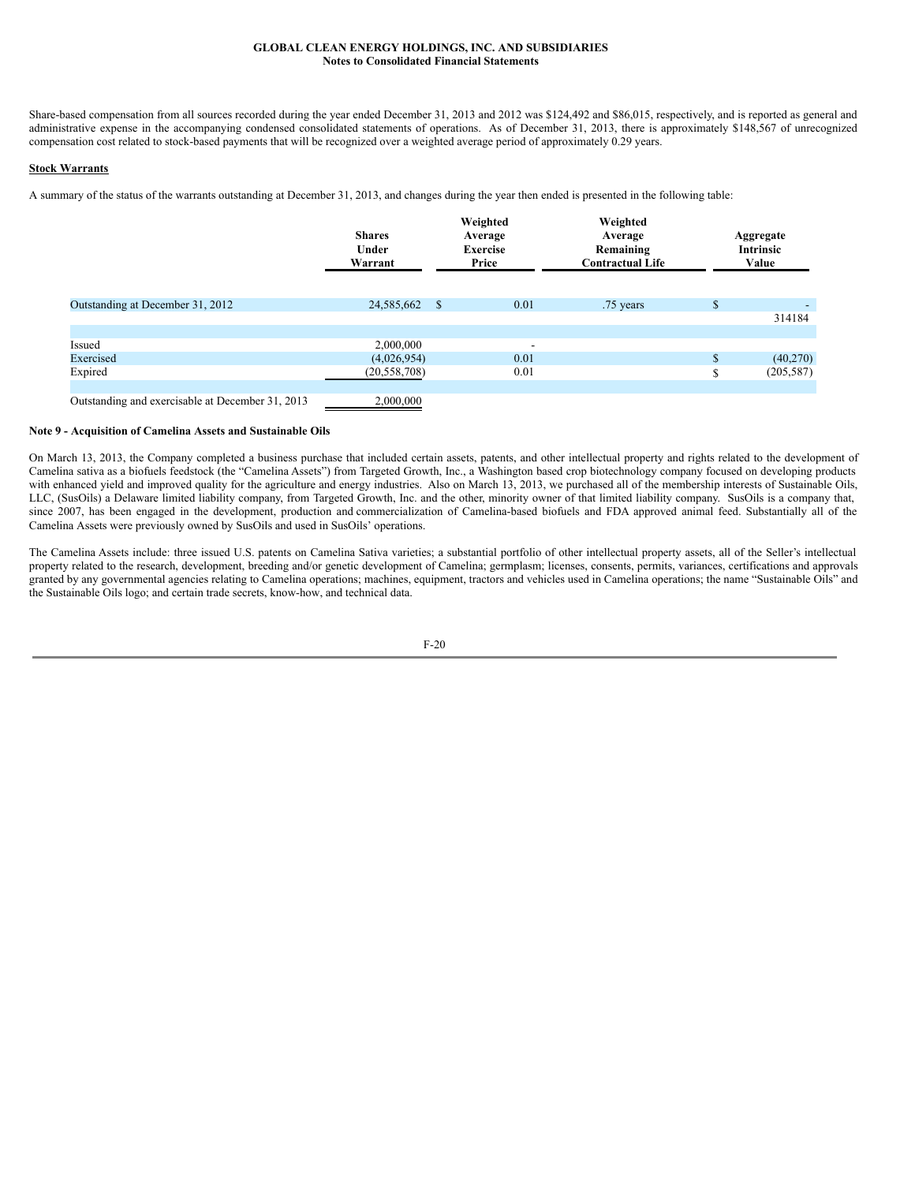Share-based compensation from all sources recorded during the year ended December 31, 2013 and 2012 was \$124,492 and \$86,015, respectively, and is reported as general and administrative expense in the accompanying condensed consolidated statements of operations. As of December 31, 2013, there is approximately \$148,567 of unrecognized compensation cost related to stock-based payments that will be recognized over a weighted average period of approximately 0.29 years.

## **Stock Warrants**

A summary of the status of the warrants outstanding at December 31, 2013, and changes during the year then ended is presented in the following table:

|                                                  | <b>Shares</b><br>Under<br>Warrant |    | Weighted<br>Average<br><b>Exercise</b><br>Price | Weighted<br>Average<br>Remaining<br><b>Contractual Life</b> |              | Aggregate<br><b>Intrinsic</b><br>Value |
|--------------------------------------------------|-----------------------------------|----|-------------------------------------------------|-------------------------------------------------------------|--------------|----------------------------------------|
|                                                  |                                   |    |                                                 |                                                             |              |                                        |
| Outstanding at December 31, 2012                 | 24,585,662                        | \$ | 0.01                                            | .75 years                                                   | \$           |                                        |
|                                                  |                                   |    |                                                 |                                                             |              | 314184                                 |
|                                                  |                                   |    |                                                 |                                                             |              |                                        |
| Issued                                           | 2,000,000                         |    | $\blacksquare$                                  |                                                             |              |                                        |
| Exercised                                        | (4,026,954)                       |    | 0.01                                            |                                                             | $\mathbf{s}$ | (40,270)                               |
| Expired                                          | (20, 558, 708)                    |    | 0.01                                            |                                                             | S            | (205, 587)                             |
|                                                  |                                   |    |                                                 |                                                             |              |                                        |
| Outstanding and exercisable at December 31, 2013 | 2,000,000                         |    |                                                 |                                                             |              |                                        |

## **Note 9 - Acquisition of Camelina Assets and Sustainable Oils**

On March 13, 2013, the Company completed a business purchase that included certain assets, patents, and other intellectual property and rights related to the development of Camelina sativa as a biofuels feedstock (the "Camelina Assets") from Targeted Growth, Inc., a Washington based crop biotechnology company focused on developing products with enhanced yield and improved quality for the agriculture and energy industries. Also on March 13, 2013, we purchased all of the membership interests of Sustainable Oils, LLC, (SusOils) a Delaware limited liability company, from Targeted Growth, Inc. and the other, minority owner of that limited liability company. SusOils is a company that, since 2007, has been engaged in the development, production and commercialization of Camelina-based biofuels and FDA approved animal feed. Substantially all of the Camelina Assets were previously owned by SusOils and used in SusOils' operations.

The Camelina Assets include: three issued U.S. patents on Camelina Sativa varieties; a substantial portfolio of other intellectual property assets, all of the Seller's intellectual property related to the research, development, breeding and/or genetic development of Camelina; germplasm; licenses, consents, permits, variances, certifications and approvals granted by any governmental agencies relating to Camelina operations; machines, equipment, tractors and vehicles used in Camelina operations; the name "Sustainable Oils" and the Sustainable Oils logo; and certain trade secrets, know-how, and technical data.

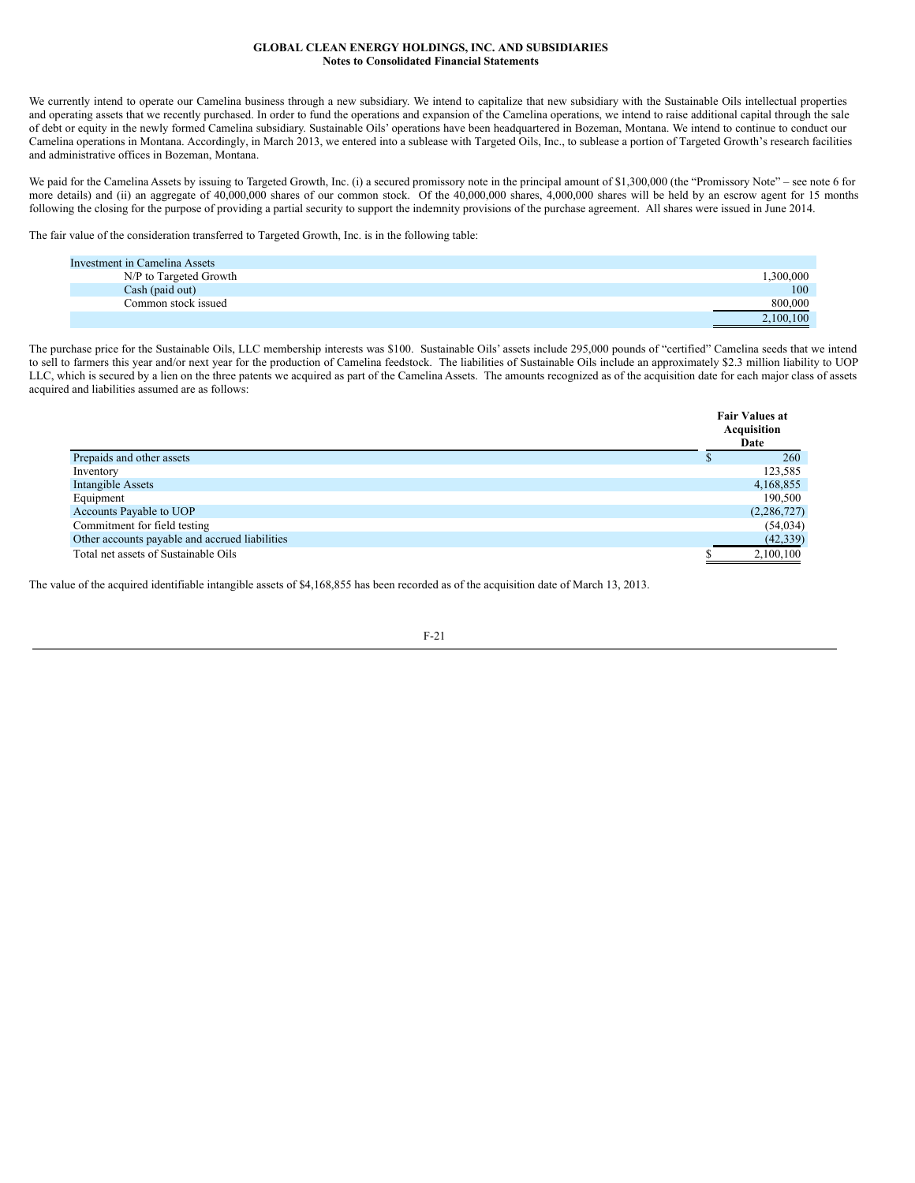We currently intend to operate our Camelina business through a new subsidiary. We intend to capitalize that new subsidiary with the Sustainable Oils intellectual properties and operating assets that we recently purchased. In order to fund the operations and expansion of the Camelina operations, we intend to raise additional capital through the sale of debt or equity in the newly formed Camelina subsidiary. Sustainable Oils' operations have been headquartered in Bozeman, Montana. We intend to continue to conduct our Camelina operations in Montana. Accordingly, in March 2013, we entered into a sublease with Targeted Oils, Inc., to sublease a portion of Targeted Growth's research facilities and administrative offices in Bozeman, Montana.

We paid for the Camelina Assets by issuing to Targeted Growth, Inc. (i) a secured promissory note in the principal amount of \$1,300,000 (the "Promissory Note" – see note 6 for more details) and (ii) an aggregate of 40,000,000 shares of our common stock. Of the 40,000,000 shares, 4,000,000 shares will be held by an escrow agent for 15 months following the closing for the purpose of providing a partial security to support the indemnity provisions of the purchase agreement. All shares were issued in June 2014.

The fair value of the consideration transferred to Targeted Growth, Inc. is in the following table:

| Investment in Camelina Assets |           |
|-------------------------------|-----------|
| N/P to Targeted Growth        | 1.300.000 |
| Cash (paid out)               | 100       |
| Common stock issued           | 800,000   |
|                               | 2,100,100 |

The purchase price for the Sustainable Oils, LLC membership interests was \$100. Sustainable Oils' assets include 295,000 pounds of "certified" Camelina seeds that we intend to sell to farmers this year and/or next year for the production of Camelina feedstock. The liabilities of Sustainable Oils include an approximately \$2.3 million liability to UOP LLC, which is secured by a lien on the three patents we acquired as part of the Camelina Assets. The amounts recognized as of the acquisition date for each major class of assets acquired and liabilities assumed are as follows:

|                                                | <b>Fair Values at</b><br>Acquisition<br>Date |
|------------------------------------------------|----------------------------------------------|
| Prepaids and other assets                      | 260                                          |
| Inventory                                      | 123,585                                      |
| Intangible Assets                              | 4,168,855                                    |
| Equipment                                      | 190,500                                      |
| Accounts Payable to UOP                        | (2,286,727)                                  |
| Commitment for field testing                   | (54, 034)                                    |
| Other accounts payable and accrued liabilities | (42, 339)                                    |
| Total net assets of Sustainable Oils           | 2,100,100                                    |

The value of the acquired identifiable intangible assets of \$4,168,855 has been recorded as of the acquisition date of March 13, 2013.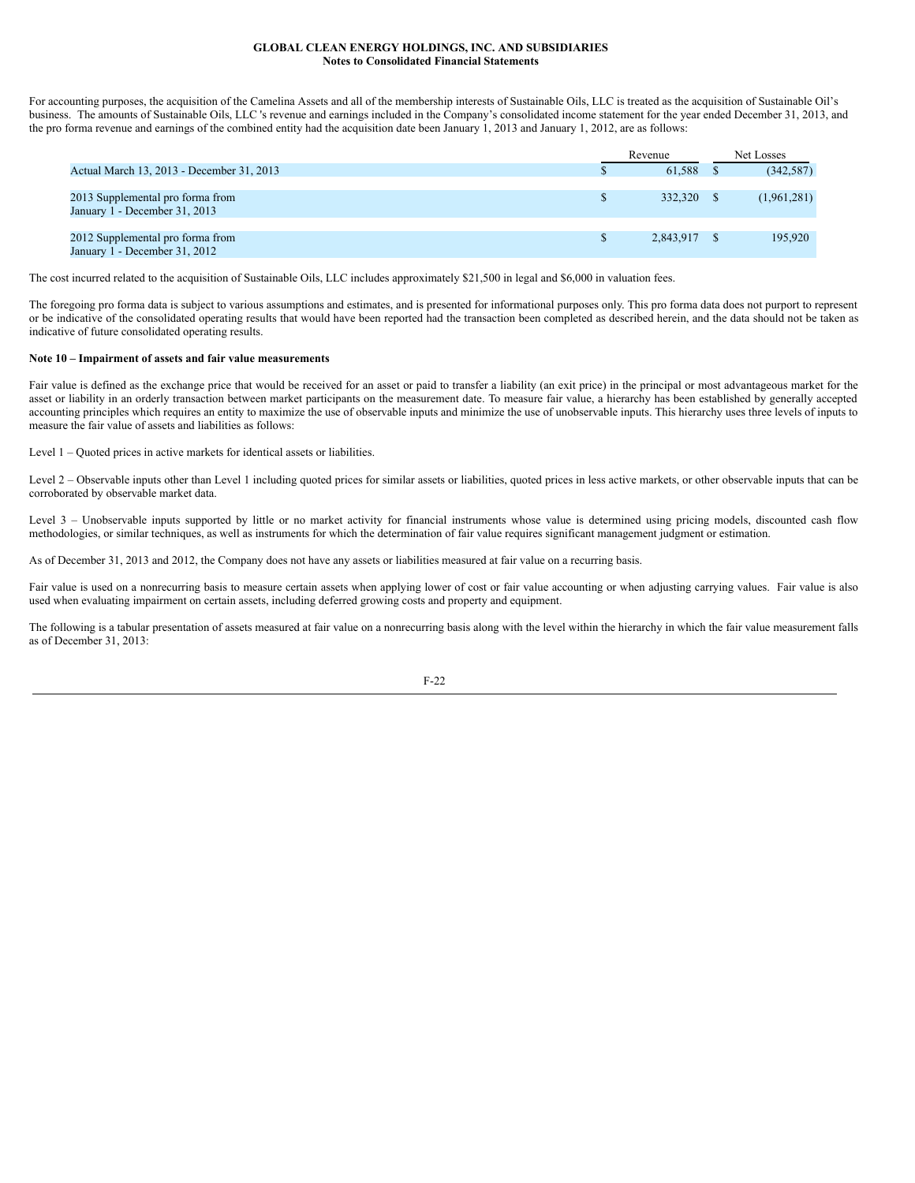For accounting purposes, the acquisition of the Camelina Assets and all of the membership interests of Sustainable Oils, LLC is treated as the acquisition of Sustainable Oil's business. The amounts of Sustainable Oils, LLC 's revenue and earnings included in the Company's consolidated income statement for the year ended December 31, 2013, and the pro forma revenue and earnings of the combined entity had the acquisition date been January 1, 2013 and January 1, 2012, are as follows:

|                                                                   | Revenue   | Net Losses  |
|-------------------------------------------------------------------|-----------|-------------|
| Actual March 13, 2013 - December 31, 2013                         | 61.588    | (342, 587)  |
|                                                                   |           |             |
| 2013 Supplemental pro forma from<br>January 1 - December 31, 2013 | 332,320   | (1,961,281) |
|                                                                   |           |             |
| 2012 Supplemental pro forma from<br>January 1 - December 31, 2012 | 2.843.917 | 195,920     |

The cost incurred related to the acquisition of Sustainable Oils, LLC includes approximately \$21,500 in legal and \$6,000 in valuation fees.

The foregoing pro forma data is subject to various assumptions and estimates, and is presented for informational purposes only. This pro forma data does not purport to represent or be indicative of the consolidated operating results that would have been reported had the transaction been completed as described herein, and the data should not be taken as indicative of future consolidated operating results.

# **Note 10 – Impairment of assets and fair value measurements**

Fair value is defined as the exchange price that would be received for an asset or paid to transfer a liability (an exit price) in the principal or most advantageous market for the asset or liability in an orderly transaction between market participants on the measurement date. To measure fair value, a hierarchy has been established by generally accepted accounting principles which requires an entity to maximize the use of observable inputs and minimize the use of unobservable inputs. This hierarchy uses three levels of inputs to measure the fair value of assets and liabilities as follows:

Level 1 – Quoted prices in active markets for identical assets or liabilities.

Level 2 – Observable inputs other than Level 1 including quoted prices for similar assets or liabilities, quoted prices in less active markets, or other observable inputs that can be corroborated by observable market data.

Level 3 – Unobservable inputs supported by little or no market activity for financial instruments whose value is determined using pricing models, discounted cash flow methodologies, or similar techniques, as well as instruments for which the determination of fair value requires significant management judgment or estimation.

As of December 31, 2013 and 2012, the Company does not have any assets or liabilities measured at fair value on a recurring basis.

Fair value is used on a nonrecurring basis to measure certain assets when applying lower of cost or fair value accounting or when adjusting carrying values. Fair value is also used when evaluating impairment on certain assets, including deferred growing costs and property and equipment.

The following is a tabular presentation of assets measured at fair value on a nonrecurring basis along with the level within the hierarchy in which the fair value measurement falls as of December 31, 2013:

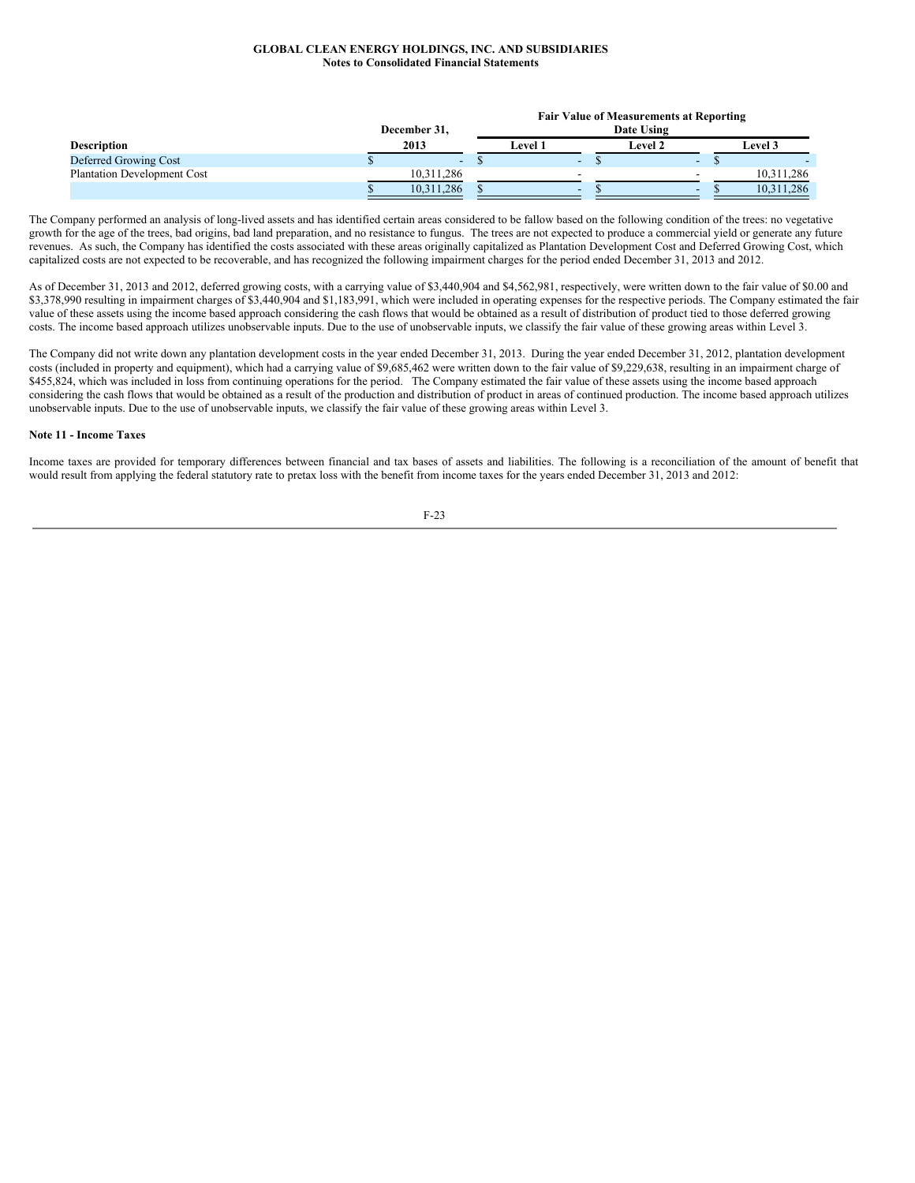|                                    | December 31, |                          |   | Date Using     | <b>Fair Value of Measurements at Reporting</b> |                |  |  |
|------------------------------------|--------------|--------------------------|---|----------------|------------------------------------------------|----------------|--|--|
| <b>Description</b>                 | 2013         | <b>Level 1</b>           |   | <b>Level 2</b> |                                                | <b>Level 3</b> |  |  |
| Deferred Growing Cost              |              | $\overline{\phantom{0}}$ | - | -              |                                                |                |  |  |
| <b>Plantation Development Cost</b> | 10.311.286   |                          |   |                |                                                | 10.311.286     |  |  |
|                                    | 10,311,286   |                          | - |                |                                                | 10.311.286     |  |  |

The Company performed an analysis of long-lived assets and has identified certain areas considered to be fallow based on the following condition of the trees: no vegetative growth for the age of the trees, bad origins, bad land preparation, and no resistance to fungus. The trees are not expected to produce a commercial yield or generate any future revenues. As such, the Company has identified the costs associated with these areas originally capitalized as Plantation Development Cost and Deferred Growing Cost, which capitalized costs are not expected to be recoverable, and has recognized the following impairment charges for the period ended December 31, 2013 and 2012.

As of December 31, 2013 and 2012, deferred growing costs, with a carrying value of \$3,440,904 and \$4,562,981, respectively, were written down to the fair value of \$0.00 and \$3,378,990 resulting in impairment charges of \$3,440,904 and \$1,183,991, which were included in operating expenses for the respective periods. The Company estimated the fair value of these assets using the income based approach considering the cash flows that would be obtained as a result of distribution of product tied to those deferred growing costs. The income based approach utilizes unobservable inputs. Due to the use of unobservable inputs, we classify the fair value of these growing areas within Level 3.

The Company did not write down any plantation development costs in the year ended December 31, 2013. During the year ended December 31, 2012, plantation development costs (included in property and equipment), which had a carrying value of \$9,685,462 were written down to the fair value of \$9,229,638, resulting in an impairment charge of \$455,824, which was included in loss from continuing operations for the period. The Company estimated the fair value of these assets using the income based approach considering the cash flows that would be obtained as a result of the production and distribution of product in areas of continued production. The income based approach utilizes unobservable inputs. Due to the use of unobservable inputs, we classify the fair value of these growing areas within Level 3.

## **Note 11 - Income Taxes**

Income taxes are provided for temporary differences between financial and tax bases of assets and liabilities. The following is a reconciliation of the amount of benefit that would result from applying the federal statutory rate to pretax loss with the benefit from income taxes for the years ended December 31, 2013 and 2012: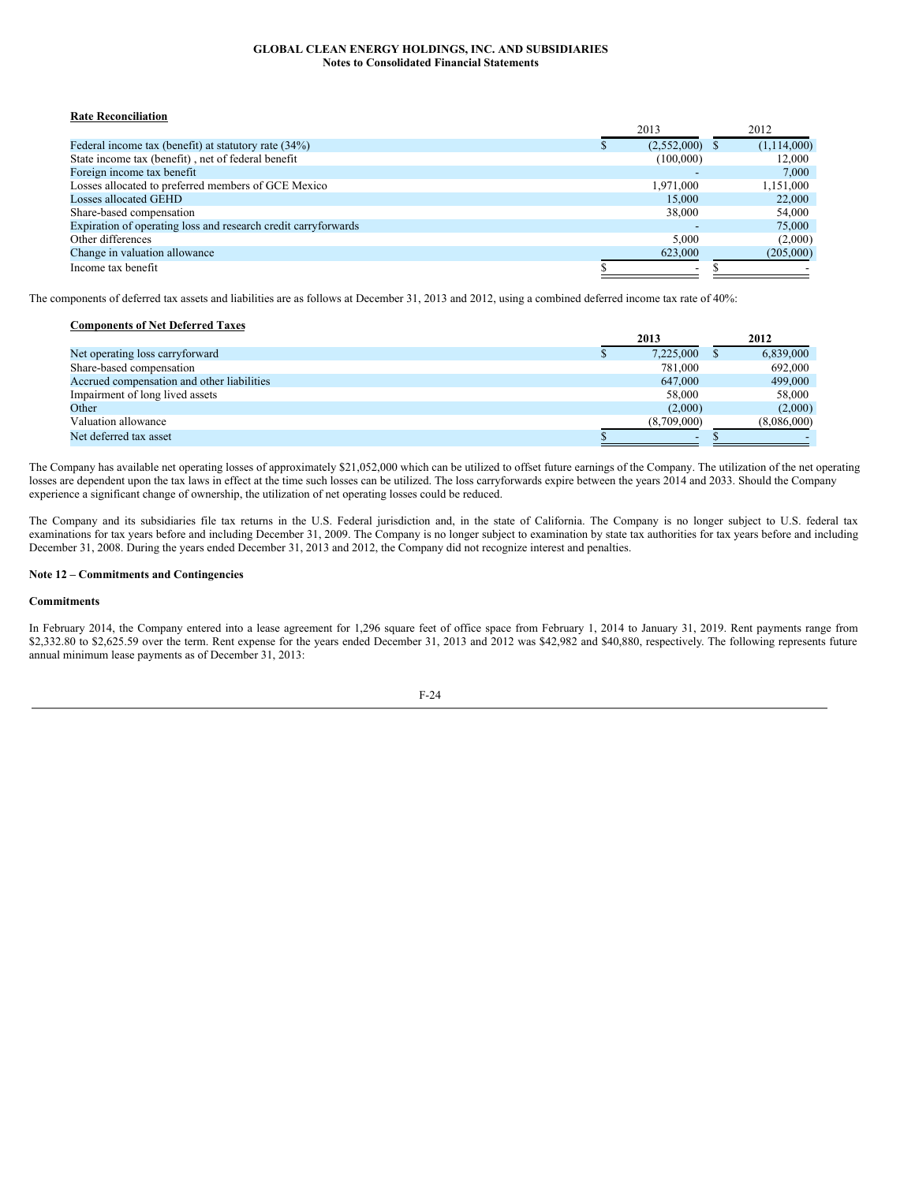#### **Rate Reconciliation**

|                                                                | 2013                     | 2012        |
|----------------------------------------------------------------|--------------------------|-------------|
| Federal income tax (benefit) at statutory rate (34%)           | (2,552,000)              | (1,114,000) |
| State income tax (benefit), net of federal benefit             | (100,000)                | 12,000      |
| Foreign income tax benefit                                     |                          | 7.000       |
| Losses allocated to preferred members of GCE Mexico            | 1,971,000                | 1,151,000   |
| <b>Losses allocated GEHD</b>                                   | 15,000                   | 22,000      |
| Share-based compensation                                       | 38,000                   | 54,000      |
| Expiration of operating loss and research credit carryforwards |                          | 75,000      |
| Other differences                                              | 5.000                    | (2,000)     |
| Change in valuation allowance                                  | 623,000                  | (205,000)   |
| Income tax benefit                                             | $\overline{\phantom{a}}$ |             |

The components of deferred tax assets and liabilities are as follows at December 31, 2013 and 2012, using a combined deferred income tax rate of 40%:

#### **Components of Net Deferred Taxes**

|                                            | 2013        | 2012        |
|--------------------------------------------|-------------|-------------|
| Net operating loss carryforward            | 7.225,000   | 6,839,000   |
| Share-based compensation                   | 781,000     | 692,000     |
| Accrued compensation and other liabilities | 647,000     | 499,000     |
| Impairment of long lived assets            | 58,000      | 58,000      |
| Other                                      | (2,000)     | (2,000)     |
| Valuation allowance                        | (8,709,000) | (8,086,000) |
| Net deferred tax asset                     | $\sim$      |             |

The Company has available net operating losses of approximately \$21,052,000 which can be utilized to offset future earnings of the Company. The utilization of the net operating losses are dependent upon the tax laws in effect at the time such losses can be utilized. The loss carryforwards expire between the years 2014 and 2033. Should the Company experience a significant change of ownership, the utilization of net operating losses could be reduced.

The Company and its subsidiaries file tax returns in the U.S. Federal jurisdiction and, in the state of California. The Company is no longer subject to U.S. federal tax examinations for tax years before and including December 31, 2009. The Company is no longer subject to examination by state tax authorities for tax years before and including December 31, 2008. During the years ended December 31, 2013 and 2012, the Company did not recognize interest and penalties.

## **Note 12 – Commitments and Contingencies**

#### **Commitments**

In February 2014, the Company entered into a lease agreement for 1,296 square feet of office space from February 1, 2014 to January 31, 2019. Rent payments range from \$2,332.80 to \$2,625.59 over the term. Rent expense for the years ended December 31, 2013 and 2012 was \$42,982 and \$40,880, respectively. The following represents future annual minimum lease payments as of December 31, 2013:

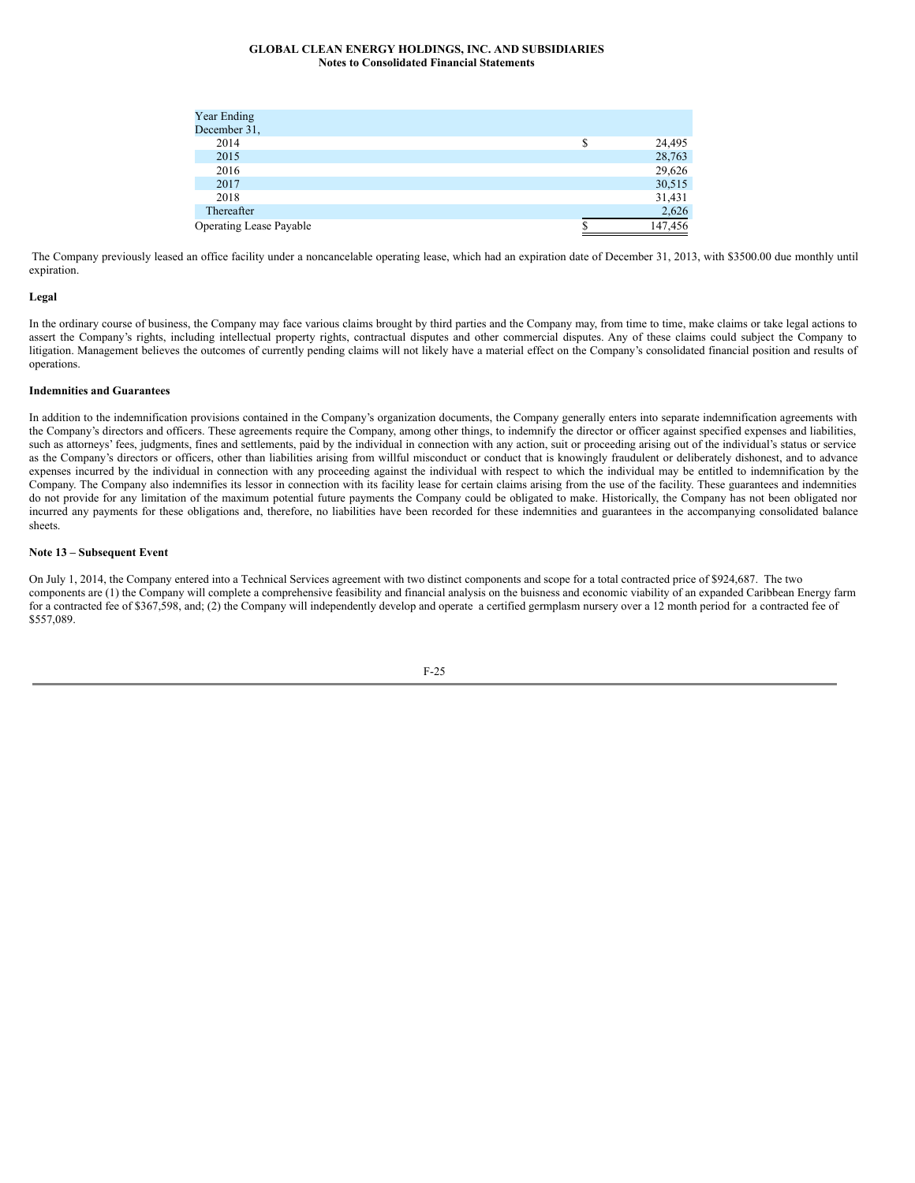| Year Ending<br>December 31,    |              |
|--------------------------------|--------------|
| 2014                           | \$<br>24,495 |
| 2015                           | 28,763       |
| 2016                           | 29,626       |
| 2017                           | 30,515       |
| 2018                           | 31,431       |
| Thereafter                     | 2,626        |
| <b>Operating Lease Payable</b> | 147,456      |

The Company previously leased an office facility under a noncancelable operating lease, which had an expiration date of December 31, 2013, with \$3500.00 due monthly until expiration.

# **Legal**

In the ordinary course of business, the Company may face various claims brought by third parties and the Company may, from time to time, make claims or take legal actions to assert the Company's rights, including intellectual property rights, contractual disputes and other commercial disputes. Any of these claims could subject the Company to litigation. Management believes the outcomes of currently pending claims will not likely have a material effect on the Company's consolidated financial position and results of operations.

## **Indemnities and Guarantees**

In addition to the indemnification provisions contained in the Company's organization documents, the Company generally enters into separate indemnification agreements with the Company's directors and officers. These agreements require the Company, among other things, to indemnify the director or officer against specified expenses and liabilities, such as attorneys' fees, judgments, fines and settlements, paid by the individual in connection with any action, suit or proceeding arising out of the individual's status or service as the Company's directors or officers, other than liabilities arising from willful misconduct or conduct that is knowingly fraudulent or deliberately dishonest, and to advance expenses incurred by the individual in connection with any proceeding against the individual with respect to which the individual may be entitled to indemnification by the Company. The Company also indemnifies its lessor in connection with its facility lease for certain claims arising from the use of the facility. These guarantees and indemnities do not provide for any limitation of the maximum potential future payments the Company could be obligated to make. Historically, the Company has not been obligated nor incurred any payments for these obligations and, therefore, no liabilities have been recorded for these indemnities and guarantees in the accompanying consolidated balance sheets.

## **Note 13 – Subsequent Event**

On July 1, 2014, the Company entered into a Technical Services agreement with two distinct components and scope for a total contracted price of \$924,687. The two components are (1) the Company will complete a comprehensive feasibility and financial analysis on the buisness and economic viability of an expanded Caribbean Energy farm for a contracted fee of \$367,598, and; (2) the Company will independently develop and operate a certified germplasm nursery over a 12 month period for a contracted fee of \$557,089.

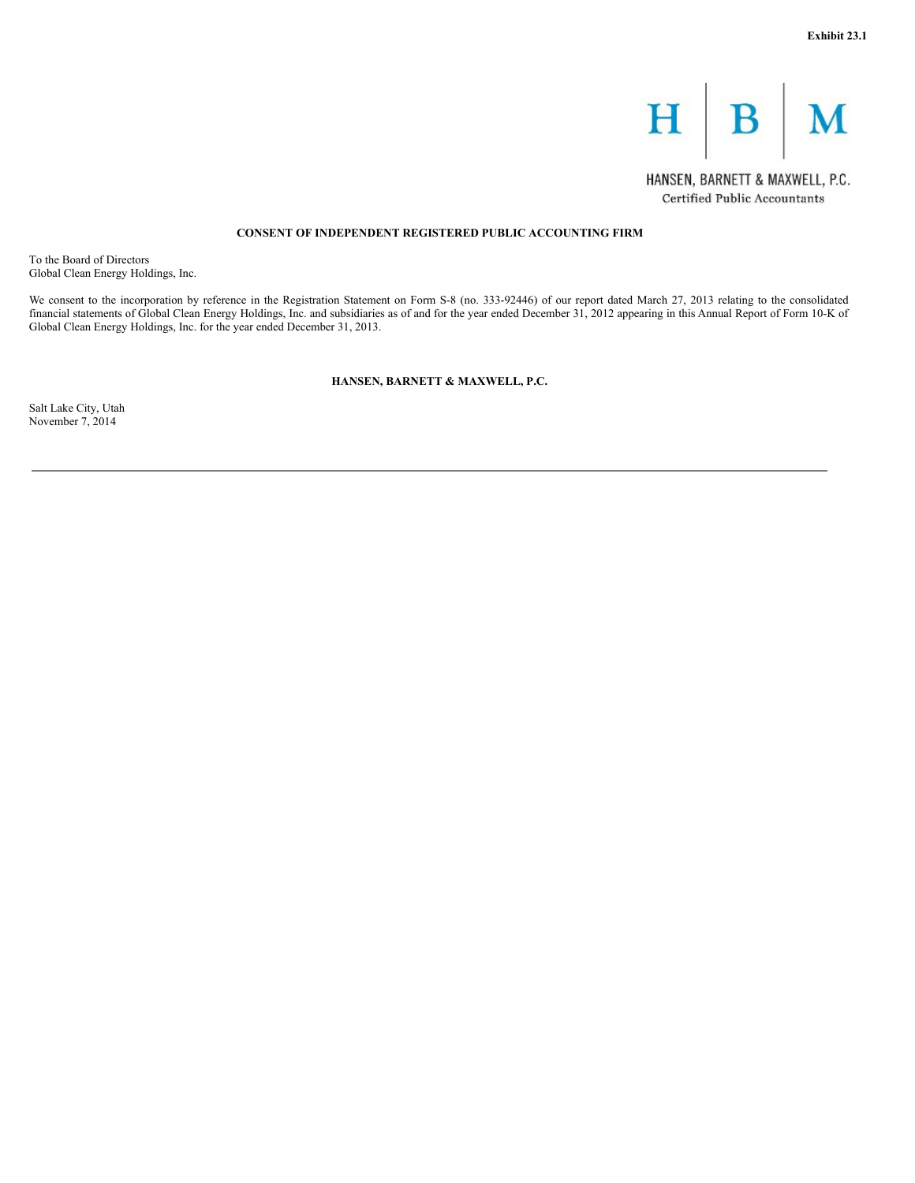

HANSEN, BARNETT & MAXWELL, P.C. Certified Public Accountants

## **CONSENT OF INDEPENDENT REGISTERED PUBLIC ACCOUNTING FIRM**

To the Board of Directors Global Clean Energy Holdings, Inc.

We consent to the incorporation by reference in the Registration Statement on Form S-8 (no. 333-92446) of our report dated March 27, 2013 relating to the consolidated financial statements of Global Clean Energy Holdings, Inc. and subsidiaries as of and for the year ended December 31, 2012 appearing in this Annual Report of Form 10-K of Global Clean Energy Holdings, Inc. for the year ended December 31, 2013.

# **HANSEN, BARNETT & MAXWELL, P.C.**

Salt Lake City, Utah November 7, 2014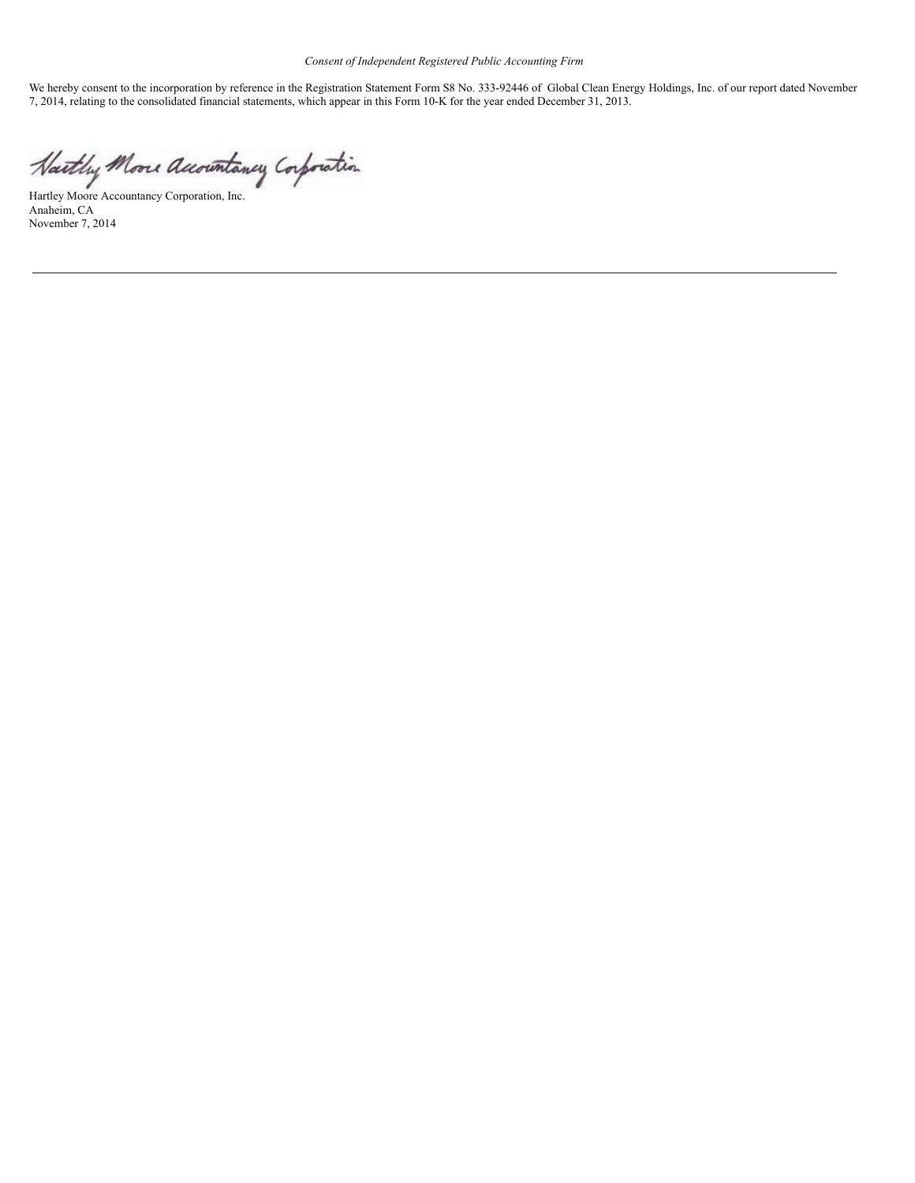We hereby consent to the incorporation by reference in the Registration Statement Form S8 No. 333-92446 of Global Clean Energy Holdings, Inc. of our report dated November 7, 2014, relating to the consolidated financial statements, which appear in this Form 10-K for the year ended December 31, 2013.

Hartley Moore Accountancy Corporation, Inc. Anaheim, CA November 7, 2014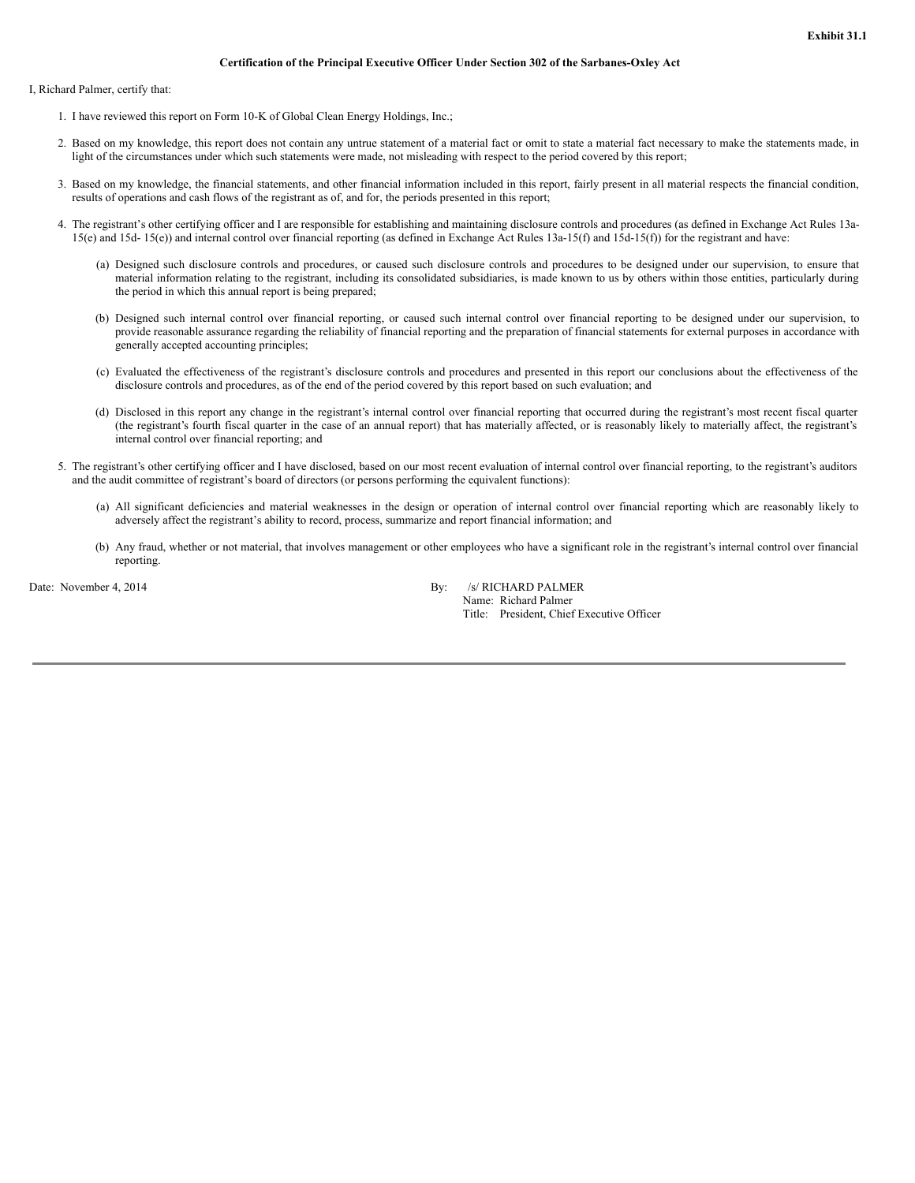#### **Certification of the Principal Executive Officer Under Section 302 of the Sarbanes-Oxley Act**

I, Richard Palmer, certify that:

- 1. I have reviewed this report on Form 10-K of Global Clean Energy Holdings, Inc.;
- 2. Based on my knowledge, this report does not contain any untrue statement of a material fact or omit to state a material fact necessary to make the statements made, in light of the circumstances under which such statements were made, not misleading with respect to the period covered by this report;
- 3. Based on my knowledge, the financial statements, and other financial information included in this report, fairly present in all material respects the financial condition, results of operations and cash flows of the registrant as of, and for, the periods presented in this report;
- 4. The registrant's other certifying officer and I are responsible for establishing and maintaining disclosure controls and procedures (as defined in Exchange Act Rules 13a-15(e) and 15d- 15(e)) and internal control over financial reporting (as defined in Exchange Act Rules 13a-15(f) and 15d-15(f)) for the registrant and have:
	- (a) Designed such disclosure controls and procedures, or caused such disclosure controls and procedures to be designed under our supervision, to ensure that material information relating to the registrant, including its consolidated subsidiaries, is made known to us by others within those entities, particularly during the period in which this annual report is being prepared;
	- (b) Designed such internal control over financial reporting, or caused such internal control over financial reporting to be designed under our supervision, to provide reasonable assurance regarding the reliability of financial reporting and the preparation of financial statements for external purposes in accordance with generally accepted accounting principles;
	- (c) Evaluated the effectiveness of the registrant's disclosure controls and procedures and presented in this report our conclusions about the effectiveness of the disclosure controls and procedures, as of the end of the period covered by this report based on such evaluation; and
	- (d) Disclosed in this report any change in the registrant's internal control over financial reporting that occurred during the registrant's most recent fiscal quarter (the registrant's fourth fiscal quarter in the case of an annual report) that has materially affected, or is reasonably likely to materially affect, the registrant's internal control over financial reporting; and
- 5. The registrant's other certifying officer and I have disclosed, based on our most recent evaluation of internal control over financial reporting, to the registrant's auditors and the audit committee of registrant's board of directors (or persons performing the equivalent functions):
	- (a) All significant deficiencies and material weaknesses in the design or operation of internal control over financial reporting which are reasonably likely to adversely affect the registrant's ability to record, process, summarize and report financial information; and
	- (b) Any fraud, whether or not material, that involves management or other employees who have a significant role in the registrant's internal control over financial reporting.

Date: November 4, 2014 By: /s/ RICHARD PALMER Name: Richard Palmer Title: President, Chief Executive Officer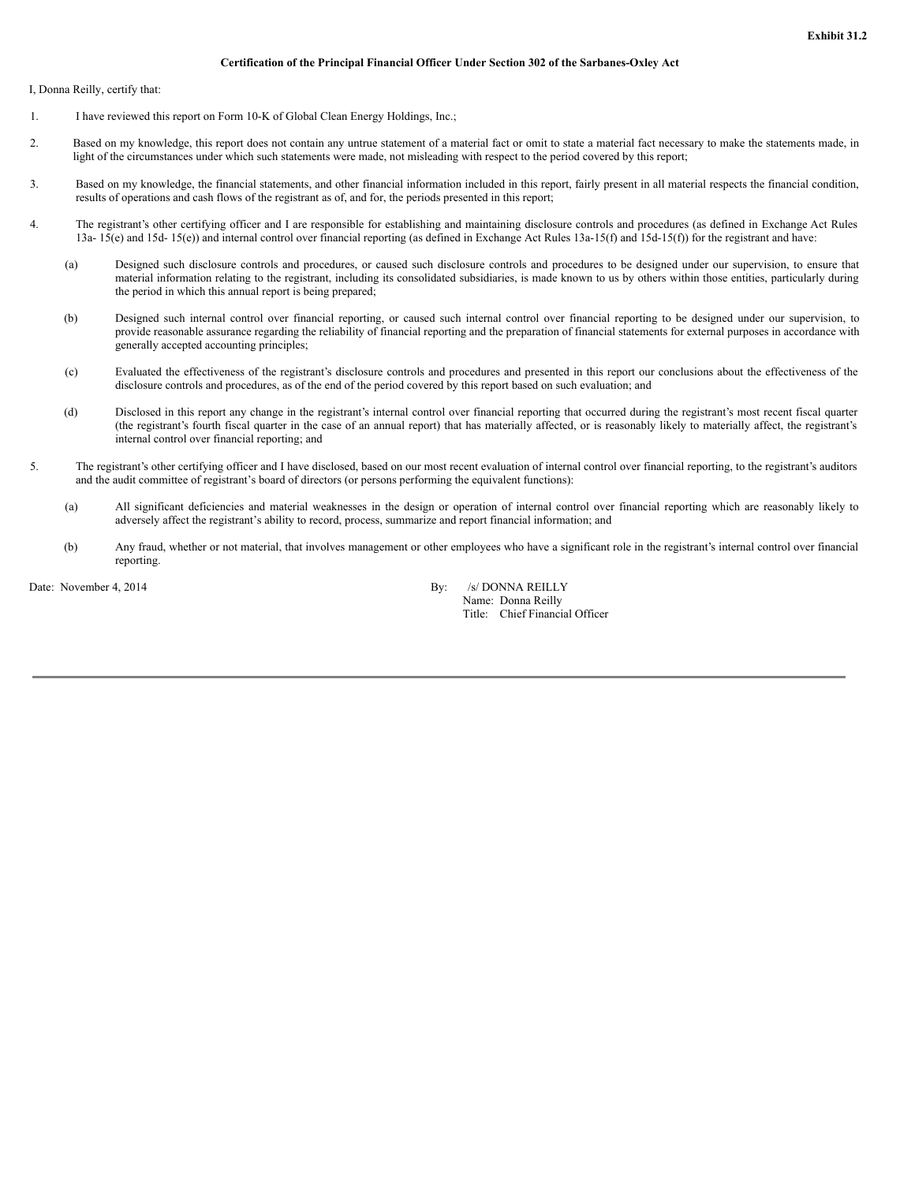## **Certification of the Principal Financial Officer Under Section 302 of the Sarbanes-Oxley Act**

I, Donna Reilly, certify that:

- 1. I have reviewed this report on Form 10-K of Global Clean Energy Holdings, Inc.;
- 2. Based on my knowledge, this report does not contain any untrue statement of a material fact or omit to state a material fact necessary to make the statements made, in light of the circumstances under which such statements were made, not misleading with respect to the period covered by this report;
- 3. Based on my knowledge, the financial statements, and other financial information included in this report, fairly present in all material respects the financial condition, results of operations and cash flows of the registrant as of, and for, the periods presented in this report;
- 4. The registrant's other certifying officer and I are responsible for establishing and maintaining disclosure controls and procedures (as defined in Exchange Act Rules 13a- 15(e) and 15d- 15(e)) and internal control over financial reporting (as defined in Exchange Act Rules 13a-15(f) and 15d-15(f)) for the registrant and have:
	- (a) Designed such disclosure controls and procedures, or caused such disclosure controls and procedures to be designed under our supervision, to ensure that material information relating to the registrant, including its consolidated subsidiaries, is made known to us by others within those entities, particularly during the period in which this annual report is being prepared;
	- (b) Designed such internal control over financial reporting, or caused such internal control over financial reporting to be designed under our supervision, to provide reasonable assurance regarding the reliability of financial reporting and the preparation of financial statements for external purposes in accordance with generally accepted accounting principles;
	- (c) Evaluated the effectiveness of the registrant's disclosure controls and procedures and presented in this report our conclusions about the effectiveness of the disclosure controls and procedures, as of the end of the period covered by this report based on such evaluation; and
	- (d) Disclosed in this report any change in the registrant's internal control over financial reporting that occurred during the registrant's most recent fiscal quarter (the registrant's fourth fiscal quarter in the case of an annual report) that has materially affected, or is reasonably likely to materially affect, the registrant's internal control over financial reporting; and
- 5. The registrant's other certifying officer and I have disclosed, based on our most recent evaluation of internal control over financial reporting, to the registrant's auditors and the audit committee of registrant's board of directors (or persons performing the equivalent functions):
	- (a) All significant deficiencies and material weaknesses in the design or operation of internal control over financial reporting which are reasonably likely to adversely affect the registrant's ability to record, process, summarize and report financial information; and
	- (b) Any fraud, whether or not material, that involves management or other employees who have a significant role in the registrant's internal control over financial reporting.

Date: November 4, 2014 By: /s/ DONNA REILLY Name: Donna Reilly Title: Chief Financial Officer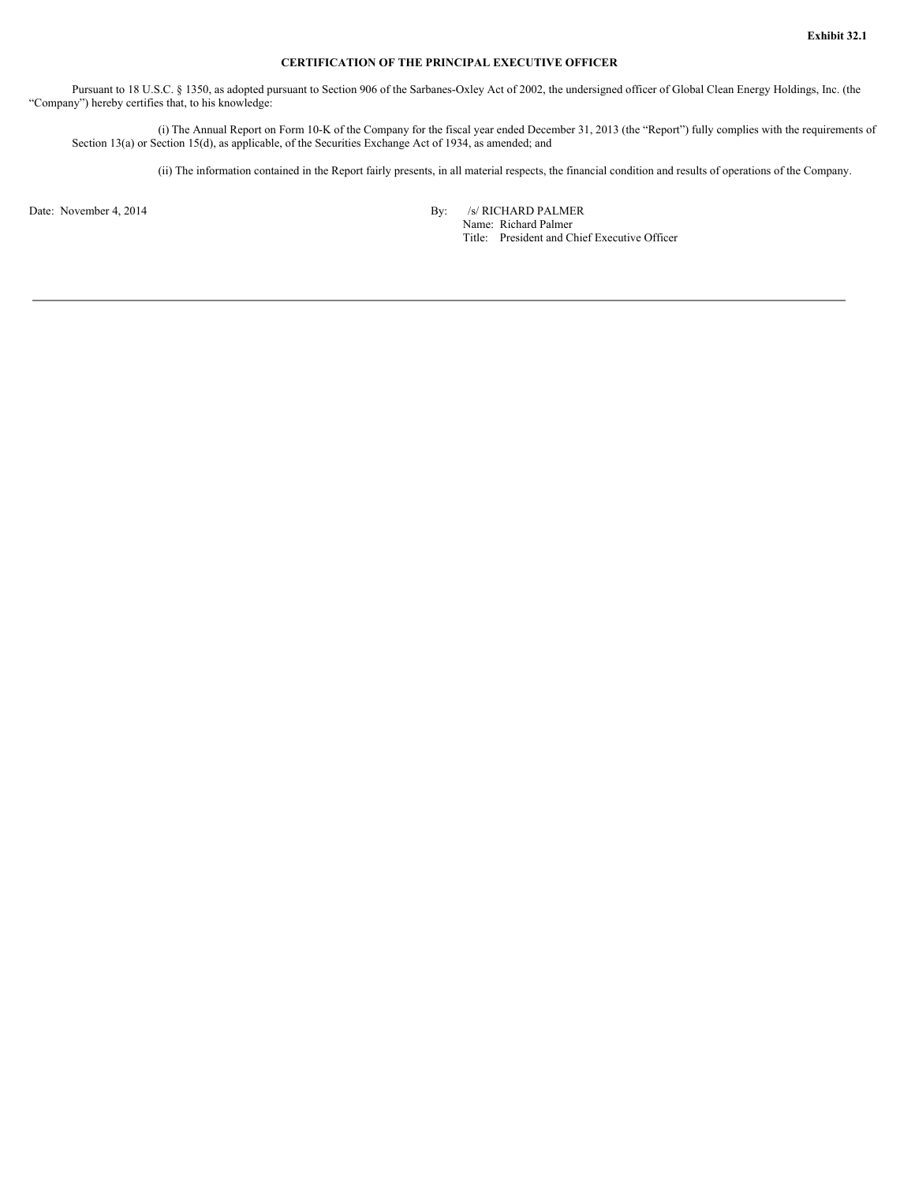## **CERTIFICATION OF THE PRINCIPAL EXECUTIVE OFFICER**

Pursuant to 18 U.S.C. § 1350, as adopted pursuant to Section 906 of the Sarbanes-Oxley Act of 2002, the undersigned officer of Global Clean Energy Holdings, Inc. (the "Company") hereby certifies that, to his knowledge:

(i) The Annual Report on Form 10-K of the Company for the fiscal year ended December 31, 2013 (the "Report") fully complies with the requirements of Section 13(a) or Section 15(d), as applicable, of the Securities Exchange Act of 1934, as amended; and

(ii) The information contained in the Report fairly presents, in all material respects, the financial condition and results of operations of the Company.

Date: November 4, 2014 By: /s/ RICHARD PALMER Name: Richard Palmer Title: President and Chief Executive Officer